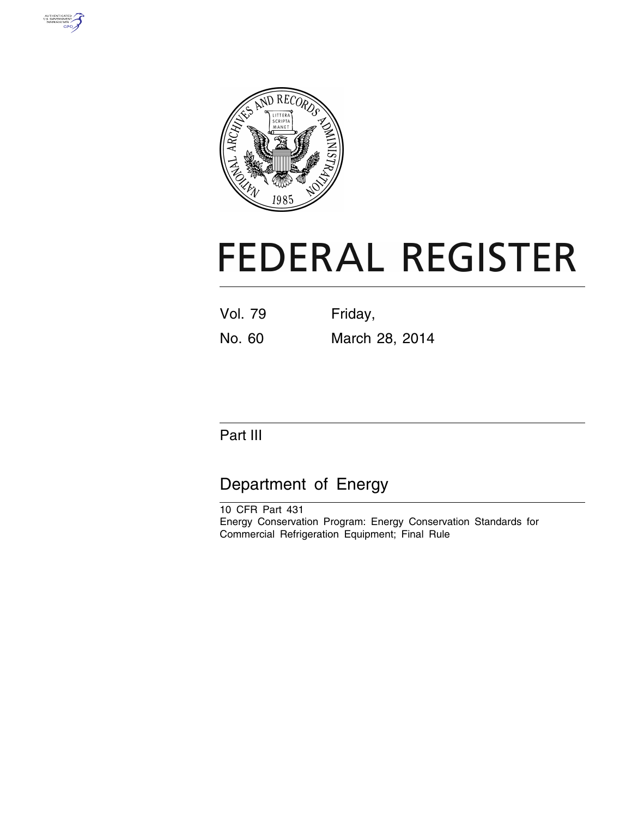



# **FEDERAL REGISTER**

Vol. 79 Friday, No. 60 March 28, 2014

# Part III

# Department of Energy

10 CFR Part 431 Energy Conservation Program: Energy Conservation Standards for Commercial Refrigeration Equipment; Final Rule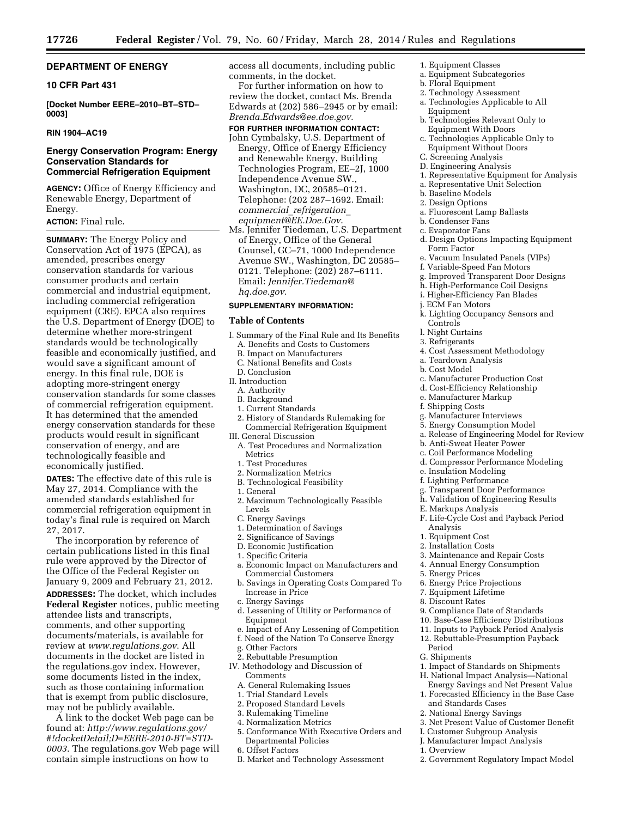# **DEPARTMENT OF ENERGY**

# **10 CFR Part 431**

**[Docket Number EERE–2010–BT–STD– 0003]** 

### **RIN 1904–AC19**

#### **Energy Conservation Program: Energy Conservation Standards for Commercial Refrigeration Equipment**

**AGENCY:** Office of Energy Efficiency and Renewable Energy, Department of Energy.

# **ACTION:** Final rule.

**SUMMARY:** The Energy Policy and Conservation Act of 1975 (EPCA), as amended, prescribes energy conservation standards for various consumer products and certain commercial and industrial equipment, including commercial refrigeration equipment (CRE). EPCA also requires the U.S. Department of Energy (DOE) to determine whether more-stringent standards would be technologically feasible and economically justified, and would save a significant amount of energy. In this final rule, DOE is adopting more-stringent energy conservation standards for some classes of commercial refrigeration equipment. It has determined that the amended energy conservation standards for these products would result in significant conservation of energy, and are technologically feasible and economically justified.

**DATES:** The effective date of this rule is May 27, 2014. Compliance with the amended standards established for commercial refrigeration equipment in today's final rule is required on March 27, 2017.

The incorporation by reference of certain publications listed in this final rule were approved by the Director of the Office of the Federal Register on January 9, 2009 and February 21, 2012. **ADDRESSES:** The docket, which includes **Federal Register** notices, public meeting attendee lists and transcripts, comments, and other supporting documents/materials, is available for review at *[www.regulations.gov](http://www.regulations.gov)*. All documents in the docket are listed in the regulations.gov index. However, some documents listed in the index, such as those containing information that is exempt from public disclosure, may not be publicly available.

A link to the docket Web page can be found at: *[http://www.regulations.gov/](http://www.regulations.gov/#!docketDetail;D=EERE-2010-BT=STD-0003) [#!docketDetail;D=EERE-2010-BT=STD-](http://www.regulations.gov/#!docketDetail;D=EERE-2010-BT=STD-0003)[0003](http://www.regulations.gov/#!docketDetail;D=EERE-2010-BT=STD-0003)*. The regulations.gov Web page will contain simple instructions on how to

access all documents, including public comments, in the docket.

For further information on how to review the docket, contact Ms. Brenda Edwards at (202) 586–2945 or by email: *[Brenda.Edwards@ee.doe.gov](mailto:Brenda.Edwards@ee.doe.gov)*.

#### **FOR FURTHER INFORMATION CONTACT:**

- John Cymbalsky, U.S. Department of Energy, Office of Energy Efficiency and Renewable Energy, Building Technologies Program, EE–2J, 1000 Independence Avenue SW., Washington, DC, 20585–0121. Telephone: (202 287–1692. Email: *commercial*\_*[refrigeration](mailto:commercial_refrigeration_equipment@EE.Doe.Gov)*\_ *[equipment@EE.Doe.Gov](mailto:commercial_refrigeration_equipment@EE.Doe.Gov)*.
- Ms. Jennifer Tiedeman, U.S. Department of Energy, Office of the General Counsel, GC–71, 1000 Independence Avenue SW., Washington, DC 20585– 0121. Telephone: (202) 287–6111. Email: *[Jennifer.Tiedeman@](mailto:Jennifer.Tiedeman@hq.doe.gov) [hq.doe.gov](mailto:Jennifer.Tiedeman@hq.doe.gov)*.

# **SUPPLEMENTARY INFORMATION:**

# **Table of Contents**

- I. Summary of the Final Rule and Its Benefits A. Benefits and Costs to Customers
	- B. Impact on Manufacturers
	- C. National Benefits and Costs
- D. Conclusion
- II. Introduction
	- A. Authority
	- B. Background
	- 1. Current Standards
- 2. History of Standards Rulemaking for Commercial Refrigeration Equipment III. General Discussion
- A. Test Procedures and Normalization Metrics
- 1. Test Procedures
- 2. Normalization Metrics
- B. Technological Feasibility
- 1. General
- 2. Maximum Technologically Feasible
- Levels
- C. Energy Savings
- 1. Determination of Savings
- 2. Significance of Savings
- D. Economic Justification
- 1. Specific Criteria
- a. Economic Impact on Manufacturers and Commercial Customers
- b. Savings in Operating Costs Compared To Increase in Price
- c. Energy Savings
- d. Lessening of Utility or Performance of Equipment
- e. Impact of Any Lessening of Competition
- f. Need of the Nation To Conserve Energy
- g. Other Factors
- 2. Rebuttable Presumption
- IV. Methodology and Discussion of Comments
	- A. General Rulemaking Issues
	- 1. Trial Standard Levels
	- 2. Proposed Standard Levels
	- 3. Rulemaking Timeline
	- 4. Normalization Metrics
	- 5. Conformance With Executive Orders and Departmental Policies
	- 6. Offset Factors
	- B. Market and Technology Assessment
- 1. Equipment Classes
- a. Equipment Subcategories
- b. Floral Equipment
- 2. Technology Assessment
- a. Technologies Applicable to All Equipment
- b. Technologies Relevant Only to Equipment With Doors
- c. Technologies Applicable Only to Equipment Without Doors
- C. Screening Analysis
- D. Engineering Analysis
- 1. Representative Equipment for Analysis
- a. Representative Unit Selection
- b. Baseline Models
- 2. Design Options
- a. Fluorescent Lamp Ballasts
- b. Condenser Fans
- c. Evaporator Fans
- d. Design Options Impacting Equipment Form Factor
- e. Vacuum Insulated Panels (VIPs)
- f. Variable-Speed Fan Motors
- g. Improved Transparent Door Designs
- h. High-Performance Coil Designs
- i. Higher-Efficiency Fan Blades
- j. ECM Fan Motors
- k. Lighting Occupancy Sensors and Controls
- l. Night Curtains
- 3. Refrigerants
- 4. Cost Assessment Methodology
- a. Teardown Analysis
- b. Cost Model
- c. Manufacturer Production Cost
- d. Cost-Efficiency Relationship
- e. Manufacturer Markup
- f. Shipping Costs
- g. Manufacturer Interviews
- 5. Energy Consumption Model
- a. Release of Engineering Model for Review
- b. Anti-Sweat Heater Power
- c. Coil Performance Modeling
- d. Compressor Performance Modeling

F. Life-Cycle Cost and Payback Period

- e. Insulation Modeling
- f. Lighting Performance

E. Markups Analysis

Analysis 1. Equipment Cost 2. Installation Costs

5. Energy Prices

Period G. Shipments

1. Overview

g. Transparent Door Performance h. Validation of Engineering Results

3. Maintenance and Repair Costs 4. Annual Energy Consumption

9. Compliance Date of Standards 10. Base-Case Efficiency Distributions 11. Inputs to Payback Period Analysis 12. Rebuttable-Presumption Payback

1. Impact of Standards on Shipments H. National Impact Analysis—National Energy Savings and Net Present Value 1. Forecasted Efficiency in the Base Case

3. Net Present Value of Customer Benefit I. Customer Subgroup Analysis J. Manufacturer Impact Analysis

2. Government Regulatory Impact Model

6. Energy Price Projections 7. Equipment Lifetime 8. Discount Rates

and Standards Cases 2. National Energy Savings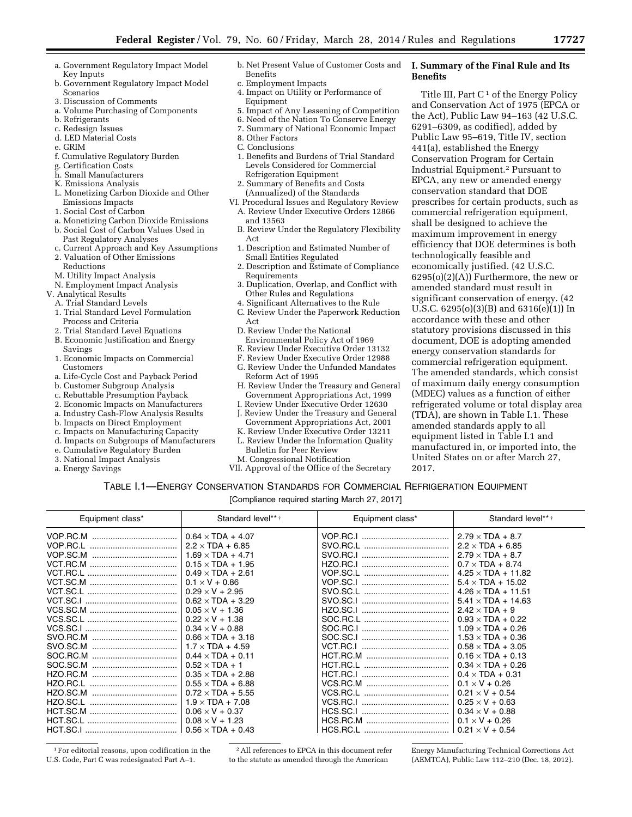- a. Government Regulatory Impact Model Key Inputs
- b. Government Regulatory Impact Model Scenarios
- 3. Discussion of Comments
- a. Volume Purchasing of Components
- b. Refrigerants
- c. Redesign Issues
- d. LED Material Costs
- e. GRIM
- f. Cumulative Regulatory Burden
- g. Certification Costs
- h. Small Manufacturers
- K. Emissions Analysis
- L. Monetizing Carbon Dioxide and Other Emissions Impacts
- 1. Social Cost of Carbon
- a. Monetizing Carbon Dioxide Emissions
- b. Social Cost of Carbon Values Used in
- Past Regulatory Analyses
- c. Current Approach and Key Assumptions
- 2. Valuation of Other Emissions Reductions
- M. Utility Impact Analysis
- N. Employment Impact Analysis
- V. Analytical Results
- A. Trial Standard Levels
- 1. Trial Standard Level Formulation Process and Criteria
- 2. Trial Standard Level Equations
- B. Economic Justification and Energy Savings
- 1. Economic Impacts on Commercial Customers
- a. Life-Cycle Cost and Payback Period
- b. Customer Subgroup Analysis
- c. Rebuttable Presumption Payback
- 2. Economic Impacts on Manufacturers
- a. Industry Cash-Flow Analysis Results
- b. Impacts on Direct Employment
- c. Impacts on Manufacturing Capacity
- d. Impacts on Subgroups of Manufacturers
- e. Cumulative Regulatory Burden
- 3. National Impact Analysis
- a. Energy Savings
- b. Net Present Value of Customer Costs and Benefits c. Employment Impacts
- 4. Impact on Utility or Performance of
- Equipment
- 5. Impact of Any Lessening of Competition
- 6. Need of the Nation To Conserve Energy
- 7. Summary of National Economic Impact
- 8. Other Factors
- C. Conclusions
- 1. Benefits and Burdens of Trial Standard Levels Considered for Commercial Refrigeration Equipment
- 2. Summary of Benefits and Costs (Annualized) of the Standards
- VI. Procedural Issues and Regulatory Review A. Review Under Executive Orders 12866
	- and 13563 B. Review Under the Regulatory Flexibility
	- Act 1. Description and Estimated Number of
	- Small Entities Regulated
	- 2. Description and Estimate of Compliance Requirements
	- 3. Duplication, Overlap, and Conflict with Other Rules and Regulations
	- 4. Significant Alternatives to the Rule
	- C. Review Under the Paperwork Reduction Act
	- D. Review Under the National
	- Environmental Policy Act of 1969
	- E. Review Under Executive Order 13132
	- F. Review Under Executive Order 12988
	- G. Review Under the Unfunded Mandates
	- Reform Act of 1995 H. Review Under the Treasury and General Government Appropriations Act, 1999
	- I. Review Under Executive Order 12630 J. Review Under the Treasury and General
	- Government Appropriations Act, 2001
	- K. Review Under Executive Order 13211
	- L. Review Under the Information Quality Bulletin for Peer Review
	- M. Congressional Notification
- VII. Approval of the Office of the Secretary

#### **I. Summary of the Final Rule and Its Benefits**

Title III, Part  $C<sup>1</sup>$  of the Energy Policy and Conservation Act of 1975 (EPCA or the Act), Public Law 94–163 (42 U.S.C. 6291–6309, as codified), added by Public Law 95–619, Title IV, section 441(a), established the Energy Conservation Program for Certain Industrial Equipment.2 Pursuant to EPCA, any new or amended energy conservation standard that DOE prescribes for certain products, such as commercial refrigeration equipment, shall be designed to achieve the maximum improvement in energy efficiency that DOE determines is both technologically feasible and economically justified. (42 U.S.C.  $6295(o)(2)(A)$  Furthermore, the new or amended standard must result in significant conservation of energy. (42 U.S.C. 6295(o)(3)(B) and 6316(e)(1)) In accordance with these and other statutory provisions discussed in this document, DOE is adopting amended energy conservation standards for commercial refrigeration equipment. The amended standards, which consist of maximum daily energy consumption (MDEC) values as a function of either refrigerated volume or total display area (TDA), are shown in Table I.1. These amended standards apply to all equipment listed in Table I.1 and manufactured in, or imported into, the United States on or after March 27, 2017.

# TABLE I.1—ENERGY CONSERVATION STANDARDS FOR COMMERCIAL REFRIGERATION EQUIPMENT

[Compliance required starting March 27, 2017]

| Equipment class*     | Standard level** *                                                                                                                                                                                                                               | Equipment class*     | Standard level***                                                                                                                                                                                                                         |
|----------------------|--------------------------------------------------------------------------------------------------------------------------------------------------------------------------------------------------------------------------------------------------|----------------------|-------------------------------------------------------------------------------------------------------------------------------------------------------------------------------------------------------------------------------------------|
| VOP.RC.M<br>VOP.SC.M | $0.64 \times TDA + 4.07$<br>$2.2 \times TDA + 6.85$<br>$1.69 \times TDA + 4.71$<br>$0.15 \times TDA + 1.95$<br>$0.49 \times TDA + 2.61$<br>$0.1 \times V + 0.86$                                                                                 | VOP.RC.I<br>SVO.RC.I | $2.79 \times TDA + 8.7$<br>$2.2 \times TDA + 6.85$<br>$2.79 \times TDA + 8.7$<br>$0.7 \times TDA + 8.74$<br>$4.25 \times TDA + 11.82$<br>$5.4 \times TDA + 15.02$                                                                         |
|                      | $0.29 \times V + 2.95$<br>$0.62 \times TDA + 3.29$<br>$0.05 \times V + 1.36$<br>$0.22 \times V + 1.38$<br>$0.34 \times V + 0.88$<br>$0.66 \times TDA + 3.18$<br>$1.7 \times TDA + 4.59$                                                          | SVO.SC.I             | $4.26 \times TDA + 11.51$<br>$5.41 \times TDA + 14.63$<br>$2.42 \times TDA + 9$<br>$0.93 \times TDA + 0.22$<br>$1.09 \times TDA + 0.26$<br>$1.53 \times TDA + 0.36$<br>$0.58 \times TDA + 3.05$                                           |
| HZO.SC.L             | $0.44 \times TDA + 0.11$<br>$0.52 \times TDA + 1$<br>$0.35 \times TDA + 2.88$<br>$0.55 \times TDA + 6.88$<br>$0.72 \times TDA + 5.55$<br>$1.9 \times TDA + 7.08$<br>$0.06 \times V + 0.37$<br>$0.08 \times V + 1.23$<br>$0.56 \times TDA + 0.43$ | VCS.RC.I             | $0.16 \times TDA + 0.13$<br>$0.34 \times TDA + 0.26$<br>$0.4 \times TDA + 0.31$<br>$0.1 \times V + 0.26$<br>$0.21 \times V + 0.54$<br>$0.25 \times V + 0.63$<br>$0.34 \times V + 0.88$<br>$0.1 \times V + 0.26$<br>$0.21 \times V + 0.54$ |

1For editorial reasons, upon codification in the U.S. Code, Part C was redesignated Part A–1.

2All references to EPCA in this document refer to the statute as amended through the American

Energy Manufacturing Technical Corrections Act (AEMTCA), Public Law 112–210 (Dec. 18, 2012).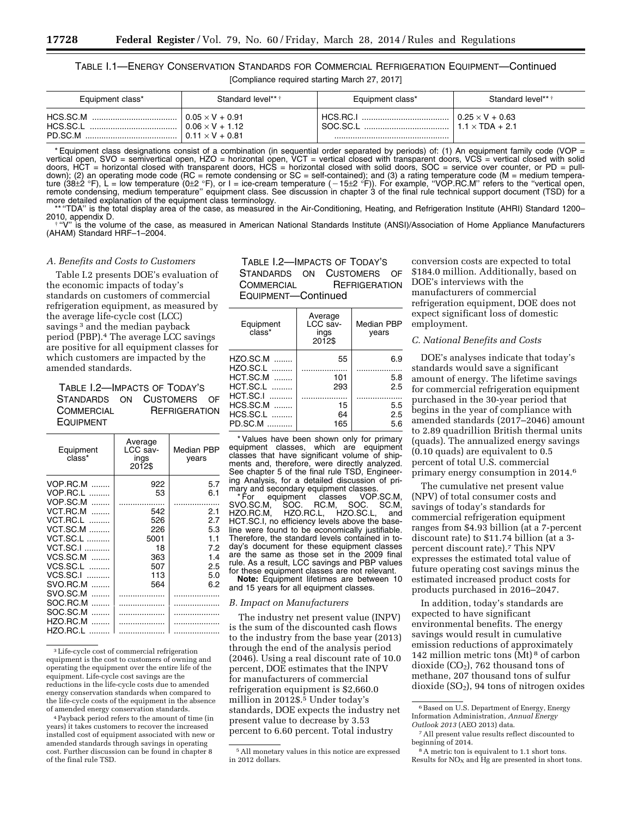# TABLE I.1—ENERGY CONSERVATION STANDARDS FOR COMMERCIAL REFRIGERATION EQUIPMENT—Continued [Compliance required starting March 27, 2017]

| Equipment class*                | Standard level** †                                                         | Equipment class*     | Standard level** *                               |
|---------------------------------|----------------------------------------------------------------------------|----------------------|--------------------------------------------------|
| HCS.SC.M<br>HCS.SC.I<br>PD.SC.M | $0.05 \times V + 0.91$<br>$0.06 \times V + 1.12$<br>$0.11 \times V + 0.81$ | HCS.RC.I<br>SOC SC.I | $0.25 \times V + 0.63$<br>$1.1 \times TDA + 2.1$ |

\* Equipment class designations consist of a combination (in sequential order separated by periods) of: (1) An equipment family code (VOP = vertical open, SVO = semivertical open, HZO = horizontal open, VCT = vertical closed with transparent doors, VCS = vertical closed with solid doors, HCT = horizontal closed with transparent doors, HCS = horizontal closed with solid doors, SOC = service over counter, or PD = pulldown); (2) an operating mode code (RC = remote condensing or SC = self-contained); and (3) a rating temperature code (M = medium tempera-<br>ture (38±2 °F), L = low temperature (0±2 °F), or l = ice-cream temperature (−15±2 °F remote condensing, medium temperature'' equipment class. See discussion in chapter 3 of the final rule technical support document (TSD) for a more detailed explanation of the equipment class terminology.

\*\* "TDA" is the total display area of the case, as measured in the Air-Conditioning, Heating, and Refrigeration Institute (AHRI) Standard 1200–<br>2010, appendix D.

"V" is the volume of the case, as measured in American National Standards Institute (ANSI)/Association of Home Appliance Manufacturers (AHAM) Standard HRF–1–2004.

#### *A. Benefits and Costs to Customers*

Table I.2 presents DOE's evaluation of the economic impacts of today's standards on customers of commercial refrigeration equipment, as measured by the average life-cycle cost (LCC) savings<sup>3</sup> and the median payback period (PBP).4 The average LCC savings are positive for all equipment classes for which customers are impacted by the amended standards.

TABLE I.2—IMPACTS OF TODAY'S STANDARDS ON CUSTOMERS OF COMMERCIAL REFRIGERATION EQUIPMENT

| Equipment<br>class* | Average<br>LCC sav-<br>ings<br>2012\$ | <b>Median PBP</b><br>years |
|---------------------|---------------------------------------|----------------------------|
| VOP.RC.M<br>$\sim$  | 922                                   | 5.7                        |
| VOP.RC.L<br>.       | 53                                    | 6.1                        |
| <b>VOP.SC.M</b>     |                                       |                            |
| VCT.RC.M<br>.       | 542                                   | 2.1                        |
| <b>VCT.RC.L</b>     | 526                                   | 2.7                        |
| $VCT.SC.M$          | 226                                   | 5.3                        |
| <b>VCT.SC.L</b>     | 5001                                  | 1.1                        |
| <b>VCT.SC.I </b>    | 18                                    | 7.2                        |
| $VCS.SC.M$          | 363                                   | 1.4                        |
| VCS.SC.L            | 507                                   | 2.5                        |
| VCS.SC.I<br>.       | 113                                   | 5.0                        |
| SVO.RC.M            | 564                                   | 6.2                        |
| SVO.SC.M<br>.       |                                       |                            |
| SOC.RC.M<br>.       |                                       |                            |
| SOC.SC.M<br>.       |                                       |                            |
| HZO.RC.M            |                                       |                            |
| HZO.RC.L            |                                       |                            |

3Life-cycle cost of commercial refrigeration equipment is the cost to customers of owning and operating the equipment over the entire life of the equipment. Life-cycle cost savings are the reductions in the life-cycle costs due to amended energy conservation standards when compared to the life-cycle costs of the equipment in the absence of amended energy conservation standards.

4Payback period refers to the amount of time (in years) it takes customers to recover the increased installed cost of equipment associated with new or amended standards through savings in operating cost. Further discussion can be found in chapter 8 of the final rule TSD.

TABLE I.2—IMPACTS OF TODAY'S STANDARDS ON CUSTOMERS OF COMMERCIAL REFRIGERATION EQUIPMENT—Continued

| Average<br>LCC sav-<br>ings<br>2012\$ | Median PBP<br>years |
|---------------------------------------|---------------------|
| 55                                    | 6.9                 |
| 101                                   | 5.8                 |
| 293                                   | 2.5                 |
|                                       |                     |
| 15                                    | 5.5                 |
| 64                                    | 2.5                 |
| 165                                   | 5.6                 |
|                                       |                     |

\* Values have been shown only for primary equipment classes, which are equipment classes that have significant volume of shipments and, therefore, were directly analyzed. See chapter 5 of the final rule TSD, Engineering Analysis, for a detailed discussion of primary and secondary equipment classes.

\* For equipment classes VOP.SC.M, SVO.SC.M, SOC. RC.M, SOC. SC.M, HZO.RC.M, HZO.RC.L, HZO.SC.L, and SVO.SC.M, SOC. RC.M, SOC. SC.M,<br>HZO.RC.M, HZO.RC.L, HZO.SC.L, and<br>HCT.SC.I, no efficiency levels above the baseline were found to be economically justifiable. Therefore, the standard levels contained in today's document for these equipment classes are the same as those set in the 2009 final rule. As a result, LCC savings and PBP values for these equipment classes are not relevant.

**Note:** Equipment lifetimes are between 10 and 15 years for all equipment classes.

#### *B. Impact on Manufacturers*

The industry net present value (INPV) is the sum of the discounted cash flows to the industry from the base year (2013) through the end of the analysis period (2046). Using a real discount rate of 10.0 percent, DOE estimates that the INPV for manufacturers of commercial refrigeration equipment is \$2,660.0 million in 2012\$.5 Under today's standards, DOE expects the industry net present value to decrease by 3.53 percent to 6.60 percent. Total industry

conversion costs are expected to total \$184.0 million. Additionally, based on DOE's interviews with the manufacturers of commercial refrigeration equipment, DOE does not expect significant loss of domestic employment.

# *C. National Benefits and Costs*

DOE's analyses indicate that today's standards would save a significant amount of energy. The lifetime savings for commercial refrigeration equipment purchased in the 30-year period that begins in the year of compliance with amended standards (2017–2046) amount to 2.89 quadrillion British thermal units (quads). The annualized energy savings (0.10 quads) are equivalent to 0.5 percent of total U.S. commercial primary energy consumption in 2014.6

The cumulative net present value (NPV) of total consumer costs and savings of today's standards for commercial refrigeration equipment ranges from \$4.93 billion (at a 7-percent discount rate) to \$11.74 billion (at a 3 percent discount rate).7 This NPV expresses the estimated total value of future operating cost savings minus the estimated increased product costs for products purchased in 2016–2047.

In addition, today's standards are expected to have significant environmental benefits. The energy savings would result in cumulative emission reductions of approximately 142 million metric tons (Mt) 8 of carbon dioxide  $(CO<sub>2</sub>)$ , 762 thousand tons of methane, 207 thousand tons of sulfur dioxide  $(SO<sub>2</sub>)$ , 94 tons of nitrogen oxides

<sup>5</sup>All monetary values in this notice are expressed in 2012 dollars.

<sup>&</sup>lt;sup>6</sup> Based on U.S. Department of Energy, Energy Information Administration, *Annual Energy Outlook 2013* (AEO 2013) data.

<sup>7</sup>All present value results reflect discounted to beginning of 2014.

<sup>8</sup>A metric ton is equivalent to 1.1 short tons. Results for  $NO<sub>x</sub>$  and Hg are presented in short tons.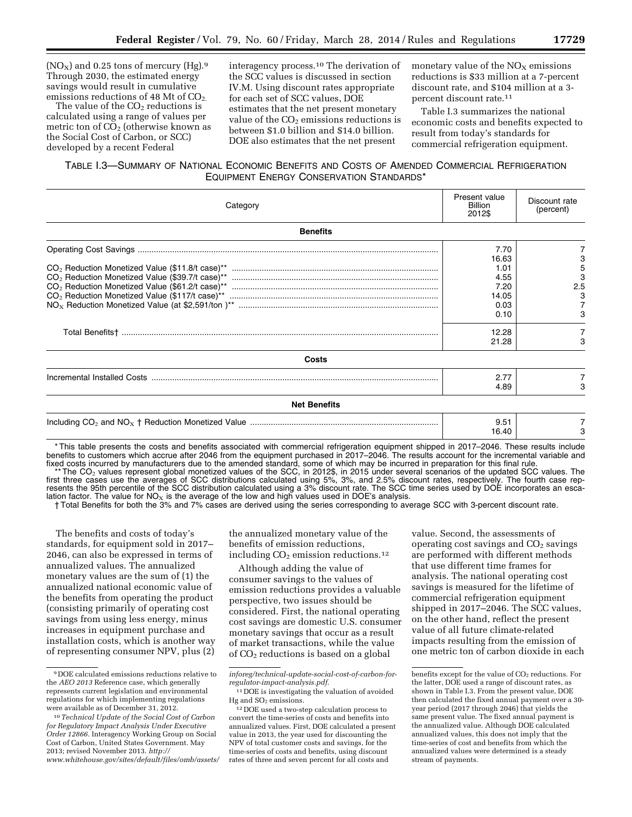$(NO_X)$  and 0.25 tons of mercury (Hg).<sup>9</sup> Through 2030, the estimated energy savings would result in cumulative emissions reductions of 48 Mt of  $CO<sub>2</sub>$ .

The value of the  $CO<sub>2</sub>$  reductions is calculated using a range of values per metric ton of  $CO<sub>2</sub>$  (otherwise known as the Social Cost of Carbon, or SCC) developed by a recent Federal

interagency process.10 The derivation of the SCC values is discussed in section IV.M. Using discount rates appropriate for each set of SCC values, DOE estimates that the net present monetary value of the  $CO<sub>2</sub>$  emissions reductions is between \$1.0 billion and \$14.0 billion. DOE also estimates that the net present

monetary value of the  $NO<sub>x</sub>$  emissions reductions is \$33 million at a 7-percent discount rate, and \$104 million at a 3 percent discount rate.11

Table I.3 summarizes the national economic costs and benefits expected to result from today's standards for commercial refrigeration equipment.

# TABLE I.3—SUMMARY OF NATIONAL ECONOMIC BENEFITS AND COSTS OF AMENDED COMMERCIAL REFRIGERATION EQUIPMENT ENERGY CONSERVATION STANDARDS\*

| Category            | Present value<br>Billion<br>2012\$                             | Discount rate<br>(percent) |
|---------------------|----------------------------------------------------------------|----------------------------|
| <b>Benefits</b>     |                                                                |                            |
|                     | 7.70<br>16.63<br>1.01<br>4.55<br>7.20<br>14.05<br>0.03<br>0.10 | 5<br>2.5<br>3              |
|                     | 12.28<br>21.28                                                 |                            |
| Costs               |                                                                |                            |
|                     | 2.77<br>4.89                                                   |                            |
| <b>Net Benefits</b> |                                                                |                            |
|                     | 9.51<br>16.40                                                  |                            |

\* This table presents the costs and benefits associated with commercial refrigeration equipment shipped in 2017–2046. These results include benefits to customers which accrue after 2046 from the equipment purchased in 2017–2046. The results account for the incremental variable and fixed costs incurred by manufacturers due to the amended standard, some of which may be incurred in preparation for this final rule.

 $*$  The CO<sub>2</sub> values represent global monetized values of the SCC, in 2012\$, in 2015 under several scenarios of the updated SCC values. The first three cases use the averages of SCC distributions calculated using 5%, 3%, and 2.5% discount rates, respectively. The fourth case represents the 95th percentile of the SCC distribution calculated using a 3% discount rate. The SCC time series used by DOE incorporates an escalation factor. The value for NO<sub>X</sub> is the average of the low and high values used in DOE's analysis.

† Total Benefits for both the 3% and 7% cases are derived using the series corresponding to average SCC with 3-percent discount rate.

The benefits and costs of today's standards, for equipment sold in 2017– 2046, can also be expressed in terms of annualized values. The annualized monetary values are the sum of (1) the annualized national economic value of the benefits from operating the product (consisting primarily of operating cost savings from using less energy, minus increases in equipment purchase and installation costs, which is another way of representing consumer NPV, plus (2)

the annualized monetary value of the benefits of emission reductions, including  $CO<sub>2</sub>$  emission reductions.<sup>12</sup>

Although adding the value of consumer savings to the values of emission reductions provides a valuable perspective, two issues should be considered. First, the national operating cost savings are domestic U.S. consumer monetary savings that occur as a result of market transactions, while the value of CO2 reductions is based on a global

value. Second, the assessments of operating cost savings and  $CO<sub>2</sub>$  savings are performed with different methods that use different time frames for analysis. The national operating cost savings is measured for the lifetime of commercial refrigeration equipment shipped in 2017–2046. The SCC values, on the other hand, reflect the present value of all future climate-related impacts resulting from the emission of one metric ton of carbon dioxide in each

<sup>9</sup> DOE calculated emissions reductions relative to the *AEO 2013* Reference case, which generally represents current legislation and environmental regulations for which implementing regulations were available as of December 31, 2012.

<sup>10</sup>*Technical Update of the Social Cost of Carbon for Regulatory Impact Analysis Under Executive Order 12866.* Interagency Working Group on Social Cost of Carbon, United States Government. May 2013; revised November 2013. *[http://](http://www.whitehouse.gov/sites/default/files/omb/assets/inforeg/technical-update-social-cost-of-carbon-for-regulator-impact-analysis.pdf) [www.whitehouse.gov/sites/default/files/omb/assets/](http://www.whitehouse.gov/sites/default/files/omb/assets/inforeg/technical-update-social-cost-of-carbon-for-regulator-impact-analysis.pdf)*

*[inforeg/technical-update-social-cost-of-carbon-for](http://www.whitehouse.gov/sites/default/files/omb/assets/inforeg/technical-update-social-cost-of-carbon-for-regulator-impact-analysis.pdf)[regulator-impact-analysis.pdf](http://www.whitehouse.gov/sites/default/files/omb/assets/inforeg/technical-update-social-cost-of-carbon-for-regulator-impact-analysis.pdf)*.

<sup>11</sup> DOE is investigating the valuation of avoided Hg and  $SO<sub>2</sub>$  emissions.

<sup>12</sup> DOE used a two-step calculation process to convert the time-series of costs and benefits into annualized values. First, DOE calculated a present value in 2013, the year used for discounting the NPV of total customer costs and savings, for the time-series of costs and benefits, using discount rates of three and seven percent for all costs and

benefits except for the value of CO<sub>2</sub> reductions. For the latter, DOE used a range of discount rates, as shown in Table I.3. From the present value, DOE then calculated the fixed annual payment over a 30 year period (2017 through 2046) that yields the same present value. The fixed annual payment is the annualized value. Although DOE calculated annualized values, this does not imply that the time-series of cost and benefits from which the annualized values were determined is a steady stream of payments.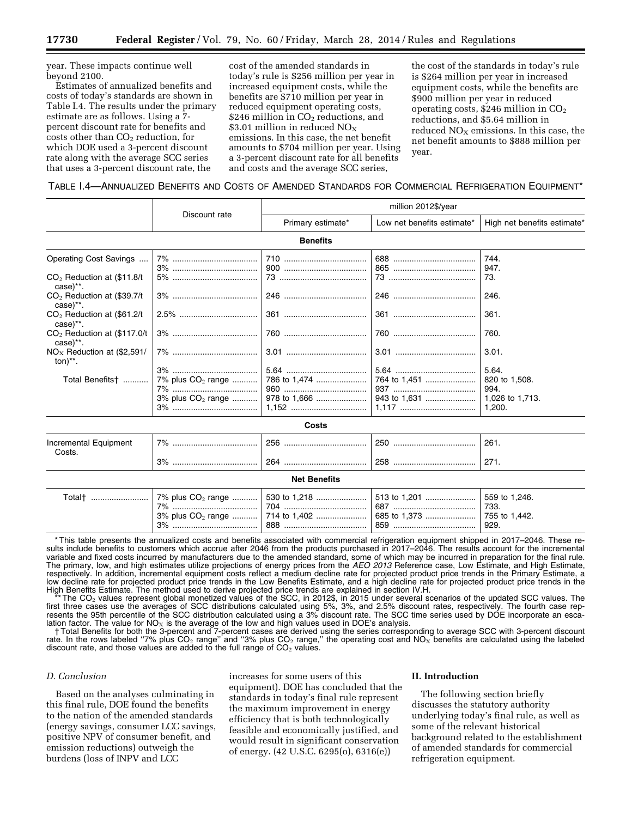year. These impacts continue well beyond 2100.

Estimates of annualized benefits and costs of today's standards are shown in Table I.4. The results under the primary estimate are as follows. Using a 7 percent discount rate for benefits and costs other than CO<sub>2</sub> reduction, for which DOE used a 3-percent discount rate along with the average SCC series that uses a 3-percent discount rate, the

cost of the amended standards in today's rule is \$256 million per year in increased equipment costs, while the benefits are \$710 million per year in reduced equipment operating costs, \$246 million in  $CO<sub>2</sub>$  reductions, and \$3.01 million in reduced  $NO<sub>X</sub>$ emissions. In this case, the net benefit amounts to \$704 million per year. Using a 3-percent discount rate for all benefits and costs and the average SCC series,

the cost of the standards in today's rule is \$264 million per year in increased equipment costs, while the benefits are \$900 million per year in reduced operating costs,  $$246$  million in  $CO<sub>2</sub>$ reductions, and \$5.64 million in reduced  $NO<sub>X</sub>$  emissions. In this case, the net benefit amounts to \$888 million per year.

# TABLE I.4—ANNUALIZED BENEFITS AND COSTS OF AMENDED STANDARDS FOR COMMERCIAL REFRIGERATION EQUIPMENT\*

|                                                         |                               | million 2012\$/year |                            |                             |
|---------------------------------------------------------|-------------------------------|---------------------|----------------------------|-----------------------------|
|                                                         | Discount rate                 | Primary estimate*   | Low net benefits estimate* | High net benefits estimate* |
|                                                         |                               | <b>Benefits</b>     |                            |                             |
| Operating Cost Savings                                  |                               |                     |                            | 744.<br>947.                |
| $CO2$ Reduction at (\$11.8/t)<br>case)**.               |                               |                     |                            | 73.                         |
| CO <sub>2</sub> Reduction at (\$39.7/t)<br>$case$ , $*$ |                               |                     |                            | 246.                        |
| CO <sub>2</sub> Reduction at (\$61.2/t<br>case)**.      |                               |                     |                            | 361.                        |
| $CO2$ Reduction at (\$117.0/t)<br>case)**.              |                               |                     |                            | 760.                        |
| $NOx$ Reduction at (\$2,591/<br>$ton)$ **.              |                               |                     |                            | 3.01.                       |
|                                                         |                               |                     |                            | 5.64.                       |
| Total Benefits <sup>+</sup>                             | 7% plus CO <sub>2</sub> range | 786 to 1,474        | 764 to 1,451               | 820 to 1,508.               |
|                                                         |                               |                     |                            | 994.                        |
|                                                         | $3\%$ plus $CO2$ range        |                     | 943 to 1,631               | 1,026 to 1,713.             |
|                                                         |                               |                     |                            | 1.200.                      |
| Costs                                                   |                               |                     |                            |                             |
| Incremental Equipment<br>Costs.                         |                               |                     |                            | 261.                        |
|                                                         |                               |                     |                            | 271.                        |
|                                                         |                               | <b>Net Benefits</b> |                            |                             |

| Total†<br>7%<br>3% | $\mid$ 7% plus CO <sub>2</sub> range    '<br>704<br>888 | │ 530 to 1,218  │ 513 to 1,201<br>687<br>. 685 to 1,373<br>850 | 559 to 1.246.<br>733.<br>755 to 1.442.<br>929. |
|--------------------|---------------------------------------------------------|----------------------------------------------------------------|------------------------------------------------|
|--------------------|---------------------------------------------------------|----------------------------------------------------------------|------------------------------------------------|

\* This table presents the annualized costs and benefits associated with commercial refrigeration equipment shipped in 2017–2046. These results include benefits to customers which accrue after 2046 from the products purchased in 2017–2046. The results account for the incremental variable and fixed costs incurred by manufacturers due to the amended standard, some of which may be incurred in preparation for the final rule. The primary, low, and high estimates utilize projections of energy prices from the *AEO 2013* Reference case, Low Estimate, and High Estimate, respectively. In addition, incremental equipment costs reflect a medium decline rate for projected product price trends in the Primary Estimate, a low decline rate for projected product price trends in the Low Benefits Estimate, and a high decline rate for projected product price trends in the High Benefits Estimate. The method used to derive projected price trends are explained in section IV.H.

The CO<sub>2</sub> values represent global monetized values of the SCC, in 2012\$, in 2015 under several scenarios of the updated SCC values. The first three cases use the averages of SCC distributions calculated using 5%, 3%, and 2.5% discount rates, respectively. The fourth case represents the 95th percentile of the SCC distribution calculated using a 3% discount rate. The SCC time series used by DOE incorporate an escalation factor. The value for  $NO<sub>x</sub>$  is the average of the low and high values used in DOE's analysis.

† Total Benefits for both the 3-percent and 7-percent cases are derived using the series corresponding to average SCC with 3-percent discount rate. In the rows labeled "7% plus CO<sub>2</sub> range" and "3% plus CO<sub>2</sub> range," the operating cost and NO<sub>X</sub> benefits are calculated using the labeled discount rate, and those values are added to the full range of  $CO<sub>2</sub>$  values.

# *D. Conclusion*

Based on the analyses culminating in this final rule, DOE found the benefits to the nation of the amended standards (energy savings, consumer LCC savings, positive NPV of consumer benefit, and emission reductions) outweigh the burdens (loss of INPV and LCC

increases for some users of this equipment). DOE has concluded that the standards in today's final rule represent the maximum improvement in energy efficiency that is both technologically feasible and economically justified, and would result in significant conservation of energy. (42 U.S.C. 6295(o), 6316(e))

#### **II. Introduction**

The following section briefly discusses the statutory authority underlying today's final rule, as well as some of the relevant historical background related to the establishment of amended standards for commercial refrigeration equipment.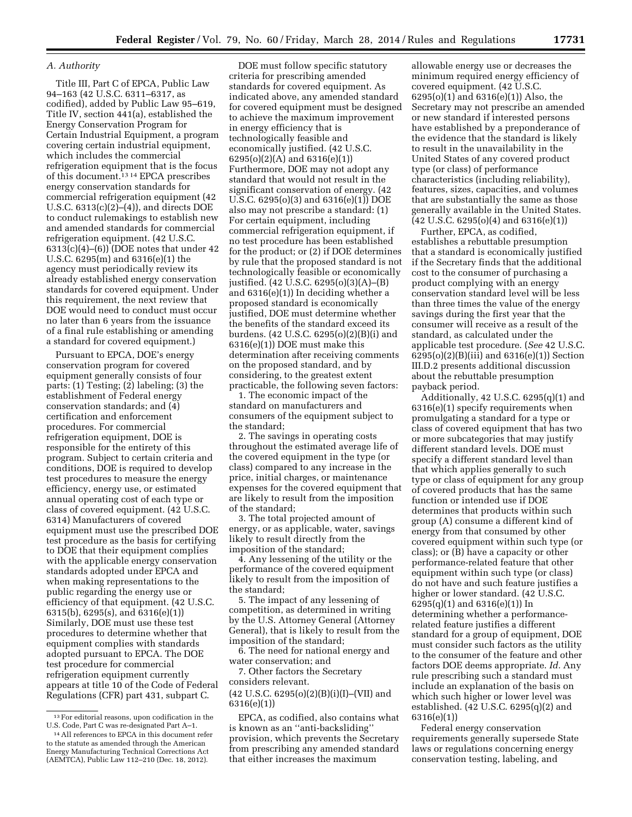# *A. Authority*

Title III, Part C of EPCA, Public Law 94–163 (42 U.S.C. 6311–6317, as codified), added by Public Law 95–619, Title IV, section 441(a), established the Energy Conservation Program for Certain Industrial Equipment, a program covering certain industrial equipment, which includes the commercial refrigeration equipment that is the focus of this document.13 14 EPCA prescribes energy conservation standards for commercial refrigeration equipment (42 U.S.C. 6313(c)(2)–(4)), and directs DOE to conduct rulemakings to establish new and amended standards for commercial refrigeration equipment. (42 U.S.C.  $6313(c)(4)–(6))$  (DOE notes that under 42 U.S.C. 6295(m) and 6316(e)(1) the agency must periodically review its already established energy conservation standards for covered equipment. Under this requirement, the next review that DOE would need to conduct must occur no later than 6 years from the issuance of a final rule establishing or amending a standard for covered equipment.)

Pursuant to EPCA, DOE's energy conservation program for covered equipment generally consists of four parts: (1) Testing; (2) labeling; (3) the establishment of Federal energy conservation standards; and (4) certification and enforcement procedures. For commercial refrigeration equipment, DOE is responsible for the entirety of this program. Subject to certain criteria and conditions, DOE is required to develop test procedures to measure the energy efficiency, energy use, or estimated annual operating cost of each type or class of covered equipment. (42 U.S.C. 6314) Manufacturers of covered equipment must use the prescribed DOE test procedure as the basis for certifying to DOE that their equipment complies with the applicable energy conservation standards adopted under EPCA and when making representations to the public regarding the energy use or efficiency of that equipment. (42 U.S.C. 6315(b), 6295(s), and 6316(e)(1)) Similarly, DOE must use these test procedures to determine whether that equipment complies with standards adopted pursuant to EPCA. The DOE test procedure for commercial refrigeration equipment currently appears at title 10 of the Code of Federal Regulations (CFR) part 431, subpart C.

14All references to EPCA in this document refer to the statute as amended through the American Energy Manufacturing Technical Corrections Act (AEMTCA), Public Law 112–210 (Dec. 18, 2012).

DOE must follow specific statutory criteria for prescribing amended standards for covered equipment. As indicated above, any amended standard for covered equipment must be designed to achieve the maximum improvement in energy efficiency that is technologically feasible and economically justified. (42 U.S.C. 6295(o)(2)(A) and 6316(e)(1)) Furthermore, DOE may not adopt any standard that would not result in the significant conservation of energy. (42 U.S.C. 6295(o)(3) and 6316(e)(1)) DOE also may not prescribe a standard: (1) For certain equipment, including commercial refrigeration equipment, if no test procedure has been established for the product; or (2) if DOE determines by rule that the proposed standard is not technologically feasible or economically justified. (42 U.S.C. 6295(o)(3)(A)–(B) and 6316(e)(1)) In deciding whether a proposed standard is economically justified, DOE must determine whether the benefits of the standard exceed its burdens. (42 U.S.C. 6295(o)(2)(B)(i) and 6316(e)(1)) DOE must make this determination after receiving comments on the proposed standard, and by considering, to the greatest extent practicable, the following seven factors:

1. The economic impact of the standard on manufacturers and consumers of the equipment subject to the standard;

2. The savings in operating costs throughout the estimated average life of the covered equipment in the type (or class) compared to any increase in the price, initial charges, or maintenance expenses for the covered equipment that are likely to result from the imposition of the standard;

3. The total projected amount of energy, or as applicable, water, savings likely to result directly from the imposition of the standard;

4. Any lessening of the utility or the performance of the covered equipment likely to result from the imposition of the standard;

5. The impact of any lessening of competition, as determined in writing by the U.S. Attorney General (Attorney General), that is likely to result from the imposition of the standard;

6. The need for national energy and water conservation; and

7. Other factors the Secretary considers relevant. (42 U.S.C. 6295(o)(2)(B)(i)(I)–(VII) and 6316(e)(1))

allowable energy use or decreases the minimum required energy efficiency of covered equipment. (42 U.S.C. 6295(o)(1) and 6316(e)(1)) Also, the Secretary may not prescribe an amended or new standard if interested persons have established by a preponderance of the evidence that the standard is likely to result in the unavailability in the United States of any covered product type (or class) of performance characteristics (including reliability), features, sizes, capacities, and volumes that are substantially the same as those generally available in the United States.  $(42 \text{ U.S.C. } 6295(0)(4) \text{ and } 6316(e)(1))$ 

Further, EPCA, as codified, establishes a rebuttable presumption that a standard is economically justified if the Secretary finds that the additional cost to the consumer of purchasing a product complying with an energy conservation standard level will be less than three times the value of the energy savings during the first year that the consumer will receive as a result of the standard, as calculated under the applicable test procedure. (*See* 42 U.S.C.  $6295(o)(2)(B)(iii)$  and  $6316(e)(1))$  Section III.D.2 presents additional discussion about the rebuttable presumption payback period.

Additionally, 42 U.S.C. 6295(q)(1) and 6316(e)(1) specify requirements when promulgating a standard for a type or class of covered equipment that has two or more subcategories that may justify different standard levels. DOE must specify a different standard level than that which applies generally to such type or class of equipment for any group of covered products that has the same function or intended use if DOE determines that products within such group (A) consume a different kind of energy from that consumed by other covered equipment within such type (or class); or (B) have a capacity or other performance-related feature that other equipment within such type (or class) do not have and such feature justifies a higher or lower standard. (42 U.S.C. 6295(q)(1) and 6316(e)(1)) In determining whether a performancerelated feature justifies a different standard for a group of equipment, DOE must consider such factors as the utility to the consumer of the feature and other factors DOE deems appropriate. *Id.* Any rule prescribing such a standard must include an explanation of the basis on which such higher or lower level was established. (42 U.S.C. 6295(q)(2) and 6316(e)(1))

Federal energy conservation requirements generally supersede State laws or regulations concerning energy conservation testing, labeling, and

 $^{\rm 13}\, \mathrm{For}$ editorial reasons, upon codification in the U.S. Code, Part C was re-designated Part A–1.

EPCA, as codified, also contains what is known as an ''anti-backsliding'' provision, which prevents the Secretary from prescribing any amended standard that either increases the maximum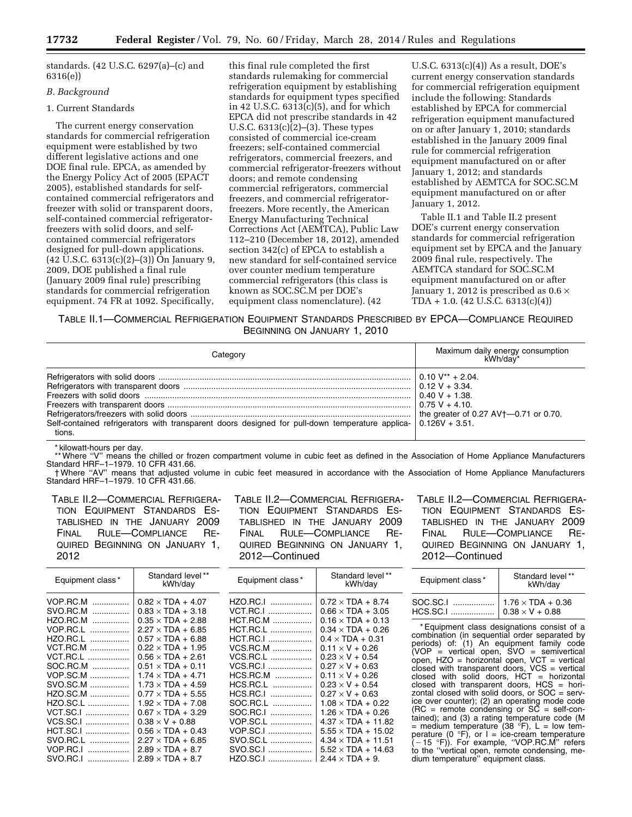standards. (42 U.S.C. 6297(a)–(c) and 6316(e))

# *B. Background*

# 1. Current Standards

The current energy conservation standards for commercial refrigeration equipment were established by two different legislative actions and one DOE final rule. EPCA, as amended by the Energy Policy Act of 2005 (EPACT 2005), established standards for selfcontained commercial refrigerators and freezer with solid or transparent doors, self-contained commercial refrigeratorfreezers with solid doors, and selfcontained commercial refrigerators designed for pull-down applications.  $(42 \text{ U.S.C. } 6313(c)(2)–(3))$  On January 9, 2009, DOE published a final rule (January 2009 final rule) prescribing standards for commercial refrigeration equipment. 74 FR at 1092. Specifically,

this final rule completed the first standards rulemaking for commercial refrigeration equipment by establishing standards for equipment types specified in 42 U.S.C.  $6313(c)(5)$ , and for which EPCA did not prescribe standards in 42 U.S.C. 6313(c)(2)–(3). These types consisted of commercial ice-cream freezers; self-contained commercial refrigerators, commercial freezers, and commercial refrigerator-freezers without doors; and remote condensing commercial refrigerators, commercial freezers, and commercial refrigeratorfreezers. More recently, the American Energy Manufacturing Technical Corrections Act (AEMTCA), Public Law 112–210 (December 18, 2012), amended section 342(c) of EPCA to establish a new standard for self-contained service over counter medium temperature commercial refrigerators (this class is known as SOC.SC.M per DOE's equipment class nomenclature). (42

U.S.C. 6313(c)(4)) As a result, DOE's current energy conservation standards for commercial refrigeration equipment include the following: Standards established by EPCA for commercial refrigeration equipment manufactured on or after January 1, 2010; standards established in the January 2009 final rule for commercial refrigeration equipment manufactured on or after January 1, 2012; and standards established by AEMTCA for SOC.SC.M equipment manufactured on or after January 1, 2012.

Table II.1 and Table II.2 present DOE's current energy conservation standards for commercial refrigeration equipment set by EPCA and the January 2009 final rule, respectively. The AEMTCA standard for SOC.SC.M equipment manufactured on or after January 1, 2012 is prescribed as  $0.6 \times$ TDA + 1.0. (42 U.S.C. 6313(c)(4))

TABLE II.1—COMMERCIAL REFRIGERATION EQUIPMENT STANDARDS PRESCRIBED BY EPCA—COMPLIANCE REQUIRED BEGINNING ON JANUARY 1, 2010

| Category                                                                                                                    | Maximum daily energy consumption<br>kWh/day*                                                               |
|-----------------------------------------------------------------------------------------------------------------------------|------------------------------------------------------------------------------------------------------------|
| Self-contained refrigerators with transparent doors designed for pull-down temperature applica- $0.126V + 3.51$ .<br>tions. | $0.10 V^{**} + 2.04$<br>$0.40 V + 1.38$ .<br>$0.75 V + 4.10$ .<br>the greater of 0.27 $AV+$ -0.71 or 0.70. |

\* kilowatt-hours per day.

\*\* Where ''V'' means the chilled or frozen compartment volume in cubic feet as defined in the Association of Home Appliance Manufacturers Standard HRF–1–1979. 10 CFR 431.66.

† Where ''AV'' means that adjusted volume in cubic feet measured in accordance with the Association of Home Appliance Manufacturers Standard HRF–1–1979. 10 CFR 431.66.

TABLE II.2—COMMERCIAL REFRIGERA-TION EQUIPMENT STANDARDS ES-TABLISHED IN THE JANUARY 2009 FINAL RULE—COMPLIANCE RE-QUIRED BEGINNING ON JANUARY 1, 2012

TABLE II.2—COMMERCIAL REFRIGERA-TION EQUIPMENT STANDARDS ES-TABLISHED IN THE JANUARY 2009 FINAL RULE—COMPLIANCE RE-QUIRED BEGINNING ON JANUARY 1, 2012—Continued

TABLE II.2—COMMERCIAL REFRIGERA-TION EQUIPMENT STANDARDS ES-TABLISHED IN THE JANUARY 2009 FINAL RULE—COMPLIANCE RE-QUIRED BEGINNING ON JANUARY 1, 2012—Continued

| Equipment class* | Standard level**<br>kWh/day | Equipment class* | Standard level**<br>kWh/day | Equi               |
|------------------|-----------------------------|------------------|-----------------------------|--------------------|
| $VOP.RC.M$       | $0.82 \times TDA + 4.07$    | $HZO.RC.I$       | $0.72 \times TDA + 8.74$    | SOC.S              |
| SVO.RC.M<br>.    | $0.83 \times TDA + 3.18$    | VCT.RC.I         | $0.66 \times TDA + 3.05$    | HCS.S              |
| HZO.RC.M<br>.    | $0.35 \times TDA + 2.88$    | $HCT.RC.M$       | $0.16 \times TDA + 0.13$    |                    |
| VOP.RC.L<br>.    | $2.27 \times TDA + 6.85$    | <b>HCT.RC.L</b>  | $0.34 \times TDA + 0.26$    | *Equ               |
| HZO.RC.L<br>.    | $0.57 \times TDA + 6.88$    | <b>HCT.RC.I</b>  | $0.4 \times TDA + 0.31$     | combir             |
| VCT.RC.M         | $0.22 \times TDA + 1.95$    | VCS.RC.M         | $0.11 \times V + 0.26$      | periods<br>(VOP-   |
| <b>VCT.RC.L</b>  | $0.56 \times TDA + 2.61$    | VCS.RC.L         | $0.23 \times V + 0.54$      | open,              |
| SOC.RC.M         | $0.51 \times TDA + 0.11$    | VCS.RC.I         | $0.27 \times V + 0.63$      | closed             |
| VOP.SC.M         | $1.74 \times TDA + 4.71$    | $HCS.RC.M$       | $0.11 \times V + 0.26$      | closed             |
| SVO.SC.M         | $1.73 \times TDA + 4.59$    | HCS.RC.L<br>.    | $0.23 \times V + 0.54$      | closed             |
| $HZO.SC.M$       | $0.77 \times TDA + 5.55$    | HCS.RC.I         | $0.27 \times V + 0.63$      | zontal             |
| $HZO.SC.L$       | $1.92 \times TDA + 7.08$    | SOC.RC.L<br>.    | $1.08 \times TDA + 0.22$    | ice ove            |
| VCT.SC.I         | $0.67 \times TDA + 3.29$    | SOC.RC.I         | $1.26 \times TDA + 0.26$    | $(RC =$            |
| VCS.SC.I         | $0.38 \times V + 0.88$      | VOP.SC.L         | $4.37 \times TDA + 11.82$   | tained)<br>$=$ med |
| HCT.SC.I         | $0.56 \times TDA + 0.43$    | VOP.SC.I         | $5.55 \times TDA + 15.02$   | peratur            |
| SVO.RC.L<br>.    | $2.27 \times TDA + 6.85$    | SVO.SC.L         | $4.34 \times TDA + 11.51$   | $-15$              |
| VOP.RC.I<br>.    | $2.89 \times TDA + 8.7$     | SVO.SC.I         | $5.52 \times TDA + 14.63$   | to the             |
| SVO.RC.I<br>.    | $2.89 \times TDA + 8.7$     | HZO.SC.I         | $2.44 \times TDA + 9$ .     | dium te            |

| Equipment class* | Standard level**<br>kWh/day |
|------------------|-----------------------------|
|                  |                             |

uipment class designations consist of a nation (in sequential order separated by periods) of: (1) An equipment family code (VOP = vertical open, SVO = semivertical open, HZO = horizontal open, VCT = vertical closed with transparent doors, VCS = vertical with solid doors,  $HCT =$  horizontal with transparent doors, HCS = horiclosed with solid doors, or  $SOC =$  server counter); (2) an operating mode code remote condensing or  $SC = self-con-$ ; and (3) a rating temperature code (M ium temperature (38  $\degree$ F), L = low temperature (0 °F), or I = ice-cream temperature<br>(-15 °F)). For example, "VOP.RC.M" refers "vertical open, remote condensing, meum temperature" equipment class.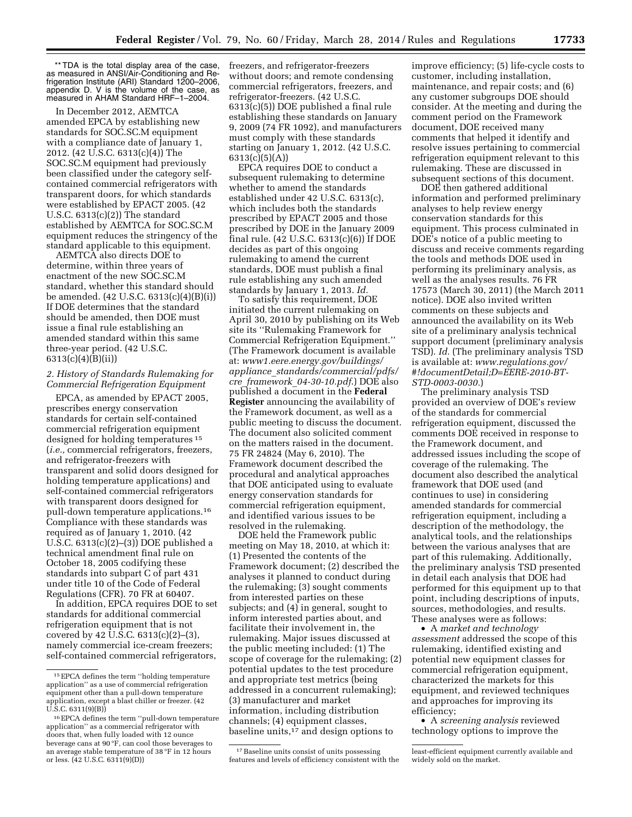\*\* TDA is the total display area of the case, as measured in ANSI/Air-Conditioning and Refrigeration Institute (ARI) Standard 1200–2006, appendix D. V is the volume of the case, as measured in AHAM Standard HRF–1–2004.

In December 2012, AEMTCA amended EPCA by establishing new standards for SOC.SC.M equipment with a compliance date of January 1, 2012. (42 U.S.C. 6313(c)(4)) The SOC.SC.M equipment had previously been classified under the category selfcontained commercial refrigerators with transparent doors, for which standards were established by EPACT 2005. (42 U.S.C. 6313(c)(2)) The standard established by AEMTCA for SOC.SC.M equipment reduces the stringency of the standard applicable to this equipment.

AEMTCA also directs DOE to determine, within three years of enactment of the new SOC.SC.M standard, whether this standard should be amended. (42 U.S.C. 6313(c)(4)(B)(i)) If DOE determines that the standard should be amended, then DOE must issue a final rule establishing an amended standard within this same three-year period. (42 U.S.C. 6313(c)(4)(B)(ii))

# *2. History of Standards Rulemaking for Commercial Refrigeration Equipment*

EPCA, as amended by EPACT 2005, prescribes energy conservation standards for certain self-contained commercial refrigeration equipment designed for holding temperatures 15 (*i.e.,* commercial refrigerators, freezers, and refrigerator-freezers with transparent and solid doors designed for holding temperature applications) and self-contained commercial refrigerators with transparent doors designed for pull-down temperature applications.16 Compliance with these standards was required as of January 1, 2010. (42 U.S.C. 6313(c)(2)–(3)) DOE published a technical amendment final rule on October 18, 2005 codifying these standards into subpart C of part 431 under title 10 of the Code of Federal Regulations (CFR). 70 FR at 60407.

In addition, EPCA requires DOE to set standards for additional commercial refrigeration equipment that is not covered by 42  $\overline{U}$ .S.C. 6313(c)(2)–(3), namely commercial ice-cream freezers; self-contained commercial refrigerators,

freezers, and refrigerator-freezers without doors; and remote condensing commercial refrigerators, freezers, and refrigerator-freezers. (42 U.S.C. 6313(c)(5)) DOE published a final rule establishing these standards on January 9, 2009 (74 FR 1092), and manufacturers must comply with these standards starting on January 1, 2012. (42 U.S.C. 6313(c)(5)(A))

EPCA requires DOE to conduct a subsequent rulemaking to determine whether to amend the standards established under 42 U.S.C. 6313(c), which includes both the standards prescribed by EPACT 2005 and those prescribed by DOE in the January 2009 final rule. (42 U.S.C. 6313(c)(6)) If DOE decides as part of this ongoing rulemaking to amend the current standards, DOE must publish a final rule establishing any such amended standards by January 1, 2013. *Id.* 

To satisfy this requirement, DOE initiated the current rulemaking on April 30, 2010 by publishing on its Web site its ''Rulemaking Framework for Commercial Refrigeration Equipment.'' (The Framework document is available at: *[www1.eere.energy.gov/buildings/](http://www1.eere.energy.gov/buildings/appliance_standards/commercial/pdfs/cre_framework_04-30-10.pdf) appliance*\_*[standards/commercial/pdfs/](http://www1.eere.energy.gov/buildings/appliance_standards/commercial/pdfs/cre_framework_04-30-10.pdf) cre*\_*framework*\_*[04-30-10.pdf](http://www1.eere.energy.gov/buildings/appliance_standards/commercial/pdfs/cre_framework_04-30-10.pdf)*.) DOE also published a document in the **Federal Register** announcing the availability of the Framework document, as well as a public meeting to discuss the document. The document also solicited comment on the matters raised in the document. 75 FR 24824 (May 6, 2010). The Framework document described the procedural and analytical approaches that DOE anticipated using to evaluate energy conservation standards for commercial refrigeration equipment, and identified various issues to be resolved in the rulemaking.

DOE held the Framework public meeting on May 18, 2010, at which it: (1) Presented the contents of the Framework document; (2) described the analyses it planned to conduct during the rulemaking; (3) sought comments from interested parties on these subjects; and (4) in general, sought to inform interested parties about, and facilitate their involvement in, the rulemaking. Major issues discussed at the public meeting included: (1) The scope of coverage for the rulemaking; (2) potential updates to the test procedure and appropriate test metrics (being addressed in a concurrent rulemaking); (3) manufacturer and market information, including distribution channels; (4) equipment classes, baseline units,<sup>17</sup> and design options to

<sup>17</sup> Baseline units consist of units possessing features and levels of efficiency consistent with the improve efficiency; (5) life-cycle costs to customer, including installation, maintenance, and repair costs; and (6) any customer subgroups DOE should consider. At the meeting and during the comment period on the Framework document, DOE received many comments that helped it identify and resolve issues pertaining to commercial refrigeration equipment relevant to this rulemaking. These are discussed in subsequent sections of this document.

DOE then gathered additional information and performed preliminary analyses to help review energy conservation standards for this equipment. This process culminated in DOE's notice of a public meeting to discuss and receive comments regarding the tools and methods DOE used in performing its preliminary analysis, as well as the analyses results. 76 FR 17573 (March 30, 2011) (the March 2011 notice). DOE also invited written comments on these subjects and announced the availability on its Web site of a preliminary analysis technical support document (preliminary analysis TSD). *Id.* (The preliminary analysis TSD is available at: *[www.regulations.gov/](http://www.regulations.gov/#!documentDetail;D=EERE-2010-BT-STD-0003-0030) [#!documentDetail;D=EERE-2010-BT-](http://www.regulations.gov/#!documentDetail;D=EERE-2010-BT-STD-0003-0030)[STD-0003-0030.](http://www.regulations.gov/#!documentDetail;D=EERE-2010-BT-STD-0003-0030)*)

The preliminary analysis TSD provided an overview of DOE's review of the standards for commercial refrigeration equipment, discussed the comments DOE received in response to the Framework document, and addressed issues including the scope of coverage of the rulemaking. The document also described the analytical framework that DOE used (and continues to use) in considering amended standards for commercial refrigeration equipment, including a description of the methodology, the analytical tools, and the relationships between the various analyses that are part of this rulemaking. Additionally, the preliminary analysis TSD presented in detail each analysis that DOE had performed for this equipment up to that point, including descriptions of inputs, sources, methodologies, and results. These analyses were as follows:

• A *market and technology assessment* addressed the scope of this rulemaking, identified existing and potential new equipment classes for commercial refrigeration equipment, characterized the markets for this equipment, and reviewed techniques and approaches for improving its efficiency;

• A *screening analysis* reviewed technology options to improve the

<sup>15</sup>EPCA defines the term ''holding temperature application'' as a use of commercial refrigeration equipment other than a pull-down temperature application, except a blast chiller or freezer. (42 U.S.C. 6311(9)(B))

<sup>16</sup>EPCA defines the term ''pull-down temperature application'' as a commercial refrigerator with doors that, when fully loaded with 12 ounce beverage cans at 90  $\mathrm{P}\bar{\mathrm{F}}$ , can cool those beverages to an average stable temperature of 38 °F in 12 hours or less. (42 U.S.C. 6311(9)(D))

least-efficient equipment currently available and widely sold on the market.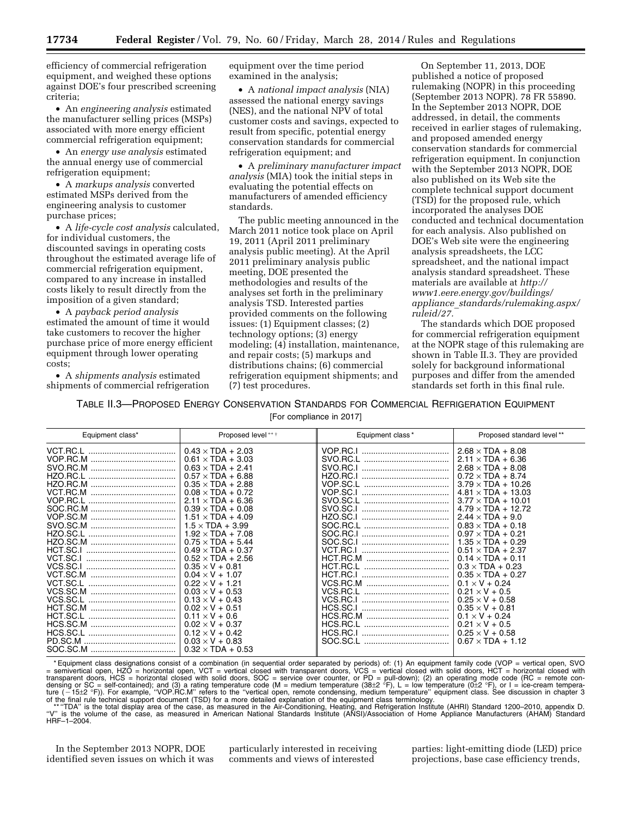efficiency of commercial refrigeration equipment, and weighed these options against DOE's four prescribed screening criteria;

• An *engineering analysis* estimated the manufacturer selling prices (MSPs) associated with more energy efficient commercial refrigeration equipment;

• An *energy use analysis* estimated the annual energy use of commercial refrigeration equipment;

• A *markups analysis* converted estimated MSPs derived from the engineering analysis to customer purchase prices;

• A *life-cycle cost analysis* calculated, for individual customers, the discounted savings in operating costs throughout the estimated average life of commercial refrigeration equipment, compared to any increase in installed costs likely to result directly from the imposition of a given standard;

• A *payback period analysis*  estimated the amount of time it would take customers to recover the higher purchase price of more energy efficient equipment through lower operating costs;

• A *shipments analysis* estimated shipments of commercial refrigeration equipment over the time period examined in the analysis;

• A *national impact analysis* (NIA) assessed the national energy savings (NES), and the national NPV of total customer costs and savings, expected to result from specific, potential energy conservation standards for commercial refrigeration equipment; and

• A *preliminary manufacturer impact analysis* (MIA) took the initial steps in evaluating the potential effects on manufacturers of amended efficiency standards.

The public meeting announced in the March 2011 notice took place on April 19, 2011 (April 2011 preliminary analysis public meeting). At the April 2011 preliminary analysis public meeting, DOE presented the methodologies and results of the analyses set forth in the preliminary analysis TSD. Interested parties provided comments on the following issues: (1) Equipment classes; (2) technology options; (3) energy modeling; (4) installation, maintenance, and repair costs; (5) markups and distributions chains; (6) commercial refrigeration equipment shipments; and (7) test procedures.

On September 11, 2013, DOE published a notice of proposed rulemaking (NOPR) in this proceeding (September 2013 NOPR). 78 FR 55890. In the September 2013 NOPR, DOE addressed, in detail, the comments received in earlier stages of rulemaking, and proposed amended energy conservation standards for commercial refrigeration equipment. In conjunction with the September 2013 NOPR, DOE also published on its Web site the complete technical support document (TSD) for the proposed rule, which incorporated the analyses DOE conducted and technical documentation for each analysis. Also published on DOE's Web site were the engineering analysis spreadsheets, the LCC spreadsheet, and the national impact analysis standard spreadsheet. These materials are available at *[http://](http://www1.eere.energy.gov/buildings/appliance_standards/rulemaking.aspx/ruleid/27) [www1.eere.energy.gov/buildings/](http://www1.eere.energy.gov/buildings/appliance_standards/rulemaking.aspx/ruleid/27) appliance*\_*[standards/rulemaking.aspx/](http://www1.eere.energy.gov/buildings/appliance_standards/rulemaking.aspx/ruleid/27) [ruleid/27.](http://www1.eere.energy.gov/buildings/appliance_standards/rulemaking.aspx/ruleid/27)* 

The standards which DOE proposed for commercial refrigeration equipment at the NOPR stage of this rulemaking are shown in Table II.3. They are provided solely for background informational purposes and differ from the amended standards set forth in this final rule.

TABLE II.3—PROPOSED ENERGY CONSERVATION STANDARDS FOR COMMERCIAL REFRIGERATION EQUIPMENT [For compliance in 2017]

| Equipment class*                 | Proposed level ***                                                                                                                                                                                                                                                                                                                                                                                                                                                                                                                                                                       | Equipment class *                                                                                                                                                                                                                    | Proposed standard level**                                                                                                                                                                                                                                                                                                                                                                                                                                                                                                                                                                     |
|----------------------------------|------------------------------------------------------------------------------------------------------------------------------------------------------------------------------------------------------------------------------------------------------------------------------------------------------------------------------------------------------------------------------------------------------------------------------------------------------------------------------------------------------------------------------------------------------------------------------------------|--------------------------------------------------------------------------------------------------------------------------------------------------------------------------------------------------------------------------------------|-----------------------------------------------------------------------------------------------------------------------------------------------------------------------------------------------------------------------------------------------------------------------------------------------------------------------------------------------------------------------------------------------------------------------------------------------------------------------------------------------------------------------------------------------------------------------------------------------|
| VCT.RC.L<br>VCS.SC.L<br>HCT.SC.L | $0.43 \times TDA + 2.03$<br>$0.61 \times TDA + 3.03$<br>$0.63 \times TDA + 2.41$<br>$0.57 \times TDA + 6.88$<br>$0.35 \times TDA + 2.88$<br>$0.08 \times TDA + 0.72$<br>$2.11 \times TDA + 6.36$<br>$0.39 \times TDA + 0.08$<br>$1.51 \times TDA + 4.09$<br>$1.5 \times TDA + 3.99$<br>$1.92 \times TDA + 7.08$<br>$0.75 \times TDA + 5.44$<br>$0.49 \times TDA + 0.37$<br>$0.52 \times TDA + 2.56$<br>$0.35 \times V + 0.81$<br>$0.04 \times V + 1.07$<br>$0.22 \times V + 1.21$<br>$0.03 \times V + 0.53$<br>$0.13 \times V + 0.43$<br>$0.02 \times V + 0.51$<br>$0.11 \times V + 0.6$ | VOP.RC.I<br>SVO.RC.L<br><br>SVO.RC.I<br><br>HZO.RC.I<br>VOP.SC.L<br>VOP.SC.I<br>SVO.SC.I<br>HZO.SC.I<br>SOC.SC.I<br>VCT.RC.I<br><br>HCT.RC.L<br>HCT.RC.I<br><br>VCS.RC.M<br><br>VCS.RC.L<br><br>VCS.RC.I<br><br>HCS.SC.I<br>HCS.RC.M | $2.68 \times TDA + 8.08$<br>$2.11 \times TDA + 6.36$<br>$2.68 \times TDA + 8.08$<br>$0.72 \times TDA + 8.74$<br>$3.79 \times TDA + 10.26$<br>$4.81 \times TDA + 13.03$<br>$3.77 \times TDA + 10.01$<br>$4.79 \times TDA + 12.72$<br>$2.44 \times TDA + 9.0$<br>$0.83 \times TDA + 0.18$<br>$0.97 \times TDA + 0.21$<br>$1.35 \times TDA + 0.29$<br>$0.51 \times TDA + 2.37$<br>$0.14 \times TDA + 0.11$<br>$0.3 \times TDA + 0.23$<br>$0.35 \times TDA + 0.27$<br>$0.1 \times V + 0.24$<br>$0.21 \times V + 0.5$<br>$0.25 \times V + 0.58$<br>$0.35 \times V + 0.81$<br>$0.1 \times V + 0.24$ |
| HCS.SC.L                         | $0.02 \times V + 0.37$<br>$0.12 \times V + 0.42$<br>$0.03 \times V + 0.83$<br>$0.32 \times TDA + 0.53$                                                                                                                                                                                                                                                                                                                                                                                                                                                                                   | HCS.RC.L<br>HCS.RC.I<br>                                                                                                                                                                                                             | $0.21 \times V + 0.5$<br>$0.25 \times V + 0.58$<br>$0.67 \times TDA + 1.12$                                                                                                                                                                                                                                                                                                                                                                                                                                                                                                                   |

\*Equipment class designations consist of a combination (in sequential order separated by periods) of: (1) An equipment family code (VOP = vertical open, SVO<br>
= semivertical open, HZO = horizontal open, VCT = vertical clos

HRF–1–2004.

In the September 2013 NOPR, DOE identified seven issues on which it was particularly interested in receiving comments and views of interested

parties: light-emitting diode (LED) price projections, base case efficiency trends,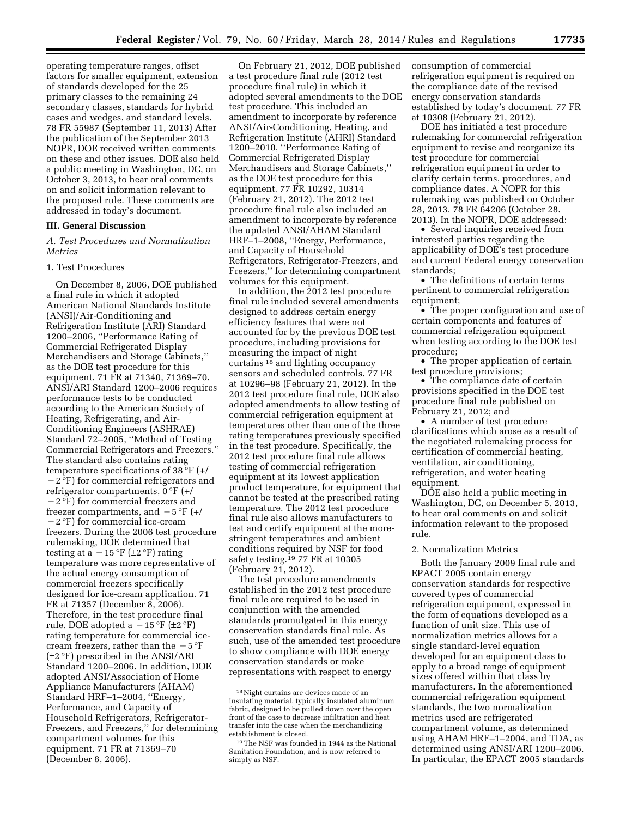operating temperature ranges, offset factors for smaller equipment, extension of standards developed for the 25 primary classes to the remaining 24 secondary classes, standards for hybrid cases and wedges, and standard levels. 78 FR 55987 (September 11, 2013) After the publication of the September 2013 NOPR, DOE received written comments on these and other issues. DOE also held a public meeting in Washington, DC, on October 3, 2013, to hear oral comments on and solicit information relevant to the proposed rule. These comments are addressed in today's document.

#### **III. General Discussion**

*A. Test Procedures and Normalization Metrics* 

# 1. Test Procedures

On December 8, 2006, DOE published a final rule in which it adopted American National Standards Institute (ANSI)/Air-Conditioning and Refrigeration Institute (ARI) Standard 1200–2006, ''Performance Rating of Commercial Refrigerated Display Merchandisers and Storage Cabinets,'' as the DOE test procedure for this equipment. 71 FR at 71340, 71369–70. ANSI/ARI Standard 1200–2006 requires performance tests to be conducted according to the American Society of Heating, Refrigerating, and Air-Conditioning Engineers (ASHRAE) Standard 72–2005, ''Method of Testing Commercial Refrigerators and Freezers.'' The standard also contains rating temperature specifications of 38 °F (+/  $-2$  °F) for commercial refrigerators and refrigerator compartments,  $0^{\circ}F$  (+/ ¥2 °F) for commercial freezers and freezer compartments, and  $-5$  °F (+/ ¥2 °F) for commercial ice-cream freezers. During the 2006 test procedure rulemaking, DOE determined that testing at a  $-15 \text{ }^{\circ}F$  (±2  $\text{ }^{\circ}F$ ) rating temperature was more representative of the actual energy consumption of commercial freezers specifically designed for ice-cream application. 71 FR at 71357 (December 8, 2006). Therefore, in the test procedure final rule, DOE adopted a  $-15$  °F ( $\pm 2$  °F) rating temperature for commercial icecream freezers, rather than the  $-5$  °F (±2 °F) prescribed in the ANSI/ARI Standard 1200–2006. In addition, DOE adopted ANSI/Association of Home Appliance Manufacturers (AHAM) Standard HRF–1–2004, ''Energy, Performance, and Capacity of Household Refrigerators, Refrigerator-Freezers, and Freezers,'' for determining compartment volumes for this equipment. 71 FR at 71369–70 (December 8, 2006).

On February 21, 2012, DOE published a test procedure final rule (2012 test procedure final rule) in which it adopted several amendments to the DOE test procedure. This included an amendment to incorporate by reference ANSI/Air-Conditioning, Heating, and Refrigeration Institute (AHRI) Standard 1200–2010, ''Performance Rating of Commercial Refrigerated Display Merchandisers and Storage Cabinets,'' as the DOE test procedure for this equipment. 77 FR 10292, 10314 (February 21, 2012). The 2012 test procedure final rule also included an amendment to incorporate by reference the updated ANSI/AHAM Standard HRF–1–2008, ''Energy, Performance, and Capacity of Household Refrigerators, Refrigerator-Freezers, and Freezers,'' for determining compartment volumes for this equipment.

In addition, the 2012 test procedure final rule included several amendments designed to address certain energy efficiency features that were not accounted for by the previous DOE test procedure, including provisions for measuring the impact of night curtains 18 and lighting occupancy sensors and scheduled controls. 77 FR at 10296–98 (February 21, 2012). In the 2012 test procedure final rule, DOE also adopted amendments to allow testing of commercial refrigeration equipment at temperatures other than one of the three rating temperatures previously specified in the test procedure. Specifically, the 2012 test procedure final rule allows testing of commercial refrigeration equipment at its lowest application product temperature, for equipment that cannot be tested at the prescribed rating temperature. The 2012 test procedure final rule also allows manufacturers to test and certify equipment at the morestringent temperatures and ambient conditions required by NSF for food safety testing.19 77 FR at 10305 (February 21, 2012).

The test procedure amendments established in the 2012 test procedure final rule are required to be used in conjunction with the amended standards promulgated in this energy conservation standards final rule. As such, use of the amended test procedure to show compliance with DOE energy conservation standards or make representations with respect to energy

consumption of commercial refrigeration equipment is required on the compliance date of the revised energy conservation standards established by today's document. 77 FR at 10308 (February 21, 2012).

DOE has initiated a test procedure rulemaking for commercial refrigeration equipment to revise and reorganize its test procedure for commercial refrigeration equipment in order to clarify certain terms, procedures, and compliance dates. A NOPR for this rulemaking was published on October 28, 2013. 78 FR 64206 (October 28. 2013). In the NOPR, DOE addressed:

• Several inquiries received from interested parties regarding the applicability of DOE's test procedure and current Federal energy conservation standards;

• The definitions of certain terms pertinent to commercial refrigeration equipment;

• The proper configuration and use of certain components and features of commercial refrigeration equipment when testing according to the DOE test procedure;

• The proper application of certain test procedure provisions;

• The compliance date of certain provisions specified in the DOE test procedure final rule published on February 21, 2012; and

• A number of test procedure clarifications which arose as a result of the negotiated rulemaking process for certification of commercial heating, ventilation, air conditioning, refrigeration, and water heating equipment.

DOE also held a public meeting in Washington, DC, on December 5, 2013, to hear oral comments on and solicit information relevant to the proposed rule.

#### 2. Normalization Metrics

Both the January 2009 final rule and EPACT 2005 contain energy conservation standards for respective covered types of commercial refrigeration equipment, expressed in the form of equations developed as a function of unit size. This use of normalization metrics allows for a single standard-level equation developed for an equipment class to apply to a broad range of equipment sizes offered within that class by manufacturers. In the aforementioned commercial refrigeration equipment standards, the two normalization metrics used are refrigerated compartment volume, as determined using AHAM HRF–1–2004, and TDA, as determined using ANSI/ARI 1200–2006. In particular, the EPACT 2005 standards

<sup>18</sup>Night curtains are devices made of an insulating material, typically insulated aluminum fabric, designed to be pulled down over the open front of the case to decrease infiltration and heat transfer into the case when the merchandizing establishment is closed.

<sup>19</sup>The NSF was founded in 1944 as the National Sanitation Foundation, and is now referred to simply as NSF.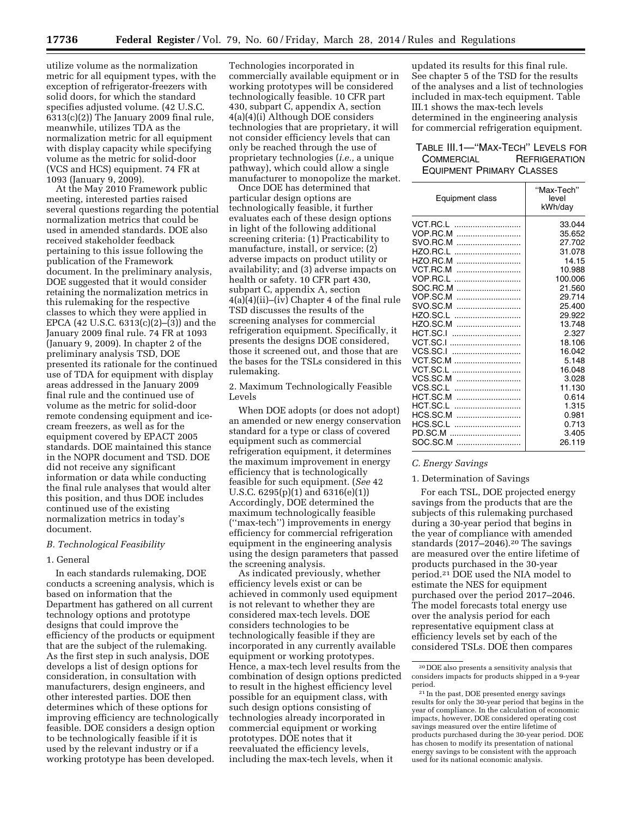utilize volume as the normalization metric for all equipment types, with the exception of refrigerator-freezers with solid doors, for which the standard specifies adjusted volume. (42 U.S.C.  $6313(c)(2)$ ) The January 2009 final rule, meanwhile, utilizes TDA as the normalization metric for all equipment with display capacity while specifying volume as the metric for solid-door (VCS and HCS) equipment. 74 FR at 1093 (January 9, 2009).

At the May 2010 Framework public meeting, interested parties raised several questions regarding the potential normalization metrics that could be used in amended standards. DOE also received stakeholder feedback pertaining to this issue following the publication of the Framework document. In the preliminary analysis, DOE suggested that it would consider retaining the normalization metrics in this rulemaking for the respective classes to which they were applied in EPCA (42 U.S.C. 6313(c)(2)–(3)) and the January 2009 final rule. 74 FR at 1093 (January 9, 2009). In chapter 2 of the preliminary analysis TSD, DOE presented its rationale for the continued use of TDA for equipment with display areas addressed in the January 2009 final rule and the continued use of volume as the metric for solid-door remote condensing equipment and icecream freezers, as well as for the equipment covered by EPACT 2005 standards. DOE maintained this stance in the NOPR document and TSD. DOE did not receive any significant information or data while conducting the final rule analyses that would alter this position, and thus DOE includes continued use of the existing normalization metrics in today's document.

#### *B. Technological Feasibility*

#### 1. General

In each standards rulemaking, DOE conducts a screening analysis, which is based on information that the Department has gathered on all current technology options and prototype designs that could improve the efficiency of the products or equipment that are the subject of the rulemaking. As the first step in such analysis, DOE develops a list of design options for consideration, in consultation with manufacturers, design engineers, and other interested parties. DOE then determines which of these options for improving efficiency are technologically feasible. DOE considers a design option to be technologically feasible if it is used by the relevant industry or if a working prototype has been developed.

Technologies incorporated in commercially available equipment or in working prototypes will be considered technologically feasible. 10 CFR part 430, subpart C, appendix A, section 4(a)(4)(i) Although DOE considers technologies that are proprietary, it will not consider efficiency levels that can only be reached through the use of proprietary technologies (*i.e.,* a unique pathway), which could allow a single manufacturer to monopolize the market.

Once DOE has determined that particular design options are technologically feasible, it further evaluates each of these design options in light of the following additional screening criteria: (1) Practicability to manufacture, install, or service; (2) adverse impacts on product utility or availability; and (3) adverse impacts on health or safety. 10 CFR part 430, subpart C, appendix A, section 4(a)(4)(ii)–(iv) Chapter 4 of the final rule TSD discusses the results of the screening analyses for commercial refrigeration equipment. Specifically, it presents the designs DOE considered, those it screened out, and those that are the bases for the TSLs considered in this rulemaking.

2. Maximum Technologically Feasible Levels

When DOE adopts (or does not adopt) an amended or new energy conservation standard for a type or class of covered equipment such as commercial refrigeration equipment, it determines the maximum improvement in energy efficiency that is technologically feasible for such equipment. (*See* 42 U.S.C. 6295(p)(1) and 6316(e)(1)) Accordingly, DOE determined the maximum technologically feasible (''max-tech'') improvements in energy efficiency for commercial refrigeration equipment in the engineering analysis using the design parameters that passed the screening analysis.

As indicated previously, whether efficiency levels exist or can be achieved in commonly used equipment is not relevant to whether they are considered max-tech levels. DOE considers technologies to be technologically feasible if they are incorporated in any currently available equipment or working prototypes. Hence, a max-tech level results from the combination of design options predicted to result in the highest efficiency level possible for an equipment class, with such design options consisting of technologies already incorporated in commercial equipment or working prototypes. DOE notes that it reevaluated the efficiency levels, including the max-tech levels, when it

updated its results for this final rule. See chapter 5 of the TSD for the results of the analyses and a list of technologies included in max-tech equipment. Table III.1 shows the max-tech levels determined in the engineering analysis for commercial refrigeration equipment.

# TABLE III.1—''MAX-TECH'' LEVELS FOR COMMERCIAL REFRIGERATION EQUIPMENT PRIMARY CLASSES

| Equipment class | "Max-Tech"<br>level<br>kWh/day |
|-----------------|--------------------------------|
| VCT.RC.L        | 33.044                         |
| VOP.RC.M        | 35.652                         |
| SVO RC M        | 27.702                         |
| HZO.RC.L        | 31.078                         |
| HZO.RC.M        | 14.15                          |
| VCT.RC.M        | 10.988                         |
| VOP.RC.L        | 100.006                        |
| SOC.RC.M        | 21.560                         |
| VOP.SC.M        | 29.714                         |
| SVO.SC.M        | 25.400                         |
| HZO.SC.L        | 29.922                         |
| HZO.SC.M        | 13.748                         |
| HCT.SC.I        | 2.327                          |
| VCT.SC.I        | 18.106                         |
| VCS.SC.I        | 16.042                         |
| VCT.SC.M        | 5.148                          |
| VCT.SC.L        | 16.048                         |
| VCS.SC.M        | 3.028                          |
| VCS.SC.L        | 11.130                         |
|                 | 0.614                          |
| HCT.SC.L        | 1.315                          |
| HCS.SC.M        | 0.981                          |
| HCS.SC.L        | 0.713                          |
| PD.SC.M         | 3.405                          |
| SOC.SC.M        | 26.119                         |

# *C. Energy Savings*

#### 1. Determination of Savings

For each TSL, DOE projected energy savings from the products that are the subjects of this rulemaking purchased during a 30-year period that begins in the year of compliance with amended standards  $(2017–2046).<sup>20</sup>$  The savings are measured over the entire lifetime of products purchased in the 30-year period.21 DOE used the NIA model to estimate the NES for equipment purchased over the period 2017–2046. The model forecasts total energy use over the analysis period for each representative equipment class at efficiency levels set by each of the considered TSLs. DOE then compares

<sup>20</sup> DOE also presents a sensitivity analysis that considers impacts for products shipped in a 9-year period.

<sup>21</sup> In the past, DOE presented energy savings results for only the 30-year period that begins in the year of compliance. In the calculation of economic impacts, however, DOE considered operating cost savings measured over the entire lifetime of products purchased during the 30-year period. DOE has chosen to modify its presentation of national energy savings to be consistent with the approach used for its national economic analysis.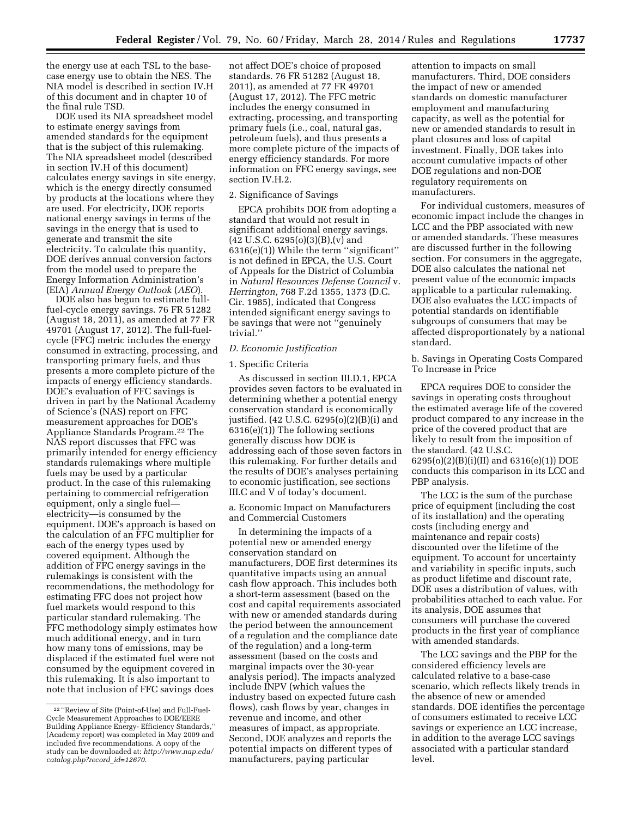the energy use at each TSL to the basecase energy use to obtain the NES. The NIA model is described in section IV.H of this document and in chapter 10 of the final rule TSD.

DOE used its NIA spreadsheet model to estimate energy savings from amended standards for the equipment that is the subject of this rulemaking. The NIA spreadsheet model (described in section IV.H of this document) calculates energy savings in site energy, which is the energy directly consumed by products at the locations where they are used. For electricity, DOE reports national energy savings in terms of the savings in the energy that is used to generate and transmit the site electricity. To calculate this quantity, DOE derives annual conversion factors from the model used to prepare the Energy Information Administration's (EIA) *Annual Energy Outlook* (*AEO*).

DOE also has begun to estimate fullfuel-cycle energy savings. 76 FR 51282 (August 18, 2011), as amended at 77 FR 49701 (August 17, 2012). The full-fuelcycle (FFC) metric includes the energy consumed in extracting, processing, and transporting primary fuels, and thus presents a more complete picture of the impacts of energy efficiency standards. DOE's evaluation of FFC savings is driven in part by the National Academy of Science's (NAS) report on FFC measurement approaches for DOE's Appliance Standards Program.22 The NAS report discusses that FFC was primarily intended for energy efficiency standards rulemakings where multiple fuels may be used by a particular product. In the case of this rulemaking pertaining to commercial refrigeration equipment, only a single fuel electricity—is consumed by the equipment. DOE's approach is based on the calculation of an FFC multiplier for each of the energy types used by covered equipment. Although the addition of FFC energy savings in the rulemakings is consistent with the recommendations, the methodology for estimating FFC does not project how fuel markets would respond to this particular standard rulemaking. The FFC methodology simply estimates how much additional energy, and in turn how many tons of emissions, may be displaced if the estimated fuel were not consumed by the equipment covered in this rulemaking. It is also important to note that inclusion of FFC savings does

not affect DOE's choice of proposed standards. 76 FR 51282 (August 18, 2011), as amended at 77 FR 49701 (August 17, 2012). The FFC metric includes the energy consumed in extracting, processing, and transporting primary fuels (i.e., coal, natural gas, petroleum fuels), and thus presents a more complete picture of the impacts of energy efficiency standards. For more information on FFC energy savings, see section IV.H.2.

#### 2. Significance of Savings

EPCA prohibits DOE from adopting a standard that would not result in significant additional energy savings.  $(42 \text{ U.S.C. } 6295(0)(3)(B),(v)$  and 6316(e)(1)) While the term ''significant'' is not defined in EPCA, the U.S. Court of Appeals for the District of Columbia in *Natural Resources Defense Council* v. *Herrington,* 768 F.2d 1355, 1373 (D.C. Cir. 1985), indicated that Congress intended significant energy savings to be savings that were not ''genuinely trivial.''

#### *D. Economic Justification*

#### 1. Specific Criteria

As discussed in section III.D.1, EPCA provides seven factors to be evaluated in determining whether a potential energy conservation standard is economically justified. (42 U.S.C. 6295(o)(2)(B)(i) and 6316(e)(1)) The following sections generally discuss how DOE is addressing each of those seven factors in this rulemaking. For further details and the results of DOE's analyses pertaining to economic justification, see sections III.C and V of today's document.

#### a. Economic Impact on Manufacturers and Commercial Customers

In determining the impacts of a potential new or amended energy conservation standard on manufacturers, DOE first determines its quantitative impacts using an annual cash flow approach. This includes both a short-term assessment (based on the cost and capital requirements associated with new or amended standards during the period between the announcement of a regulation and the compliance date of the regulation) and a long-term assessment (based on the costs and marginal impacts over the 30-year analysis period). The impacts analyzed include INPV (which values the industry based on expected future cash flows), cash flows by year, changes in revenue and income, and other measures of impact, as appropriate. Second, DOE analyzes and reports the potential impacts on different types of manufacturers, paying particular

attention to impacts on small manufacturers. Third, DOE considers the impact of new or amended standards on domestic manufacturer employment and manufacturing capacity, as well as the potential for new or amended standards to result in plant closures and loss of capital investment. Finally, DOE takes into account cumulative impacts of other DOE regulations and non-DOE regulatory requirements on manufacturers.

For individual customers, measures of economic impact include the changes in LCC and the PBP associated with new or amended standards. These measures are discussed further in the following section. For consumers in the aggregate, DOE also calculates the national net present value of the economic impacts applicable to a particular rulemaking. DOE also evaluates the LCC impacts of potential standards on identifiable subgroups of consumers that may be affected disproportionately by a national standard.

b. Savings in Operating Costs Compared To Increase in Price

EPCA requires DOE to consider the savings in operating costs throughout the estimated average life of the covered product compared to any increase in the price of the covered product that are likely to result from the imposition of the standard. (42 U.S.C.  $6295(o)(2)(B)(i)(II)$  and  $6316(e)(1))$  DOE conducts this comparison in its LCC and PBP analysis.

The LCC is the sum of the purchase price of equipment (including the cost of its installation) and the operating costs (including energy and maintenance and repair costs) discounted over the lifetime of the equipment. To account for uncertainty and variability in specific inputs, such as product lifetime and discount rate, DOE uses a distribution of values, with probabilities attached to each value. For its analysis, DOE assumes that consumers will purchase the covered products in the first year of compliance with amended standards.

The LCC savings and the PBP for the considered efficiency levels are calculated relative to a base-case scenario, which reflects likely trends in the absence of new or amended standards. DOE identifies the percentage of consumers estimated to receive LCC savings or experience an LCC increase, in addition to the average LCC savings associated with a particular standard level.

<sup>22</sup> ''Review of Site (Point-of-Use) and Full-Fuel-Cycle Measurement Approaches to DOE/EERE Building Appliance Energy- Efficiency Standards,'' (Academy report) was completed in May 2009 and included five recommendations. A copy of the study can be downloaded at: *[http://www.nap.edu/](http://www.nap.edu/catalog.php?record_id=12670)  [catalog.php?record](http://www.nap.edu/catalog.php?record_id=12670)*\_*id=12670*.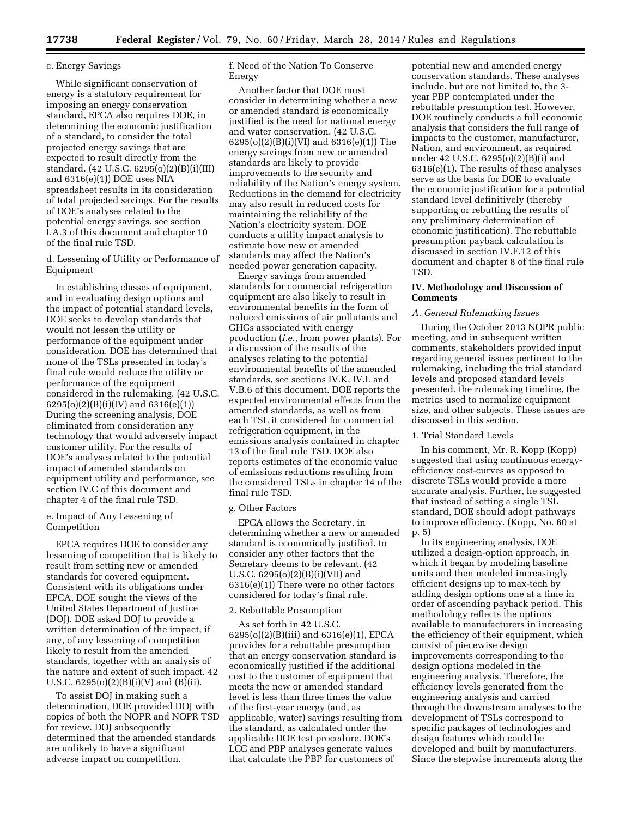#### c. Energy Savings

While significant conservation of energy is a statutory requirement for imposing an energy conservation standard, EPCA also requires DOE, in determining the economic justification of a standard, to consider the total projected energy savings that are expected to result directly from the standard. (42 U.S.C. 6295(o)(2)(B)(i)(III) and 6316(e)(1)) DOE uses NIA spreadsheet results in its consideration of total projected savings. For the results of DOE's analyses related to the potential energy savings, see section I.A.3 of this document and chapter 10 of the final rule TSD.

d. Lessening of Utility or Performance of Equipment

In establishing classes of equipment, and in evaluating design options and the impact of potential standard levels, DOE seeks to develop standards that would not lessen the utility or performance of the equipment under consideration. DOE has determined that none of the TSLs presented in today's final rule would reduce the utility or performance of the equipment considered in the rulemaking. (42 U.S.C. 6295(o)(2)(B)(i)(IV) and 6316(e)(1)) During the screening analysis, DOE eliminated from consideration any technology that would adversely impact customer utility. For the results of DOE's analyses related to the potential impact of amended standards on equipment utility and performance, see section IV.C of this document and chapter 4 of the final rule TSD.

e. Impact of Any Lessening of Competition

EPCA requires DOE to consider any lessening of competition that is likely to result from setting new or amended standards for covered equipment. Consistent with its obligations under EPCA, DOE sought the views of the United States Department of Justice (DOJ). DOE asked DOJ to provide a written determination of the impact, if any, of any lessening of competition likely to result from the amended standards, together with an analysis of the nature and extent of such impact. 42 U.S.C.  $6295(0)(2)(B)(i)(V)$  and  $(B)(ii)$ .

To assist DOJ in making such a determination, DOE provided DOJ with copies of both the NOPR and NOPR TSD for review. DOJ subsequently determined that the amended standards are unlikely to have a significant adverse impact on competition.

f. Need of the Nation To Conserve Energy

Another factor that DOE must consider in determining whether a new or amended standard is economically justified is the need for national energy and water conservation. (42 U.S.C. 6295(o)(2)(B)(i)(VI) and 6316(e)(1)) The energy savings from new or amended standards are likely to provide improvements to the security and reliability of the Nation's energy system. Reductions in the demand for electricity may also result in reduced costs for maintaining the reliability of the Nation's electricity system. DOE conducts a utility impact analysis to estimate how new or amended standards may affect the Nation's needed power generation capacity.

Energy savings from amended standards for commercial refrigeration equipment are also likely to result in environmental benefits in the form of reduced emissions of air pollutants and GHGs associated with energy production (*i.e.,* from power plants). For a discussion of the results of the analyses relating to the potential environmental benefits of the amended standards, see sections IV.K, IV.L and V.B.6 of this document. DOE reports the expected environmental effects from the amended standards, as well as from each TSL it considered for commercial refrigeration equipment, in the emissions analysis contained in chapter 13 of the final rule TSD. DOE also reports estimates of the economic value of emissions reductions resulting from the considered TSLs in chapter 14 of the final rule TSD.

# g. Other Factors

EPCA allows the Secretary, in determining whether a new or amended standard is economically justified, to consider any other factors that the Secretary deems to be relevant. (42 U.S.C. 6295(o)(2)(B)(i)(VII) and 6316(e)(1)) There were no other factors considered for today's final rule.

# 2. Rebuttable Presumption

As set forth in 42 U.S.C. 6295(o)(2)(B)(iii) and 6316(e)(1), EPCA provides for a rebuttable presumption that an energy conservation standard is economically justified if the additional cost to the customer of equipment that meets the new or amended standard level is less than three times the value of the first-year energy (and, as applicable, water) savings resulting from the standard, as calculated under the applicable DOE test procedure. DOE's LCC and PBP analyses generate values that calculate the PBP for customers of

potential new and amended energy conservation standards. These analyses include, but are not limited to, the 3 year PBP contemplated under the rebuttable presumption test. However, DOE routinely conducts a full economic analysis that considers the full range of impacts to the customer, manufacturer, Nation, and environment, as required under 42 U.S.C. 6295(o)(2)(B)(i) and 6316(e)(1). The results of these analyses serve as the basis for DOE to evaluate the economic justification for a potential standard level definitively (thereby supporting or rebutting the results of any preliminary determination of economic justification). The rebuttable presumption payback calculation is discussed in section IV.F.12 of this document and chapter 8 of the final rule TSD.

#### **IV. Methodology and Discussion of Comments**

#### *A. General Rulemaking Issues*

During the October 2013 NOPR public meeting, and in subsequent written comments, stakeholders provided input regarding general issues pertinent to the rulemaking, including the trial standard levels and proposed standard levels presented, the rulemaking timeline, the metrics used to normalize equipment size, and other subjects. These issues are discussed in this section.

# 1. Trial Standard Levels

In his comment, Mr. R. Kopp (Kopp) suggested that using continuous energyefficiency cost-curves as opposed to discrete TSLs would provide a more accurate analysis. Further, he suggested that instead of setting a single TSL standard, DOE should adopt pathways to improve efficiency. (Kopp, No. 60 at p. 5)

In its engineering analysis, DOE utilized a design-option approach, in which it began by modeling baseline units and then modeled increasingly efficient designs up to max-tech by adding design options one at a time in order of ascending payback period. This methodology reflects the options available to manufacturers in increasing the efficiency of their equipment, which consist of piecewise design improvements corresponding to the design options modeled in the engineering analysis. Therefore, the efficiency levels generated from the engineering analysis and carried through the downstream analyses to the development of TSLs correspond to specific packages of technologies and design features which could be developed and built by manufacturers. Since the stepwise increments along the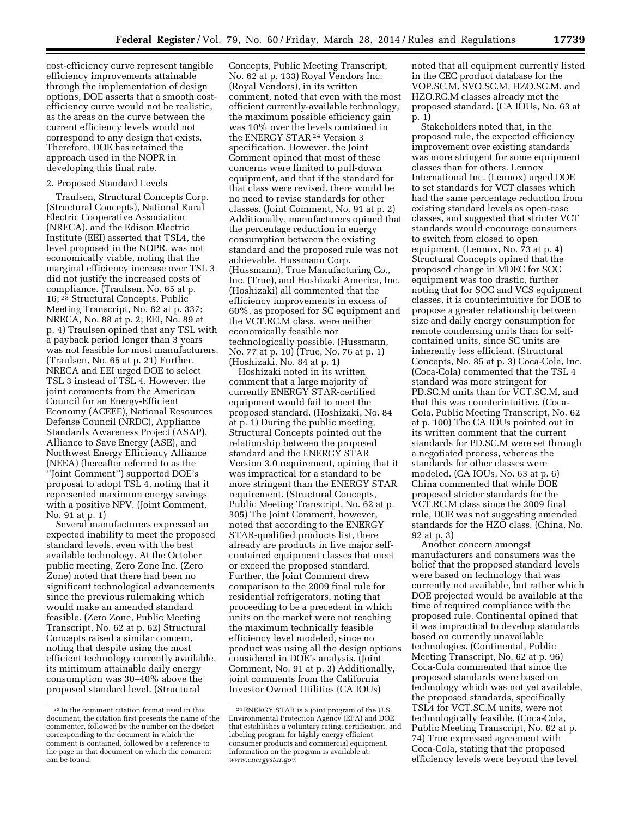cost-efficiency curve represent tangible efficiency improvements attainable through the implementation of design options, DOE asserts that a smooth costefficiency curve would not be realistic, as the areas on the curve between the current efficiency levels would not correspond to any design that exists. Therefore, DOE has retained the approach used in the NOPR in developing this final rule.

#### 2. Proposed Standard Levels

Traulsen, Structural Concepts Corp. (Structural Concepts), National Rural Electric Cooperative Association (NRECA), and the Edison Electric Institute (EEI) asserted that TSL4, the level proposed in the NOPR, was not economically viable, noting that the marginal efficiency increase over TSL 3 did not justify the increased costs of compliance. (Traulsen, No. 65 at p. 16; 23 Structural Concepts, Public Meeting Transcript, No. 62 at p. 337; NRECA, No. 88 at p. 2; EEI, No. 89 at p. 4) Traulsen opined that any TSL with a payback period longer than 3 years was not feasible for most manufacturers. (Traulsen, No. 65 at p. 21) Further, NRECA and EEI urged DOE to select TSL 3 instead of TSL 4. However, the joint comments from the American Council for an Energy-Efficient Economy (ACEEE), National Resources Defense Council (NRDC), Appliance Standards Awareness Project (ASAP), Alliance to Save Energy (ASE), and Northwest Energy Efficiency Alliance (NEEA) (hereafter referred to as the ''Joint Comment'') supported DOE's proposal to adopt TSL 4, noting that it represented maximum energy savings with a positive NPV. (Joint Comment, No. 91 at p. 1)

Several manufacturers expressed an expected inability to meet the proposed standard levels, even with the best available technology. At the October public meeting, Zero Zone Inc. (Zero Zone) noted that there had been no significant technological advancements since the previous rulemaking which would make an amended standard feasible. (Zero Zone, Public Meeting Transcript, No. 62 at p. 62) Structural Concepts raised a similar concern, noting that despite using the most efficient technology currently available, its minimum attainable daily energy consumption was 30–40% above the proposed standard level. (Structural

Concepts, Public Meeting Transcript, No. 62 at p. 133) Royal Vendors Inc. (Royal Vendors), in its written comment, noted that even with the most efficient currently-available technology, the maximum possible efficiency gain was 10% over the levels contained in the ENERGY STAR<sup>24</sup> Version 3 specification. However, the Joint Comment opined that most of these concerns were limited to pull-down equipment, and that if the standard for that class were revised, there would be no need to revise standards for other classes. (Joint Comment, No. 91 at p. 2) Additionally, manufacturers opined that the percentage reduction in energy consumption between the existing standard and the proposed rule was not achievable. Hussmann Corp. (Hussmann), True Manufacturing Co., Inc. (True), and Hoshizaki America, Inc. (Hoshizaki) all commented that the efficiency improvements in excess of 60%, as proposed for SC equipment and the VCT.RC.M class, were neither economically feasible nor technologically possible. (Hussmann, No. 77 at p. 10) (True, No. 76 at p. 1) (Hoshizaki, No. 84 at p. 1)

Hoshizaki noted in its written comment that a large majority of currently ENERGY STAR-certified equipment would fail to meet the proposed standard. (Hoshizaki, No. 84 at p. 1) During the public meeting, Structural Concepts pointed out the relationship between the proposed standard and the ENERGY STAR Version 3.0 requirement, opining that it was impractical for a standard to be more stringent than the ENERGY STAR requirement. (Structural Concepts, Public Meeting Transcript, No. 62 at p. 305) The Joint Comment, however, noted that according to the ENERGY STAR-qualified products list, there already are products in five major selfcontained equipment classes that meet or exceed the proposed standard. Further, the Joint Comment drew comparison to the 2009 final rule for residential refrigerators, noting that proceeding to be a precedent in which units on the market were not reaching the maximum technically feasible efficiency level modeled, since no product was using all the design options considered in DOE's analysis. (Joint Comment, No. 91 at p. 3) Additionally, joint comments from the California Investor Owned Utilities (CA IOUs)

noted that all equipment currently listed in the CEC product database for the VOP.SC.M, SVO.SC.M, HZO.SC.M, and HZO.RC.M classes already met the proposed standard. (CA IOUs, No. 63 at p. 1)

Stakeholders noted that, in the proposed rule, the expected efficiency improvement over existing standards was more stringent for some equipment classes than for others. Lennox International Inc. (Lennox) urged DOE to set standards for VCT classes which had the same percentage reduction from existing standard levels as open-case classes, and suggested that stricter VCT standards would encourage consumers to switch from closed to open equipment. (Lennox, No. 73 at p. 4) Structural Concepts opined that the proposed change in MDEC for SOC equipment was too drastic, further noting that for SOC and VCS equipment classes, it is counterintuitive for DOE to propose a greater relationship between size and daily energy consumption for remote condensing units than for selfcontained units, since SC units are inherently less efficient. (Structural Concepts, No. 85 at p. 3) Coca-Cola, Inc. (Coca-Cola) commented that the TSL 4 standard was more stringent for PD.SC.M units than for VCT.SC.M, and that this was counterintuitive. (Coca-Cola, Public Meeting Transcript, No. 62 at p. 100) The CA IOUs pointed out in its written comment that the current standards for PD.SC.M were set through a negotiated process, whereas the standards for other classes were modeled. (CA IOUs, No. 63 at p. 6) China commented that while DOE proposed stricter standards for the VCT.RC.M class since the 2009 final rule, DOE was not suggesting amended standards for the HZO class. (China, No. 92 at p. 3)

Another concern amongst manufacturers and consumers was the belief that the proposed standard levels were based on technology that was currently not available, but rather which DOE projected would be available at the time of required compliance with the proposed rule. Continental opined that it was impractical to develop standards based on currently unavailable technologies. (Continental, Public Meeting Transcript, No. 62 at p. 96) Coca-Cola commented that since the proposed standards were based on technology which was not yet available, the proposed standards, specifically TSL4 for VCT.SC.M units, were not technologically feasible. (Coca-Cola, Public Meeting Transcript, No. 62 at p. 74) True expressed agreement with Coca-Cola, stating that the proposed efficiency levels were beyond the level

<sup>23</sup> In the comment citation format used in this document, the citation first presents the name of the commenter, followed by the number on the docket corresponding to the document in which the comment is contained, followed by a reference to the page in that document on which the comment can be found.

<sup>24</sup>ENERGY STAR is a joint program of the U.S. Environmental Protection Agency (EPA) and DOE that establishes a voluntary rating, certification, and labeling program for highly energy efficient consumer products and commercial equipment. Information on the program is available at: *[www.energystar.gov](http://www.energystar.gov)*.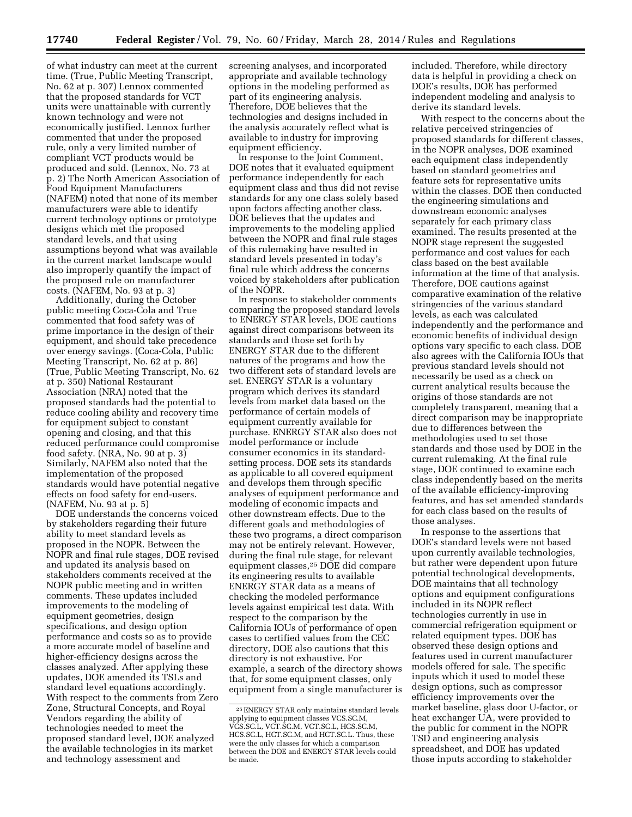of what industry can meet at the current time. (True, Public Meeting Transcript, No. 62 at p. 307) Lennox commented that the proposed standards for VCT units were unattainable with currently known technology and were not economically justified. Lennox further commented that under the proposed rule, only a very limited number of compliant VCT products would be produced and sold. (Lennox, No. 73 at p. 2) The North American Association of Food Equipment Manufacturers (NAFEM) noted that none of its member manufacturers were able to identify current technology options or prototype designs which met the proposed standard levels, and that using assumptions beyond what was available in the current market landscape would also improperly quantify the impact of the proposed rule on manufacturer costs. (NAFEM, No. 93 at p. 3)

Additionally, during the October public meeting Coca-Cola and True commented that food safety was of prime importance in the design of their equipment, and should take precedence over energy savings. (Coca-Cola, Public Meeting Transcript, No. 62 at p. 86) (True, Public Meeting Transcript, No. 62 at p. 350) National Restaurant Association (NRA) noted that the proposed standards had the potential to reduce cooling ability and recovery time for equipment subject to constant opening and closing, and that this reduced performance could compromise food safety. (NRA, No. 90 at p. 3) Similarly, NAFEM also noted that the implementation of the proposed standards would have potential negative effects on food safety for end-users. (NAFEM, No. 93 at p. 5)

DOE understands the concerns voiced by stakeholders regarding their future ability to meet standard levels as proposed in the NOPR. Between the NOPR and final rule stages, DOE revised and updated its analysis based on stakeholders comments received at the NOPR public meeting and in written comments. These updates included improvements to the modeling of equipment geometries, design specifications, and design option performance and costs so as to provide a more accurate model of baseline and higher-efficiency designs across the classes analyzed. After applying these updates, DOE amended its TSLs and standard level equations accordingly. With respect to the comments from Zero Zone, Structural Concepts, and Royal Vendors regarding the ability of technologies needed to meet the proposed standard level, DOE analyzed the available technologies in its market and technology assessment and

screening analyses, and incorporated appropriate and available technology options in the modeling performed as part of its engineering analysis. Therefore, DOE believes that the technologies and designs included in the analysis accurately reflect what is available to industry for improving equipment efficiency.

In response to the Joint Comment, DOE notes that it evaluated equipment performance independently for each equipment class and thus did not revise standards for any one class solely based upon factors affecting another class. DOE believes that the updates and improvements to the modeling applied between the NOPR and final rule stages of this rulemaking have resulted in standard levels presented in today's final rule which address the concerns voiced by stakeholders after publication of the NOPR.

In response to stakeholder comments comparing the proposed standard levels to ENERGY STAR levels, DOE cautions against direct comparisons between its standards and those set forth by ENERGY STAR due to the different natures of the programs and how the two different sets of standard levels are set. ENERGY STAR is a voluntary program which derives its standard levels from market data based on the performance of certain models of equipment currently available for purchase. ENERGY STAR also does not model performance or include consumer economics in its standardsetting process. DOE sets its standards as applicable to all covered equipment and develops them through specific analyses of equipment performance and modeling of economic impacts and other downstream effects. Due to the different goals and methodologies of these two programs, a direct comparison may not be entirely relevant. However, during the final rule stage, for relevant equipment classes,25 DOE did compare its engineering results to available ENERGY STAR data as a means of checking the modeled performance levels against empirical test data. With respect to the comparison by the California IOUs of performance of open cases to certified values from the CEC directory, DOE also cautions that this directory is not exhaustive. For example, a search of the directory shows that, for some equipment classes, only equipment from a single manufacturer is included. Therefore, while directory data is helpful in providing a check on DOE's results, DOE has performed independent modeling and analysis to derive its standard levels.

With respect to the concerns about the relative perceived stringencies of proposed standards for different classes, in the NOPR analyses, DOE examined each equipment class independently based on standard geometries and feature sets for representative units within the classes. DOE then conducted the engineering simulations and downstream economic analyses separately for each primary class examined. The results presented at the NOPR stage represent the suggested performance and cost values for each class based on the best available information at the time of that analysis. Therefore, DOE cautions against comparative examination of the relative stringencies of the various standard levels, as each was calculated independently and the performance and economic benefits of individual design options vary specific to each class. DOE also agrees with the California IOUs that previous standard levels should not necessarily be used as a check on current analytical results because the origins of those standards are not completely transparent, meaning that a direct comparison may be inappropriate due to differences between the methodologies used to set those standards and those used by DOE in the current rulemaking. At the final rule stage, DOE continued to examine each class independently based on the merits of the available efficiency-improving features, and has set amended standards for each class based on the results of those analyses.

In response to the assertions that DOE's standard levels were not based upon currently available technologies, but rather were dependent upon future potential technological developments, DOE maintains that all technology options and equipment configurations included in its NOPR reflect technologies currently in use in commercial refrigeration equipment or related equipment types. DOE has observed these design options and features used in current manufacturer models offered for sale. The specific inputs which it used to model these design options, such as compressor efficiency improvements over the market baseline, glass door U-factor, or heat exchanger UA, were provided to the public for comment in the NOPR TSD and engineering analysis spreadsheet, and DOE has updated those inputs according to stakeholder

<sup>25</sup>ENERGY STAR only maintains standard levels applying to equipment classes VCS.SC.M, VCS.SC.L, VCT.SC.M, VCT.SC.L, HCS.SC.M, HCS.SC.L, HCT.SC.M, and HCT.SC.L. Thus, these were the only classes for which a comparison between the DOE and ENERGY STAR levels could be made.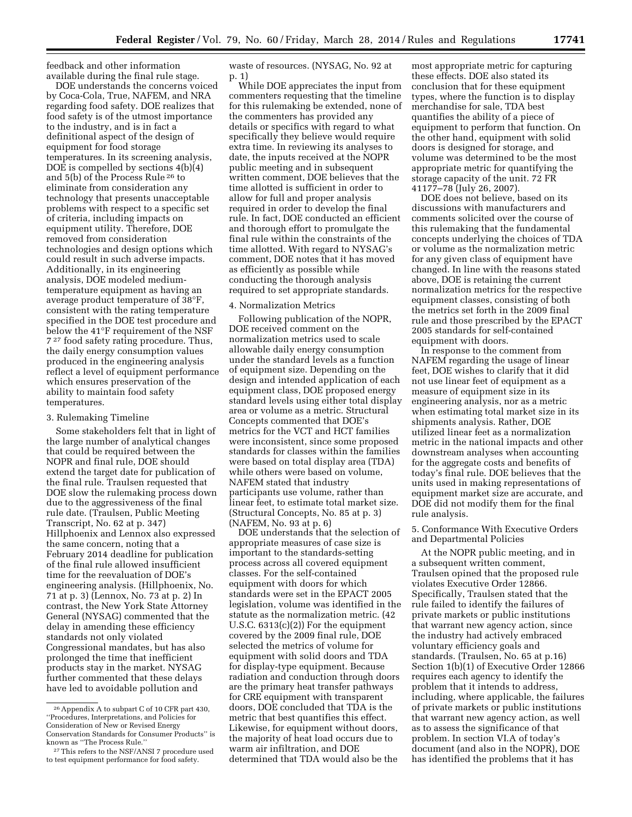feedback and other information available during the final rule stage.

DOE understands the concerns voiced by Coca-Cola, True, NAFEM, and NRA regarding food safety. DOE realizes that food safety is of the utmost importance to the industry, and is in fact a definitional aspect of the design of equipment for food storage temperatures. In its screening analysis, DOE is compelled by sections 4(b)(4) and 5(b) of the Process Rule 26 to eliminate from consideration any technology that presents unacceptable problems with respect to a specific set of criteria, including impacts on equipment utility. Therefore, DOE removed from consideration technologies and design options which could result in such adverse impacts. Additionally, in its engineering analysis, DOE modeled mediumtemperature equipment as having an average product temperature of 38°F, consistent with the rating temperature specified in the DOE test procedure and below the 41°F requirement of the NSF 7 27 food safety rating procedure. Thus, the daily energy consumption values produced in the engineering analysis reflect a level of equipment performance which ensures preservation of the ability to maintain food safety temperatures.

#### 3. Rulemaking Timeline

Some stakeholders felt that in light of the large number of analytical changes that could be required between the NOPR and final rule, DOE should extend the target date for publication of the final rule. Traulsen requested that DOE slow the rulemaking process down due to the aggressiveness of the final rule date. (Traulsen, Public Meeting Transcript, No. 62 at p. 347) Hillphoenix and Lennox also expressed the same concern, noting that a February 2014 deadline for publication of the final rule allowed insufficient time for the reevaluation of DOE's engineering analysis. (Hillphoenix, No. 71 at p. 3) (Lennox, No. 73 at p. 2) In contrast, the New York State Attorney General (NYSAG) commented that the delay in amending these efficiency standards not only violated Congressional mandates, but has also prolonged the time that inefficient products stay in the market. NYSAG further commented that these delays have led to avoidable pollution and

waste of resources. (NYSAG, No. 92 at p. 1)

While DOE appreciates the input from commenters requesting that the timeline for this rulemaking be extended, none of the commenters has provided any details or specifics with regard to what specifically they believe would require extra time. In reviewing its analyses to date, the inputs received at the NOPR public meeting and in subsequent written comment, DOE believes that the time allotted is sufficient in order to allow for full and proper analysis required in order to develop the final rule. In fact, DOE conducted an efficient and thorough effort to promulgate the final rule within the constraints of the time allotted. With regard to NYSAG's comment, DOE notes that it has moved as efficiently as possible while conducting the thorough analysis required to set appropriate standards.

#### 4. Normalization Metrics

Following publication of the NOPR, DOE received comment on the normalization metrics used to scale allowable daily energy consumption under the standard levels as a function of equipment size. Depending on the design and intended application of each equipment class, DOE proposed energy standard levels using either total display area or volume as a metric. Structural Concepts commented that DOE's metrics for the VCT and HCT families were inconsistent, since some proposed standards for classes within the families were based on total display area (TDA) while others were based on volume, NAFEM stated that industry participants use volume, rather than linear feet, to estimate total market size. (Structural Concepts, No. 85 at p. 3) (NAFEM, No. 93 at p. 6)

DOE understands that the selection of appropriate measures of case size is important to the standards-setting process across all covered equipment classes. For the self-contained equipment with doors for which standards were set in the EPACT 2005 legislation, volume was identified in the statute as the normalization metric. (42 U.S.C. 6313(c)(2)) For the equipment covered by the 2009 final rule, DOE selected the metrics of volume for equipment with solid doors and TDA for display-type equipment. Because radiation and conduction through doors are the primary heat transfer pathways for CRE equipment with transparent doors, DOE concluded that TDA is the metric that best quantifies this effect. Likewise, for equipment without doors, the majority of heat load occurs due to warm air infiltration, and DOE determined that TDA would also be the

most appropriate metric for capturing these effects. DOE also stated its conclusion that for these equipment types, where the function is to display merchandise for sale, TDA best quantifies the ability of a piece of equipment to perform that function. On the other hand, equipment with solid doors is designed for storage, and volume was determined to be the most appropriate metric for quantifying the storage capacity of the unit. 72 FR 41177–78 (July 26, 2007).

DOE does not believe, based on its discussions with manufacturers and comments solicited over the course of this rulemaking that the fundamental concepts underlying the choices of TDA or volume as the normalization metric for any given class of equipment have changed. In line with the reasons stated above, DOE is retaining the current normalization metrics for the respective equipment classes, consisting of both the metrics set forth in the 2009 final rule and those prescribed by the EPACT 2005 standards for self-contained equipment with doors.

In response to the comment from NAFEM regarding the usage of linear feet, DOE wishes to clarify that it did not use linear feet of equipment as a measure of equipment size in its engineering analysis, nor as a metric when estimating total market size in its shipments analysis. Rather, DOE utilized linear feet as a normalization metric in the national impacts and other downstream analyses when accounting for the aggregate costs and benefits of today's final rule. DOE believes that the units used in making representations of equipment market size are accurate, and DOE did not modify them for the final rule analysis.

5. Conformance With Executive Orders and Departmental Policies

At the NOPR public meeting, and in a subsequent written comment, Traulsen opined that the proposed rule violates Executive Order 12866. Specifically, Traulsen stated that the rule failed to identify the failures of private markets or public institutions that warrant new agency action, since the industry had actively embraced voluntary efficiency goals and standards. (Traulsen, No. 65 at p.16) Section 1(b)(1) of Executive Order 12866 requires each agency to identify the problem that it intends to address, including, where applicable, the failures of private markets or public institutions that warrant new agency action, as well as to assess the significance of that problem. In section VI.A of today's document (and also in the NOPR), DOE has identified the problems that it has

<sup>26</sup>Appendix A to subpart C of 10 CFR part 430, ''Procedures, Interpretations, and Policies for Consideration of New or Revised Energy Conservation Standards for Consumer Products'' is known as ''The Process Rule.''

<sup>27</sup>This refers to the NSF/ANSI 7 procedure used to test equipment performance for food safety.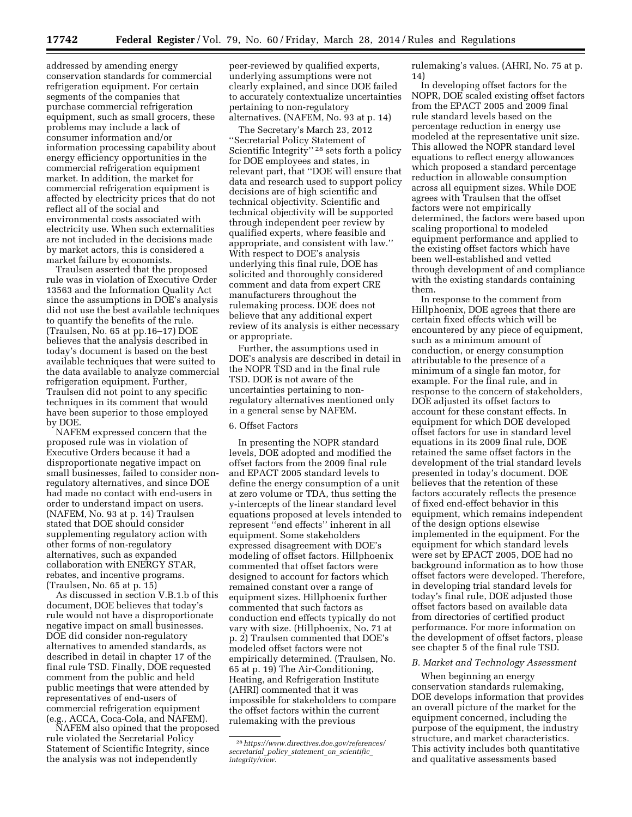addressed by amending energy conservation standards for commercial refrigeration equipment. For certain segments of the companies that purchase commercial refrigeration equipment, such as small grocers, these problems may include a lack of consumer information and/or information processing capability about energy efficiency opportunities in the commercial refrigeration equipment market. In addition, the market for commercial refrigeration equipment is affected by electricity prices that do not reflect all of the social and environmental costs associated with electricity use. When such externalities are not included in the decisions made by market actors, this is considered a market failure by economists.

Traulsen asserted that the proposed rule was in violation of Executive Order 13563 and the Information Quality Act since the assumptions in DOE's analysis did not use the best available techniques to quantify the benefits of the rule. (Traulsen, No. 65 at pp.16–17) DOE believes that the analysis described in today's document is based on the best available techniques that were suited to the data available to analyze commercial refrigeration equipment. Further, Traulsen did not point to any specific techniques in its comment that would have been superior to those employed by DOE.

NAFEM expressed concern that the proposed rule was in violation of Executive Orders because it had a disproportionate negative impact on small businesses, failed to consider nonregulatory alternatives, and since DOE had made no contact with end-users in order to understand impact on users. (NAFEM, No. 93 at p. 14) Traulsen stated that DOE should consider supplementing regulatory action with other forms of non-regulatory alternatives, such as expanded collaboration with ENERGY STAR, rebates, and incentive programs. (Traulsen, No. 65 at p. 15)

As discussed in section V.B.1.b of this document, DOE believes that today's rule would not have a disproportionate negative impact on small businesses. DOE did consider non-regulatory alternatives to amended standards, as described in detail in chapter 17 of the final rule TSD. Finally, DOE requested comment from the public and held public meetings that were attended by representatives of end-users of commercial refrigeration equipment (e.g., ACCA, Coca-Cola, and NAFEM).

NAFEM also opined that the proposed rule violated the Secretarial Policy Statement of Scientific Integrity, since the analysis was not independently

peer-reviewed by qualified experts, underlying assumptions were not clearly explained, and since DOE failed to accurately contextualize uncertainties pertaining to non-regulatory alternatives. (NAFEM, No. 93 at p. 14)

The Secretary's March 23, 2012 ''Secretarial Policy Statement of Scientific Integrity"<sup>28</sup> sets forth a policy for DOE employees and states, in relevant part, that ''DOE will ensure that data and research used to support policy decisions are of high scientific and technical objectivity. Scientific and technical objectivity will be supported through independent peer review by qualified experts, where feasible and appropriate, and consistent with law.'' With respect to DOE's analysis underlying this final rule, DOE has solicited and thoroughly considered comment and data from expert CRE manufacturers throughout the rulemaking process. DOE does not believe that any additional expert review of its analysis is either necessary or appropriate.

Further, the assumptions used in DOE's analysis are described in detail in the NOPR TSD and in the final rule TSD. DOE is not aware of the uncertainties pertaining to nonregulatory alternatives mentioned only in a general sense by NAFEM.

#### 6. Offset Factors

In presenting the NOPR standard levels, DOE adopted and modified the offset factors from the 2009 final rule and EPACT 2005 standard levels to define the energy consumption of a unit at zero volume or TDA, thus setting the y-intercepts of the linear standard level equations proposed at levels intended to represent ''end effects'' inherent in all equipment. Some stakeholders expressed disagreement with DOE's modeling of offset factors. Hillphoenix commented that offset factors were designed to account for factors which remained constant over a range of equipment sizes. Hillphoenix further commented that such factors as conduction end effects typically do not vary with size. (Hillphoenix, No. 71 at p. 2) Traulsen commented that DOE's modeled offset factors were not empirically determined. (Traulsen, No. 65 at p. 19) The Air-Conditioning, Heating, and Refrigeration Institute (AHRI) commented that it was impossible for stakeholders to compare the offset factors within the current rulemaking with the previous

rulemaking's values. (AHRI, No. 75 at p. 14)

In developing offset factors for the NOPR, DOE scaled existing offset factors from the EPACT 2005 and 2009 final rule standard levels based on the percentage reduction in energy use modeled at the representative unit size. This allowed the NOPR standard level equations to reflect energy allowances which proposed a standard percentage reduction in allowable consumption across all equipment sizes. While DOE agrees with Traulsen that the offset factors were not empirically determined, the factors were based upon scaling proportional to modeled equipment performance and applied to the existing offset factors which have been well-established and vetted through development of and compliance with the existing standards containing them.

In response to the comment from Hillphoenix, DOE agrees that there are certain fixed effects which will be encountered by any piece of equipment, such as a minimum amount of conduction, or energy consumption attributable to the presence of a minimum of a single fan motor, for example. For the final rule, and in response to the concern of stakeholders, DOE adjusted its offset factors to account for these constant effects. In equipment for which DOE developed offset factors for use in standard level equations in its 2009 final rule, DOE retained the same offset factors in the development of the trial standard levels presented in today's document. DOE believes that the retention of these factors accurately reflects the presence of fixed end-effect behavior in this equipment, which remains independent of the design options elsewise implemented in the equipment. For the equipment for which standard levels were set by EPACT 2005, DOE had no background information as to how those offset factors were developed. Therefore, in developing trial standard levels for today's final rule, DOE adjusted those offset factors based on available data from directories of certified product performance. For more information on the development of offset factors, please see chapter 5 of the final rule TSD.

#### *B. Market and Technology Assessment*

When beginning an energy conservation standards rulemaking, DOE develops information that provides an overall picture of the market for the equipment concerned, including the purpose of the equipment, the industry structure, and market characteristics. This activity includes both quantitative and qualitative assessments based

<sup>28</sup>*[https://www.directives.doe.gov/references/](https://www.directives.doe.gov/references/secretarial_policy_statement_on_scientific_integrity/view) [secretarial](https://www.directives.doe.gov/references/secretarial_policy_statement_on_scientific_integrity/view)*\_*policy*\_*statement*\_*on*\_*scientific*\_ *[integrity/view.](https://www.directives.doe.gov/references/secretarial_policy_statement_on_scientific_integrity/view)*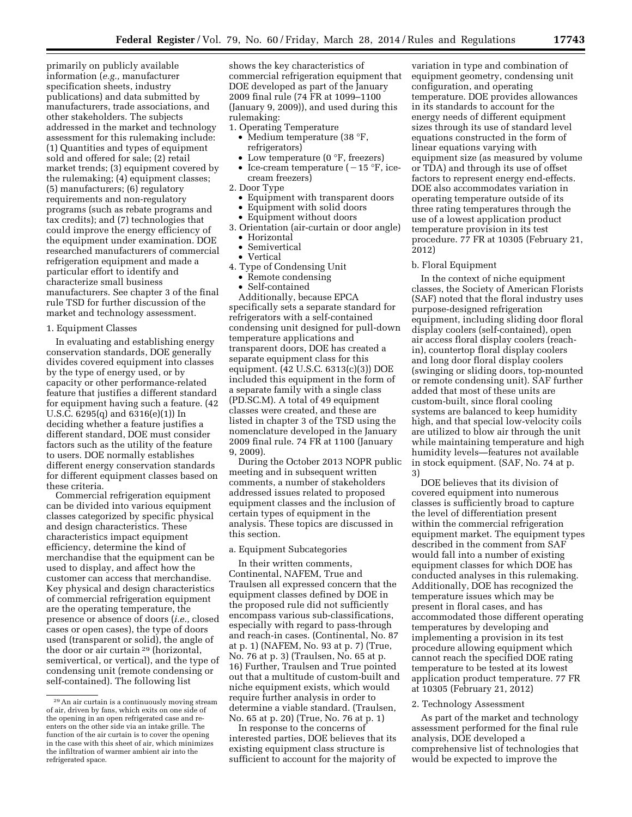primarily on publicly available information (*e.g.,* manufacturer specification sheets, industry publications) and data submitted by manufacturers, trade associations, and other stakeholders. The subjects addressed in the market and technology assessment for this rulemaking include: (1) Quantities and types of equipment sold and offered for sale; (2) retail market trends; (3) equipment covered by the rulemaking; (4) equipment classes; (5) manufacturers; (6) regulatory requirements and non-regulatory programs (such as rebate programs and tax credits); and (7) technologies that could improve the energy efficiency of the equipment under examination. DOE researched manufacturers of commercial refrigeration equipment and made a particular effort to identify and characterize small business manufacturers. See chapter 3 of the final rule TSD for further discussion of the market and technology assessment.

#### 1. Equipment Classes

In evaluating and establishing energy conservation standards, DOE generally divides covered equipment into classes by the type of energy used, or by capacity or other performance-related feature that justifies a different standard for equipment having such a feature. (42 U.S.C. 6295(q) and 6316(e)(1)) In deciding whether a feature justifies a different standard, DOE must consider factors such as the utility of the feature to users. DOE normally establishes different energy conservation standards for different equipment classes based on these criteria.

Commercial refrigeration equipment can be divided into various equipment classes categorized by specific physical and design characteristics. These characteristics impact equipment efficiency, determine the kind of merchandise that the equipment can be used to display, and affect how the customer can access that merchandise. Key physical and design characteristics of commercial refrigeration equipment are the operating temperature, the presence or absence of doors (*i.e.,* closed cases or open cases), the type of doors used (transparent or solid), the angle of the door or air curtain 29 (horizontal, semivertical, or vertical), and the type of condensing unit (remote condensing or self-contained). The following list

shows the key characteristics of commercial refrigeration equipment that DOE developed as part of the January 2009 final rule (74 FR at 1099–1100 (January 9, 2009)), and used during this rulemaking:

- 1. Operating Temperature
	- Medium temperature (38 °F, refrigerators)
	- Low temperature (0 °F, freezers)
	- Ice-cream temperature  $(-15 \text{ °F}, \text{ice-}$ cream freezers)
- 2. Door Type
- Equipment with transparent doors
- Equipment with solid doors
- Equipment without doors
- 3. Orientation (air-curtain or door angle)
	- Horizontal
	- Semivertical
	- Vertical
- 4. Type of Condensing Unit
	- Remote condensing
	- Self-contained

Additionally, because EPCA specifically sets a separate standard for refrigerators with a self-contained condensing unit designed for pull-down temperature applications and transparent doors, DOE has created a separate equipment class for this equipment. (42 U.S.C. 6313(c)(3)) DOE included this equipment in the form of a separate family with a single class (PD.SC.M). A total of 49 equipment classes were created, and these are listed in chapter 3 of the TSD using the nomenclature developed in the January 2009 final rule. 74 FR at 1100 (January 9, 2009).

During the October 2013 NOPR public meeting and in subsequent written comments, a number of stakeholders addressed issues related to proposed equipment classes and the inclusion of certain types of equipment in the analysis. These topics are discussed in this section.

#### a. Equipment Subcategories

In their written comments, Continental, NAFEM, True and Traulsen all expressed concern that the equipment classes defined by DOE in the proposed rule did not sufficiently encompass various sub-classifications, especially with regard to pass-through and reach-in cases. (Continental, No. 87 at p. 1) (NAFEM, No. 93 at p. 7) (True, No. 76 at p. 3) (Traulsen, No. 65 at p. 16) Further, Traulsen and True pointed out that a multitude of custom-built and niche equipment exists, which would require further analysis in order to determine a viable standard. (Traulsen, No. 65 at p. 20) (True, No. 76 at p. 1)

In response to the concerns of interested parties, DOE believes that its existing equipment class structure is sufficient to account for the majority of

variation in type and combination of equipment geometry, condensing unit configuration, and operating temperature. DOE provides allowances in its standards to account for the energy needs of different equipment sizes through its use of standard level equations constructed in the form of linear equations varying with equipment size (as measured by volume or TDA) and through its use of offset factors to represent energy end-effects. DOE also accommodates variation in operating temperature outside of its three rating temperatures through the use of a lowest application product temperature provision in its test procedure. 77 FR at 10305 (February 21, 2012)

#### b. Floral Equipment

In the context of niche equipment classes, the Society of American Florists (SAF) noted that the floral industry uses purpose-designed refrigeration equipment, including sliding door floral display coolers (self-contained), open air access floral display coolers (reachin), countertop floral display coolers and long door floral display coolers (swinging or sliding doors, top-mounted or remote condensing unit). SAF further added that most of these units are custom-built, since floral cooling systems are balanced to keep humidity high, and that special low-velocity coils are utilized to blow air through the unit while maintaining temperature and high humidity levels—features not available in stock equipment. (SAF, No. 74 at p. 3)

DOE believes that its division of covered equipment into numerous classes is sufficiently broad to capture the level of differentiation present within the commercial refrigeration equipment market. The equipment types described in the comment from SAF would fall into a number of existing equipment classes for which DOE has conducted analyses in this rulemaking. Additionally, DOE has recognized the temperature issues which may be present in floral cases, and has accommodated those different operating temperatures by developing and implementing a provision in its test procedure allowing equipment which cannot reach the specified DOE rating temperature to be tested at its lowest application product temperature. 77 FR at 10305 (February 21, 2012)

#### 2. Technology Assessment

As part of the market and technology assessment performed for the final rule analysis, DOE developed a comprehensive list of technologies that would be expected to improve the

<sup>29</sup>An air curtain is a continuously moving stream of air, driven by fans, which exits on one side of the opening in an open refrigerated case and reenters on the other side via an intake grille. The function of the air curtain is to cover the opening in the case with this sheet of air, which minimizes the infiltration of warmer ambient air into the refrigerated space.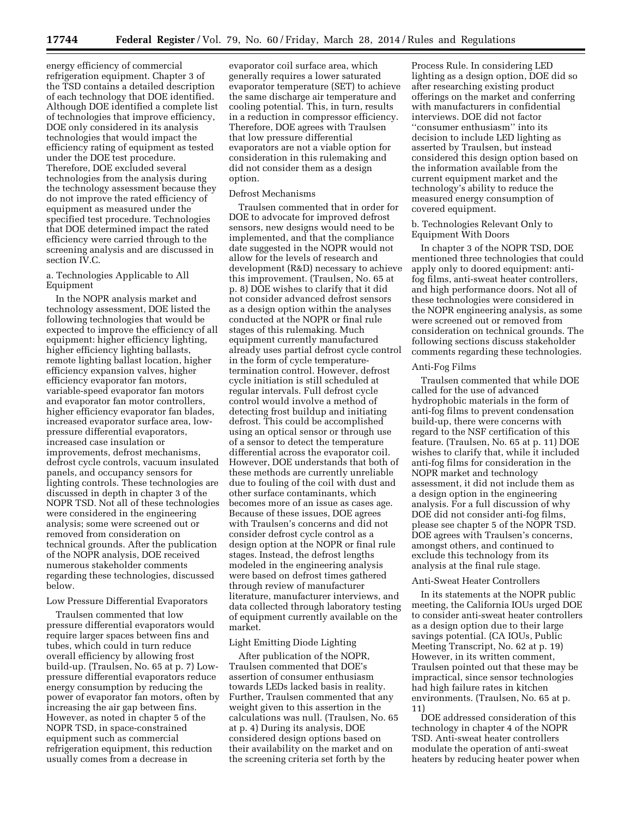energy efficiency of commercial refrigeration equipment. Chapter 3 of the TSD contains a detailed description of each technology that DOE identified. Although DOE identified a complete list of technologies that improve efficiency, DOE only considered in its analysis technologies that would impact the efficiency rating of equipment as tested under the DOE test procedure. Therefore, DOE excluded several technologies from the analysis during the technology assessment because they do not improve the rated efficiency of equipment as measured under the specified test procedure. Technologies that DOE determined impact the rated efficiency were carried through to the screening analysis and are discussed in section IV.C.

#### a. Technologies Applicable to All Equipment

In the NOPR analysis market and technology assessment, DOE listed the following technologies that would be expected to improve the efficiency of all equipment: higher efficiency lighting, higher efficiency lighting ballasts, remote lighting ballast location, higher efficiency expansion valves, higher efficiency evaporator fan motors, variable-speed evaporator fan motors and evaporator fan motor controllers, higher efficiency evaporator fan blades, increased evaporator surface area, lowpressure differential evaporators, increased case insulation or improvements, defrost mechanisms, defrost cycle controls, vacuum insulated panels, and occupancy sensors for lighting controls. These technologies are discussed in depth in chapter 3 of the NOPR TSD. Not all of these technologies were considered in the engineering analysis; some were screened out or removed from consideration on technical grounds. After the publication of the NOPR analysis, DOE received numerous stakeholder comments regarding these technologies, discussed below.

#### Low Pressure Differential Evaporators

Traulsen commented that low pressure differential evaporators would require larger spaces between fins and tubes, which could in turn reduce overall efficiency by allowing frost build-up. (Traulsen, No. 65 at p. 7) Lowpressure differential evaporators reduce energy consumption by reducing the power of evaporator fan motors, often by increasing the air gap between fins. However, as noted in chapter 5 of the NOPR TSD, in space-constrained equipment such as commercial refrigeration equipment, this reduction usually comes from a decrease in

evaporator coil surface area, which generally requires a lower saturated evaporator temperature (SET) to achieve the same discharge air temperature and cooling potential. This, in turn, results in a reduction in compressor efficiency. Therefore, DOE agrees with Traulsen that low pressure differential evaporators are not a viable option for consideration in this rulemaking and did not consider them as a design option.

#### Defrost Mechanisms

Traulsen commented that in order for DOE to advocate for improved defrost sensors, new designs would need to be implemented, and that the compliance date suggested in the NOPR would not allow for the levels of research and development (R&D) necessary to achieve this improvement. (Traulsen, No. 65 at p. 8) DOE wishes to clarify that it did not consider advanced defrost sensors as a design option within the analyses conducted at the NOPR or final rule stages of this rulemaking. Much equipment currently manufactured already uses partial defrost cycle control in the form of cycle temperaturetermination control. However, defrost cycle initiation is still scheduled at regular intervals. Full defrost cycle control would involve a method of detecting frost buildup and initiating defrost. This could be accomplished using an optical sensor or through use of a sensor to detect the temperature differential across the evaporator coil. However, DOE understands that both of these methods are currently unreliable due to fouling of the coil with dust and other surface contaminants, which becomes more of an issue as cases age. Because of these issues, DOE agrees with Traulsen's concerns and did not consider defrost cycle control as a design option at the NOPR or final rule stages. Instead, the defrost lengths modeled in the engineering analysis were based on defrost times gathered through review of manufacturer literature, manufacturer interviews, and data collected through laboratory testing of equipment currently available on the market.

#### Light Emitting Diode Lighting

After publication of the NOPR, Traulsen commented that DOE's assertion of consumer enthusiasm towards LEDs lacked basis in reality. Further, Traulsen commented that any weight given to this assertion in the calculations was null. (Traulsen, No. 65 at p. 4) During its analysis, DOE considered design options based on their availability on the market and on the screening criteria set forth by the

Process Rule. In considering LED lighting as a design option, DOE did so after researching existing product offerings on the market and conferring with manufacturers in confidential interviews. DOE did not factor ''consumer enthusiasm'' into its decision to include LED lighting as asserted by Traulsen, but instead considered this design option based on the information available from the current equipment market and the technology's ability to reduce the measured energy consumption of covered equipment.

# b. Technologies Relevant Only to Equipment With Doors

In chapter 3 of the NOPR TSD, DOE mentioned three technologies that could apply only to doored equipment: antifog films, anti-sweat heater controllers, and high performance doors. Not all of these technologies were considered in the NOPR engineering analysis, as some were screened out or removed from consideration on technical grounds. The following sections discuss stakeholder comments regarding these technologies.

# Anti-Fog Films

Traulsen commented that while DOE called for the use of advanced hydrophobic materials in the form of anti-fog films to prevent condensation build-up, there were concerns with regard to the NSF certification of this feature. (Traulsen, No. 65 at p. 11) DOE wishes to clarify that, while it included anti-fog films for consideration in the NOPR market and technology assessment, it did not include them as a design option in the engineering analysis. For a full discussion of why DOE did not consider anti-fog films, please see chapter 5 of the NOPR TSD. DOE agrees with Traulsen's concerns, amongst others, and continued to exclude this technology from its analysis at the final rule stage.

#### Anti-Sweat Heater Controllers

In its statements at the NOPR public meeting, the California IOUs urged DOE to consider anti-sweat heater controllers as a design option due to their large savings potential. (CA IOUs, Public Meeting Transcript, No. 62 at p. 19) However, in its written comment, Traulsen pointed out that these may be impractical, since sensor technologies had high failure rates in kitchen environments. (Traulsen, No. 65 at p. 11)

DOE addressed consideration of this technology in chapter 4 of the NOPR TSD. Anti-sweat heater controllers modulate the operation of anti-sweat heaters by reducing heater power when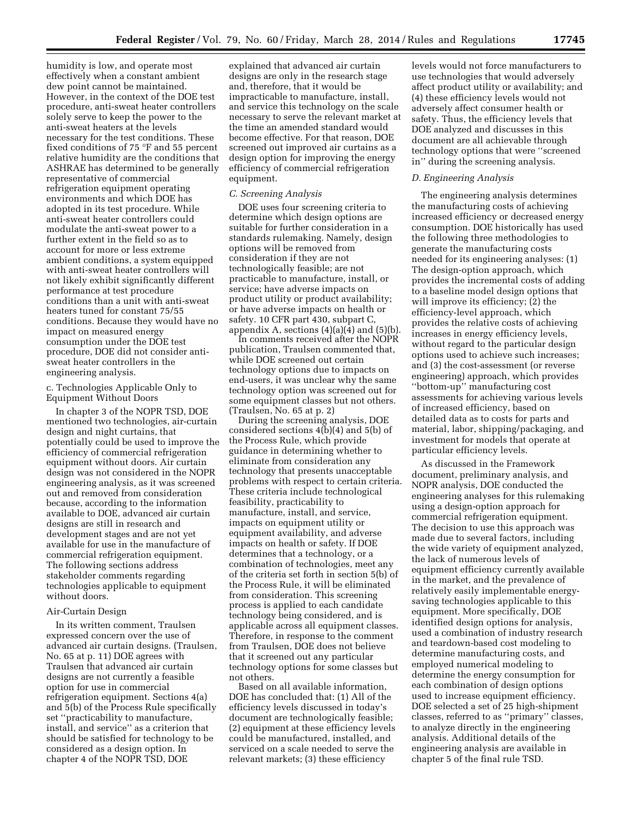humidity is low, and operate most effectively when a constant ambient dew point cannot be maintained. However, in the context of the DOE test procedure, anti-sweat heater controllers solely serve to keep the power to the anti-sweat heaters at the levels necessary for the test conditions. These fixed conditions of 75 °F and 55 percent relative humidity are the conditions that ASHRAE has determined to be generally representative of commercial refrigeration equipment operating environments and which DOE has adopted in its test procedure. While anti-sweat heater controllers could modulate the anti-sweat power to a further extent in the field so as to account for more or less extreme ambient conditions, a system equipped with anti-sweat heater controllers will not likely exhibit significantly different performance at test procedure conditions than a unit with anti-sweat heaters tuned for constant 75/55 conditions. Because they would have no impact on measured energy consumption under the DOE test procedure, DOE did not consider antisweat heater controllers in the engineering analysis.

c. Technologies Applicable Only to Equipment Without Doors

In chapter 3 of the NOPR TSD, DOE mentioned two technologies, air-curtain design and night curtains, that potentially could be used to improve the efficiency of commercial refrigeration equipment without doors. Air curtain design was not considered in the NOPR engineering analysis, as it was screened out and removed from consideration because, according to the information available to DOE, advanced air curtain designs are still in research and development stages and are not yet available for use in the manufacture of commercial refrigeration equipment. The following sections address stakeholder comments regarding technologies applicable to equipment without doors.

#### Air-Curtain Design

In its written comment, Traulsen expressed concern over the use of advanced air curtain designs. (Traulsen, No. 65 at p. 11) DOE agrees with Traulsen that advanced air curtain designs are not currently a feasible option for use in commercial refrigeration equipment. Sections 4(a) and 5(b) of the Process Rule specifically set ''practicability to manufacture, install, and service'' as a criterion that should be satisfied for technology to be considered as a design option. In chapter 4 of the NOPR TSD, DOE

explained that advanced air curtain designs are only in the research stage and, therefore, that it would be impracticable to manufacture, install, and service this technology on the scale necessary to serve the relevant market at the time an amended standard would become effective. For that reason, DOE screened out improved air curtains as a design option for improving the energy efficiency of commercial refrigeration equipment.

# *C. Screening Analysis*

DOE uses four screening criteria to determine which design options are suitable for further consideration in a standards rulemaking. Namely, design options will be removed from consideration if they are not technologically feasible; are not practicable to manufacture, install, or service; have adverse impacts on product utility or product availability; or have adverse impacts on health or safety. 10 CFR part 430, subpart C, appendix A, sections  $(4)(a)(\overline{4})$  and  $(5)(b)$ .

In comments received after the NOPR publication, Traulsen commented that, while DOE screened out certain technology options due to impacts on end-users, it was unclear why the same technology option was screened out for some equipment classes but not others. (Traulsen, No. 65 at p. 2)

During the screening analysis, DOE considered sections 4(b)(4) and 5(b) of the Process Rule, which provide guidance in determining whether to eliminate from consideration any technology that presents unacceptable problems with respect to certain criteria. These criteria include technological feasibility, practicability to manufacture, install, and service, impacts on equipment utility or equipment availability, and adverse impacts on health or safety. If DOE determines that a technology, or a combination of technologies, meet any of the criteria set forth in section 5(b) of the Process Rule, it will be eliminated from consideration. This screening process is applied to each candidate technology being considered, and is applicable across all equipment classes. Therefore, in response to the comment from Traulsen, DOE does not believe that it screened out any particular technology options for some classes but not others.

Based on all available information, DOE has concluded that: (1) All of the efficiency levels discussed in today's document are technologically feasible; (2) equipment at these efficiency levels could be manufactured, installed, and serviced on a scale needed to serve the relevant markets; (3) these efficiency

levels would not force manufacturers to use technologies that would adversely affect product utility or availability; and (4) these efficiency levels would not adversely affect consumer health or safety. Thus, the efficiency levels that DOE analyzed and discusses in this document are all achievable through technology options that were ''screened in'' during the screening analysis.

#### *D. Engineering Analysis*

The engineering analysis determines the manufacturing costs of achieving increased efficiency or decreased energy consumption. DOE historically has used the following three methodologies to generate the manufacturing costs needed for its engineering analyses: (1) The design-option approach, which provides the incremental costs of adding to a baseline model design options that will improve its efficiency; (2) the efficiency-level approach, which provides the relative costs of achieving increases in energy efficiency levels, without regard to the particular design options used to achieve such increases; and (3) the cost-assessment (or reverse engineering) approach, which provides ''bottom-up'' manufacturing cost assessments for achieving various levels of increased efficiency, based on detailed data as to costs for parts and material, labor, shipping/packaging, and investment for models that operate at particular efficiency levels.

As discussed in the Framework document, preliminary analysis, and NOPR analysis, DOE conducted the engineering analyses for this rulemaking using a design-option approach for commercial refrigeration equipment. The decision to use this approach was made due to several factors, including the wide variety of equipment analyzed, the lack of numerous levels of equipment efficiency currently available in the market, and the prevalence of relatively easily implementable energysaving technologies applicable to this equipment. More specifically, DOE identified design options for analysis, used a combination of industry research and teardown-based cost modeling to determine manufacturing costs, and employed numerical modeling to determine the energy consumption for each combination of design options used to increase equipment efficiency. DOE selected a set of 25 high-shipment classes, referred to as ''primary'' classes, to analyze directly in the engineering analysis. Additional details of the engineering analysis are available in chapter 5 of the final rule TSD.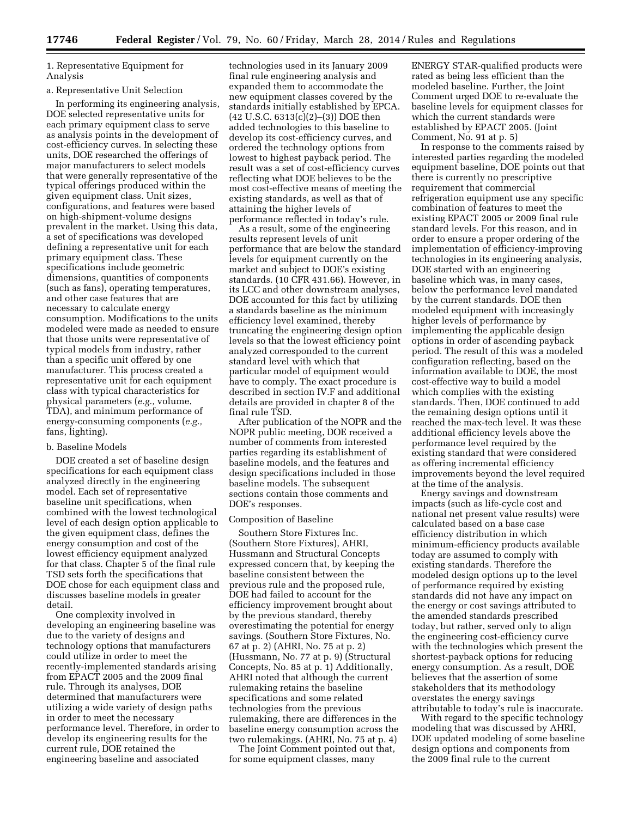1. Representative Equipment for Analysis

#### a. Representative Unit Selection

In performing its engineering analysis, DOE selected representative units for each primary equipment class to serve as analysis points in the development of cost-efficiency curves. In selecting these units, DOE researched the offerings of major manufacturers to select models that were generally representative of the typical offerings produced within the given equipment class. Unit sizes, configurations, and features were based on high-shipment-volume designs prevalent in the market. Using this data, a set of specifications was developed defining a representative unit for each primary equipment class. These specifications include geometric dimensions, quantities of components (such as fans), operating temperatures, and other case features that are necessary to calculate energy consumption. Modifications to the units modeled were made as needed to ensure that those units were representative of typical models from industry, rather than a specific unit offered by one manufacturer. This process created a representative unit for each equipment class with typical characteristics for physical parameters (*e.g.,* volume, TDA), and minimum performance of energy-consuming components (*e.g.,*  fans, lighting).

# b. Baseline Models

DOE created a set of baseline design specifications for each equipment class analyzed directly in the engineering model. Each set of representative baseline unit specifications, when combined with the lowest technological level of each design option applicable to the given equipment class, defines the energy consumption and cost of the lowest efficiency equipment analyzed for that class. Chapter 5 of the final rule TSD sets forth the specifications that DOE chose for each equipment class and discusses baseline models in greater detail.

One complexity involved in developing an engineering baseline was due to the variety of designs and technology options that manufacturers could utilize in order to meet the recently-implemented standards arising from EPACT 2005 and the 2009 final rule. Through its analyses, DOE determined that manufacturers were utilizing a wide variety of design paths in order to meet the necessary performance level. Therefore, in order to develop its engineering results for the current rule, DOE retained the engineering baseline and associated

technologies used in its January 2009 final rule engineering analysis and expanded them to accommodate the new equipment classes covered by the standards initially established by EPCA. (42 U.S.C. 6313(c)(2)–(3)) DOE then added technologies to this baseline to develop its cost-efficiency curves, and ordered the technology options from lowest to highest payback period. The result was a set of cost-efficiency curves reflecting what DOE believes to be the most cost-effective means of meeting the existing standards, as well as that of attaining the higher levels of performance reflected in today's rule.

As a result, some of the engineering results represent levels of unit performance that are below the standard levels for equipment currently on the market and subject to DOE's existing standards. (10 CFR 431.66). However, in its LCC and other downstream analyses, DOE accounted for this fact by utilizing a standards baseline as the minimum efficiency level examined, thereby truncating the engineering design option levels so that the lowest efficiency point analyzed corresponded to the current standard level with which that particular model of equipment would have to comply. The exact procedure is described in section IV.F and additional details are provided in chapter 8 of the final rule TSD.

After publication of the NOPR and the NOPR public meeting, DOE received a number of comments from interested parties regarding its establishment of baseline models, and the features and design specifications included in those baseline models. The subsequent sections contain those comments and DOE's responses.

#### Composition of Baseline

Southern Store Fixtures Inc. (Southern Store Fixtures), AHRI, Hussmann and Structural Concepts expressed concern that, by keeping the baseline consistent between the previous rule and the proposed rule, DOE had failed to account for the efficiency improvement brought about by the previous standard, thereby overestimating the potential for energy savings. (Southern Store Fixtures, No. 67 at p. 2) (AHRI, No. 75 at p. 2) (Hussmann, No. 77 at p. 9) (Structural Concepts, No. 85 at p. 1) Additionally, AHRI noted that although the current rulemaking retains the baseline specifications and some related technologies from the previous rulemaking, there are differences in the baseline energy consumption across the two rulemakings. (AHRI, No. 75 at p. 4)

The Joint Comment pointed out that, for some equipment classes, many

ENERGY STAR-qualified products were rated as being less efficient than the modeled baseline. Further, the Joint Comment urged DOE to re-evaluate the baseline levels for equipment classes for which the current standards were established by EPACT 2005. (Joint Comment, No. 91 at p. 5)

In response to the comments raised by interested parties regarding the modeled equipment baseline, DOE points out that there is currently no prescriptive requirement that commercial refrigeration equipment use any specific combination of features to meet the existing EPACT 2005 or 2009 final rule standard levels. For this reason, and in order to ensure a proper ordering of the implementation of efficiency-improving technologies in its engineering analysis, DOE started with an engineering baseline which was, in many cases, below the performance level mandated by the current standards. DOE then modeled equipment with increasingly higher levels of performance by implementing the applicable design options in order of ascending payback period. The result of this was a modeled configuration reflecting, based on the information available to DOE, the most cost-effective way to build a model which complies with the existing standards. Then, DOE continued to add the remaining design options until it reached the max-tech level. It was these additional efficiency levels above the performance level required by the existing standard that were considered as offering incremental efficiency improvements beyond the level required at the time of the analysis.

Energy savings and downstream impacts (such as life-cycle cost and national net present value results) were calculated based on a base case efficiency distribution in which minimum-efficiency products available today are assumed to comply with existing standards. Therefore the modeled design options up to the level of performance required by existing standards did not have any impact on the energy or cost savings attributed to the amended standards prescribed today, but rather, served only to align the engineering cost-efficiency curve with the technologies which present the shortest-payback options for reducing energy consumption. As a result, DOE believes that the assertion of some stakeholders that its methodology overstates the energy savings attributable to today's rule is inaccurate.

With regard to the specific technology modeling that was discussed by AHRI, DOE updated modeling of some baseline design options and components from the 2009 final rule to the current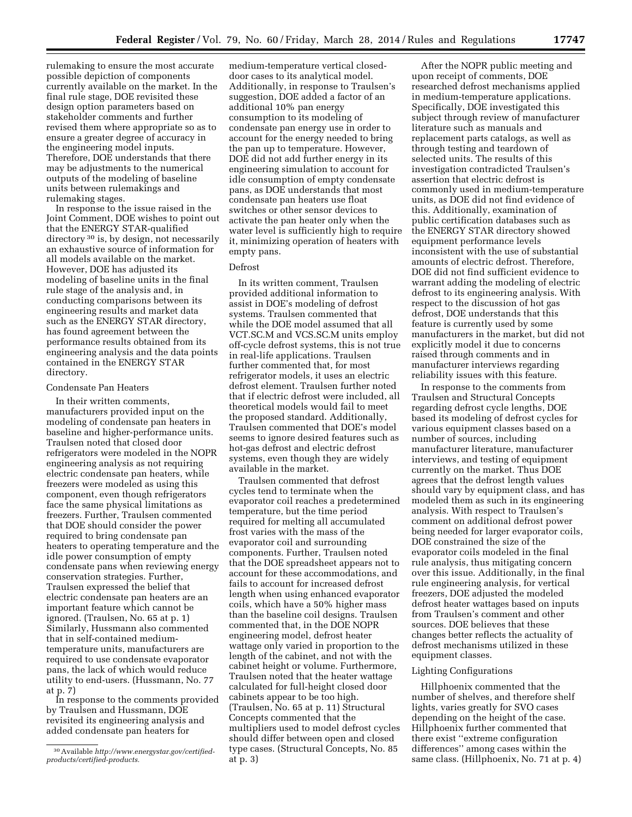rulemaking to ensure the most accurate possible depiction of components currently available on the market. In the final rule stage, DOE revisited these design option parameters based on stakeholder comments and further revised them where appropriate so as to ensure a greater degree of accuracy in the engineering model inputs. Therefore, DOE understands that there may be adjustments to the numerical outputs of the modeling of baseline units between rulemakings and rulemaking stages.

In response to the issue raised in the Joint Comment, DOE wishes to point out that the ENERGY STAR-qualified directory <sup>30</sup> is, by design, not necessarily an exhaustive source of information for all models available on the market. However, DOE has adjusted its modeling of baseline units in the final rule stage of the analysis and, in conducting comparisons between its engineering results and market data such as the ENERGY STAR directory, has found agreement between the performance results obtained from its engineering analysis and the data points contained in the ENERGY STAR directory.

#### Condensate Pan Heaters

In their written comments, manufacturers provided input on the modeling of condensate pan heaters in baseline and higher-performance units. Traulsen noted that closed door refrigerators were modeled in the NOPR engineering analysis as not requiring electric condensate pan heaters, while freezers were modeled as using this component, even though refrigerators face the same physical limitations as freezers. Further, Traulsen commented that DOE should consider the power required to bring condensate pan heaters to operating temperature and the idle power consumption of empty condensate pans when reviewing energy conservation strategies. Further, Traulsen expressed the belief that electric condensate pan heaters are an important feature which cannot be ignored. (Traulsen, No. 65 at p. 1) Similarly, Hussmann also commented that in self-contained mediumtemperature units, manufacturers are required to use condensate evaporator pans, the lack of which would reduce utility to end-users. (Hussmann, No. 77 at p. 7)

In response to the comments provided by Traulsen and Hussmann, DOE revisited its engineering analysis and added condensate pan heaters for

medium-temperature vertical closeddoor cases to its analytical model. Additionally, in response to Traulsen's suggestion, DOE added a factor of an additional 10% pan energy consumption to its modeling of condensate pan energy use in order to account for the energy needed to bring the pan up to temperature. However, DOE did not add further energy in its engineering simulation to account for idle consumption of empty condensate pans, as DOE understands that most condensate pan heaters use float switches or other sensor devices to activate the pan heater only when the water level is sufficiently high to require it, minimizing operation of heaters with empty pans.

# Defrost

In its written comment, Traulsen provided additional information to assist in DOE's modeling of defrost systems. Traulsen commented that while the DOE model assumed that all VCT.SC.M and VCS.SC.M units employ off-cycle defrost systems, this is not true in real-life applications. Traulsen further commented that, for most refrigerator models, it uses an electric defrost element. Traulsen further noted that if electric defrost were included, all theoretical models would fail to meet the proposed standard. Additionally, Traulsen commented that DOE's model seems to ignore desired features such as hot-gas defrost and electric defrost systems, even though they are widely available in the market.

Traulsen commented that defrost cycles tend to terminate when the evaporator coil reaches a predetermined temperature, but the time period required for melting all accumulated frost varies with the mass of the evaporator coil and surrounding components. Further, Traulsen noted that the DOE spreadsheet appears not to account for these accommodations, and fails to account for increased defrost length when using enhanced evaporator coils, which have a 50% higher mass than the baseline coil designs. Traulsen commented that, in the DOE NOPR engineering model, defrost heater wattage only varied in proportion to the length of the cabinet, and not with the cabinet height or volume. Furthermore, Traulsen noted that the heater wattage calculated for full-height closed door cabinets appear to be too high. (Traulsen, No. 65 at p. 11) Structural Concepts commented that the multipliers used to model defrost cycles should differ between open and closed type cases. (Structural Concepts, No. 85 at p. 3)

After the NOPR public meeting and upon receipt of comments, DOE researched defrost mechanisms applied in medium-temperature applications. Specifically, DOE investigated this subject through review of manufacturer literature such as manuals and replacement parts catalogs, as well as through testing and teardown of selected units. The results of this investigation contradicted Traulsen's assertion that electric defrost is commonly used in medium-temperature units, as DOE did not find evidence of this. Additionally, examination of public certification databases such as the ENERGY STAR directory showed equipment performance levels inconsistent with the use of substantial amounts of electric defrost. Therefore, DOE did not find sufficient evidence to warrant adding the modeling of electric defrost to its engineering analysis. With respect to the discussion of hot gas defrost, DOE understands that this feature is currently used by some manufacturers in the market, but did not explicitly model it due to concerns raised through comments and in manufacturer interviews regarding reliability issues with this feature.

In response to the comments from Traulsen and Structural Concepts regarding defrost cycle lengths, DOE based its modeling of defrost cycles for various equipment classes based on a number of sources, including manufacturer literature, manufacturer interviews, and testing of equipment currently on the market. Thus DOE agrees that the defrost length values should vary by equipment class, and has modeled them as such in its engineering analysis. With respect to Traulsen's comment on additional defrost power being needed for larger evaporator coils, DOE constrained the size of the evaporator coils modeled in the final rule analysis, thus mitigating concern over this issue. Additionally, in the final rule engineering analysis, for vertical freezers, DOE adjusted the modeled defrost heater wattages based on inputs from Traulsen's comment and other sources. DOE believes that these changes better reflects the actuality of defrost mechanisms utilized in these equipment classes.

# Lighting Configurations

Hillphoenix commented that the number of shelves, and therefore shelf lights, varies greatly for SVO cases depending on the height of the case. Hillphoenix further commented that there exist ''extreme configuration differences'' among cases within the same class. (Hillphoenix, No. 71 at p. 4)

<sup>30</sup>Available *[http://www.energystar.gov/certified](http://www.energystar.gov/certified-products/certified-products)[products/certified-products.](http://www.energystar.gov/certified-products/certified-products)*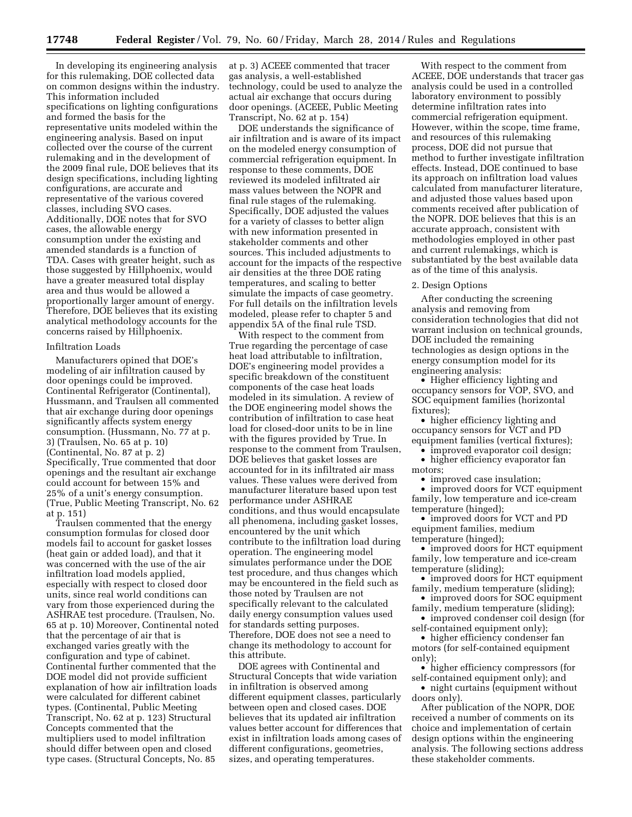In developing its engineering analysis for this rulemaking, DOE collected data on common designs within the industry. This information included specifications on lighting configurations and formed the basis for the representative units modeled within the engineering analysis. Based on input collected over the course of the current rulemaking and in the development of the 2009 final rule, DOE believes that its design specifications, including lighting configurations, are accurate and representative of the various covered classes, including SVO cases. Additionally, DOE notes that for SVO cases, the allowable energy consumption under the existing and amended standards is a function of TDA. Cases with greater height, such as those suggested by Hillphoenix, would have a greater measured total display area and thus would be allowed a proportionally larger amount of energy. Therefore, DOE believes that its existing analytical methodology accounts for the concerns raised by Hillphoenix.

#### Infiltration Loads

Manufacturers opined that DOE's modeling of air infiltration caused by door openings could be improved. Continental Refrigerator (Continental), Hussmann, and Traulsen all commented that air exchange during door openings significantly affects system energy consumption. (Hussmann, No. 77 at p. 3) (Traulsen, No. 65 at p. 10) (Continental, No. 87 at p. 2) Specifically, True commented that door openings and the resultant air exchange could account for between 15% and 25% of a unit's energy consumption. (True, Public Meeting Transcript, No. 62 at p. 151)

Traulsen commented that the energy consumption formulas for closed door models fail to account for gasket losses (heat gain or added load), and that it was concerned with the use of the air infiltration load models applied, especially with respect to closed door units, since real world conditions can vary from those experienced during the ASHRAE test procedure. (Traulsen, No. 65 at p. 10) Moreover, Continental noted that the percentage of air that is exchanged varies greatly with the configuration and type of cabinet. Continental further commented that the DOE model did not provide sufficient explanation of how air infiltration loads were calculated for different cabinet types. (Continental, Public Meeting Transcript, No. 62 at p. 123) Structural Concepts commented that the multipliers used to model infiltration should differ between open and closed type cases. (Structural Concepts, No. 85

at p. 3) ACEEE commented that tracer gas analysis, a well-established technology, could be used to analyze the actual air exchange that occurs during door openings. (ACEEE, Public Meeting Transcript, No. 62 at p. 154)

DOE understands the significance of air infiltration and is aware of its impact on the modeled energy consumption of commercial refrigeration equipment. In response to these comments, DOE reviewed its modeled infiltrated air mass values between the NOPR and final rule stages of the rulemaking. Specifically, DOE adjusted the values for a variety of classes to better align with new information presented in stakeholder comments and other sources. This included adjustments to account for the impacts of the respective air densities at the three DOE rating temperatures, and scaling to better simulate the impacts of case geometry. For full details on the infiltration levels modeled, please refer to chapter 5 and appendix 5A of the final rule TSD.

With respect to the comment from True regarding the percentage of case heat load attributable to infiltration, DOE's engineering model provides a specific breakdown of the constituent components of the case heat loads modeled in its simulation. A review of the DOE engineering model shows the contribution of infiltration to case heat load for closed-door units to be in line with the figures provided by True. In response to the comment from Traulsen, DOE believes that gasket losses are accounted for in its infiltrated air mass values. These values were derived from manufacturer literature based upon test performance under ASHRAE conditions, and thus would encapsulate all phenomena, including gasket losses, encountered by the unit which contribute to the infiltration load during operation. The engineering model simulates performance under the DOE test procedure, and thus changes which may be encountered in the field such as those noted by Traulsen are not specifically relevant to the calculated daily energy consumption values used for standards setting purposes. Therefore, DOE does not see a need to change its methodology to account for this attribute.

DOE agrees with Continental and Structural Concepts that wide variation in infiltration is observed among different equipment classes, particularly between open and closed cases. DOE believes that its updated air infiltration values better account for differences that exist in infiltration loads among cases of different configurations, geometries, sizes, and operating temperatures.

With respect to the comment from ACEEE, DOE understands that tracer gas analysis could be used in a controlled laboratory environment to possibly determine infiltration rates into commercial refrigeration equipment. However, within the scope, time frame, and resources of this rulemaking process, DOE did not pursue that method to further investigate infiltration effects. Instead, DOE continued to base its approach on infiltration load values calculated from manufacturer literature, and adjusted those values based upon comments received after publication of the NOPR. DOE believes that this is an accurate approach, consistent with methodologies employed in other past and current rulemakings, which is substantiated by the best available data as of the time of this analysis.

#### 2. Design Options

After conducting the screening analysis and removing from consideration technologies that did not warrant inclusion on technical grounds, DOE included the remaining technologies as design options in the energy consumption model for its engineering analysis:

• Higher efficiency lighting and occupancy sensors for VOP, SVO, and SOC equipment families (horizontal fixtures);

• higher efficiency lighting and occupancy sensors for VCT and PD equipment families (vertical fixtures);

• improved evaporator coil design;

• higher efficiency evaporator fan motors;

• improved case insulation;

• improved doors for VCT equipment family, low temperature and ice-cream temperature (hinged);

• improved doors for VCT and PD equipment families, medium temperature (hinged);

• improved doors for HCT equipment family, low temperature and ice-cream temperature (sliding);

• improved doors for HCT equipment family, medium temperature (sliding);

• improved doors for SOC equipment family, medium temperature (sliding);

• improved condenser coil design (for self-contained equipment only);

• higher efficiency condenser fan motors (for self-contained equipment only);

• higher efficiency compressors (for self-contained equipment only); and

• night curtains (equipment without doors only).

After publication of the NOPR, DOE received a number of comments on its choice and implementation of certain design options within the engineering analysis. The following sections address these stakeholder comments.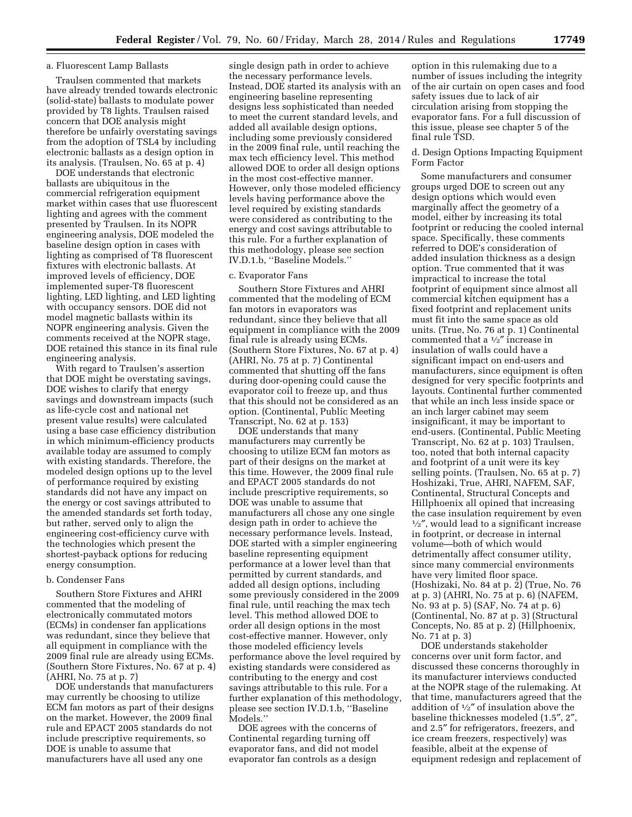#### a. Fluorescent Lamp Ballasts

Traulsen commented that markets have already trended towards electronic (solid-state) ballasts to modulate power provided by T8 lights. Traulsen raised concern that DOE analysis might therefore be unfairly overstating savings from the adoption of TSL4 by including electronic ballasts as a design option in its analysis. (Traulsen, No. 65 at p. 4)

DOE understands that electronic ballasts are ubiquitous in the commercial refrigeration equipment market within cases that use fluorescent lighting and agrees with the comment presented by Traulsen. In its NOPR engineering analysis, DOE modeled the baseline design option in cases with lighting as comprised of T8 fluorescent fixtures with electronic ballasts. At improved levels of efficiency, DOE implemented super-T8 fluorescent lighting, LED lighting, and LED lighting with occupancy sensors. DOE did not model magnetic ballasts within its NOPR engineering analysis. Given the comments received at the NOPR stage, DOE retained this stance in its final rule engineering analysis.

With regard to Traulsen's assertion that DOE might be overstating savings, DOE wishes to clarify that energy savings and downstream impacts (such as life-cycle cost and national net present value results) were calculated using a base case efficiency distribution in which minimum-efficiency products available today are assumed to comply with existing standards. Therefore, the modeled design options up to the level of performance required by existing standards did not have any impact on the energy or cost savings attributed to the amended standards set forth today, but rather, served only to align the engineering cost-efficiency curve with the technologies which present the shortest-payback options for reducing energy consumption.

# b. Condenser Fans

Southern Store Fixtures and AHRI commented that the modeling of electronically commutated motors (ECMs) in condenser fan applications was redundant, since they believe that all equipment in compliance with the 2009 final rule are already using ECMs. (Southern Store Fixtures, No. 67 at p. 4) (AHRI, No. 75 at p. 7)

DOE understands that manufacturers may currently be choosing to utilize ECM fan motors as part of their designs on the market. However, the 2009 final rule and EPACT 2005 standards do not include prescriptive requirements, so DOE is unable to assume that manufacturers have all used any one

single design path in order to achieve the necessary performance levels. Instead, DOE started its analysis with an engineering baseline representing designs less sophisticated than needed to meet the current standard levels, and added all available design options, including some previously considered in the 2009 final rule, until reaching the max tech efficiency level. This method allowed DOE to order all design options in the most cost-effective manner. However, only those modeled efficiency levels having performance above the level required by existing standards were considered as contributing to the energy and cost savings attributable to this rule. For a further explanation of this methodology, please see section IV.D.1.b, ''Baseline Models.''

# c. Evaporator Fans

Southern Store Fixtures and AHRI commented that the modeling of ECM fan motors in evaporators was redundant, since they believe that all equipment in compliance with the 2009 final rule is already using ECMs. (Southern Store Fixtures, No. 67 at p. 4) (AHRI, No. 75 at p. 7) Continental commented that shutting off the fans during door-opening could cause the evaporator coil to freeze up, and thus that this should not be considered as an option. (Continental, Public Meeting Transcript, No. 62 at p. 153)

DOE understands that many manufacturers may currently be choosing to utilize ECM fan motors as part of their designs on the market at this time. However, the 2009 final rule and EPACT 2005 standards do not include prescriptive requirements, so DOE was unable to assume that manufacturers all chose any one single design path in order to achieve the necessary performance levels. Instead, DOE started with a simpler engineering baseline representing equipment performance at a lower level than that permitted by current standards, and added all design options, including some previously considered in the 2009 final rule, until reaching the max tech level. This method allowed DOE to order all design options in the most cost-effective manner. However, only those modeled efficiency levels performance above the level required by existing standards were considered as contributing to the energy and cost savings attributable to this rule. For a further explanation of this methodology, please see section IV.D.1.b, ''Baseline Models.''

DOE agrees with the concerns of Continental regarding turning off evaporator fans, and did not model evaporator fan controls as a design

option in this rulemaking due to a number of issues including the integrity of the air curtain on open cases and food safety issues due to lack of air circulation arising from stopping the evaporator fans. For a full discussion of this issue, please see chapter 5 of the final rule TSD.

# d. Design Options Impacting Equipment Form Factor

Some manufacturers and consumer groups urged DOE to screen out any design options which would even marginally affect the geometry of a model, either by increasing its total footprint or reducing the cooled internal space. Specifically, these comments referred to DOE's consideration of added insulation thickness as a design option. True commented that it was impractical to increase the total footprint of equipment since almost all commercial kitchen equipment has a fixed footprint and replacement units must fit into the same space as old units. (True, No. 76 at p. 1) Continental commented that a 1⁄2″ increase in insulation of walls could have a significant impact on end-users and manufacturers, since equipment is often designed for very specific footprints and layouts. Continental further commented that while an inch less inside space or an inch larger cabinet may seem insignificant, it may be important to end-users. (Continental, Public Meeting Transcript, No. 62 at p. 103) Traulsen, too, noted that both internal capacity and footprint of a unit were its key selling points. (Traulsen, No. 65 at p. 7) Hoshizaki, True, AHRI, NAFEM, SAF, Continental, Structural Concepts and Hillphoenix all opined that increasing the case insulation requirement by even 1⁄2″, would lead to a significant increase in footprint, or decrease in internal volume—both of which would detrimentally affect consumer utility, since many commercial environments have very limited floor space. (Hoshizaki, No. 84 at p. 2) (True, No. 76 at p. 3) (AHRI, No. 75 at p. 6) (NAFEM, No. 93 at p. 5) (SAF, No. 74 at p. 6) (Continental, No. 87 at p. 3) (Structural Concepts, No. 85 at p. 2) (Hillphoenix, No. 71 at p. 3)

DOE understands stakeholder concerns over unit form factor, and discussed these concerns thoroughly in its manufacturer interviews conducted at the NOPR stage of the rulemaking. At that time, manufacturers agreed that the addition of 1⁄2″ of insulation above the baseline thicknesses modeled (1.5″, 2″, and 2.5″ for refrigerators, freezers, and ice cream freezers, respectively) was feasible, albeit at the expense of equipment redesign and replacement of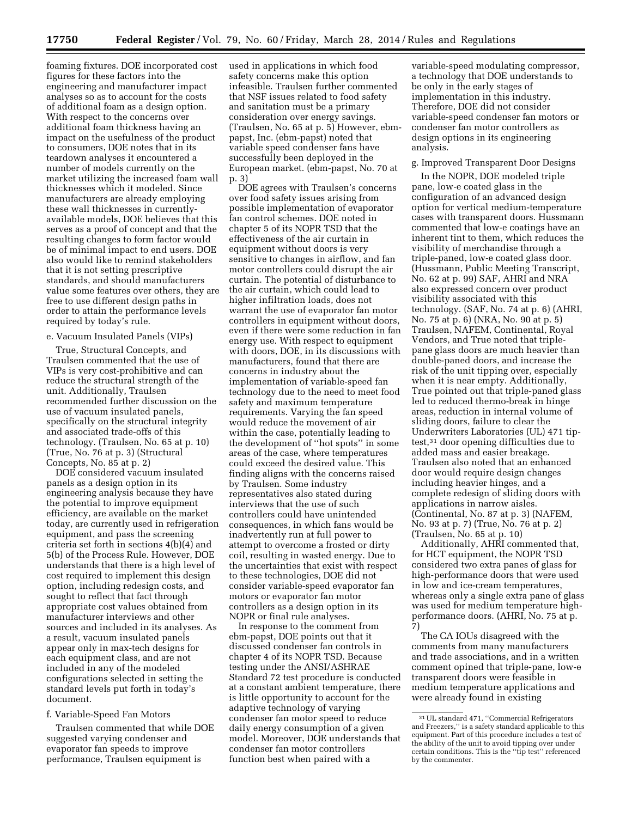foaming fixtures. DOE incorporated cost figures for these factors into the engineering and manufacturer impact analyses so as to account for the costs of additional foam as a design option. With respect to the concerns over additional foam thickness having an impact on the usefulness of the product to consumers, DOE notes that in its teardown analyses it encountered a number of models currently on the market utilizing the increased foam wall thicknesses which it modeled. Since manufacturers are already employing these wall thicknesses in currentlyavailable models, DOE believes that this serves as a proof of concept and that the resulting changes to form factor would be of minimal impact to end users. DOE also would like to remind stakeholders that it is not setting prescriptive standards, and should manufacturers value some features over others, they are free to use different design paths in order to attain the performance levels required by today's rule.

#### e. Vacuum Insulated Panels (VIPs)

True, Structural Concepts, and Traulsen commented that the use of VIPs is very cost-prohibitive and can reduce the structural strength of the unit. Additionally, Traulsen recommended further discussion on the use of vacuum insulated panels, specifically on the structural integrity and associated trade-offs of this technology. (Traulsen, No. 65 at p. 10) (True, No. 76 at p. 3) (Structural Concepts, No. 85 at p. 2)

DOE considered vacuum insulated panels as a design option in its engineering analysis because they have the potential to improve equipment efficiency, are available on the market today, are currently used in refrigeration equipment, and pass the screening criteria set forth in sections 4(b)(4) and 5(b) of the Process Rule. However, DOE understands that there is a high level of cost required to implement this design option, including redesign costs, and sought to reflect that fact through appropriate cost values obtained from manufacturer interviews and other sources and included in its analyses. As a result, vacuum insulated panels appear only in max-tech designs for each equipment class, and are not included in any of the modeled configurations selected in setting the standard levels put forth in today's document.

#### f. Variable-Speed Fan Motors

Traulsen commented that while DOE suggested varying condenser and evaporator fan speeds to improve performance, Traulsen equipment is

used in applications in which food safety concerns make this option infeasible. Traulsen further commented that NSF issues related to food safety and sanitation must be a primary consideration over energy savings. (Traulsen, No. 65 at p. 5) However, ebmpapst, Inc. (ebm-papst) noted that variable speed condenser fans have successfully been deployed in the European market. (ebm-papst, No. 70 at p. 3)

DOE agrees with Traulsen's concerns over food safety issues arising from possible implementation of evaporator fan control schemes. DOE noted in chapter 5 of its NOPR TSD that the effectiveness of the air curtain in equipment without doors is very sensitive to changes in airflow, and fan motor controllers could disrupt the air curtain. The potential of disturbance to the air curtain, which could lead to higher infiltration loads, does not warrant the use of evaporator fan motor controllers in equipment without doors, even if there were some reduction in fan energy use. With respect to equipment with doors, DOE, in its discussions with manufacturers, found that there are concerns in industry about the implementation of variable-speed fan technology due to the need to meet food safety and maximum temperature requirements. Varying the fan speed would reduce the movement of air within the case, potentially leading to the development of ''hot spots'' in some areas of the case, where temperatures could exceed the desired value. This finding aligns with the concerns raised by Traulsen. Some industry representatives also stated during interviews that the use of such controllers could have unintended consequences, in which fans would be inadvertently run at full power to attempt to overcome a frosted or dirty coil, resulting in wasted energy. Due to the uncertainties that exist with respect to these technologies, DOE did not consider variable-speed evaporator fan motors or evaporator fan motor controllers as a design option in its NOPR or final rule analyses.

In response to the comment from ebm-papst, DOE points out that it discussed condenser fan controls in chapter 4 of its NOPR TSD. Because testing under the ANSI/ASHRAE Standard 72 test procedure is conducted at a constant ambient temperature, there is little opportunity to account for the adaptive technology of varying condenser fan motor speed to reduce daily energy consumption of a given model. Moreover, DOE understands that condenser fan motor controllers function best when paired with a

variable-speed modulating compressor, a technology that DOE understands to be only in the early stages of implementation in this industry. Therefore, DOE did not consider variable-speed condenser fan motors or condenser fan motor controllers as design options in its engineering analysis.

## g. Improved Transparent Door Designs

In the NOPR, DOE modeled triple pane, low-e coated glass in the configuration of an advanced design option for vertical medium-temperature cases with transparent doors. Hussmann commented that low-e coatings have an inherent tint to them, which reduces the visibility of merchandise through a triple-paned, low-e coated glass door. (Hussmann, Public Meeting Transcript, No. 62 at p. 99) SAF, AHRI and NRA also expressed concern over product visibility associated with this technology. (SAF, No. 74 at p. 6) (AHRI, No. 75 at p. 6) (NRA, No. 90 at p. 5) Traulsen, NAFEM, Continental, Royal Vendors, and True noted that triplepane glass doors are much heavier than double-paned doors, and increase the risk of the unit tipping over, especially when it is near empty. Additionally, True pointed out that triple-paned glass led to reduced thermo-break in hinge areas, reduction in internal volume of sliding doors, failure to clear the Underwriters Laboratories (UL) 471 tiptest,31 door opening difficulties due to added mass and easier breakage. Traulsen also noted that an enhanced door would require design changes including heavier hinges, and a complete redesign of sliding doors with applications in narrow aisles. (Continental, No. 87 at p. 3) (NAFEM, No. 93 at p. 7) (True, No. 76 at p. 2) (Traulsen, No. 65 at p. 10)

Additionally, AHRI commented that, for HCT equipment, the NOPR TSD considered two extra panes of glass for high-performance doors that were used in low and ice-cream temperatures, whereas only a single extra pane of glass was used for medium temperature highperformance doors. (AHRI, No. 75 at p. 7)

The CA IOUs disagreed with the comments from many manufacturers and trade associations, and in a written comment opined that triple-pane, low-e transparent doors were feasible in medium temperature applications and were already found in existing

<sup>31</sup>UL standard 471, ''Commercial Refrigerators and Freezers,'' is a safety standard applicable to this equipment. Part of this procedure includes a test of the ability of the unit to avoid tipping over under certain conditions. This is the ''tip test'' referenced by the commenter.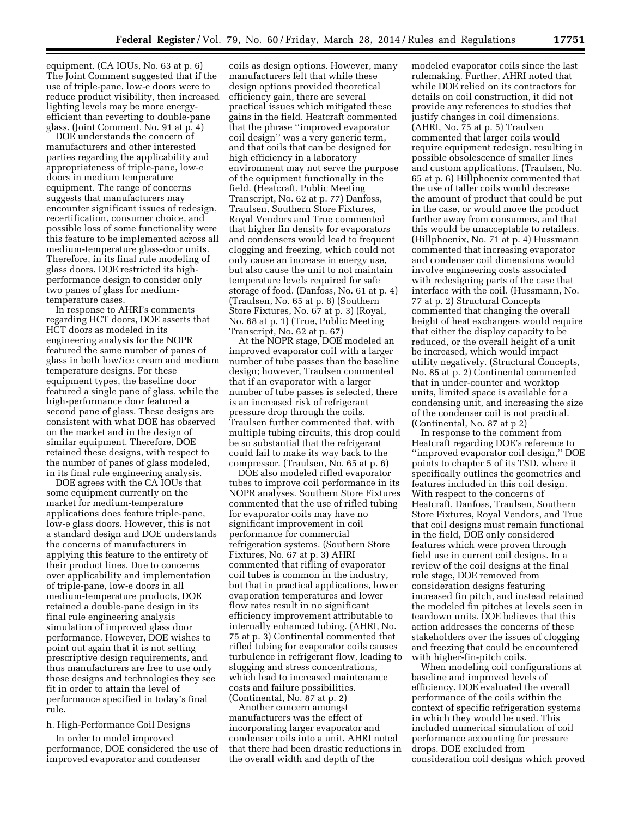equipment. (CA IOUs, No. 63 at p. 6) The Joint Comment suggested that if the use of triple-pane, low-e doors were to reduce product visibility, then increased lighting levels may be more energyefficient than reverting to double-pane glass. (Joint Comment, No. 91 at p. 4)

DOE understands the concern of manufacturers and other interested parties regarding the applicability and appropriateness of triple-pane, low-e doors in medium temperature equipment. The range of concerns suggests that manufacturers may encounter significant issues of redesign, recertification, consumer choice, and possible loss of some functionality were this feature to be implemented across all medium-temperature glass-door units. Therefore, in its final rule modeling of glass doors, DOE restricted its highperformance design to consider only two panes of glass for mediumtemperature cases.

In response to AHRI's comments regarding HCT doors, DOE asserts that HCT doors as modeled in its engineering analysis for the NOPR featured the same number of panes of glass in both low/ice cream and medium temperature designs. For these equipment types, the baseline door featured a single pane of glass, while the high-performance door featured a second pane of glass. These designs are consistent with what DOE has observed on the market and in the design of similar equipment. Therefore, DOE retained these designs, with respect to the number of panes of glass modeled, in its final rule engineering analysis.

DOE agrees with the CA IOUs that some equipment currently on the market for medium-temperature applications does feature triple-pane, low-e glass doors. However, this is not a standard design and DOE understands the concerns of manufacturers in applying this feature to the entirety of their product lines. Due to concerns over applicability and implementation of triple-pane, low-e doors in all medium-temperature products, DOE retained a double-pane design in its final rule engineering analysis simulation of improved glass door performance. However, DOE wishes to point out again that it is not setting prescriptive design requirements, and thus manufacturers are free to use only those designs and technologies they see fit in order to attain the level of performance specified in today's final rule.

# h. High-Performance Coil Designs

In order to model improved performance, DOE considered the use of improved evaporator and condenser

coils as design options. However, many manufacturers felt that while these design options provided theoretical efficiency gain, there are several practical issues which mitigated these gains in the field. Heatcraft commented that the phrase ''improved evaporator coil design'' was a very generic term, and that coils that can be designed for high efficiency in a laboratory environment may not serve the purpose of the equipment functionally in the field. (Heatcraft, Public Meeting Transcript, No. 62 at p. 77) Danfoss, Traulsen, Southern Store Fixtures, Royal Vendors and True commented that higher fin density for evaporators and condensers would lead to frequent clogging and freezing, which could not only cause an increase in energy use, but also cause the unit to not maintain temperature levels required for safe storage of food. (Danfoss, No. 61 at p. 4) (Traulsen, No. 65 at p. 6) (Southern Store Fixtures, No. 67 at p. 3) (Royal, No. 68 at p. 1) (True, Public Meeting Transcript, No. 62 at p. 67)

At the NOPR stage, DOE modeled an improved evaporator coil with a larger number of tube passes than the baseline design; however, Traulsen commented that if an evaporator with a larger number of tube passes is selected, there is an increased risk of refrigerant pressure drop through the coils. Traulsen further commented that, with multiple tubing circuits, this drop could be so substantial that the refrigerant could fail to make its way back to the compressor. (Traulsen, No. 65 at p. 6)

DOE also modeled rifled evaporator tubes to improve coil performance in its NOPR analyses. Southern Store Fixtures commented that the use of rifled tubing for evaporator coils may have no significant improvement in coil performance for commercial refrigeration systems. (Southern Store Fixtures, No. 67 at p. 3) AHRI commented that rifling of evaporator coil tubes is common in the industry, but that in practical applications, lower evaporation temperatures and lower flow rates result in no significant efficiency improvement attributable to internally enhanced tubing. (AHRI, No. 75 at p. 3) Continental commented that rifled tubing for evaporator coils causes turbulence in refrigerant flow, leading to slugging and stress concentrations, which lead to increased maintenance costs and failure possibilities. (Continental, No. 87 at p. 2)

Another concern amongst manufacturers was the effect of incorporating larger evaporator and condenser coils into a unit. AHRI noted that there had been drastic reductions in the overall width and depth of the

modeled evaporator coils since the last rulemaking. Further, AHRI noted that while DOE relied on its contractors for details on coil construction, it did not provide any references to studies that justify changes in coil dimensions. (AHRI, No. 75 at p. 5) Traulsen commented that larger coils would require equipment redesign, resulting in possible obsolescence of smaller lines and custom applications. (Traulsen, No. 65 at p. 6) Hillphoenix commented that the use of taller coils would decrease the amount of product that could be put in the case, or would move the product further away from consumers, and that this would be unacceptable to retailers. (Hillphoenix, No. 71 at p. 4) Hussmann commented that increasing evaporator and condenser coil dimensions would involve engineering costs associated with redesigning parts of the case that interface with the coil. (Hussmann, No. 77 at p. 2) Structural Concepts commented that changing the overall height of heat exchangers would require that either the display capacity to be reduced, or the overall height of a unit be increased, which would impact utility negatively. (Structural Concepts, No. 85 at p. 2) Continental commented that in under-counter and worktop units, limited space is available for a condensing unit, and increasing the size of the condenser coil is not practical. (Continental, No. 87 at p 2)

In response to the comment from Heatcraft regarding DOE's reference to ''improved evaporator coil design,'' DOE points to chapter 5 of its TSD, where it specifically outlines the geometries and features included in this coil design. With respect to the concerns of Heatcraft, Danfoss, Traulsen, Southern Store Fixtures, Royal Vendors, and True that coil designs must remain functional in the field, DOE only considered features which were proven through field use in current coil designs. In a review of the coil designs at the final rule stage, DOE removed from consideration designs featuring increased fin pitch, and instead retained the modeled fin pitches at levels seen in teardown units. DOE believes that this action addresses the concerns of these stakeholders over the issues of clogging and freezing that could be encountered with higher-fin-pitch coils.

When modeling coil configurations at baseline and improved levels of efficiency, DOE evaluated the overall performance of the coils within the context of specific refrigeration systems in which they would be used. This included numerical simulation of coil performance accounting for pressure drops. DOE excluded from consideration coil designs which proved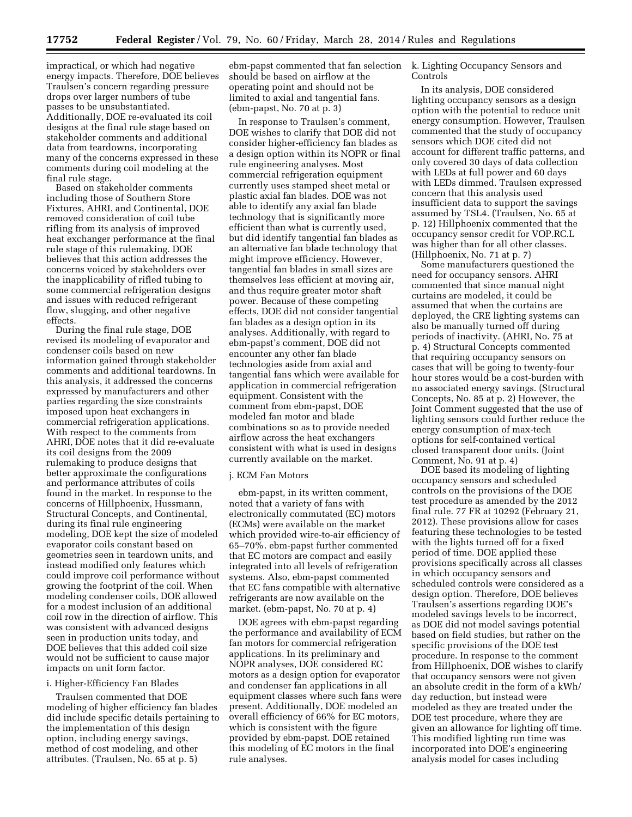impractical, or which had negative energy impacts. Therefore, DOE believes Traulsen's concern regarding pressure drops over larger numbers of tube passes to be unsubstantiated. Additionally, DOE re-evaluated its coil designs at the final rule stage based on stakeholder comments and additional data from teardowns, incorporating many of the concerns expressed in these comments during coil modeling at the final rule stage.

Based on stakeholder comments including those of Southern Store Fixtures, AHRI, and Continental, DOE removed consideration of coil tube rifling from its analysis of improved heat exchanger performance at the final rule stage of this rulemaking. DOE believes that this action addresses the concerns voiced by stakeholders over the inapplicability of rifled tubing to some commercial refrigeration designs and issues with reduced refrigerant flow, slugging, and other negative effects.

During the final rule stage, DOE revised its modeling of evaporator and condenser coils based on new information gained through stakeholder comments and additional teardowns. In this analysis, it addressed the concerns expressed by manufacturers and other parties regarding the size constraints imposed upon heat exchangers in commercial refrigeration applications. With respect to the comments from AHRI, DOE notes that it did re-evaluate its coil designs from the 2009 rulemaking to produce designs that better approximate the configurations and performance attributes of coils found in the market. In response to the concerns of Hillphoenix, Hussmann, Structural Concepts, and Continental, during its final rule engineering modeling, DOE kept the size of modeled evaporator coils constant based on geometries seen in teardown units, and instead modified only features which could improve coil performance without growing the footprint of the coil. When modeling condenser coils, DOE allowed for a modest inclusion of an additional coil row in the direction of airflow. This was consistent with advanced designs seen in production units today, and DOE believes that this added coil size would not be sufficient to cause major impacts on unit form factor.

#### i. Higher-Efficiency Fan Blades

Traulsen commented that DOE modeling of higher efficiency fan blades did include specific details pertaining to the implementation of this design option, including energy savings, method of cost modeling, and other attributes. (Traulsen, No. 65 at p. 5)

ebm-papst commented that fan selection should be based on airflow at the operating point and should not be limited to axial and tangential fans. (ebm-papst, No. 70 at p. 3)

In response to Traulsen's comment, DOE wishes to clarify that DOE did not consider higher-efficiency fan blades as a design option within its NOPR or final rule engineering analyses. Most commercial refrigeration equipment currently uses stamped sheet metal or plastic axial fan blades. DOE was not able to identify any axial fan blade technology that is significantly more efficient than what is currently used, but did identify tangential fan blades as an alternative fan blade technology that might improve efficiency. However, tangential fan blades in small sizes are themselves less efficient at moving air, and thus require greater motor shaft power. Because of these competing effects, DOE did not consider tangential fan blades as a design option in its analyses. Additionally, with regard to ebm-papst's comment, DOE did not encounter any other fan blade technologies aside from axial and tangential fans which were available for application in commercial refrigeration equipment. Consistent with the comment from ebm-papst, DOE modeled fan motor and blade combinations so as to provide needed airflow across the heat exchangers consistent with what is used in designs currently available on the market.

#### j. ECM Fan Motors

ebm-papst, in its written comment, noted that a variety of fans with electronically commutated (EC) motors (ECMs) were available on the market which provided wire-to-air efficiency of 65–70%. ebm-papst further commented that EC motors are compact and easily integrated into all levels of refrigeration systems. Also, ebm-papst commented that EC fans compatible with alternative refrigerants are now available on the market. (ebm-papst, No. 70 at p. 4)

DOE agrees with ebm-papst regarding the performance and availability of ECM fan motors for commercial refrigeration applications. In its preliminary and NOPR analyses, DOE considered EC motors as a design option for evaporator and condenser fan applications in all equipment classes where such fans were present. Additionally, DOE modeled an overall efficiency of 66% for EC motors, which is consistent with the figure provided by ebm-papst. DOE retained this modeling of EC motors in the final rule analyses.

k. Lighting Occupancy Sensors and Controls

In its analysis, DOE considered lighting occupancy sensors as a design option with the potential to reduce unit energy consumption. However, Traulsen commented that the study of occupancy sensors which DOE cited did not account for different traffic patterns, and only covered 30 days of data collection with LEDs at full power and 60 days with LEDs dimmed. Traulsen expressed concern that this analysis used insufficient data to support the savings assumed by TSL4. (Traulsen, No. 65 at p. 12) Hillphoenix commented that the occupancy sensor credit for VOP.RC.L was higher than for all other classes. (Hillphoenix, No. 71 at p. 7)

Some manufacturers questioned the need for occupancy sensors. AHRI commented that since manual night curtains are modeled, it could be assumed that when the curtains are deployed, the CRE lighting systems can also be manually turned off during periods of inactivity. (AHRI, No. 75 at p. 4) Structural Concepts commented that requiring occupancy sensors on cases that will be going to twenty-four hour stores would be a cost-burden with no associated energy savings. (Structural Concepts, No. 85 at p. 2) However, the Joint Comment suggested that the use of lighting sensors could further reduce the energy consumption of max-tech options for self-contained vertical closed transparent door units. (Joint Comment, No. 91 at p. 4)

DOE based its modeling of lighting occupancy sensors and scheduled controls on the provisions of the DOE test procedure as amended by the 2012 final rule. 77 FR at 10292 (February 21, 2012). These provisions allow for cases featuring these technologies to be tested with the lights turned off for a fixed period of time. DOE applied these provisions specifically across all classes in which occupancy sensors and scheduled controls were considered as a design option. Therefore, DOE believes Traulsen's assertions regarding DOE's modeled savings levels to be incorrect, as DOE did not model savings potential based on field studies, but rather on the specific provisions of the DOE test procedure. In response to the comment from Hillphoenix, DOE wishes to clarify that occupancy sensors were not given an absolute credit in the form of a kWh/ day reduction, but instead were modeled as they are treated under the DOE test procedure, where they are given an allowance for lighting off time. This modified lighting run time was incorporated into DOE's engineering analysis model for cases including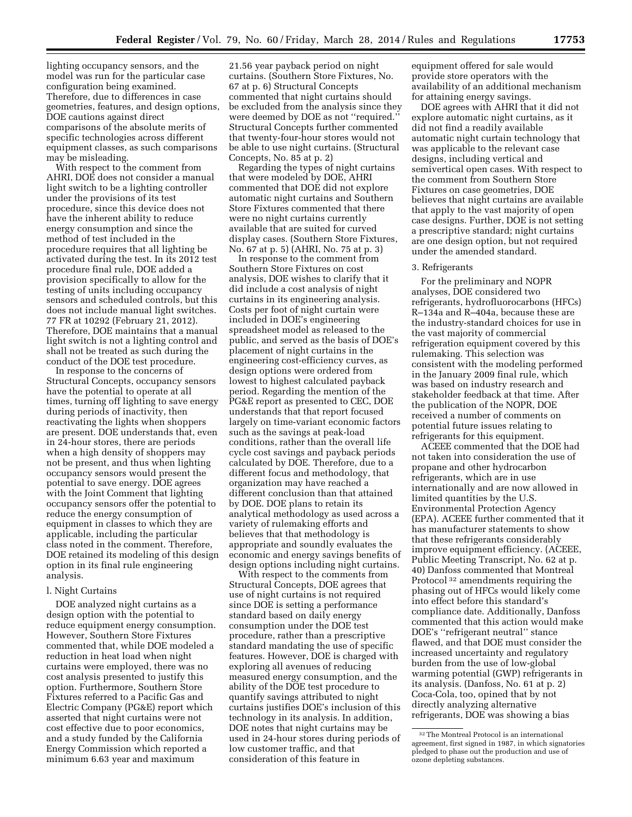lighting occupancy sensors, and the model was run for the particular case configuration being examined. Therefore, due to differences in case geometries, features, and design options, DOE cautions against direct comparisons of the absolute merits of specific technologies across different equipment classes, as such comparisons may be misleading.

With respect to the comment from AHRI, DOE does not consider a manual light switch to be a lighting controller under the provisions of its test procedure, since this device does not have the inherent ability to reduce energy consumption and since the method of test included in the procedure requires that all lighting be activated during the test. In its 2012 test procedure final rule, DOE added a provision specifically to allow for the testing of units including occupancy sensors and scheduled controls, but this does not include manual light switches. 77 FR at 10292 (February 21, 2012). Therefore, DOE maintains that a manual light switch is not a lighting control and shall not be treated as such during the conduct of the DOE test procedure.

In response to the concerns of Structural Concepts, occupancy sensors have the potential to operate at all times, turning off lighting to save energy during periods of inactivity, then reactivating the lights when shoppers are present. DOE understands that, even in 24-hour stores, there are periods when a high density of shoppers may not be present, and thus when lighting occupancy sensors would present the potential to save energy. DOE agrees with the Joint Comment that lighting occupancy sensors offer the potential to reduce the energy consumption of equipment in classes to which they are applicable, including the particular class noted in the comment. Therefore, DOE retained its modeling of this design option in its final rule engineering analysis.

# l. Night Curtains

DOE analyzed night curtains as a design option with the potential to reduce equipment energy consumption. However, Southern Store Fixtures commented that, while DOE modeled a reduction in heat load when night curtains were employed, there was no cost analysis presented to justify this option. Furthermore, Southern Store Fixtures referred to a Pacific Gas and Electric Company (PG&E) report which asserted that night curtains were not cost effective due to poor economics, and a study funded by the California Energy Commission which reported a minimum 6.63 year and maximum

21.56 year payback period on night curtains. (Southern Store Fixtures, No. 67 at p. 6) Structural Concepts commented that night curtains should be excluded from the analysis since they were deemed by DOE as not ''required.'' Structural Concepts further commented that twenty-four-hour stores would not be able to use night curtains. (Structural Concepts, No. 85 at p. 2)

Regarding the types of night curtains that were modeled by DOE, AHRI commented that DOE did not explore automatic night curtains and Southern Store Fixtures commented that there were no night curtains currently available that are suited for curved display cases. (Southern Store Fixtures, No. 67 at p. 5) (AHRI, No. 75 at p. 3)

In response to the comment from Southern Store Fixtures on cost analysis, DOE wishes to clarify that it did include a cost analysis of night curtains in its engineering analysis. Costs per foot of night curtain were included in DOE's engineering spreadsheet model as released to the public, and served as the basis of DOE's placement of night curtains in the engineering cost-efficiency curves, as design options were ordered from lowest to highest calculated payback period. Regarding the mention of the PG&E report as presented to CEC, DOE understands that that report focused largely on time-variant economic factors such as the savings at peak-load conditions, rather than the overall life cycle cost savings and payback periods calculated by DOE. Therefore, due to a different focus and methodology, that organization may have reached a different conclusion than that attained by DOE. DOE plans to retain its analytical methodology as used across a variety of rulemaking efforts and believes that that methodology is appropriate and soundly evaluates the economic and energy savings benefits of design options including night curtains.

With respect to the comments from Structural Concepts, DOE agrees that use of night curtains is not required since DOE is setting a performance standard based on daily energy consumption under the DOE test procedure, rather than a prescriptive standard mandating the use of specific features. However, DOE is charged with exploring all avenues of reducing measured energy consumption, and the ability of the DOE test procedure to quantify savings attributed to night curtains justifies DOE's inclusion of this technology in its analysis. In addition, DOE notes that night curtains may be used in 24-hour stores during periods of low customer traffic, and that consideration of this feature in

equipment offered for sale would provide store operators with the availability of an additional mechanism for attaining energy savings.

DOE agrees with AHRI that it did not explore automatic night curtains, as it did not find a readily available automatic night curtain technology that was applicable to the relevant case designs, including vertical and semivertical open cases. With respect to the comment from Southern Store Fixtures on case geometries, DOE believes that night curtains are available that apply to the vast majority of open case designs. Further, DOE is not setting a prescriptive standard; night curtains are one design option, but not required under the amended standard.

#### 3. Refrigerants

For the preliminary and NOPR analyses, DOE considered two refrigerants, hydrofluorocarbons (HFCs) R–134a and R–404a, because these are the industry-standard choices for use in the vast majority of commercial refrigeration equipment covered by this rulemaking. This selection was consistent with the modeling performed in the January 2009 final rule, which was based on industry research and stakeholder feedback at that time. After the publication of the NOPR, DOE received a number of comments on potential future issues relating to refrigerants for this equipment.

ACEEE commented that the DOE had not taken into consideration the use of propane and other hydrocarbon refrigerants, which are in use internationally and are now allowed in limited quantities by the U.S. Environmental Protection Agency (EPA). ACEEE further commented that it has manufacturer statements to show that these refrigerants considerably improve equipment efficiency. (ACEEE, Public Meeting Transcript, No. 62 at p. 40) Danfoss commented that Montreal Protocol 32 amendments requiring the phasing out of HFCs would likely come into effect before this standard's compliance date. Additionally, Danfoss commented that this action would make DOE's ''refrigerant neutral'' stance flawed, and that DOE must consider the increased uncertainty and regulatory burden from the use of low-global warming potential (GWP) refrigerants in its analysis. (Danfoss, No. 61 at p. 2) Coca-Cola, too, opined that by not directly analyzing alternative refrigerants, DOE was showing a bias

<sup>32</sup>The Montreal Protocol is an international agreement, first signed in 1987, in which signatories pledged to phase out the production and use of ozone depleting substances.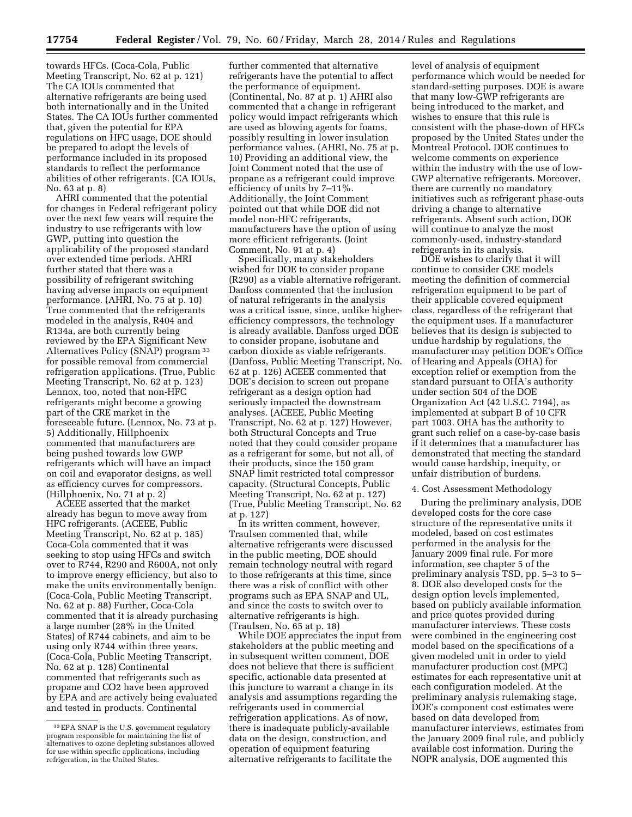towards HFCs. (Coca-Cola, Public Meeting Transcript, No. 62 at p. 121) The CA IOUs commented that alternative refrigerants are being used both internationally and in the United States. The CA IOUs further commented that, given the potential for EPA regulations on HFC usage, DOE should be prepared to adopt the levels of performance included in its proposed standards to reflect the performance abilities of other refrigerants. (CA IOUs, No. 63 at p. 8)

AHRI commented that the potential for changes in Federal refrigerant policy over the next few years will require the industry to use refrigerants with low GWP, putting into question the applicability of the proposed standard over extended time periods. AHRI further stated that there was a possibility of refrigerant switching having adverse impacts on equipment performance. (AHRI, No. 75 at p. 10) True commented that the refrigerants modeled in the analysis, R404 and R134a, are both currently being reviewed by the EPA Significant New Alternatives Policy (SNAP) program 33 for possible removal from commercial refrigeration applications. (True, Public Meeting Transcript, No. 62 at p. 123) Lennox, too, noted that non-HFC refrigerants might become a growing part of the CRE market in the foreseeable future. (Lennox, No. 73 at p. 5) Additionally, Hillphoenix commented that manufacturers are being pushed towards low GWP refrigerants which will have an impact on coil and evaporator designs, as well as efficiency curves for compressors. (Hillphoenix, No. 71 at p. 2)

ACEEE asserted that the market already has begun to move away from HFC refrigerants. (ACEEE, Public Meeting Transcript, No. 62 at p. 185) Coca-Cola commented that it was seeking to stop using HFCs and switch over to R744, R290 and R600A, not only to improve energy efficiency, but also to make the units environmentally benign. (Coca-Cola, Public Meeting Transcript, No. 62 at p. 88) Further, Coca-Cola commented that it is already purchasing a large number (28% in the United States) of R744 cabinets, and aim to be using only R744 within three years. (Coca-Cola, Public Meeting Transcript, No. 62 at p. 128) Continental commented that refrigerants such as propane and CO2 have been approved by EPA and are actively being evaluated and tested in products. Continental

further commented that alternative refrigerants have the potential to affect the performance of equipment. (Continental, No. 87 at p. 1) AHRI also commented that a change in refrigerant policy would impact refrigerants which are used as blowing agents for foams, possibly resulting in lower insulation performance values. (AHRI, No. 75 at p. 10) Providing an additional view, the Joint Comment noted that the use of propane as a refrigerant could improve efficiency of units by 7–11%. Additionally, the Joint Comment pointed out that while DOE did not model non-HFC refrigerants, manufacturers have the option of using more efficient refrigerants. (Joint Comment, No. 91 at p. 4)

Specifically, many stakeholders wished for DOE to consider propane (R290) as a viable alternative refrigerant. Danfoss commented that the inclusion of natural refrigerants in the analysis was a critical issue, since, unlike higherefficiency compressors, the technology is already available. Danfoss urged DOE to consider propane, isobutane and carbon dioxide as viable refrigerants. (Danfoss, Public Meeting Transcript, No. 62 at p. 126) ACEEE commented that DOE's decision to screen out propane refrigerant as a design option had seriously impacted the downstream analyses. (ACEEE, Public Meeting Transcript, No. 62 at p. 127) However, both Structural Concepts and True noted that they could consider propane as a refrigerant for some, but not all, of their products, since the 150 gram SNAP limit restricted total compressor capacity. (Structural Concepts, Public Meeting Transcript, No. 62 at p. 127) (True, Public Meeting Transcript, No. 62 at p. 127)

In its written comment, however, Traulsen commented that, while alternative refrigerants were discussed in the public meeting, DOE should remain technology neutral with regard to those refrigerants at this time, since there was a risk of conflict with other programs such as EPA SNAP and UL, and since the costs to switch over to alternative refrigerants is high. (Traulsen, No. 65 at p. 18)

While DOE appreciates the input from stakeholders at the public meeting and in subsequent written comment, DOE does not believe that there is sufficient specific, actionable data presented at this juncture to warrant a change in its analysis and assumptions regarding the refrigerants used in commercial refrigeration applications. As of now, there is inadequate publicly-available data on the design, construction, and operation of equipment featuring alternative refrigerants to facilitate the

level of analysis of equipment performance which would be needed for standard-setting purposes. DOE is aware that many low-GWP refrigerants are being introduced to the market, and wishes to ensure that this rule is consistent with the phase-down of HFCs proposed by the United States under the Montreal Protocol. DOE continues to welcome comments on experience within the industry with the use of low-GWP alternative refrigerants. Moreover, there are currently no mandatory initiatives such as refrigerant phase-outs driving a change to alternative refrigerants. Absent such action, DOE will continue to analyze the most commonly-used, industry-standard refrigerants in its analysis.

DOE wishes to clarify that it will continue to consider CRE models meeting the definition of commercial refrigeration equipment to be part of their applicable covered equipment class, regardless of the refrigerant that the equipment uses. If a manufacturer believes that its design is subjected to undue hardship by regulations, the manufacturer may petition DOE's Office of Hearing and Appeals (OHA) for exception relief or exemption from the standard pursuant to OHA's authority under section 504 of the DOE Organization Act (42 U.S.C. 7194), as implemented at subpart B of 10 CFR part 1003. OHA has the authority to grant such relief on a case-by-case basis if it determines that a manufacturer has demonstrated that meeting the standard would cause hardship, inequity, or unfair distribution of burdens.

#### 4. Cost Assessment Methodology

During the preliminary analysis, DOE developed costs for the core case structure of the representative units it modeled, based on cost estimates performed in the analysis for the January 2009 final rule. For more information, see chapter 5 of the preliminary analysis TSD, pp. 5–3 to 5– 8. DOE also developed costs for the design option levels implemented, based on publicly available information and price quotes provided during manufacturer interviews. These costs were combined in the engineering cost model based on the specifications of a given modeled unit in order to yield manufacturer production cost (MPC) estimates for each representative unit at each configuration modeled. At the preliminary analysis rulemaking stage, DOE's component cost estimates were based on data developed from manufacturer interviews, estimates from the January 2009 final rule, and publicly available cost information. During the NOPR analysis, DOE augmented this

<sup>33</sup>EPA SNAP is the U.S. government regulatory program responsible for maintaining the list of alternatives to ozone depleting substances allowed for use within specific applications, including refrigeration, in the United States.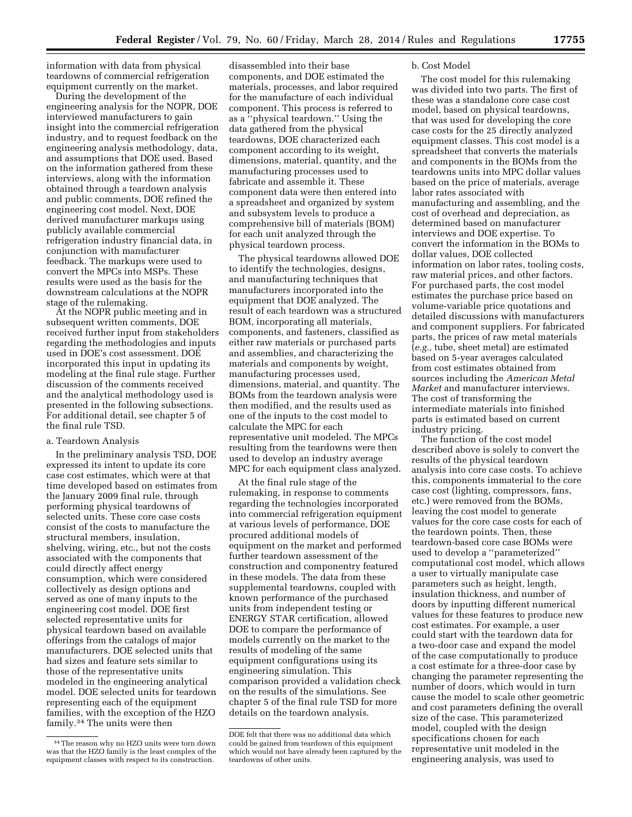information with data from physical teardowns of commercial refrigeration equipment currently on the market.

During the development of the engineering analysis for the NOPR, DOE interviewed manufacturers to gain insight into the commercial refrigeration industry, and to request feedback on the engineering analysis methodology, data, and assumptions that DOE used. Based on the information gathered from these interviews, along with the information obtained through a teardown analysis and public comments, DOE refined the engineering cost model. Next, DOE derived manufacturer markups using publicly available commercial refrigeration industry financial data, in conjunction with manufacturer feedback. The markups were used to convert the MPCs into MSPs. These results were used as the basis for the downstream calculations at the NOPR stage of the rulemaking.

At the NOPR public meeting and in subsequent written comments, DOE received further input from stakeholders regarding the methodologies and inputs used in DOE's cost assessment. DOE incorporated this input in updating its modeling at the final rule stage. Further discussion of the comments received and the analytical methodology used is presented in the following subsections. For additional detail, see chapter 5 of the final rule TSD.

# a. Teardown Analysis

In the preliminary analysis TSD, DOE expressed its intent to update its core case cost estimates, which were at that time developed based on estimates from the January 2009 final rule, through performing physical teardowns of selected units. These core case costs consist of the costs to manufacture the structural members, insulation, shelving, wiring, etc., but not the costs associated with the components that could directly affect energy consumption, which were considered collectively as design options and served as one of many inputs to the engineering cost model. DOE first selected representative units for physical teardown based on available offerings from the catalogs of major manufacturers. DOE selected units that had sizes and feature sets similar to those of the representative units modeled in the engineering analytical model. DOE selected units for teardown representing each of the equipment families, with the exception of the HZO family.34 The units were then

disassembled into their base components, and DOE estimated the materials, processes, and labor required for the manufacture of each individual component. This process is referred to as a ''physical teardown.'' Using the data gathered from the physical teardowns, DOE characterized each component according to its weight, dimensions, material, quantity, and the manufacturing processes used to fabricate and assemble it. These component data were then entered into a spreadsheet and organized by system and subsystem levels to produce a comprehensive bill of materials (BOM) for each unit analyzed through the physical teardown process.

The physical teardowns allowed DOE to identify the technologies, designs, and manufacturing techniques that manufacturers incorporated into the equipment that DOE analyzed. The result of each teardown was a structured BOM, incorporating all materials, components, and fasteners, classified as either raw materials or purchased parts and assemblies, and characterizing the materials and components by weight, manufacturing processes used, dimensions, material, and quantity. The BOMs from the teardown analysis were then modified, and the results used as one of the inputs to the cost model to calculate the MPC for each representative unit modeled. The MPCs resulting from the teardowns were then used to develop an industry average MPC for each equipment class analyzed.

At the final rule stage of the rulemaking, in response to comments regarding the technologies incorporated into commercial refrigeration equipment at various levels of performance, DOE procured additional models of equipment on the market and performed further teardown assessment of the construction and componentry featured in these models. The data from these supplemental teardowns, coupled with known performance of the purchased units from independent testing or ENERGY STAR certification, allowed DOE to compare the performance of models currently on the market to the results of modeling of the same equipment configurations using its engineering simulation. This comparison provided a validation check on the results of the simulations. See chapter 5 of the final rule TSD for more details on the teardown analysis.

#### b. Cost Model

The cost model for this rulemaking was divided into two parts. The first of these was a standalone core case cost model, based on physical teardowns, that was used for developing the core case costs for the 25 directly analyzed equipment classes. This cost model is a spreadsheet that converts the materials and components in the BOMs from the teardowns units into MPC dollar values based on the price of materials, average labor rates associated with manufacturing and assembling, and the cost of overhead and depreciation, as determined based on manufacturer interviews and DOE expertise. To convert the information in the BOMs to dollar values, DOE collected information on labor rates, tooling costs, raw material prices, and other factors. For purchased parts, the cost model estimates the purchase price based on volume-variable price quotations and detailed discussions with manufacturers and component suppliers. For fabricated parts, the prices of raw metal materials (*e.g.,* tube, sheet metal) are estimated based on 5-year averages calculated from cost estimates obtained from sources including the *American Metal Market* and manufacturer interviews. The cost of transforming the intermediate materials into finished parts is estimated based on current industry pricing.

The function of the cost model described above is solely to convert the results of the physical teardown analysis into core case costs. To achieve this, components immaterial to the core case cost (lighting, compressors, fans, etc.) were removed from the BOMs, leaving the cost model to generate values for the core case costs for each of the teardown points. Then, these teardown-based core case BOMs were used to develop a ''parameterized'' computational cost model, which allows a user to virtually manipulate case parameters such as height, length, insulation thickness, and number of doors by inputting different numerical values for these features to produce new cost estimates. For example, a user could start with the teardown data for a two-door case and expand the model of the case computationally to produce a cost estimate for a three-door case by changing the parameter representing the number of doors, which would in turn cause the model to scale other geometric and cost parameters defining the overall size of the case. This parameterized model, coupled with the design specifications chosen for each representative unit modeled in the engineering analysis, was used to

<sup>34</sup>The reason why no HZO units were torn down was that the HZO family is the least complex of the equipment classes with respect to its construction.

DOE felt that there was no additional data which could be gained from teardown of this equipment which would not have already been captured by the teardowns of other units.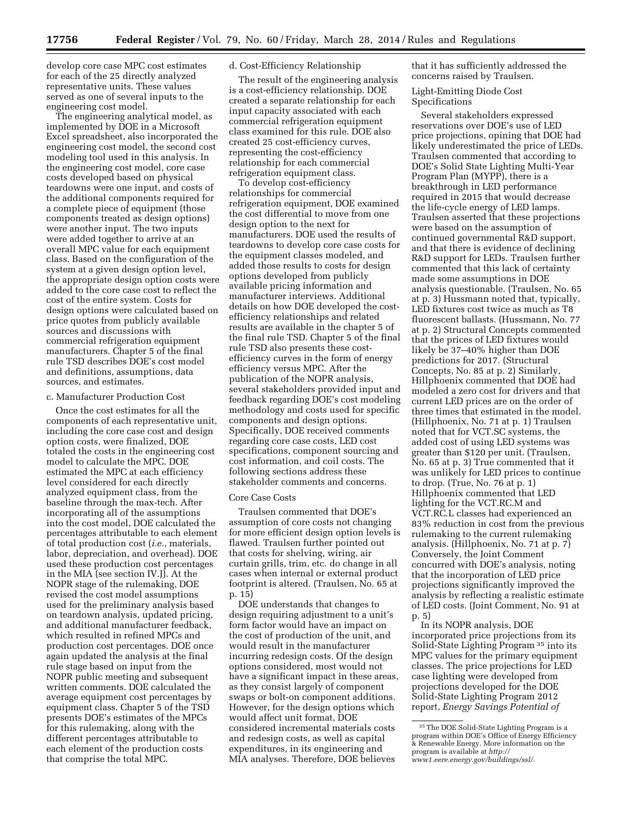develop core case MPC cost estimates for each of the 25 directly analyzed representative units. These values served as one of several inputs to the engineering cost model.

The engineering analytical model, as implemented by DOE in a Microsoft Excel spreadsheet, also incorporated the engineering cost model, the second cost modeling tool used in this analysis. In the engineering cost model, core case costs developed based on physical teardowns were one input, and costs of the additional components required for a complete piece of equipment (those components treated as design options) were another input. The two inputs were added together to arrive at an overall MPC value for each equipment class. Based on the configuration of the system at a given design option level, the appropriate design option costs were added to the core case cost to reflect the cost of the entire system. Costs for design options were calculated based on price quotes from publicly available sources and discussions with commercial refrigeration equipment manufacturers. Chapter 5 of the final rule TSD describes DOE's cost model and definitions, assumptions, data sources, and estimates.

#### c. Manufacturer Production Cost

Once the cost estimates for all the components of each representative unit, including the core case cost and design option costs, were finalized, DOE totaled the costs in the engineering cost model to calculate the MPC. DOE estimated the MPC at each efficiency level considered for each directly analyzed equipment class, from the baseline through the max-tech. After incorporating all of the assumptions into the cost model, DOE calculated the percentages attributable to each element of total production cost (*i.e.,* materials, labor, depreciation, and overhead). DOE used these production cost percentages in the MIA (see section IV.J). At the NOPR stage of the rulemaking, DOE revised the cost model assumptions used for the preliminary analysis based on teardown analysis, updated pricing, and additional manufacturer feedback, which resulted in refined MPCs and production cost percentages. DOE once again updated the analysis at the final rule stage based on input from the NOPR public meeting and subsequent written comments. DOE calculated the average equipment cost percentages by equipment class. Chapter 5 of the TSD presents DOE's estimates of the MPCs for this rulemaking, along with the different percentages attributable to each element of the production costs that comprise the total MPC.

#### d. Cost-Efficiency Relationship

The result of the engineering analysis is a cost-efficiency relationship. DOE created a separate relationship for each input capacity associated with each commercial refrigeration equipment class examined for this rule. DOE also created 25 cost-efficiency curves, representing the cost-efficiency relationship for each commercial refrigeration equipment class.

To develop cost-efficiency relationships for commercial refrigeration equipment, DOE examined the cost differential to move from one design option to the next for manufacturers. DOE used the results of teardowns to develop core case costs for the equipment classes modeled, and added those results to costs for design options developed from publicly available pricing information and manufacturer interviews. Additional details on how DOE developed the costefficiency relationships and related results are available in the chapter 5 of the final rule TSD. Chapter 5 of the final rule TSD also presents these costefficiency curves in the form of energy efficiency versus MPC. After the publication of the NOPR analysis, several stakeholders provided input and feedback regarding DOE's cost modeling methodology and costs used for specific components and design options. Specifically, DOE received comments regarding core case costs, LED cost specifications, component sourcing and cost information, and coil costs. The following sections address these stakeholder comments and concerns.

#### Core Case Costs

Traulsen commented that DOE's assumption of core costs not changing for more efficient design option levels is flawed. Traulsen further pointed out that costs for shelving, wiring, air curtain grills, trim, etc. do change in all cases when internal or external product footprint is altered. (Traulsen, No. 65 at p. 15)

DOE understands that changes to design requiring adjustment to a unit's form factor would have an impact on the cost of production of the unit, and would result in the manufacturer incurring redesign costs. Of the design options considered, most would not have a significant impact in these areas, as they consist largely of component swaps or bolt-on component additions. However, for the design options which would affect unit format, DOE considered incremental materials costs and redesign costs, as well as capital expenditures, in its engineering and MIA analyses. Therefore, DOE believes

that it has sufficiently addressed the concerns raised by Traulsen.

Light-Emitting Diode Cost Specifications

Several stakeholders expressed reservations over DOE's use of LED price projections, opining that DOE had likely underestimated the price of LEDs. Traulsen commented that according to DOE's Solid State Lighting Multi-Year Program Plan (MYPP), there is a breakthrough in LED performance required in 2015 that would decrease the life-cycle energy of LED lamps. Traulsen asserted that these projections were based on the assumption of continued governmental R&D support, and that there is evidence of declining R&D support for LEDs. Traulsen further commented that this lack of certainty made some assumptions in DOE analysis questionable. (Traulsen, No. 65 at p. 3) Hussmann noted that, typically, LED fixtures cost twice as much as T8 fluorescent ballasts. (Hussmann, No. 77 at p. 2) Structural Concepts commented that the prices of LED fixtures would likely be 37–40% higher than DOE predictions for 2017. (Structural Concepts, No. 85 at p. 2) Similarly, Hillphoenix commented that DOE had modeled a zero cost for drivers and that current LED prices are on the order of three times that estimated in the model. (Hillphoenix, No. 71 at p. 1) Traulsen noted that for VCT.SC systems, the added cost of using LED systems was greater than \$120 per unit. (Traulsen, No. 65 at p. 3) True commented that it was unlikely for LED prices to continue to drop. (True, No. 76 at p. 1) Hillphoenix commented that LED lighting for the VCT.RC.M and VCT.RC.L classes had experienced an 83% reduction in cost from the previous rulemaking to the current rulemaking analysis. (Hillphoenix, No. 71 at p. 7) Conversely, the Joint Comment concurred with DOE's analysis, noting that the incorporation of LED price projections significantly improved the analysis by reflecting a realistic estimate of LED costs. (Joint Comment, No. 91 at p. 5)

In its NOPR analysis, DOE incorporated price projections from its Solid-State Lighting Program 35 into its MPC values for the primary equipment classes. The price projections for LED case lighting were developed from projections developed for the DOE Solid-State Lighting Program 2012 report, *Energy Savings Potential of* 

<sup>35</sup>The DOE Solid-State Lighting Program is a program within DOE's Office of Energy Efficiency & Renewable Energy. More information on the program is available at *[http://](http://www1.eere.energy.gov/buildings/ssl/) [www1.eere.energy.gov/buildings/ssl/.](http://www1.eere.energy.gov/buildings/ssl/)*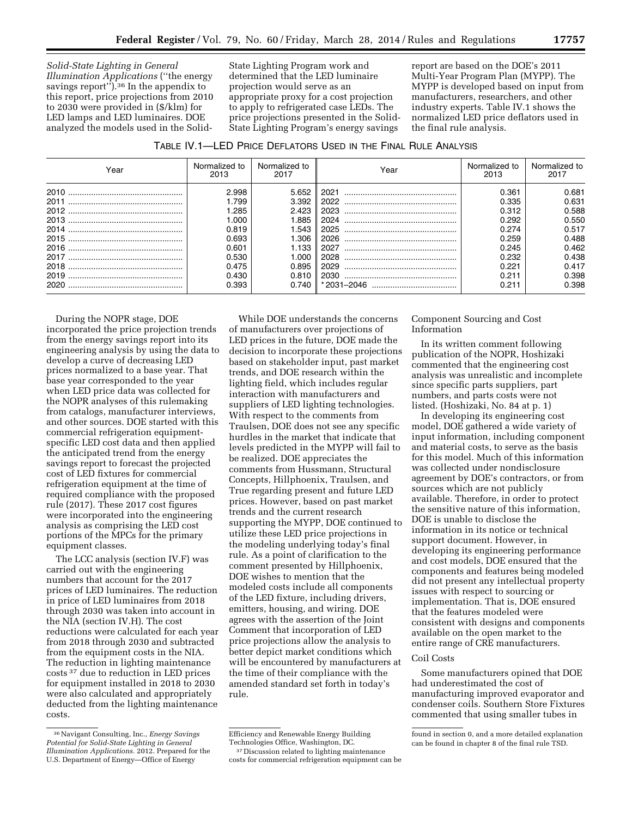*Solid-State Lighting in General Illumination Applications* (''the energy savings report'').36 In the appendix to this report, price projections from 2010 to 2030 were provided in (\$/klm) for LED lamps and LED luminaires. DOE analyzed the models used in the SolidState Lighting Program work and determined that the LED luminaire projection would serve as an appropriate proxy for a cost projection to apply to refrigerated case LEDs. The price projections presented in the Solid-State Lighting Program's energy savings

report are based on the DOE's 2011 Multi-Year Program Plan (MYPP). The MYPP is developed based on input from manufacturers, researchers, and other industry experts. Table IV.1 shows the normalized LED price deflators used in the final rule analysis.

TABLE IV.1—LED PRICE DEFLATORS USED IN THE FINAL RULE ANALYSIS

| Year         | Normalized to<br>2013                                                                            | Normalized to<br>2017                                                                            | Year                                                                         | Normalized to<br>2013                                                                           | Normalized to<br>2017                                                                           |
|--------------|--------------------------------------------------------------------------------------------------|--------------------------------------------------------------------------------------------------|------------------------------------------------------------------------------|-------------------------------------------------------------------------------------------------|-------------------------------------------------------------------------------------------------|
| 2011<br>2020 | 2.998<br>1.799<br>1.285<br>1.000.<br>0.819<br>0.693<br>0.601<br>0.530<br>0.475<br>0.430<br>0.393 | 5.652<br>3.392<br>2.423<br>l.885<br>1.543<br>l.306.<br>1.133<br>1.000<br>0.895<br>0.810<br>0.740 | 2021<br>2022<br>2023<br>2024<br>2025<br>2026<br>2027<br>2028<br>2029<br>2030 | 0.361<br>0.335<br>0.312<br>0.292<br>0.274<br>0.259<br>0.245<br>0.232<br>0.221<br>0.211<br>0.211 | 0.681<br>0.631<br>0.588<br>0.550<br>0.517<br>0.488<br>0.462<br>0.438<br>0.417<br>0.398<br>0.398 |

During the NOPR stage, DOE incorporated the price projection trends from the energy savings report into its engineering analysis by using the data to develop a curve of decreasing LED prices normalized to a base year. That base year corresponded to the year when LED price data was collected for the NOPR analyses of this rulemaking from catalogs, manufacturer interviews, and other sources. DOE started with this commercial refrigeration equipmentspecific LED cost data and then applied the anticipated trend from the energy savings report to forecast the projected cost of LED fixtures for commercial refrigeration equipment at the time of required compliance with the proposed rule (2017). These 2017 cost figures were incorporated into the engineering analysis as comprising the LED cost portions of the MPCs for the primary equipment classes.

The LCC analysis (section IV.F) was carried out with the engineering numbers that account for the 2017 prices of LED luminaires. The reduction in price of LED luminaires from 2018 through 2030 was taken into account in the NIA (section IV.H). The cost reductions were calculated for each year from 2018 through 2030 and subtracted from the equipment costs in the NIA. The reduction in lighting maintenance costs 37 due to reduction in LED prices for equipment installed in 2018 to 2030 were also calculated and appropriately deducted from the lighting maintenance costs.

While DOE understands the concerns of manufacturers over projections of LED prices in the future, DOE made the decision to incorporate these projections based on stakeholder input, past market trends, and DOE research within the lighting field, which includes regular interaction with manufacturers and suppliers of LED lighting technologies. With respect to the comments from Traulsen, DOE does not see any specific hurdles in the market that indicate that levels predicted in the MYPP will fail to be realized. DOE appreciates the comments from Hussmann, Structural Concepts, Hillphoenix, Traulsen, and True regarding present and future LED prices. However, based on past market trends and the current research supporting the MYPP, DOE continued to utilize these LED price projections in the modeling underlying today's final rule. As a point of clarification to the comment presented by Hillphoenix, DOE wishes to mention that the modeled costs include all components of the LED fixture, including drivers, emitters, housing, and wiring. DOE agrees with the assertion of the Joint Comment that incorporation of LED price projections allow the analysis to better depict market conditions which will be encountered by manufacturers at the time of their compliance with the amended standard set forth in today's rule.

# Component Sourcing and Cost Information

In its written comment following publication of the NOPR, Hoshizaki commented that the engineering cost analysis was unrealistic and incomplete since specific parts suppliers, part numbers, and parts costs were not listed. (Hoshizaki, No. 84 at p. 1)

In developing its engineering cost model, DOE gathered a wide variety of input information, including component and material costs, to serve as the basis for this model. Much of this information was collected under nondisclosure agreement by DOE's contractors, or from sources which are not publicly available. Therefore, in order to protect the sensitive nature of this information, DOE is unable to disclose the information in its notice or technical support document. However, in developing its engineering performance and cost models, DOE ensured that the components and features being modeled did not present any intellectual property issues with respect to sourcing or implementation. That is, DOE ensured that the features modeled were consistent with designs and components available on the open market to the entire range of CRE manufacturers.

#### Coil Costs

Some manufacturers opined that DOE had underestimated the cost of manufacturing improved evaporator and condenser coils. Southern Store Fixtures commented that using smaller tubes in

<sup>36</sup>Navigant Consulting, Inc., *Energy Savings Potential for Solid-State Lighting in General Illumination Applications.* 2012. Prepared for the U.S. Department of Energy—Office of Energy

Efficiency and Renewable Energy Building Technologies Office, Washington, DC.

<sup>37</sup> Discussion related to lighting maintenance costs for commercial refrigeration equipment can be

found in section 0, and a more detailed explanation can be found in chapter 8 of the final rule TSD.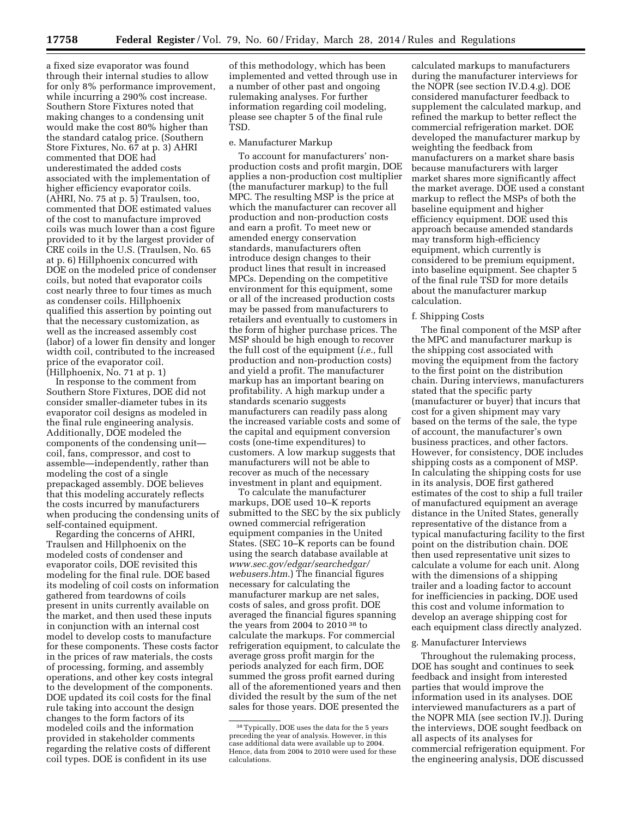a fixed size evaporator was found through their internal studies to allow for only 8% performance improvement, while incurring a 290% cost increase. Southern Store Fixtures noted that making changes to a condensing unit would make the cost 80% higher than the standard catalog price. (Southern Store Fixtures, No. 67 at p. 3) AHRI commented that DOE had underestimated the added costs associated with the implementation of higher efficiency evaporator coils.  $(AHRI, No. 75 at p. 5)$  Traulsen, too, commented that DOE estimated values of the cost to manufacture improved coils was much lower than a cost figure provided to it by the largest provider of CRE coils in the U.S. (Traulsen, No. 65 at p. 6) Hillphoenix concurred with DOE on the modeled price of condenser coils, but noted that evaporator coils cost nearly three to four times as much as condenser coils. Hillphoenix qualified this assertion by pointing out that the necessary customization, as well as the increased assembly cost (labor) of a lower fin density and longer width coil, contributed to the increased price of the evaporator coil. (Hillphoenix, No. 71 at p. 1)

In response to the comment from Southern Store Fixtures, DOE did not consider smaller-diameter tubes in its evaporator coil designs as modeled in the final rule engineering analysis. Additionally, DOE modeled the components of the condensing unit coil, fans, compressor, and cost to assemble—independently, rather than modeling the cost of a single prepackaged assembly. DOE believes that this modeling accurately reflects the costs incurred by manufacturers when producing the condensing units of self-contained equipment.

Regarding the concerns of AHRI, Traulsen and Hillphoenix on the modeled costs of condenser and evaporator coils, DOE revisited this modeling for the final rule. DOE based its modeling of coil costs on information gathered from teardowns of coils present in units currently available on the market, and then used these inputs in conjunction with an internal cost model to develop costs to manufacture for these components. These costs factor in the prices of raw materials, the costs of processing, forming, and assembly operations, and other key costs integral to the development of the components. DOE updated its coil costs for the final rule taking into account the design changes to the form factors of its modeled coils and the information provided in stakeholder comments regarding the relative costs of different coil types. DOE is confident in its use

of this methodology, which has been implemented and vetted through use in a number of other past and ongoing rulemaking analyses. For further information regarding coil modeling, please see chapter 5 of the final rule TSD.

# e. Manufacturer Markup

To account for manufacturers' nonproduction costs and profit margin, DOE applies a non-production cost multiplier (the manufacturer markup) to the full MPC. The resulting MSP is the price at which the manufacturer can recover all production and non-production costs and earn a profit. To meet new or amended energy conservation standards, manufacturers often introduce design changes to their product lines that result in increased MPCs. Depending on the competitive environment for this equipment, some or all of the increased production costs may be passed from manufacturers to retailers and eventually to customers in the form of higher purchase prices. The MSP should be high enough to recover the full cost of the equipment (*i.e.,* full production and non-production costs) and yield a profit. The manufacturer markup has an important bearing on profitability. A high markup under a standards scenario suggests manufacturers can readily pass along the increased variable costs and some of the capital and equipment conversion costs (one-time expenditures) to customers. A low markup suggests that manufacturers will not be able to recover as much of the necessary investment in plant and equipment.

To calculate the manufacturer markups, DOE used 10–K reports submitted to the SEC by the six publicly owned commercial refrigeration equipment companies in the United States. (SEC 10–K reports can be found using the search database available at *[www.sec.gov/edgar/searchedgar/](http://www.sec.gov/edgar/searchedgar/webusers.htm) [webusers.htm](http://www.sec.gov/edgar/searchedgar/webusers.htm)*.) The financial figures necessary for calculating the manufacturer markup are net sales, costs of sales, and gross profit. DOE averaged the financial figures spanning the years from 2004 to 2010 38 to calculate the markups. For commercial refrigeration equipment, to calculate the average gross profit margin for the periods analyzed for each firm, DOE summed the gross profit earned during all of the aforementioned years and then divided the result by the sum of the net sales for those years. DOE presented the

calculated markups to manufacturers during the manufacturer interviews for the NOPR (see section IV.D.4.g). DOE considered manufacturer feedback to supplement the calculated markup, and refined the markup to better reflect the commercial refrigeration market. DOE developed the manufacturer markup by weighting the feedback from manufacturers on a market share basis because manufacturers with larger market shares more significantly affect the market average. DOE used a constant markup to reflect the MSPs of both the baseline equipment and higher efficiency equipment. DOE used this approach because amended standards may transform high-efficiency equipment, which currently is considered to be premium equipment, into baseline equipment. See chapter 5 of the final rule TSD for more details about the manufacturer markup calculation.

#### f. Shipping Costs

The final component of the MSP after the MPC and manufacturer markup is the shipping cost associated with moving the equipment from the factory to the first point on the distribution chain. During interviews, manufacturers stated that the specific party (manufacturer or buyer) that incurs that cost for a given shipment may vary based on the terms of the sale, the type of account, the manufacturer's own business practices, and other factors. However, for consistency, DOE includes shipping costs as a component of MSP. In calculating the shipping costs for use in its analysis, DOE first gathered estimates of the cost to ship a full trailer of manufactured equipment an average distance in the United States, generally representative of the distance from a typical manufacturing facility to the first point on the distribution chain. DOE then used representative unit sizes to calculate a volume for each unit. Along with the dimensions of a shipping trailer and a loading factor to account for inefficiencies in packing, DOE used this cost and volume information to develop an average shipping cost for each equipment class directly analyzed.

# g. Manufacturer Interviews

Throughout the rulemaking process, DOE has sought and continues to seek feedback and insight from interested parties that would improve the information used in its analyses. DOE interviewed manufacturers as a part of the NOPR MIA (see section IV.J). During the interviews, DOE sought feedback on all aspects of its analyses for commercial refrigeration equipment. For the engineering analysis, DOE discussed

<sup>38</sup>Typically, DOE uses the data for the 5 years preceding the year of analysis. However, in this case additional data were available up to 2004. Hence, data from 2004 to 2010 were used for these calculations.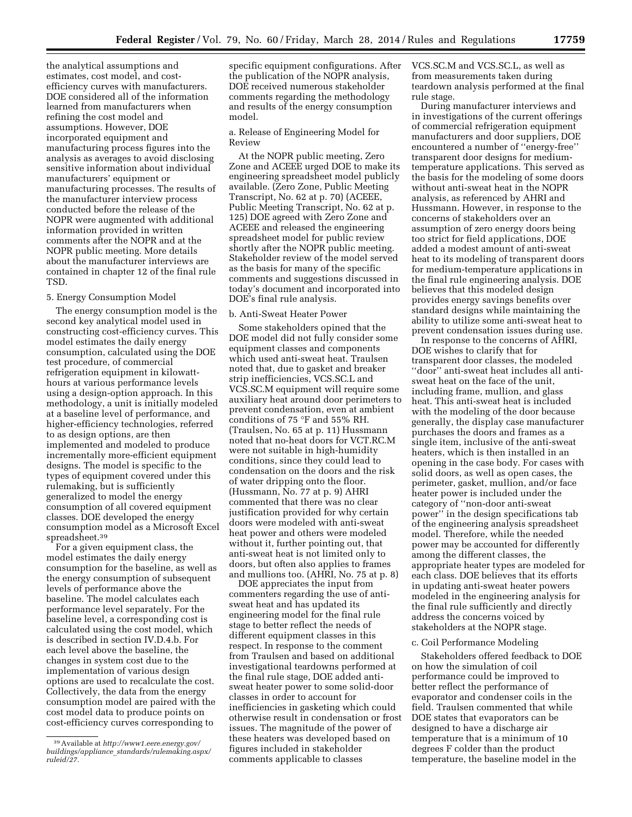the analytical assumptions and estimates, cost model, and costefficiency curves with manufacturers. DOE considered all of the information learned from manufacturers when refining the cost model and assumptions. However, DOE incorporated equipment and manufacturing process figures into the analysis as averages to avoid disclosing sensitive information about individual manufacturers' equipment or manufacturing processes. The results of the manufacturer interview process conducted before the release of the NOPR were augmented with additional information provided in written comments after the NOPR and at the NOPR public meeting. More details about the manufacturer interviews are contained in chapter 12 of the final rule TSD.

#### 5. Energy Consumption Model

The energy consumption model is the second key analytical model used in constructing cost-efficiency curves. This model estimates the daily energy consumption, calculated using the DOE test procedure, of commercial refrigeration equipment in kilowatthours at various performance levels using a design-option approach. In this methodology, a unit is initially modeled at a baseline level of performance, and higher-efficiency technologies, referred to as design options, are then implemented and modeled to produce incrementally more-efficient equipment designs. The model is specific to the types of equipment covered under this rulemaking, but is sufficiently generalized to model the energy consumption of all covered equipment classes. DOE developed the energy consumption model as a Microsoft Excel spreadsheet.39

For a given equipment class, the model estimates the daily energy consumption for the baseline, as well as the energy consumption of subsequent levels of performance above the baseline. The model calculates each performance level separately. For the baseline level, a corresponding cost is calculated using the cost model, which is described in section IV.D.4.b. For each level above the baseline, the changes in system cost due to the implementation of various design options are used to recalculate the cost. Collectively, the data from the energy consumption model are paired with the cost model data to produce points on cost-efficiency curves corresponding to

specific equipment configurations. After the publication of the NOPR analysis, DOE received numerous stakeholder comments regarding the methodology and results of the energy consumption model.

a. Release of Engineering Model for Review

At the NOPR public meeting, Zero Zone and ACEEE urged DOE to make its engineering spreadsheet model publicly available. (Zero Zone, Public Meeting Transcript, No. 62 at p. 70) (ACEEE, Public Meeting Transcript, No. 62 at p. 125) DOE agreed with Zero Zone and ACEEE and released the engineering spreadsheet model for public review shortly after the NOPR public meeting. Stakeholder review of the model served as the basis for many of the specific comments and suggestions discussed in today's document and incorporated into DOE's final rule analysis.

#### b. Anti-Sweat Heater Power

Some stakeholders opined that the DOE model did not fully consider some equipment classes and components which used anti-sweat heat. Traulsen noted that, due to gasket and breaker strip inefficiencies, VCS.SC.L and VCS.SC.M equipment will require some auxiliary heat around door perimeters to prevent condensation, even at ambient conditions of 75 °F and 55% RH. (Traulsen, No. 65 at p. 11) Hussmann noted that no-heat doors for VCT.RC.M were not suitable in high-humidity conditions, since they could lead to condensation on the doors and the risk of water dripping onto the floor. (Hussmann, No. 77 at p. 9) AHRI commented that there was no clear justification provided for why certain doors were modeled with anti-sweat heat power and others were modeled without it, further pointing out, that anti-sweat heat is not limited only to doors, but often also applies to frames and mullions too. (AHRI, No. 75 at p. 8)

DOE appreciates the input from commenters regarding the use of antisweat heat and has updated its engineering model for the final rule stage to better reflect the needs of different equipment classes in this respect. In response to the comment from Traulsen and based on additional investigational teardowns performed at the final rule stage, DOE added antisweat heater power to some solid-door classes in order to account for inefficiencies in gasketing which could otherwise result in condensation or frost issues. The magnitude of the power of these heaters was developed based on figures included in stakeholder comments applicable to classes

VCS.SC.M and VCS.SC.L, as well as from measurements taken during teardown analysis performed at the final rule stage.

During manufacturer interviews and in investigations of the current offerings of commercial refrigeration equipment manufacturers and door suppliers, DOE encountered a number of ''energy-free'' transparent door designs for mediumtemperature applications. This served as the basis for the modeling of some doors without anti-sweat heat in the NOPR analysis, as referenced by AHRI and Hussmann. However, in response to the concerns of stakeholders over an assumption of zero energy doors being too strict for field applications, DOE added a modest amount of anti-sweat heat to its modeling of transparent doors for medium-temperature applications in the final rule engineering analysis. DOE believes that this modeled design provides energy savings benefits over standard designs while maintaining the ability to utilize some anti-sweat heat to prevent condensation issues during use.

In response to the concerns of AHRI, DOE wishes to clarify that for transparent door classes, the modeled ''door'' anti-sweat heat includes all antisweat heat on the face of the unit, including frame, mullion, and glass heat. This anti-sweat heat is included with the modeling of the door because generally, the display case manufacturer purchases the doors and frames as a single item, inclusive of the anti-sweat heaters, which is then installed in an opening in the case body. For cases with solid doors, as well as open cases, the perimeter, gasket, mullion, and/or face heater power is included under the category of ''non-door anti-sweat power'' in the design specifications tab of the engineering analysis spreadsheet model. Therefore, while the needed power may be accounted for differently among the different classes, the appropriate heater types are modeled for each class. DOE believes that its efforts in updating anti-sweat heater powers modeled in the engineering analysis for the final rule sufficiently and directly address the concerns voiced by stakeholders at the NOPR stage.

#### c. Coil Performance Modeling

Stakeholders offered feedback to DOE on how the simulation of coil performance could be improved to better reflect the performance of evaporator and condenser coils in the field. Traulsen commented that while DOE states that evaporators can be designed to have a discharge air temperature that is a minimum of 10 degrees F colder than the product temperature, the baseline model in the

<sup>39</sup>Available at *[http://www1.eere.energy.gov/](http://www1.eere.energy.gov/buildings/appliance_standards/rulemaking.aspx/ruleid/27) buildings/appliance*\_*[standards/rulemaking.aspx/](http://www1.eere.energy.gov/buildings/appliance_standards/rulemaking.aspx/ruleid/27) [ruleid/27.](http://www1.eere.energy.gov/buildings/appliance_standards/rulemaking.aspx/ruleid/27)*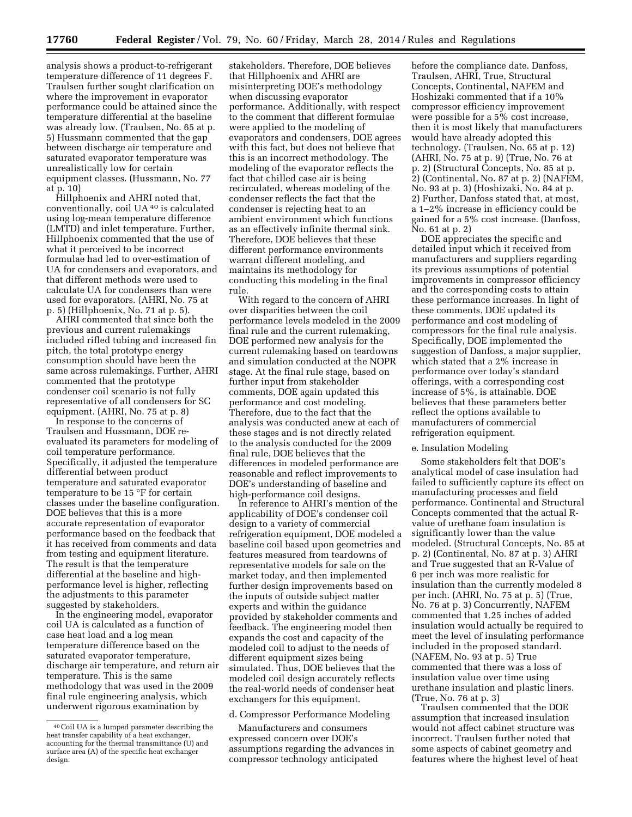analysis shows a product-to-refrigerant temperature difference of 11 degrees F. Traulsen further sought clarification on where the improvement in evaporator performance could be attained since the temperature differential at the baseline was already low. (Traulsen, No. 65 at p. 5) Hussmann commented that the gap between discharge air temperature and saturated evaporator temperature was unrealistically low for certain equipment classes. (Hussmann, No. 77 at p. 10)

Hillphoenix and AHRI noted that, conventionally, coil UA 40 is calculated using log-mean temperature difference (LMTD) and inlet temperature. Further, Hillphoenix commented that the use of what it perceived to be incorrect formulae had led to over-estimation of UA for condensers and evaporators, and that different methods were used to calculate UA for condensers than were used for evaporators. (AHRI, No. 75 at p. 5) (Hillphoenix, No. 71 at p. 5).

AHRI commented that since both the previous and current rulemakings included rifled tubing and increased fin pitch, the total prototype energy consumption should have been the same across rulemakings. Further, AHRI commented that the prototype condenser coil scenario is not fully representative of all condensers for SC equipment. (AHRI, No. 75 at p. 8)

In response to the concerns of Traulsen and Hussmann, DOE reevaluated its parameters for modeling of coil temperature performance. Specifically, it adjusted the temperature differential between product temperature and saturated evaporator temperature to be 15 °F for certain classes under the baseline configuration. DOE believes that this is a more accurate representation of evaporator performance based on the feedback that it has received from comments and data from testing and equipment literature. The result is that the temperature differential at the baseline and highperformance level is higher, reflecting the adjustments to this parameter suggested by stakeholders.

In the engineering model, evaporator coil UA is calculated as a function of case heat load and a log mean temperature difference based on the saturated evaporator temperature, discharge air temperature, and return air temperature. This is the same methodology that was used in the 2009 final rule engineering analysis, which underwent rigorous examination by

stakeholders. Therefore, DOE believes that Hillphoenix and AHRI are misinterpreting DOE's methodology when discussing evaporator performance. Additionally, with respect to the comment that different formulae were applied to the modeling of evaporators and condensers, DOE agrees with this fact, but does not believe that this is an incorrect methodology. The modeling of the evaporator reflects the fact that chilled case air is being recirculated, whereas modeling of the condenser reflects the fact that the condenser is rejecting heat to an ambient environment which functions as an effectively infinite thermal sink. Therefore, DOE believes that these different performance environments warrant different modeling, and maintains its methodology for conducting this modeling in the final rule.

With regard to the concern of AHRI over disparities between the coil performance levels modeled in the 2009 final rule and the current rulemaking, DOE performed new analysis for the current rulemaking based on teardowns and simulation conducted at the NOPR stage. At the final rule stage, based on further input from stakeholder comments, DOE again updated this performance and cost modeling. Therefore, due to the fact that the analysis was conducted anew at each of these stages and is not directly related to the analysis conducted for the 2009 final rule, DOE believes that the differences in modeled performance are reasonable and reflect improvements to DOE's understanding of baseline and high-performance coil designs.

In reference to AHRI's mention of the applicability of DOE's condenser coil design to a variety of commercial refrigeration equipment, DOE modeled a baseline coil based upon geometries and features measured from teardowns of representative models for sale on the market today, and then implemented further design improvements based on the inputs of outside subject matter experts and within the guidance provided by stakeholder comments and feedback. The engineering model then expands the cost and capacity of the modeled coil to adjust to the needs of different equipment sizes being simulated. Thus, DOE believes that the modeled coil design accurately reflects the real-world needs of condenser heat exchangers for this equipment.

#### d. Compressor Performance Modeling

Manufacturers and consumers expressed concern over DOE's assumptions regarding the advances in compressor technology anticipated

before the compliance date. Danfoss, Traulsen, AHRI, True, Structural Concepts, Continental, NAFEM and Hoshizaki commented that if a 10% compressor efficiency improvement were possible for a 5% cost increase, then it is most likely that manufacturers would have already adopted this technology. (Traulsen, No. 65 at p. 12) (AHRI, No. 75 at p. 9) (True, No. 76 at p. 2) (Structural Concepts, No. 85 at p. 2) (Continental, No. 87 at p. 2) (NAFEM, No. 93 at p. 3) (Hoshizaki, No. 84 at p. 2) Further, Danfoss stated that, at most, a 1–2% increase in efficiency could be gained for a 5% cost increase. (Danfoss, No. 61 at p. 2)

DOE appreciates the specific and detailed input which it received from manufacturers and suppliers regarding its previous assumptions of potential improvements in compressor efficiency and the corresponding costs to attain these performance increases. In light of these comments, DOE updated its performance and cost modeling of compressors for the final rule analysis. Specifically, DOE implemented the suggestion of Danfoss, a major supplier, which stated that a 2% increase in performance over today's standard offerings, with a corresponding cost increase of 5%, is attainable. DOE believes that these parameters better reflect the options available to manufacturers of commercial refrigeration equipment.

#### e. Insulation Modeling

Some stakeholders felt that DOE's analytical model of case insulation had failed to sufficiently capture its effect on manufacturing processes and field performance. Continental and Structural Concepts commented that the actual Rvalue of urethane foam insulation is significantly lower than the value modeled. (Structural Concepts, No. 85 at p. 2) (Continental, No. 87 at p. 3) AHRI and True suggested that an R-Value of 6 per inch was more realistic for insulation than the currently modeled 8 per inch. (AHRI, No. 75 at p. 5) (True, No. 76 at p. 3) Concurrently, NAFEM commented that 1.25 inches of added insulation would actually be required to meet the level of insulating performance included in the proposed standard. (NAFEM, No. 93 at p. 5) True commented that there was a loss of insulation value over time using urethane insulation and plastic liners. (True, No. 76 at p. 3)

Traulsen commented that the DOE assumption that increased insulation would not affect cabinet structure was incorrect. Traulsen further noted that some aspects of cabinet geometry and features where the highest level of heat

<sup>40</sup>Coil UA is a lumped parameter describing the heat transfer capability of a heat exchanger, accounting for the thermal transmittance (U) and surface area (A) of the specific heat exchanger design.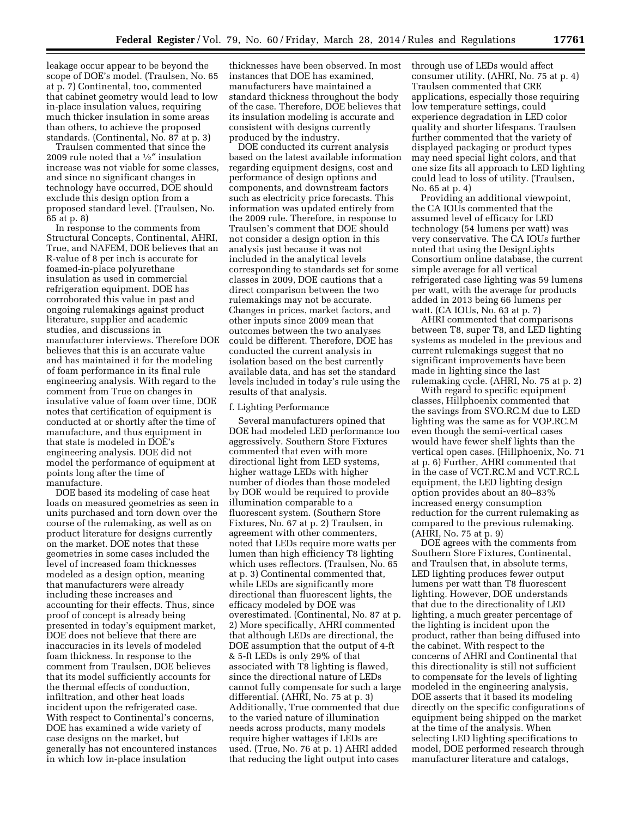leakage occur appear to be beyond the scope of DOE's model. (Traulsen, No. 65 at p. 7) Continental, too, commented that cabinet geometry would lead to low in-place insulation values, requiring much thicker insulation in some areas than others, to achieve the proposed standards. (Continental, No. 87 at p. 3)

Traulsen commented that since the 2009 rule noted that a  $1/2$ " insulation increase was not viable for some classes, and since no significant changes in technology have occurred, DOE should exclude this design option from a proposed standard level. (Traulsen, No. 65 at p. 8)

In response to the comments from Structural Concepts, Continental, AHRI, True, and NAFEM, DOE believes that an R-value of 8 per inch is accurate for foamed-in-place polyurethane insulation as used in commercial refrigeration equipment. DOE has corroborated this value in past and ongoing rulemakings against product literature, supplier and academic studies, and discussions in manufacturer interviews. Therefore DOE believes that this is an accurate value and has maintained it for the modeling of foam performance in its final rule engineering analysis. With regard to the comment from True on changes in insulative value of foam over time, DOE notes that certification of equipment is conducted at or shortly after the time of manufacture, and thus equipment in that state is modeled in DOE's engineering analysis. DOE did not model the performance of equipment at points long after the time of manufacture.

DOE based its modeling of case heat loads on measured geometries as seen in units purchased and torn down over the course of the rulemaking, as well as on product literature for designs currently on the market. DOE notes that these geometries in some cases included the level of increased foam thicknesses modeled as a design option, meaning that manufacturers were already including these increases and accounting for their effects. Thus, since proof of concept is already being presented in today's equipment market, DOE does not believe that there are inaccuracies in its levels of modeled foam thickness. In response to the comment from Traulsen, DOE believes that its model sufficiently accounts for the thermal effects of conduction, infiltration, and other heat loads incident upon the refrigerated case. With respect to Continental's concerns, DOE has examined a wide variety of case designs on the market, but generally has not encountered instances in which low in-place insulation

thicknesses have been observed. In most instances that DOE has examined, manufacturers have maintained a standard thickness throughout the body of the case. Therefore, DOE believes that its insulation modeling is accurate and consistent with designs currently produced by the industry.

DOE conducted its current analysis based on the latest available information regarding equipment designs, cost and performance of design options and components, and downstream factors such as electricity price forecasts. This information was updated entirely from the 2009 rule. Therefore, in response to Traulsen's comment that DOE should not consider a design option in this analysis just because it was not included in the analytical levels corresponding to standards set for some classes in 2009, DOE cautions that a direct comparison between the two rulemakings may not be accurate. Changes in prices, market factors, and other inputs since 2009 mean that outcomes between the two analyses could be different. Therefore, DOE has conducted the current analysis in isolation based on the best currently available data, and has set the standard levels included in today's rule using the results of that analysis.

### f. Lighting Performance

Several manufacturers opined that DOE had modeled LED performance too aggressively. Southern Store Fixtures commented that even with more directional light from LED systems, higher wattage LEDs with higher number of diodes than those modeled by DOE would be required to provide illumination comparable to a fluorescent system. (Southern Store Fixtures, No. 67 at p. 2) Traulsen, in agreement with other commenters, noted that LEDs require more watts per lumen than high efficiency T8 lighting which uses reflectors. (Traulsen, No. 65 at p. 3) Continental commented that, while LEDs are significantly more directional than fluorescent lights, the efficacy modeled by DOE was overestimated. (Continental, No. 87 at p. 2) More specifically, AHRI commented that although LEDs are directional, the DOE assumption that the output of 4-ft & 5-ft LEDs is only 29% of that associated with T8 lighting is flawed, since the directional nature of LEDs cannot fully compensate for such a large differential. (AHRI, No. 75 at p. 3) Additionally, True commented that due to the varied nature of illumination needs across products, many models require higher wattages if LEDs are used. (True, No. 76 at p. 1) AHRI added that reducing the light output into cases

through use of LEDs would affect consumer utility. (AHRI, No. 75 at p. 4) Traulsen commented that CRE applications, especially those requiring low temperature settings, could experience degradation in LED color quality and shorter lifespans. Traulsen further commented that the variety of displayed packaging or product types may need special light colors, and that one size fits all approach to LED lighting could lead to loss of utility. (Traulsen, No. 65 at p. 4)

Providing an additional viewpoint, the CA IOUs commented that the assumed level of efficacy for LED technology (54 lumens per watt) was very conservative. The CA IOUs further noted that using the DesignLights Consortium online database, the current simple average for all vertical refrigerated case lighting was 59 lumens per watt, with the average for products added in 2013 being 66 lumens per watt. (CA IOUs, No. 63 at p. 7)

AHRI commented that comparisons between T8, super T8, and LED lighting systems as modeled in the previous and current rulemakings suggest that no significant improvements have been made in lighting since the last rulemaking cycle. (AHRI, No. 75 at p. 2)

With regard to specific equipment classes, Hillphoenix commented that the savings from SVO.RC.M due to LED lighting was the same as for VOP.RC.M even though the semi-vertical cases would have fewer shelf lights than the vertical open cases. (Hillphoenix, No. 71 at p. 6) Further, AHRI commented that in the case of VCT.RC.M and VCT.RC.L equipment, the LED lighting design option provides about an 80–83% increased energy consumption reduction for the current rulemaking as compared to the previous rulemaking. (AHRI, No. 75 at p. 9)

DOE agrees with the comments from Southern Store Fixtures, Continental, and Traulsen that, in absolute terms, LED lighting produces fewer output lumens per watt than T8 fluorescent lighting. However, DOE understands that due to the directionality of LED lighting, a much greater percentage of the lighting is incident upon the product, rather than being diffused into the cabinet. With respect to the concerns of AHRI and Continental that this directionality is still not sufficient to compensate for the levels of lighting modeled in the engineering analysis, DOE asserts that it based its modeling directly on the specific configurations of equipment being shipped on the market at the time of the analysis. When selecting LED lighting specifications to model, DOE performed research through manufacturer literature and catalogs,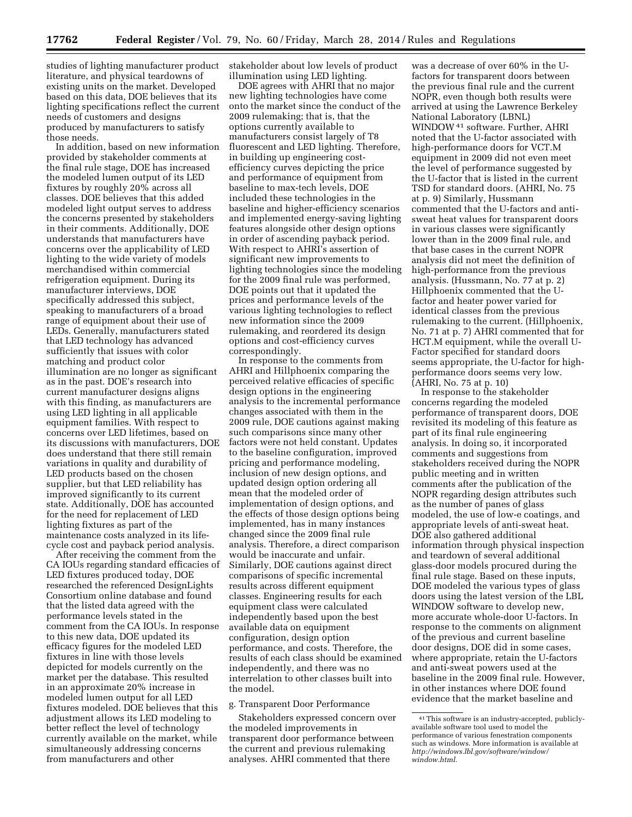studies of lighting manufacturer product literature, and physical teardowns of existing units on the market. Developed based on this data, DOE believes that its lighting specifications reflect the current needs of customers and designs produced by manufacturers to satisfy those needs.

In addition, based on new information provided by stakeholder comments at the final rule stage, DOE has increased the modeled lumen output of its LED fixtures by roughly 20% across all classes. DOE believes that this added modeled light output serves to address the concerns presented by stakeholders in their comments. Additionally, DOE understands that manufacturers have concerns over the applicability of LED lighting to the wide variety of models merchandised within commercial refrigeration equipment. During its manufacturer interviews, DOE specifically addressed this subject, speaking to manufacturers of a broad range of equipment about their use of LEDs. Generally, manufacturers stated that LED technology has advanced sufficiently that issues with color matching and product color illumination are no longer as significant as in the past. DOE's research into current manufacturer designs aligns with this finding, as manufacturers are using LED lighting in all applicable equipment families. With respect to concerns over LED lifetimes, based on its discussions with manufacturers, DOE does understand that there still remain variations in quality and durability of LED products based on the chosen supplier, but that LED reliability has improved significantly to its current state. Additionally, DOE has accounted for the need for replacement of LED lighting fixtures as part of the maintenance costs analyzed in its lifecycle cost and payback period analysis.

After receiving the comment from the CA IOUs regarding standard efficacies of LED fixtures produced today, DOE researched the referenced DesignLights Consortium online database and found that the listed data agreed with the performance levels stated in the comment from the CA IOUs. In response to this new data, DOE updated its efficacy figures for the modeled LED fixtures in line with those levels depicted for models currently on the market per the database. This resulted in an approximate 20% increase in modeled lumen output for all LED fixtures modeled. DOE believes that this adjustment allows its LED modeling to better reflect the level of technology currently available on the market, while simultaneously addressing concerns from manufacturers and other

stakeholder about low levels of product illumination using LED lighting.

DOE agrees with AHRI that no major new lighting technologies have come onto the market since the conduct of the 2009 rulemaking; that is, that the options currently available to manufacturers consist largely of T8 fluorescent and LED lighting. Therefore, in building up engineering costefficiency curves depicting the price and performance of equipment from baseline to max-tech levels, DOE included these technologies in the baseline and higher-efficiency scenarios and implemented energy-saving lighting features alongside other design options in order of ascending payback period. With respect to AHRI's assertion of significant new improvements to lighting technologies since the modeling for the 2009 final rule was performed, DOE points out that it updated the prices and performance levels of the various lighting technologies to reflect new information since the 2009 rulemaking, and reordered its design options and cost-efficiency curves correspondingly.

In response to the comments from AHRI and Hillphoenix comparing the perceived relative efficacies of specific design options in the engineering analysis to the incremental performance changes associated with them in the 2009 rule, DOE cautions against making such comparisons since many other factors were not held constant. Updates to the baseline configuration, improved pricing and performance modeling, inclusion of new design options, and updated design option ordering all mean that the modeled order of implementation of design options, and the effects of those design options being implemented, has in many instances changed since the 2009 final rule analysis. Therefore, a direct comparison would be inaccurate and unfair. Similarly, DOE cautions against direct comparisons of specific incremental results across different equipment classes. Engineering results for each equipment class were calculated independently based upon the best available data on equipment configuration, design option performance, and costs. Therefore, the results of each class should be examined independently, and there was no interrelation to other classes built into the model.

### g. Transparent Door Performance

Stakeholders expressed concern over the modeled improvements in transparent door performance between the current and previous rulemaking analyses. AHRI commented that there

was a decrease of over 60% in the Ufactors for transparent doors between the previous final rule and the current NOPR, even though both results were arrived at using the Lawrence Berkeley National Laboratory (LBNL) WINDOW41 software. Further, AHRI noted that the U-factor associated with high-performance doors for VCT.M equipment in 2009 did not even meet the level of performance suggested by the U-factor that is listed in the current TSD for standard doors. (AHRI, No. 75 at p. 9) Similarly, Hussmann commented that the U-factors and antisweat heat values for transparent doors in various classes were significantly lower than in the 2009 final rule, and that base cases in the current NOPR analysis did not meet the definition of high-performance from the previous analysis. (Hussmann, No. 77 at p. 2) Hillphoenix commented that the Ufactor and heater power varied for identical classes from the previous rulemaking to the current. (Hillphoenix, No. 71 at p. 7) AHRI commented that for HCT.M equipment, while the overall U-Factor specified for standard doors seems appropriate, the U-factor for highperformance doors seems very low. (AHRI, No. 75 at p. 10)

In response to the stakeholder concerns regarding the modeled performance of transparent doors, DOE revisited its modeling of this feature as part of its final rule engineering analysis. In doing so, it incorporated comments and suggestions from stakeholders received during the NOPR public meeting and in written comments after the publication of the NOPR regarding design attributes such as the number of panes of glass modeled, the use of low-e coatings, and appropriate levels of anti-sweat heat. DOE also gathered additional information through physical inspection and teardown of several additional glass-door models procured during the final rule stage. Based on these inputs, DOE modeled the various types of glass doors using the latest version of the LBL WINDOW software to develop new, more accurate whole-door U-factors. In response to the comments on alignment of the previous and current baseline door designs, DOE did in some cases, where appropriate, retain the U-factors and anti-sweat powers used at the baseline in the 2009 final rule. However, in other instances where DOE found evidence that the market baseline and

<sup>41</sup>This software is an industry-accepted, publiclyavailable software tool used to model the performance of various fenestration components such as windows. More information is available at *[http://windows.lbl.gov/software/window/](http://windows.lbl.gov/software/window/window.html) [window.html.](http://windows.lbl.gov/software/window/window.html)*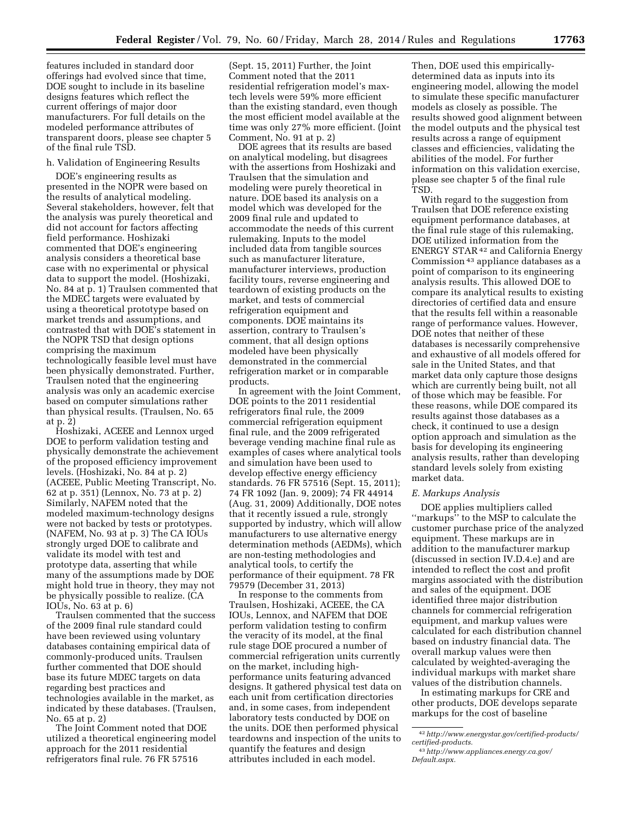features included in standard door offerings had evolved since that time, DOE sought to include in its baseline designs features which reflect the current offerings of major door manufacturers. For full details on the modeled performance attributes of transparent doors, please see chapter 5 of the final rule TSD.

### h. Validation of Engineering Results

DOE's engineering results as presented in the NOPR were based on the results of analytical modeling. Several stakeholders, however, felt that the analysis was purely theoretical and did not account for factors affecting field performance. Hoshizaki commented that DOE's engineering analysis considers a theoretical base case with no experimental or physical data to support the model. (Hoshizaki, No. 84 at p. 1) Traulsen commented that the MDEC targets were evaluated by using a theoretical prototype based on market trends and assumptions, and contrasted that with DOE's statement in the NOPR TSD that design options comprising the maximum technologically feasible level must have been physically demonstrated. Further, Traulsen noted that the engineering analysis was only an academic exercise based on computer simulations rather than physical results. (Traulsen, No. 65 at p. 2)

Hoshizaki, ACEEE and Lennox urged DOE to perform validation testing and physically demonstrate the achievement of the proposed efficiency improvement levels. (Hoshizaki, No. 84 at p. 2) (ACEEE, Public Meeting Transcript, No. 62 at p. 351) (Lennox, No. 73 at p. 2) Similarly, NAFEM noted that the modeled maximum-technology designs were not backed by tests or prototypes. (NAFEM, No. 93 at p. 3) The CA IOUs strongly urged DOE to calibrate and validate its model with test and prototype data, asserting that while many of the assumptions made by DOE might hold true in theory, they may not be physically possible to realize. (CA IOUs, No. 63 at p. 6)

Traulsen commented that the success of the 2009 final rule standard could have been reviewed using voluntary databases containing empirical data of commonly-produced units. Traulsen further commented that DOE should base its future MDEC targets on data regarding best practices and technologies available in the market, as indicated by these databases. (Traulsen, No. 65 at p. 2)

The Joint Comment noted that DOE utilized a theoretical engineering model approach for the 2011 residential refrigerators final rule. 76 FR 57516

(Sept. 15, 2011) Further, the Joint Comment noted that the 2011 residential refrigeration model's maxtech levels were 59% more efficient than the existing standard, even though the most efficient model available at the time was only 27% more efficient. (Joint Comment, No. 91 at p. 2)

DOE agrees that its results are based on analytical modeling, but disagrees with the assertions from Hoshizaki and Traulsen that the simulation and modeling were purely theoretical in nature. DOE based its analysis on a model which was developed for the 2009 final rule and updated to accommodate the needs of this current rulemaking. Inputs to the model included data from tangible sources such as manufacturer literature, manufacturer interviews, production facility tours, reverse engineering and teardown of existing products on the market, and tests of commercial refrigeration equipment and components. DOE maintains its assertion, contrary to Traulsen's comment, that all design options modeled have been physically demonstrated in the commercial refrigeration market or in comparable products.

In agreement with the Joint Comment, DOE points to the 2011 residential refrigerators final rule, the 2009 commercial refrigeration equipment final rule, and the 2009 refrigerated beverage vending machine final rule as examples of cases where analytical tools and simulation have been used to develop effective energy efficiency standards. 76 FR 57516 (Sept. 15, 2011); 74 FR 1092 (Jan. 9, 2009); 74 FR 44914 (Aug. 31, 2009) Additionally, DOE notes that it recently issued a rule, strongly supported by industry, which will allow manufacturers to use alternative energy determination methods (AEDMs), which are non-testing methodologies and analytical tools, to certify the performance of their equipment. 78 FR 79579 (December 31, 2013)

In response to the comments from Traulsen, Hoshizaki, ACEEE, the CA IOUs, Lennox, and NAFEM that DOE perform validation testing to confirm the veracity of its model, at the final rule stage DOE procured a number of commercial refrigeration units currently on the market, including highperformance units featuring advanced designs. It gathered physical test data on each unit from certification directories and, in some cases, from independent laboratory tests conducted by DOE on the units. DOE then performed physical teardowns and inspection of the units to quantify the features and design attributes included in each model.

Then, DOE used this empiricallydetermined data as inputs into its engineering model, allowing the model to simulate these specific manufacturer models as closely as possible. The results showed good alignment between the model outputs and the physical test results across a range of equipment classes and efficiencies, validating the abilities of the model. For further information on this validation exercise, please see chapter 5 of the final rule TSD.

With regard to the suggestion from Traulsen that DOE reference existing equipment performance databases, at the final rule stage of this rulemaking, DOE utilized information from the ENERGY STAR<sup>42</sup> and California Energy Commission 43 appliance databases as a point of comparison to its engineering analysis results. This allowed DOE to compare its analytical results to existing directories of certified data and ensure that the results fell within a reasonable range of performance values. However, DOE notes that neither of these databases is necessarily comprehensive and exhaustive of all models offered for sale in the United States, and that market data only capture those designs which are currently being built, not all of those which may be feasible. For these reasons, while DOE compared its results against those databases as a check, it continued to use a design option approach and simulation as the basis for developing its engineering analysis results, rather than developing standard levels solely from existing market data.

### *E. Markups Analysis*

DOE applies multipliers called ''markups'' to the MSP to calculate the customer purchase price of the analyzed equipment. These markups are in addition to the manufacturer markup (discussed in section IV.D.4.e) and are intended to reflect the cost and profit margins associated with the distribution and sales of the equipment. DOE identified three major distribution channels for commercial refrigeration equipment, and markup values were calculated for each distribution channel based on industry financial data. The overall markup values were then calculated by weighted-averaging the individual markups with market share values of the distribution channels.

In estimating markups for CRE and other products, DOE develops separate markups for the cost of baseline

<sup>42</sup>*[http://www.energystar.gov/certified-products/](http://www.energystar.gov/certified-products/certified-products) [certified-products.](http://www.energystar.gov/certified-products/certified-products)* 

<sup>43</sup>*[http://www.appliances.energy.ca.gov/](http://www.appliances.energy.ca.gov/Default.aspx) [Default.aspx.](http://www.appliances.energy.ca.gov/Default.aspx)*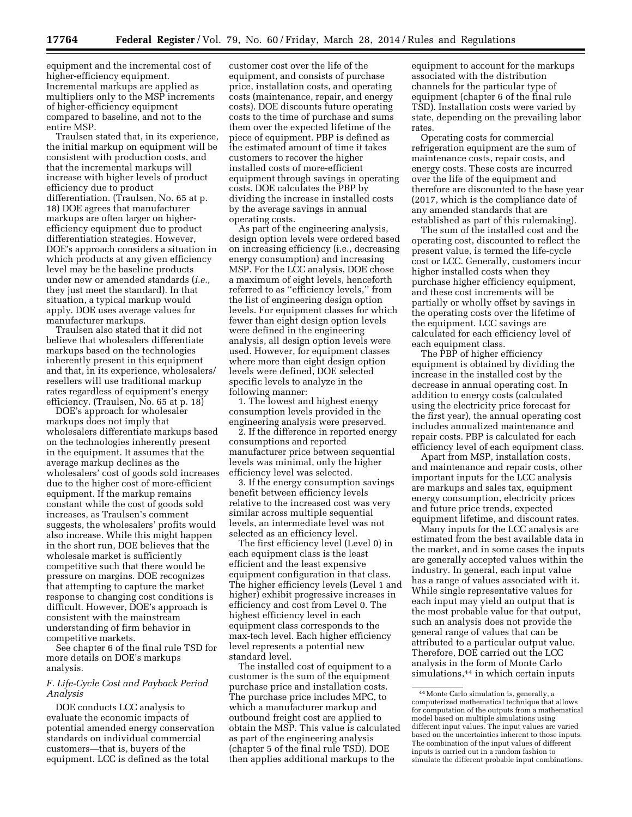equipment and the incremental cost of higher-efficiency equipment. Incremental markups are applied as multipliers only to the MSP increments of higher-efficiency equipment compared to baseline, and not to the entire MSP.

Traulsen stated that, in its experience, the initial markup on equipment will be consistent with production costs, and that the incremental markups will increase with higher levels of product efficiency due to product differentiation. (Traulsen, No. 65 at p. 18) DOE agrees that manufacturer markups are often larger on higherefficiency equipment due to product differentiation strategies. However, DOE's approach considers a situation in which products at any given efficiency level may be the baseline products under new or amended standards (*i.e.,*  they just meet the standard). In that situation, a typical markup would apply. DOE uses average values for manufacturer markups.

Traulsen also stated that it did not believe that wholesalers differentiate markups based on the technologies inherently present in this equipment and that, in its experience, wholesalers/ resellers will use traditional markup rates regardless of equipment's energy efficiency. (Traulsen, No. 65 at p. 18)

DOE's approach for wholesaler markups does not imply that wholesalers differentiate markups based on the technologies inherently present in the equipment. It assumes that the average markup declines as the wholesalers' cost of goods sold increases due to the higher cost of more-efficient equipment. If the markup remains constant while the cost of goods sold increases, as Traulsen's comment suggests, the wholesalers' profits would also increase. While this might happen in the short run, DOE believes that the wholesale market is sufficiently competitive such that there would be pressure on margins. DOE recognizes that attempting to capture the market response to changing cost conditions is difficult. However, DOE's approach is consistent with the mainstream understanding of firm behavior in competitive markets.

See chapter 6 of the final rule TSD for more details on DOE's markups analysis.

### *F. Life-Cycle Cost and Payback Period Analysis*

DOE conducts LCC analysis to evaluate the economic impacts of potential amended energy conservation standards on individual commercial customers—that is, buyers of the equipment. LCC is defined as the total

customer cost over the life of the equipment, and consists of purchase price, installation costs, and operating costs (maintenance, repair, and energy costs). DOE discounts future operating costs to the time of purchase and sums them over the expected lifetime of the piece of equipment. PBP is defined as the estimated amount of time it takes customers to recover the higher installed costs of more-efficient equipment through savings in operating costs. DOE calculates the PBP by dividing the increase in installed costs by the average savings in annual operating costs.

As part of the engineering analysis, design option levels were ordered based on increasing efficiency (i.e., decreasing energy consumption) and increasing MSP. For the LCC analysis, DOE chose a maximum of eight levels, henceforth referred to as ''efficiency levels,'' from the list of engineering design option levels. For equipment classes for which fewer than eight design option levels were defined in the engineering analysis, all design option levels were used. However, for equipment classes where more than eight design option levels were defined, DOE selected specific levels to analyze in the following manner:

1. The lowest and highest energy consumption levels provided in the engineering analysis were preserved.

2. If the difference in reported energy consumptions and reported manufacturer price between sequential levels was minimal, only the higher efficiency level was selected.

3. If the energy consumption savings benefit between efficiency levels relative to the increased cost was very similar across multiple sequential levels, an intermediate level was not selected as an efficiency level.

The first efficiency level (Level 0) in each equipment class is the least efficient and the least expensive equipment configuration in that class. The higher efficiency levels (Level 1 and higher) exhibit progressive increases in efficiency and cost from Level 0. The highest efficiency level in each equipment class corresponds to the max-tech level. Each higher efficiency level represents a potential new standard level.

The installed cost of equipment to a customer is the sum of the equipment purchase price and installation costs. The purchase price includes MPC, to which a manufacturer markup and outbound freight cost are applied to obtain the MSP. This value is calculated as part of the engineering analysis (chapter 5 of the final rule TSD). DOE then applies additional markups to the

equipment to account for the markups associated with the distribution channels for the particular type of equipment (chapter 6 of the final rule TSD). Installation costs were varied by state, depending on the prevailing labor rates.

Operating costs for commercial refrigeration equipment are the sum of maintenance costs, repair costs, and energy costs. These costs are incurred over the life of the equipment and therefore are discounted to the base year (2017, which is the compliance date of any amended standards that are established as part of this rulemaking).

The sum of the installed cost and the operating cost, discounted to reflect the present value, is termed the life-cycle cost or LCC. Generally, customers incur higher installed costs when they purchase higher efficiency equipment, and these cost increments will be partially or wholly offset by savings in the operating costs over the lifetime of the equipment. LCC savings are calculated for each efficiency level of each equipment class.

The PBP of higher efficiency equipment is obtained by dividing the increase in the installed cost by the decrease in annual operating cost. In addition to energy costs (calculated using the electricity price forecast for the first year), the annual operating cost includes annualized maintenance and repair costs. PBP is calculated for each efficiency level of each equipment class.

Apart from MSP, installation costs, and maintenance and repair costs, other important inputs for the LCC analysis are markups and sales tax, equipment energy consumption, electricity prices and future price trends, expected equipment lifetime, and discount rates.

Many inputs for the LCC analysis are estimated from the best available data in the market, and in some cases the inputs are generally accepted values within the industry. In general, each input value has a range of values associated with it. While single representative values for each input may yield an output that is the most probable value for that output, such an analysis does not provide the general range of values that can be attributed to a particular output value. Therefore, DOE carried out the LCC analysis in the form of Monte Carlo simulations,44 in which certain inputs

<sup>44</sup>Monte Carlo simulation is, generally, a computerized mathematical technique that allows for computation of the outputs from a mathematical model based on multiple simulations using different input values. The input values are varied based on the uncertainties inherent to those inputs. The combination of the input values of different inputs is carried out in a random fashion to simulate the different probable input combinations.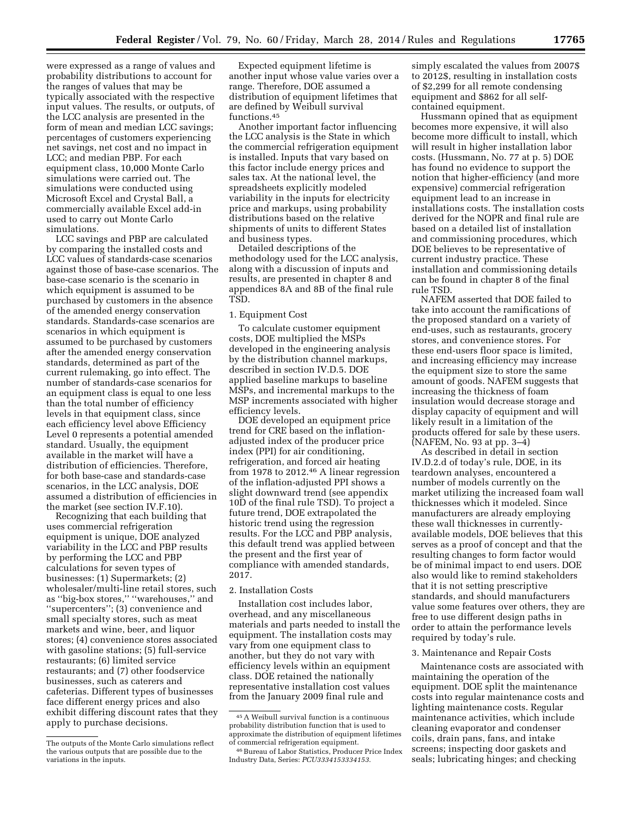were expressed as a range of values and probability distributions to account for the ranges of values that may be typically associated with the respective input values. The results, or outputs, of the LCC analysis are presented in the form of mean and median LCC savings; percentages of customers experiencing net savings, net cost and no impact in LCC; and median PBP. For each equipment class, 10,000 Monte Carlo simulations were carried out. The simulations were conducted using Microsoft Excel and Crystal Ball, a commercially available Excel add-in used to carry out Monte Carlo simulations.

LCC savings and PBP are calculated by comparing the installed costs and LCC values of standards-case scenarios against those of base-case scenarios. The base-case scenario is the scenario in which equipment is assumed to be purchased by customers in the absence of the amended energy conservation standards. Standards-case scenarios are scenarios in which equipment is assumed to be purchased by customers after the amended energy conservation standards, determined as part of the current rulemaking, go into effect. The number of standards-case scenarios for an equipment class is equal to one less than the total number of efficiency levels in that equipment class, since each efficiency level above Efficiency Level 0 represents a potential amended standard. Usually, the equipment available in the market will have a distribution of efficiencies. Therefore, for both base-case and standards-case scenarios, in the LCC analysis, DOE assumed a distribution of efficiencies in the market (see section IV.F.10).

Recognizing that each building that uses commercial refrigeration equipment is unique, DOE analyzed variability in the LCC and PBP results by performing the LCC and PBP calculations for seven types of businesses: (1) Supermarkets; (2) wholesaler/multi-line retail stores, such as ''big-box stores,'' ''warehouses,'' and ''supercenters''; (3) convenience and small specialty stores, such as meat markets and wine, beer, and liquor stores; (4) convenience stores associated with gasoline stations; (5) full-service restaurants; (6) limited service restaurants; and (7) other foodservice businesses, such as caterers and cafeterias. Different types of businesses face different energy prices and also exhibit differing discount rates that they apply to purchase decisions.

Expected equipment lifetime is another input whose value varies over a range. Therefore, DOE assumed a distribution of equipment lifetimes that are defined by Weibull survival functions.45

Another important factor influencing the LCC analysis is the State in which the commercial refrigeration equipment is installed. Inputs that vary based on this factor include energy prices and sales tax. At the national level, the spreadsheets explicitly modeled variability in the inputs for electricity price and markups, using probability distributions based on the relative shipments of units to different States and business types.

Detailed descriptions of the methodology used for the LCC analysis, along with a discussion of inputs and results, are presented in chapter 8 and appendices 8A and 8B of the final rule TSD.

#### 1. Equipment Cost

To calculate customer equipment costs, DOE multiplied the MSPs developed in the engineering analysis by the distribution channel markups, described in section IV.D.5. DOE applied baseline markups to baseline MSPs, and incremental markups to the MSP increments associated with higher efficiency levels.

DOE developed an equipment price trend for CRE based on the inflationadjusted index of the producer price index (PPI) for air conditioning, refrigeration, and forced air heating from 1978 to 2012.46 A linear regression of the inflation-adjusted PPI shows a slight downward trend (see appendix 10D of the final rule TSD). To project a future trend, DOE extrapolated the historic trend using the regression results. For the LCC and PBP analysis, this default trend was applied between the present and the first year of compliance with amended standards, 2017.

### 2. Installation Costs

Installation cost includes labor, overhead, and any miscellaneous materials and parts needed to install the equipment. The installation costs may vary from one equipment class to another, but they do not vary with efficiency levels within an equipment class. DOE retained the nationally representative installation cost values from the January 2009 final rule and

simply escalated the values from 2007\$ to 2012\$, resulting in installation costs of \$2,299 for all remote condensing equipment and \$862 for all selfcontained equipment.

Hussmann opined that as equipment becomes more expensive, it will also become more difficult to install, which will result in higher installation labor costs. (Hussmann, No. 77 at p. 5) DOE has found no evidence to support the notion that higher-efficiency (and more expensive) commercial refrigeration equipment lead to an increase in installations costs. The installation costs derived for the NOPR and final rule are based on a detailed list of installation and commissioning procedures, which DOE believes to be representative of current industry practice. These installation and commissioning details can be found in chapter 8 of the final rule TSD.

NAFEM asserted that DOE failed to take into account the ramifications of the proposed standard on a variety of end-uses, such as restaurants, grocery stores, and convenience stores. For these end-users floor space is limited, and increasing efficiency may increase the equipment size to store the same amount of goods. NAFEM suggests that increasing the thickness of foam insulation would decrease storage and display capacity of equipment and will likely result in a limitation of the products offered for sale by these users. (NAFEM, No. 93 at pp. 3–4)

As described in detail in section IV.D.2.d of today's rule, DOE, in its teardown analyses, encountered a number of models currently on the market utilizing the increased foam wall thicknesses which it modeled. Since manufacturers are already employing these wall thicknesses in currentlyavailable models, DOE believes that this serves as a proof of concept and that the resulting changes to form factor would be of minimal impact to end users. DOE also would like to remind stakeholders that it is not setting prescriptive standards, and should manufacturers value some features over others, they are free to use different design paths in order to attain the performance levels required by today's rule.

#### 3. Maintenance and Repair Costs

Maintenance costs are associated with maintaining the operation of the equipment. DOE split the maintenance costs into regular maintenance costs and lighting maintenance costs. Regular maintenance activities, which include cleaning evaporator and condenser coils, drain pans, fans, and intake screens; inspecting door gaskets and seals; lubricating hinges; and checking

The outputs of the Monte Carlo simulations reflect the various outputs that are possible due to the variations in the inputs.

<sup>45</sup>A Weibull survival function is a continuous probability distribution function that is used to approximate the distribution of equipment lifetimes of commercial refrigeration equipment.

<sup>46</sup>Bureau of Labor Statistics, Producer Price Index Industry Data, Series: *PCU3334153334153*.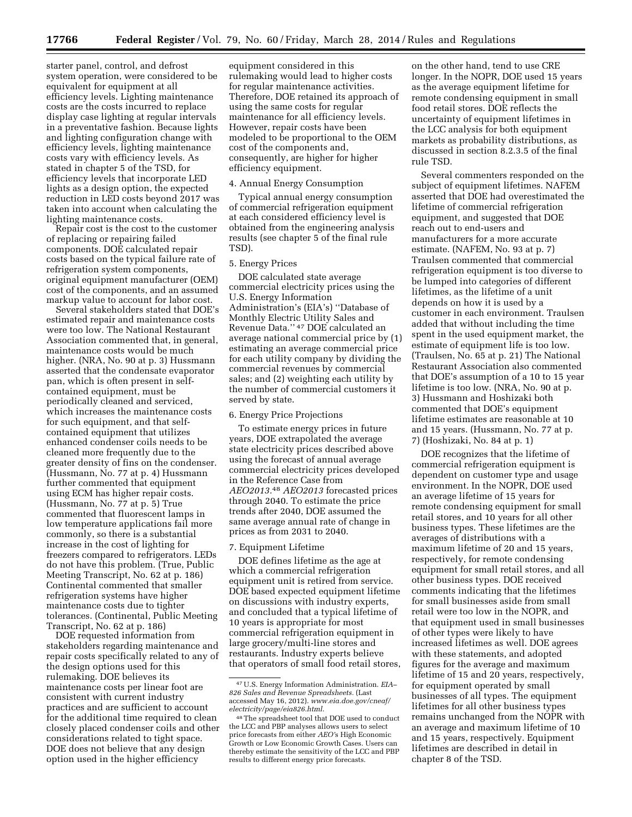starter panel, control, and defrost system operation, were considered to be equivalent for equipment at all efficiency levels. Lighting maintenance costs are the costs incurred to replace display case lighting at regular intervals in a preventative fashion. Because lights and lighting configuration change with efficiency levels, lighting maintenance costs vary with efficiency levels. As stated in chapter 5 of the TSD, for efficiency levels that incorporate LED lights as a design option, the expected reduction in LED costs beyond 2017 was taken into account when calculating the lighting maintenance costs.

Repair cost is the cost to the customer of replacing or repairing failed components. DOE calculated repair costs based on the typical failure rate of refrigeration system components, original equipment manufacturer (OEM) cost of the components, and an assumed markup value to account for labor cost.

Several stakeholders stated that DOE's estimated repair and maintenance costs were too low. The National Restaurant Association commented that, in general, maintenance costs would be much higher. (NRA, No. 90 at p. 3) Hussmann asserted that the condensate evaporator pan, which is often present in selfcontained equipment, must be periodically cleaned and serviced, which increases the maintenance costs for such equipment, and that selfcontained equipment that utilizes enhanced condenser coils needs to be cleaned more frequently due to the greater density of fins on the condenser. (Hussmann, No. 77 at p. 4) Hussmann further commented that equipment using ECM has higher repair costs. (Hussmann, No. 77 at p. 5) True commented that fluorescent lamps in low temperature applications fail more commonly, so there is a substantial increase in the cost of lighting for freezers compared to refrigerators. LEDs do not have this problem. (True, Public Meeting Transcript, No. 62 at p. 186) Continental commented that smaller refrigeration systems have higher maintenance costs due to tighter tolerances. (Continental, Public Meeting Transcript, No. 62 at p. 186)

DOE requested information from stakeholders regarding maintenance and repair costs specifically related to any of the design options used for this rulemaking. DOE believes its maintenance costs per linear foot are consistent with current industry practices and are sufficient to account for the additional time required to clean closely placed condenser coils and other considerations related to tight space. DOE does not believe that any design option used in the higher efficiency

equipment considered in this rulemaking would lead to higher costs for regular maintenance activities. Therefore, DOE retained its approach of using the same costs for regular maintenance for all efficiency levels. However, repair costs have been modeled to be proportional to the OEM cost of the components and, consequently, are higher for higher efficiency equipment.

#### 4. Annual Energy Consumption

Typical annual energy consumption of commercial refrigeration equipment at each considered efficiency level is obtained from the engineering analysis results (see chapter 5 of the final rule TSD).

#### 5. Energy Prices

DOE calculated state average commercial electricity prices using the U.S. Energy Information Administration's (EIA's) ''Database of Monthly Electric Utility Sales and Revenue Data.'' 47 DOE calculated an average national commercial price by (1) estimating an average commercial price for each utility company by dividing the commercial revenues by commercial sales; and (2) weighting each utility by the number of commercial customers it served by state.

#### 6. Energy Price Projections

To estimate energy prices in future years, DOE extrapolated the average state electricity prices described above using the forecast of annual average commercial electricity prices developed in the Reference Case from *AEO2013.*48 *AEO2013* forecasted prices through 2040. To estimate the price trends after 2040, DOE assumed the same average annual rate of change in prices as from 2031 to 2040.

#### 7. Equipment Lifetime

DOE defines lifetime as the age at which a commercial refrigeration equipment unit is retired from service. DOE based expected equipment lifetime on discussions with industry experts, and concluded that a typical lifetime of 10 years is appropriate for most commercial refrigeration equipment in large grocery/multi-line stores and restaurants. Industry experts believe that operators of small food retail stores,

on the other hand, tend to use CRE longer. In the NOPR, DOE used 15 years as the average equipment lifetime for remote condensing equipment in small food retail stores. DOE reflects the uncertainty of equipment lifetimes in the LCC analysis for both equipment markets as probability distributions, as discussed in section 8.2.3.5 of the final rule TSD.

Several commenters responded on the subject of equipment lifetimes. NAFEM asserted that DOE had overestimated the lifetime of commercial refrigeration equipment, and suggested that DOE reach out to end-users and manufacturers for a more accurate estimate. (NAFEM, No. 93 at p. 7) Traulsen commented that commercial refrigeration equipment is too diverse to be lumped into categories of different lifetimes, as the lifetime of a unit depends on how it is used by a customer in each environment. Traulsen added that without including the time spent in the used equipment market, the estimate of equipment life is too low. (Traulsen, No. 65 at p. 21) The National Restaurant Association also commented that DOE's assumption of a 10 to 15 year lifetime is too low. (NRA, No. 90 at p. 3) Hussmann and Hoshizaki both commented that DOE's equipment lifetime estimates are reasonable at 10 and 15 years. (Hussmann, No. 77 at p. 7) (Hoshizaki, No. 84 at p. 1)

DOE recognizes that the lifetime of commercial refrigeration equipment is dependent on customer type and usage environment. In the NOPR, DOE used an average lifetime of 15 years for remote condensing equipment for small retail stores, and 10 years for all other business types. These lifetimes are the averages of distributions with a maximum lifetime of 20 and 15 years, respectively, for remote condensing equipment for small retail stores, and all other business types. DOE received comments indicating that the lifetimes for small businesses aside from small retail were too low in the NOPR, and that equipment used in small businesses of other types were likely to have increased lifetimes as well. DOE agrees with these statements, and adopted figures for the average and maximum lifetime of 15 and 20 years, respectively, for equipment operated by small businesses of all types. The equipment lifetimes for all other business types remains unchanged from the NOPR with an average and maximum lifetime of 10 and 15 years, respectively. Equipment lifetimes are described in detail in chapter 8 of the TSD.

<sup>47</sup>U.S. Energy Information Administration. *EIA– 826 Sales and Revenue Spreadsheets.* (Last accessed May 16, 2012). *[www.eia.doe.gov/cneaf/](http://www.eia.doe.gov/cneaf/electricity/page/eia826.html) [electricity/page/eia826.html](http://www.eia.doe.gov/cneaf/electricity/page/eia826.html)*.

<sup>48</sup>The spreadsheet tool that DOE used to conduct the LCC and PBP analyses allows users to select price forecasts from either *AEO'*s High Economic Growth or Low Economic Growth Cases. Users can thereby estimate the sensitivity of the LCC and PBP results to different energy price forecasts.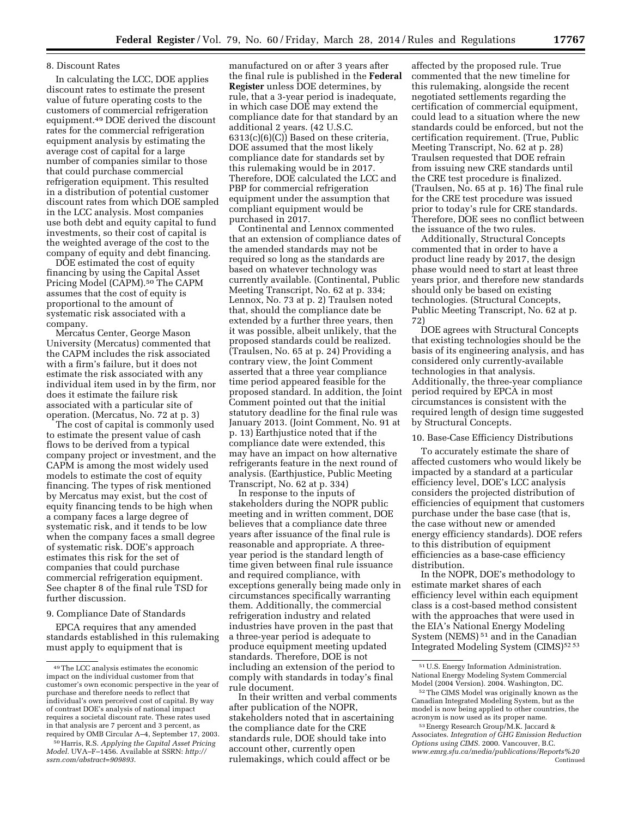#### 8. Discount Rates

In calculating the LCC, DOE applies discount rates to estimate the present value of future operating costs to the customers of commercial refrigeration equipment.49 DOE derived the discount rates for the commercial refrigeration equipment analysis by estimating the average cost of capital for a large number of companies similar to those that could purchase commercial refrigeration equipment. This resulted in a distribution of potential customer discount rates from which DOE sampled in the LCC analysis. Most companies use both debt and equity capital to fund investments, so their cost of capital is the weighted average of the cost to the company of equity and debt financing.

DOE estimated the cost of equity financing by using the Capital Asset Pricing Model (CAPM).<sup>50</sup> The CAPM assumes that the cost of equity is proportional to the amount of systematic risk associated with a company.

Mercatus Center, George Mason University (Mercatus) commented that the CAPM includes the risk associated with a firm's failure, but it does not estimate the risk associated with any individual item used in by the firm, nor does it estimate the failure risk associated with a particular site of operation. (Mercatus, No. 72 at p. 3)

The cost of capital is commonly used to estimate the present value of cash flows to be derived from a typical company project or investment, and the CAPM is among the most widely used models to estimate the cost of equity financing. The types of risk mentioned by Mercatus may exist, but the cost of equity financing tends to be high when a company faces a large degree of systematic risk, and it tends to be low when the company faces a small degree of systematic risk. DOE's approach estimates this risk for the set of companies that could purchase commercial refrigeration equipment. See chapter 8 of the final rule TSD for further discussion.

## 9. Compliance Date of Standards

EPCA requires that any amended standards established in this rulemaking must apply to equipment that is

manufactured on or after 3 years after the final rule is published in the **Federal Register** unless DOE determines, by rule, that a 3-year period is inadequate, in which case DOE may extend the compliance date for that standard by an additional 2 years. (42 U.S.C. 6313(c)(6)(C)) Based on these criteria, DOE assumed that the most likely compliance date for standards set by this rulemaking would be in 2017. Therefore, DOE calculated the LCC and PBP for commercial refrigeration equipment under the assumption that compliant equipment would be purchased in 2017.

Continental and Lennox commented that an extension of compliance dates of the amended standards may not be required so long as the standards are based on whatever technology was currently available. (Continental, Public Meeting Transcript, No. 62 at p. 334; Lennox, No. 73 at p. 2) Traulsen noted that, should the compliance date be extended by a further three years, then it was possible, albeit unlikely, that the proposed standards could be realized. (Traulsen, No. 65 at p. 24) Providing a contrary view, the Joint Comment asserted that a three year compliance time period appeared feasible for the proposed standard. In addition, the Joint Comment pointed out that the initial statutory deadline for the final rule was January 2013. (Joint Comment, No. 91 at p. 13) Earthjustice noted that if the compliance date were extended, this may have an impact on how alternative refrigerants feature in the next round of analysis. (Earthjustice, Public Meeting Transcript, No. 62 at p. 334)

In response to the inputs of stakeholders during the NOPR public meeting and in written comment, DOE believes that a compliance date three years after issuance of the final rule is reasonable and appropriate. A threeyear period is the standard length of time given between final rule issuance and required compliance, with exceptions generally being made only in circumstances specifically warranting them. Additionally, the commercial refrigeration industry and related industries have proven in the past that a three-year period is adequate to produce equipment meeting updated standards. Therefore, DOE is not including an extension of the period to comply with standards in today's final rule document.

In their written and verbal comments after publication of the NOPR, stakeholders noted that in ascertaining the compliance date for the CRE standards rule, DOE should take into account other, currently open rulemakings, which could affect or be

affected by the proposed rule. True commented that the new timeline for this rulemaking, alongside the recent negotiated settlements regarding the certification of commercial equipment, could lead to a situation where the new standards could be enforced, but not the certification requirement. (True, Public Meeting Transcript, No. 62 at p. 28) Traulsen requested that DOE refrain from issuing new CRE standards until the CRE test procedure is finalized. (Traulsen, No. 65 at p. 16) The final rule for the CRE test procedure was issued prior to today's rule for CRE standards. Therefore, DOE sees no conflict between the issuance of the two rules.

Additionally, Structural Concepts commented that in order to have a product line ready by 2017, the design phase would need to start at least three years prior, and therefore new standards should only be based on existing technologies. (Structural Concepts, Public Meeting Transcript, No. 62 at p. 72)

DOE agrees with Structural Concepts that existing technologies should be the basis of its engineering analysis, and has considered only currently-available technologies in that analysis. Additionally, the three-year compliance period required by EPCA in most circumstances is consistent with the required length of design time suggested by Structural Concepts.

#### 10. Base-Case Efficiency Distributions

To accurately estimate the share of affected customers who would likely be impacted by a standard at a particular efficiency level, DOE's LCC analysis considers the projected distribution of efficiencies of equipment that customers purchase under the base case (that is, the case without new or amended energy efficiency standards). DOE refers to this distribution of equipment efficiencies as a base-case efficiency distribution.

In the NOPR, DOE's methodology to estimate market shares of each efficiency level within each equipment class is a cost-based method consistent with the approaches that were used in the EIA's National Energy Modeling System (NEMS) 51 and in the Canadian Integrated Modeling System (CIMS)<sup>52 53</sup>

<sup>49</sup>The LCC analysis estimates the economic impact on the individual customer from that customer's own economic perspective in the year of purchase and therefore needs to reflect that individual's own perceived cost of capital. By way of contrast DOE's analysis of national impact requires a societal discount rate. These rates used in that analysis are 7 percent and 3 percent, as required by OMB Circular A–4, September 17, 2003.

<sup>50</sup>Harris, R.S. *Applying the Capital Asset Pricing Model.* UVA–F–1456. Available at SSRN: *[http://](http://ssrn.com/abstract=909893) [ssrn.com/abstract=909893](http://ssrn.com/abstract=909893)*.

<sup>51</sup>U.S. Energy Information Administration. National Energy Modeling System Commercial Model (2004 Version). 2004. Washington, DC.

<sup>52</sup>The CIMS Model was originally known as the Canadian Integrated Modeling System, but as the model is now being applied to other countries, the acronym is now used as its proper name.

<sup>53</sup>Energy Research Group/M.K. Jaccard & Associates. *Integration of GHG Emission Reduction Options using CIMS.* 2000. Vancouver, B.C. *[www.emrg.sfu.ca/media/publications/Reports%20](http://www.emrg.sfu.ca/media/publications/Reports%20)* Continued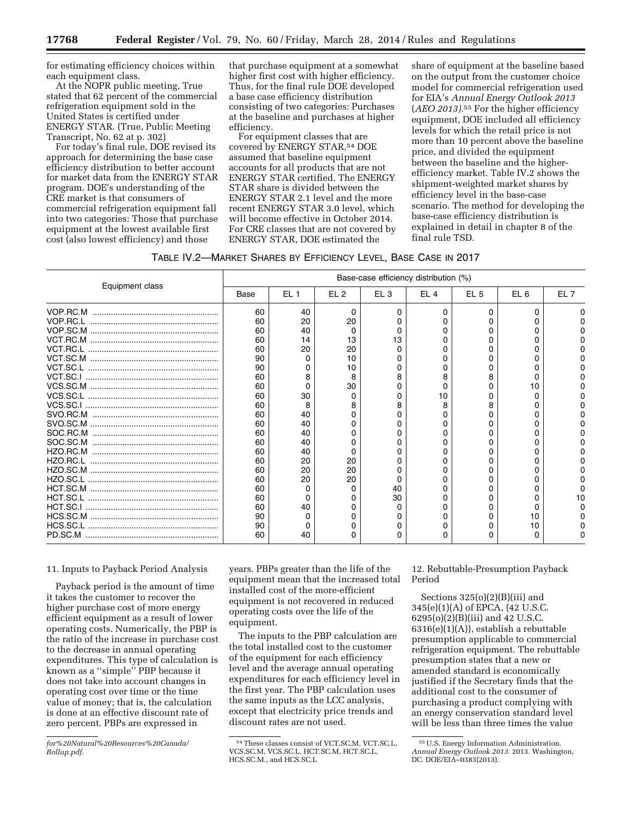for estimating efficiency choices within each equipment class.

At the NOPR public meeting, True stated that 62 percent of the commercial refrigeration equipment sold in the United States is certified under ENERGY STAR. (True, Public Meeting Transcript, No. 62 at p. 302)

For today's final rule, DOE revised its approach for determining the base case efficiency distribution to better account for market data from the ENERGY STAR program. DOE's understanding of the CRE market is that consumers of commercial refrigeration equipment fall into two categories: Those that purchase equipment at the lowest available first cost (also lowest efficiency) and those

that purchase equipment at a somewhat higher first cost with higher efficiency. Thus, for the final rule DOE developed a base case efficiency distribution consisting of two categories: Purchases at the baseline and purchases at higher efficiency.

For equipment classes that are covered by ENERGY STAR,<sup>54</sup> DOE assumed that baseline equipment accounts for all products that are not ENERGY STAR certified. The ENERGY STAR share is divided between the ENERGY STAR 2.1 level and the more recent ENERGY STAR 3.0 level, which will become effective in October 2014. For CRE classes that are not covered by ENERGY STAR, DOE estimated the

share of equipment at the baseline based on the output from the customer choice model for commercial refrigeration used for EIA's *Annual Energy Outlook 2013*  (*AEO 2013).*55 For the higher efficiency equipment, DOE included all efficiency levels for which the retail price is not more than 10 percent above the baseline price, and divided the equipment between the baseline and the higherefficiency market. Table IV.2 shows the shipment-weighted market shares by efficiency level in the base-case scenario. The method for developing the base-case efficiency distribution is explained in detail in chapter 8 of the final rule TSD.

|                 |      |                 |                 | Base-case efficiency distribution (%) |                 |                 |                 |                 |
|-----------------|------|-----------------|-----------------|---------------------------------------|-----------------|-----------------|-----------------|-----------------|
| Equipment class | Base | EL <sub>1</sub> | EL <sub>2</sub> | EL <sub>3</sub>                       | EL <sub>4</sub> | EL <sub>5</sub> | EL <sub>6</sub> | EL <sub>7</sub> |
|                 | 60   | 40              | o               |                                       |                 |                 |                 |                 |
|                 | 60   | 20              | 20              |                                       |                 |                 |                 |                 |
|                 | 60   | 40              |                 |                                       |                 |                 |                 |                 |
|                 | 60   | 14              | 13              | 3                                     |                 |                 |                 |                 |
|                 | 60   | 20              | 20              |                                       |                 |                 |                 |                 |
|                 | 90   |                 | 10              |                                       |                 |                 |                 |                 |
|                 | 90   |                 | 10              |                                       |                 |                 |                 |                 |
|                 | 60   |                 | 8               |                                       |                 |                 |                 |                 |
|                 | 60   |                 | 30              |                                       |                 |                 |                 |                 |
|                 | 60   | 30              |                 |                                       | 10              |                 |                 |                 |
|                 | 60   |                 |                 |                                       |                 |                 |                 |                 |
|                 | 60   | 40              |                 |                                       |                 |                 |                 |                 |
|                 | 60   | 40              |                 |                                       |                 |                 |                 |                 |
|                 | 60   | 40              |                 |                                       |                 |                 |                 |                 |
|                 | 60   | 40              |                 |                                       |                 |                 |                 |                 |
|                 | 60   | 40              |                 |                                       |                 |                 |                 |                 |
|                 | 60   | 20              | 20              |                                       |                 |                 |                 |                 |
|                 | 60   | 20              | 20              |                                       |                 |                 |                 |                 |
|                 | 60   | 20              | 20              |                                       |                 |                 |                 |                 |
|                 | 60   |                 |                 | 40                                    |                 |                 |                 |                 |
|                 | 60   |                 |                 | 30                                    |                 |                 |                 |                 |
|                 | 60   | 40              |                 |                                       |                 |                 |                 |                 |
|                 | 90   |                 |                 |                                       |                 |                 |                 |                 |
|                 | 90   |                 |                 |                                       |                 |                 | 10              |                 |
|                 | 60   | 40              |                 |                                       |                 |                 |                 |                 |

#### 11. Inputs to Payback Period Analysis

Payback period is the amount of time it takes the customer to recover the higher purchase cost of more energy efficient equipment as a result of lower operating costs. Numerically, the PBP is the ratio of the increase in purchase cost to the decrease in annual operating expenditures. This type of calculation is known as a ''simple'' PBP because it does not take into account changes in operating cost over time or the time value of money; that is, the calculation is done at an effective discount rate of zero percent. PBPs are expressed in

years. PBPs greater than the life of the equipment mean that the increased total installed cost of the more-efficient equipment is not recovered in reduced operating costs over the life of the equipment.

The inputs to the PBP calculation are the total installed cost to the customer of the equipment for each efficiency level and the average annual operating expenditures for each efficiency level in the first year. The PBP calculation uses the same inputs as the LCC analysis, except that electricity price trends and discount rates are not used.

12. Rebuttable-Presumption Payback Period

Sections  $325(0)(2)(B)(iii)$  and 345(e)(1)(A) of EPCA, (42 U.S.C. 6295(o)(2)(B)(iii) and 42 U.S.C. 6316(e)(1)(A)), establish a rebuttable presumption applicable to commercial refrigeration equipment. The rebuttable presumption states that a new or amended standard is economically justified if the Secretary finds that the additional cost to the consumer of purchasing a product complying with an energy conservation standard level will be less than three times the value

*for%20Natural%20Resources%20Canada/ Rollup.pdf*.

<sup>54</sup>These classes consist of VCT.SC.M, VCT.SC.L, VCS.SC.M, VCS.SC.L, HCT.SC.M, HCT.SC.L, HCS.SC.M., and HCS.SC.L

<sup>55</sup>U.S. Energy Information Administration. *Annual Energy Outlook 2013.* 2013. Washington, DC. DOE/EIA–0383(2013).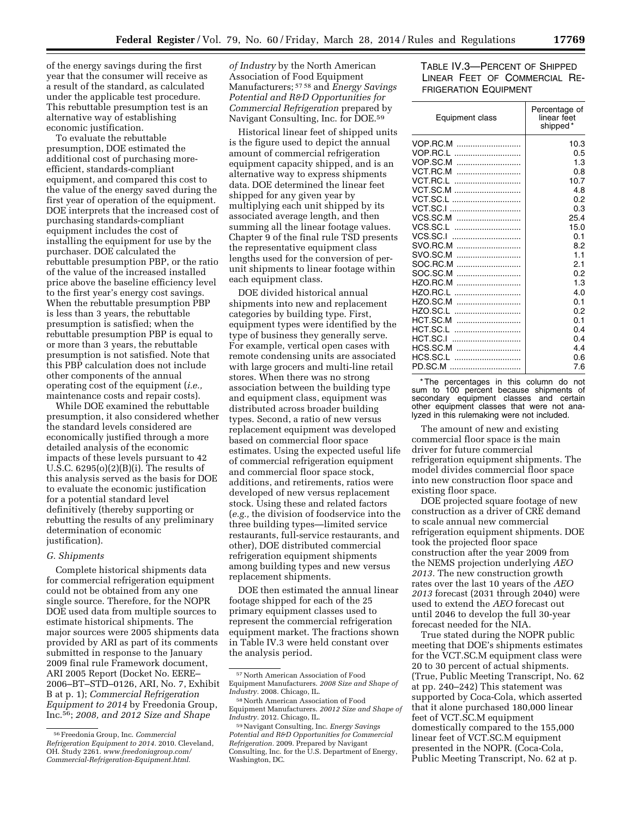of the energy savings during the first year that the consumer will receive as a result of the standard, as calculated under the applicable test procedure. This rebuttable presumption test is an alternative way of establishing economic justification.

To evaluate the rebuttable presumption, DOE estimated the additional cost of purchasing moreefficient, standards-compliant equipment, and compared this cost to the value of the energy saved during the first year of operation of the equipment. DOE interprets that the increased cost of purchasing standards-compliant equipment includes the cost of installing the equipment for use by the purchaser. DOE calculated the rebuttable presumption PBP, or the ratio of the value of the increased installed price above the baseline efficiency level to the first year's energy cost savings. When the rebuttable presumption PBP is less than 3 years, the rebuttable presumption is satisfied; when the rebuttable presumption PBP is equal to or more than 3 years, the rebuttable presumption is not satisfied. Note that this PBP calculation does not include other components of the annual operating cost of the equipment (*i.e.,*  maintenance costs and repair costs).

While DOE examined the rebuttable presumption, it also considered whether the standard levels considered are economically justified through a more detailed analysis of the economic impacts of these levels pursuant to 42 U.S.C. 6295(o)(2)(B)(i). The results of this analysis served as the basis for DOE to evaluate the economic justification for a potential standard level definitively (thereby supporting or rebutting the results of any preliminary determination of economic justification).

### *G. Shipments*

Complete historical shipments data for commercial refrigeration equipment could not be obtained from any one single source. Therefore, for the NOPR DOE used data from multiple sources to estimate historical shipments. The major sources were 2005 shipments data provided by ARI as part of its comments submitted in response to the January 2009 final rule Framework document, ARI 2005 Report (Docket No. EERE– 2006–BT–STD–0126, ARI, No. 7, Exhibit B at p. 1); *Commercial Refrigeration Equipment to 2014* by Freedonia Group, Inc.56; *2008, and 2012 Size and Shape* 

*of Industry* by the North American Association of Food Equipment Manufacturers; 57 58 and *Energy Savings Potential and R&D Opportunities for Commercial Refrigeration* prepared by Navigant Consulting, Inc. for DOE.59

Historical linear feet of shipped units is the figure used to depict the annual amount of commercial refrigeration equipment capacity shipped, and is an alternative way to express shipments data. DOE determined the linear feet shipped for any given year by multiplying each unit shipped by its associated average length, and then summing all the linear footage values. Chapter 9 of the final rule TSD presents the representative equipment class lengths used for the conversion of perunit shipments to linear footage within each equipment class.

DOE divided historical annual shipments into new and replacement categories by building type. First, equipment types were identified by the type of business they generally serve. For example, vertical open cases with remote condensing units are associated with large grocers and multi-line retail stores. When there was no strong association between the building type and equipment class, equipment was distributed across broader building types. Second, a ratio of new versus replacement equipment was developed based on commercial floor space estimates. Using the expected useful life of commercial refrigeration equipment and commercial floor space stock, additions, and retirements, ratios were developed of new versus replacement stock. Using these and related factors (*e.g.,* the division of foodservice into the three building types—limited service restaurants, full-service restaurants, and other), DOE distributed commercial refrigeration equipment shipments among building types and new versus replacement shipments.

DOE then estimated the annual linear footage shipped for each of the 25 primary equipment classes used to represent the commercial refrigeration equipment market. The fractions shown in Table IV.3 were held constant over the analysis period.

## TABLE IV.3—PERCENT OF SHIPPED LINEAR FEET OF COMMERCIAL RE-FRIGERATION EQUIPMENT

| Percentage of<br>linear feet<br>shipped* |
|------------------------------------------|
| 10.3                                     |
| 0.5                                      |
| 1.3                                      |
| 0.8                                      |
| 10.7                                     |
| 4.8                                      |
| 0.2                                      |
| 0.3                                      |
| 25.4                                     |
| 15.0                                     |
| 0.1                                      |
| 8.2                                      |
| 1.1                                      |
| 2.1                                      |
| 0.2                                      |
| 1.3                                      |
| 4.0                                      |
| 0.1                                      |
| 0.2                                      |
| 0.1                                      |
| 0.4                                      |
| 0.4                                      |
| 4.4                                      |
| 0.6                                      |
| 7.6                                      |
|                                          |

\* The percentages in this column do not sum to 100 percent because shipments of secondary equipment classes and certain other equipment classes that were not analyzed in this rulemaking were not included.

The amount of new and existing commercial floor space is the main driver for future commercial refrigeration equipment shipments. The model divides commercial floor space into new construction floor space and existing floor space.

DOE projected square footage of new construction as a driver of CRE demand to scale annual new commercial refrigeration equipment shipments. DOE took the projected floor space construction after the year 2009 from the NEMS projection underlying *AEO 2013.* The new construction growth rates over the last 10 years of the *AEO 2013* forecast (2031 through 2040) were used to extend the *AEO* forecast out until 2046 to develop the full 30-year forecast needed for the NIA.

True stated during the NOPR public meeting that DOE's shipments estimates for the VCT.SC.M equipment class were 20 to 30 percent of actual shipments. (True, Public Meeting Transcript, No. 62 at pp. 240–242) This statement was supported by Coca-Cola, which asserted that it alone purchased 180,000 linear feet of VCT.SC.M equipment domestically compared to the 155,000 linear feet of VCT.SC.M equipment presented in the NOPR. (Coca-Cola, Public Meeting Transcript, No. 62 at p.

<sup>56</sup>Freedonia Group, Inc. *Commercial Refrigeration Equipment to 2014.* 2010. Cleveland, OH. Study 2261. *[www.freedoniagroup.com/](http://www.freedoniagroup.com/Commercial-Refrigeration-Equipment.html) [Commercial-Refrigeration-Equipment.html.](http://www.freedoniagroup.com/Commercial-Refrigeration-Equipment.html)* 

<sup>57</sup>North American Association of Food Equipment Manufacturers. *2008 Size and Shape of Industry.* 2008. Chicago, IL.

<sup>58</sup>North American Association of Food Equipment Manufacturers. *20012 Size and Shape of Industry.* 2012. Chicago, IL.

<sup>59</sup>Navigant Consulting, Inc. *Energy Savings Potential and R&D Opportunities for Commercial Refrigeration.* 2009. Prepared by Navigant Consulting, Inc. for the U.S. Department of Energy, Washington, DC.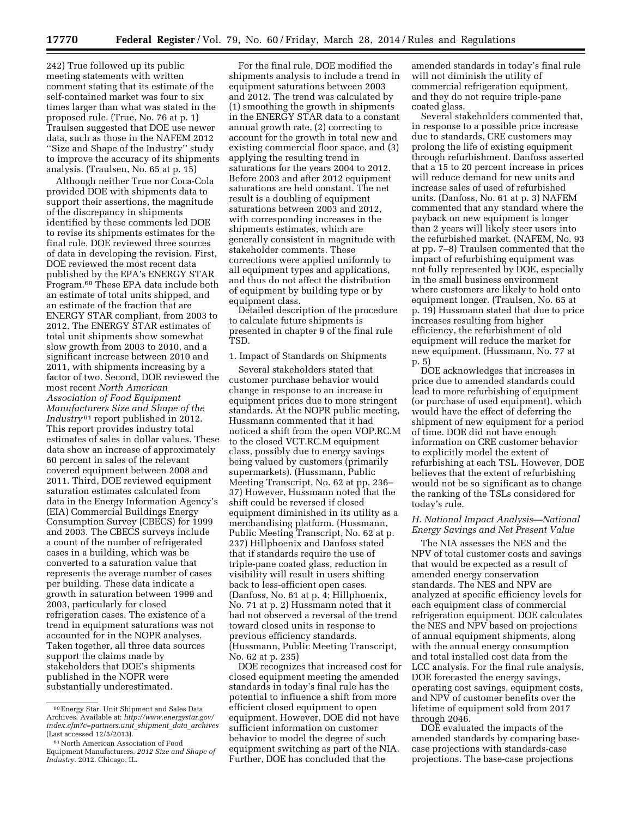242) True followed up its public meeting statements with written comment stating that its estimate of the self-contained market was four to six times larger than what was stated in the proposed rule. (True, No. 76 at p. 1) Traulsen suggested that DOE use newer data, such as those in the NAFEM 2012 ''Size and Shape of the Industry'' study to improve the accuracy of its shipments analysis. (Traulsen, No. 65 at p. 15)

Although neither True nor Coca-Cola provided DOE with shipments data to support their assertions, the magnitude of the discrepancy in shipments identified by these comments led DOE to revise its shipments estimates for the final rule. DOE reviewed three sources of data in developing the revision. First, DOE reviewed the most recent data published by the EPA's ENERGY STAR Program.60 These EPA data include both an estimate of total units shipped, and an estimate of the fraction that are ENERGY STAR compliant, from 2003 to 2012. The ENERGY STAR estimates of total unit shipments show somewhat slow growth from 2003 to 2010, and a significant increase between 2010 and 2011, with shipments increasing by a factor of two. Second, DOE reviewed the most recent *North American Association of Food Equipment Manufacturers Size and Shape of the Industry* 61 report published in 2012. This report provides industry total estimates of sales in dollar values. These data show an increase of approximately 60 percent in sales of the relevant covered equipment between 2008 and 2011. Third, DOE reviewed equipment saturation estimates calculated from data in the Energy Information Agency's (EIA) Commercial Buildings Energy Consumption Survey (CBECS) for 1999 and 2003. The CBECS surveys include a count of the number of refrigerated cases in a building, which was be converted to a saturation value that represents the average number of cases per building. These data indicate a growth in saturation between 1999 and 2003, particularly for closed refrigeration cases. The existence of a trend in equipment saturations was not accounted for in the NOPR analyses. Taken together, all three data sources support the claims made by stakeholders that DOE's shipments published in the NOPR were substantially underestimated.

For the final rule, DOE modified the shipments analysis to include a trend in equipment saturations between 2003 and 2012. The trend was calculated by (1) smoothing the growth in shipments in the ENERGY STAR data to a constant annual growth rate, (2) correcting to account for the growth in total new and existing commercial floor space, and (3) applying the resulting trend in saturations for the years 2004 to 2012. Before 2003 and after 2012 equipment saturations are held constant. The net result is a doubling of equipment saturations between 2003 and 2012, with corresponding increases in the shipments estimates, which are generally consistent in magnitude with stakeholder comments. These corrections were applied uniformly to all equipment types and applications, and thus do not affect the distribution of equipment by building type or by equipment class.

Detailed description of the procedure to calculate future shipments is presented in chapter 9 of the final rule TSD.

#### 1. Impact of Standards on Shipments

Several stakeholders stated that customer purchase behavior would change in response to an increase in equipment prices due to more stringent standards. At the NOPR public meeting, Hussmann commented that it had noticed a shift from the open VOP.RC.M to the closed VCT.RC.M equipment class, possibly due to energy savings being valued by customers (primarily supermarkets). (Hussmann, Public Meeting Transcript, No. 62 at pp. 236– 37) However, Hussmann noted that the shift could be reversed if closed equipment diminished in its utility as a merchandising platform. (Hussmann, Public Meeting Transcript, No. 62 at p. 237) Hillphoenix and Danfoss stated that if standards require the use of triple-pane coated glass, reduction in visibility will result in users shifting back to less-efficient open cases. (Danfoss, No. 61 at p. 4; Hillphoenix, No. 71 at p. 2) Hussmann noted that it had not observed a reversal of the trend toward closed units in response to previous efficiency standards. (Hussmann, Public Meeting Transcript, No. 62 at p. 235)

DOE recognizes that increased cost for closed equipment meeting the amended standards in today's final rule has the potential to influence a shift from more efficient closed equipment to open equipment. However, DOE did not have sufficient information on customer behavior to model the degree of such equipment switching as part of the NIA. Further, DOE has concluded that the

amended standards in today's final rule will not diminish the utility of commercial refrigeration equipment, and they do not require triple-pane coated glass.

Several stakeholders commented that, in response to a possible price increase due to standards, CRE customers may prolong the life of existing equipment through refurbishment. Danfoss asserted that a 15 to 20 percent increase in prices will reduce demand for new units and increase sales of used of refurbished units. (Danfoss, No. 61 at p. 3) NAFEM commented that any standard where the payback on new equipment is longer than 2 years will likely steer users into the refurbished market. (NAFEM, No. 93 at pp. 7–8) Traulsen commented that the impact of refurbishing equipment was not fully represented by DOE, especially in the small business environment where customers are likely to hold onto equipment longer. (Traulsen, No. 65 at p. 19) Hussmann stated that due to price increases resulting from higher efficiency, the refurbishment of old equipment will reduce the market for new equipment. (Hussmann, No. 77 at p. 5)

DOE acknowledges that increases in price due to amended standards could lead to more refurbishing of equipment (or purchase of used equipment), which would have the effect of deferring the shipment of new equipment for a period of time. DOE did not have enough information on CRE customer behavior to explicitly model the extent of refurbishing at each TSL. However, DOE believes that the extent of refurbishing would not be so significant as to change the ranking of the TSLs considered for today's rule.

#### *H. National Impact Analysis—National Energy Savings and Net Present Value*

The NIA assesses the NES and the NPV of total customer costs and savings that would be expected as a result of amended energy conservation standards. The NES and NPV are analyzed at specific efficiency levels for each equipment class of commercial refrigeration equipment. DOE calculates the NES and NPV based on projections of annual equipment shipments, along with the annual energy consumption and total installed cost data from the LCC analysis. For the final rule analysis, DOE forecasted the energy savings, operating cost savings, equipment costs, and NPV of customer benefits over the lifetime of equipment sold from 2017 through 2046.

DOE evaluated the impacts of the amended standards by comparing basecase projections with standards-case projections. The base-case projections

<sup>60</sup>Energy Star. Unit Shipment and Sales Data Archives. Available at: *[http://www.energystar.gov/](http://www.energystar.gov/index.cfm?c=partners.unit_shipment_data_archives) [index.cfm?c=partners.unit](http://www.energystar.gov/index.cfm?c=partners.unit_shipment_data_archives)*\_*shipment*\_*data*\_*archives*  (Last accessed 12/5/2013).

<sup>61</sup>North American Association of Food Equipment Manufacturers. *2012 Size and Shape of Industry*. 2012. Chicago, IL.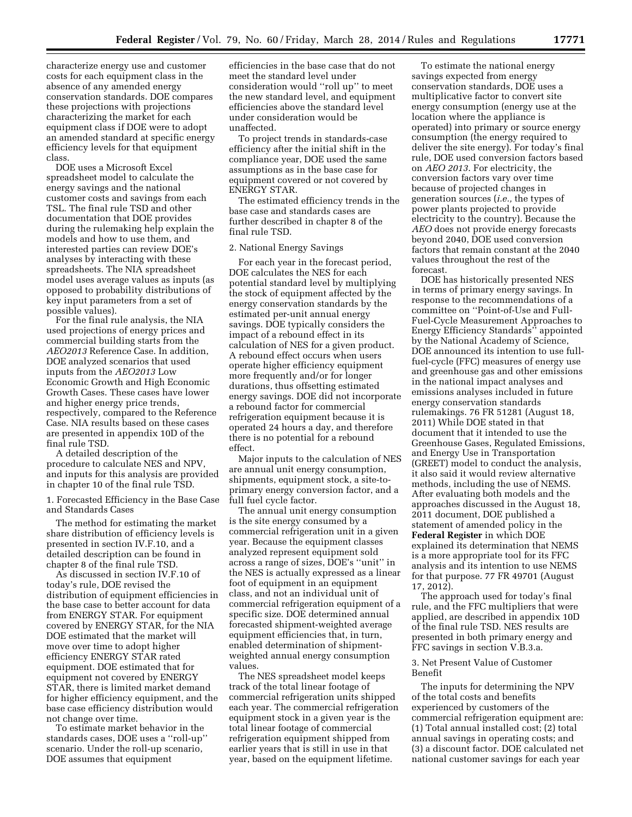characterize energy use and customer costs for each equipment class in the absence of any amended energy conservation standards. DOE compares these projections with projections characterizing the market for each equipment class if DOE were to adopt an amended standard at specific energy efficiency levels for that equipment class.

DOE uses a Microsoft Excel spreadsheet model to calculate the energy savings and the national customer costs and savings from each TSL. The final rule TSD and other documentation that DOE provides during the rulemaking help explain the models and how to use them, and interested parties can review DOE's analyses by interacting with these spreadsheets. The NIA spreadsheet model uses average values as inputs (as opposed to probability distributions of key input parameters from a set of possible values).

For the final rule analysis, the NIA used projections of energy prices and commercial building starts from the *AEO2013* Reference Case. In addition, DOE analyzed scenarios that used inputs from the *AEO2013* Low Economic Growth and High Economic Growth Cases. These cases have lower and higher energy price trends, respectively, compared to the Reference Case. NIA results based on these cases are presented in appendix 10D of the final rule TSD.

A detailed description of the procedure to calculate NES and NPV, and inputs for this analysis are provided in chapter 10 of the final rule TSD.

1. Forecasted Efficiency in the Base Case and Standards Cases

The method for estimating the market share distribution of efficiency levels is presented in section IV.F.10, and a detailed description can be found in chapter 8 of the final rule TSD.

As discussed in section IV.F.10 of today's rule, DOE revised the distribution of equipment efficiencies in the base case to better account for data from ENERGY STAR. For equipment covered by ENERGY STAR, for the NIA DOE estimated that the market will move over time to adopt higher efficiency ENERGY STAR rated equipment. DOE estimated that for equipment not covered by ENERGY STAR, there is limited market demand for higher efficiency equipment, and the base case efficiency distribution would not change over time.

To estimate market behavior in the standards cases, DOE uses a ''roll-up'' scenario. Under the roll-up scenario, DOE assumes that equipment

efficiencies in the base case that do not meet the standard level under consideration would ''roll up'' to meet the new standard level, and equipment efficiencies above the standard level under consideration would be unaffected.

To project trends in standards-case efficiency after the initial shift in the compliance year, DOE used the same assumptions as in the base case for equipment covered or not covered by ENERGY STAR.

The estimated efficiency trends in the base case and standards cases are further described in chapter 8 of the final rule TSD.

### 2. National Energy Savings

For each year in the forecast period, DOE calculates the NES for each potential standard level by multiplying the stock of equipment affected by the energy conservation standards by the estimated per-unit annual energy savings. DOE typically considers the impact of a rebound effect in its calculation of NES for a given product. A rebound effect occurs when users operate higher efficiency equipment more frequently and/or for longer durations, thus offsetting estimated energy savings. DOE did not incorporate a rebound factor for commercial refrigeration equipment because it is operated 24 hours a day, and therefore there is no potential for a rebound effect.

Major inputs to the calculation of NES are annual unit energy consumption, shipments, equipment stock, a site-toprimary energy conversion factor, and a full fuel cycle factor.

The annual unit energy consumption is the site energy consumed by a commercial refrigeration unit in a given year. Because the equipment classes analyzed represent equipment sold across a range of sizes, DOE's ''unit'' in the NES is actually expressed as a linear foot of equipment in an equipment class, and not an individual unit of commercial refrigeration equipment of a specific size. DOE determined annual forecasted shipment-weighted average equipment efficiencies that, in turn, enabled determination of shipmentweighted annual energy consumption values.

The NES spreadsheet model keeps track of the total linear footage of commercial refrigeration units shipped each year. The commercial refrigeration equipment stock in a given year is the total linear footage of commercial refrigeration equipment shipped from earlier years that is still in use in that year, based on the equipment lifetime.

To estimate the national energy savings expected from energy conservation standards, DOE uses a multiplicative factor to convert site energy consumption (energy use at the location where the appliance is operated) into primary or source energy consumption (the energy required to deliver the site energy). For today's final rule, DOE used conversion factors based on *AEO 2013*. For electricity, the conversion factors vary over time because of projected changes in generation sources (*i.e.,* the types of power plants projected to provide electricity to the country). Because the *AEO* does not provide energy forecasts beyond 2040, DOE used conversion factors that remain constant at the 2040 values throughout the rest of the forecast.

DOE has historically presented NES in terms of primary energy savings. In response to the recommendations of a committee on ''Point-of-Use and Full-Fuel-Cycle Measurement Approaches to Energy Efficiency Standards'' appointed by the National Academy of Science, DOE announced its intention to use fullfuel-cycle (FFC) measures of energy use and greenhouse gas and other emissions in the national impact analyses and emissions analyses included in future energy conservation standards rulemakings. 76 FR 51281 (August 18, 2011) While DOE stated in that document that it intended to use the Greenhouse Gases, Regulated Emissions, and Energy Use in Transportation (GREET) model to conduct the analysis, it also said it would review alternative methods, including the use of NEMS. After evaluating both models and the approaches discussed in the August 18, 2011 document, DOE published a statement of amended policy in the **Federal Register** in which DOE explained its determination that NEMS is a more appropriate tool for its FFC analysis and its intention to use NEMS for that purpose. 77 FR 49701 (August 17, 2012).

The approach used for today's final rule, and the FFC multipliers that were applied, are described in appendix 10D of the final rule TSD. NES results are presented in both primary energy and FFC savings in section V.B.3.a.

#### 3. Net Present Value of Customer Benefit

The inputs for determining the NPV of the total costs and benefits experienced by customers of the commercial refrigeration equipment are: (1) Total annual installed cost; (2) total annual savings in operating costs; and (3) a discount factor. DOE calculated net national customer savings for each year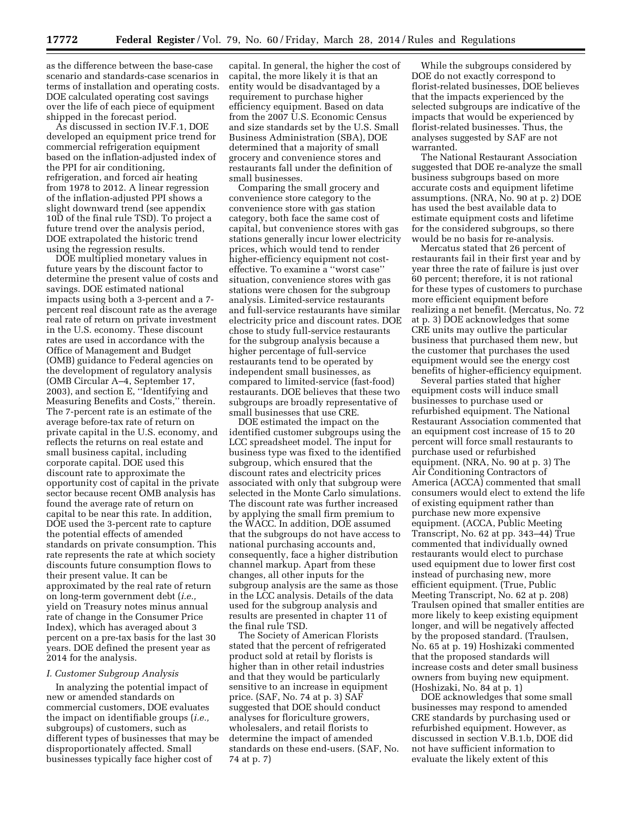as the difference between the base-case scenario and standards-case scenarios in terms of installation and operating costs. DOE calculated operating cost savings over the life of each piece of equipment shipped in the forecast period.

As discussed in section IV.F.1, DOE developed an equipment price trend for commercial refrigeration equipment based on the inflation-adjusted index of the PPI for air conditioning, refrigeration, and forced air heating from 1978 to 2012. A linear regression of the inflation-adjusted PPI shows a slight downward trend (see appendix 10D of the final rule TSD). To project a future trend over the analysis period, DOE extrapolated the historic trend using the regression results.

DOE multiplied monetary values in future years by the discount factor to determine the present value of costs and savings. DOE estimated national impacts using both a 3-percent and a 7 percent real discount rate as the average real rate of return on private investment in the U.S. economy. These discount rates are used in accordance with the Office of Management and Budget (OMB) guidance to Federal agencies on the development of regulatory analysis (OMB Circular A–4, September 17, 2003), and section E, ''Identifying and Measuring Benefits and Costs,'' therein. The 7-percent rate is an estimate of the average before-tax rate of return on private capital in the U.S. economy, and reflects the returns on real estate and small business capital, including corporate capital. DOE used this discount rate to approximate the opportunity cost of capital in the private sector because recent OMB analysis has found the average rate of return on capital to be near this rate. In addition, DOE used the 3-percent rate to capture the potential effects of amended standards on private consumption. This rate represents the rate at which society discounts future consumption flows to their present value. It can be approximated by the real rate of return on long-term government debt (*i.e.,*  yield on Treasury notes minus annual rate of change in the Consumer Price Index), which has averaged about 3 percent on a pre-tax basis for the last 30 years. DOE defined the present year as 2014 for the analysis.

#### *I. Customer Subgroup Analysis*

In analyzing the potential impact of new or amended standards on commercial customers, DOE evaluates the impact on identifiable groups (*i.e.,*  subgroups) of customers, such as different types of businesses that may be disproportionately affected. Small businesses typically face higher cost of

capital. In general, the higher the cost of capital, the more likely it is that an entity would be disadvantaged by a requirement to purchase higher efficiency equipment. Based on data from the 2007 U.S. Economic Census and size standards set by the U.S. Small Business Administration (SBA), DOE determined that a majority of small grocery and convenience stores and restaurants fall under the definition of small businesses.

Comparing the small grocery and convenience store category to the convenience store with gas station category, both face the same cost of capital, but convenience stores with gas stations generally incur lower electricity prices, which would tend to render higher-efficiency equipment not costeffective. To examine a ''worst case'' situation, convenience stores with gas stations were chosen for the subgroup analysis. Limited-service restaurants and full-service restaurants have similar electricity price and discount rates. DOE chose to study full-service restaurants for the subgroup analysis because a higher percentage of full-service restaurants tend to be operated by independent small businesses, as compared to limited-service (fast-food) restaurants. DOE believes that these two subgroups are broadly representative of small businesses that use CRE.

DOE estimated the impact on the identified customer subgroups using the LCC spreadsheet model. The input for business type was fixed to the identified subgroup, which ensured that the discount rates and electricity prices associated with only that subgroup were selected in the Monte Carlo simulations. The discount rate was further increased by applying the small firm premium to the WACC. In addition, DOE assumed that the subgroups do not have access to national purchasing accounts and, consequently, face a higher distribution channel markup. Apart from these changes, all other inputs for the subgroup analysis are the same as those in the LCC analysis. Details of the data used for the subgroup analysis and results are presented in chapter 11 of the final rule TSD.

The Society of American Florists stated that the percent of refrigerated product sold at retail by florists is higher than in other retail industries and that they would be particularly sensitive to an increase in equipment price. (SAF, No. 74 at p. 3) SAF suggested that DOE should conduct analyses for floriculture growers, wholesalers, and retail florists to determine the impact of amended standards on these end-users. (SAF, No. 74 at p. 7)

While the subgroups considered by DOE do not exactly correspond to florist-related businesses, DOE believes that the impacts experienced by the selected subgroups are indicative of the impacts that would be experienced by florist-related businesses. Thus, the analyses suggested by SAF are not warranted.

The National Restaurant Association suggested that DOE re-analyze the small business subgroups based on more accurate costs and equipment lifetime assumptions. (NRA, No. 90 at p. 2) DOE has used the best available data to estimate equipment costs and lifetime for the considered subgroups, so there would be no basis for re-analysis.

Mercatus stated that 26 percent of restaurants fail in their first year and by year three the rate of failure is just over 60 percent; therefore, it is not rational for these types of customers to purchase more efficient equipment before realizing a net benefit. (Mercatus, No. 72 at p. 3) DOE acknowledges that some CRE units may outlive the particular business that purchased them new, but the customer that purchases the used equipment would see the energy cost benefits of higher-efficiency equipment.

Several parties stated that higher equipment costs will induce small businesses to purchase used or refurbished equipment. The National Restaurant Association commented that an equipment cost increase of 15 to 20 percent will force small restaurants to purchase used or refurbished equipment. (NRA, No. 90 at p. 3) The Air Conditioning Contractors of America (ACCA) commented that small consumers would elect to extend the life of existing equipment rather than purchase new more expensive equipment. (ACCA, Public Meeting Transcript, No. 62 at pp. 343–44) True commented that individually owned restaurants would elect to purchase used equipment due to lower first cost instead of purchasing new, more efficient equipment. (True, Public Meeting Transcript, No. 62 at p. 208) Traulsen opined that smaller entities are more likely to keep existing equipment longer, and will be negatively affected by the proposed standard. (Traulsen, No. 65 at p. 19) Hoshizaki commented that the proposed standards will increase costs and deter small business owners from buying new equipment. (Hoshizaki, No. 84 at p. 1)

DOE acknowledges that some small businesses may respond to amended CRE standards by purchasing used or refurbished equipment. However, as discussed in section V.B.1.b, DOE did not have sufficient information to evaluate the likely extent of this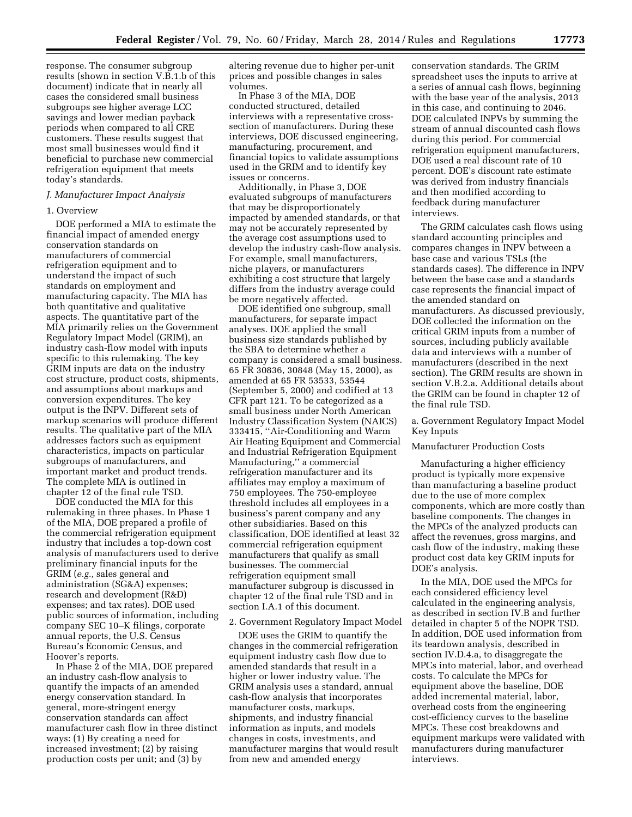response. The consumer subgroup results (shown in section V.B.1.b of this document) indicate that in nearly all cases the considered small business subgroups see higher average LCC savings and lower median payback periods when compared to all CRE customers. These results suggest that most small businesses would find it beneficial to purchase new commercial refrigeration equipment that meets today's standards.

#### *J. Manufacturer Impact Analysis*

#### 1. Overview

DOE performed a MIA to estimate the financial impact of amended energy conservation standards on manufacturers of commercial refrigeration equipment and to understand the impact of such standards on employment and manufacturing capacity. The MIA has both quantitative and qualitative aspects. The quantitative part of the MIA primarily relies on the Government Regulatory Impact Model (GRIM), an industry cash-flow model with inputs specific to this rulemaking. The key GRIM inputs are data on the industry cost structure, product costs, shipments, and assumptions about markups and conversion expenditures. The key output is the INPV. Different sets of markup scenarios will produce different results. The qualitative part of the MIA addresses factors such as equipment characteristics, impacts on particular subgroups of manufacturers, and important market and product trends. The complete MIA is outlined in chapter 12 of the final rule TSD.

DOE conducted the MIA for this rulemaking in three phases. In Phase 1 of the MIA, DOE prepared a profile of the commercial refrigeration equipment industry that includes a top-down cost analysis of manufacturers used to derive preliminary financial inputs for the GRIM (*e.g.,* sales general and administration (SG&A) expenses; research and development (R&D) expenses; and tax rates). DOE used public sources of information, including company SEC 10–K filings, corporate annual reports, the U.S. Census Bureau's Economic Census, and Hoover's reports.

In Phase 2 of the MIA, DOE prepared an industry cash-flow analysis to quantify the impacts of an amended energy conservation standard. In general, more-stringent energy conservation standards can affect manufacturer cash flow in three distinct ways: (1) By creating a need for increased investment; (2) by raising production costs per unit; and (3) by

altering revenue due to higher per-unit prices and possible changes in sales volumes.

In Phase 3 of the MIA, DOE conducted structured, detailed interviews with a representative crosssection of manufacturers. During these interviews, DOE discussed engineering, manufacturing, procurement, and financial topics to validate assumptions used in the GRIM and to identify key issues or concerns.

Additionally, in Phase 3, DOE evaluated subgroups of manufacturers that may be disproportionately impacted by amended standards, or that may not be accurately represented by the average cost assumptions used to develop the industry cash-flow analysis. For example, small manufacturers, niche players, or manufacturers exhibiting a cost structure that largely differs from the industry average could be more negatively affected.

DOE identified one subgroup, small manufacturers, for separate impact analyses. DOE applied the small business size standards published by the SBA to determine whether a company is considered a small business. 65 FR 30836, 30848 (May 15, 2000), as amended at 65 FR 53533, 53544 (September 5, 2000) and codified at 13 CFR part 121. To be categorized as a small business under North American Industry Classification System (NAICS) 333415, ''Air-Conditioning and Warm Air Heating Equipment and Commercial and Industrial Refrigeration Equipment Manufacturing,'' a commercial refrigeration manufacturer and its affiliates may employ a maximum of 750 employees. The 750-employee threshold includes all employees in a business's parent company and any other subsidiaries. Based on this classification, DOE identified at least 32 commercial refrigeration equipment manufacturers that qualify as small businesses. The commercial refrigeration equipment small manufacturer subgroup is discussed in chapter 12 of the final rule TSD and in section I.A.1 of this document.

#### 2. Government Regulatory Impact Model

DOE uses the GRIM to quantify the changes in the commercial refrigeration equipment industry cash flow due to amended standards that result in a higher or lower industry value. The GRIM analysis uses a standard, annual cash-flow analysis that incorporates manufacturer costs, markups, shipments, and industry financial information as inputs, and models changes in costs, investments, and manufacturer margins that would result from new and amended energy

conservation standards. The GRIM spreadsheet uses the inputs to arrive at a series of annual cash flows, beginning with the base year of the analysis, 2013 in this case, and continuing to 2046. DOE calculated INPVs by summing the stream of annual discounted cash flows during this period. For commercial refrigeration equipment manufacturers, DOE used a real discount rate of 10 percent. DOE's discount rate estimate was derived from industry financials and then modified according to feedback during manufacturer interviews.

The GRIM calculates cash flows using standard accounting principles and compares changes in INPV between a base case and various TSLs (the standards cases). The difference in INPV between the base case and a standards case represents the financial impact of the amended standard on manufacturers. As discussed previously, DOE collected the information on the critical GRIM inputs from a number of sources, including publicly available data and interviews with a number of manufacturers (described in the next section). The GRIM results are shown in section V.B.2.a. Additional details about the GRIM can be found in chapter 12 of the final rule TSD.

a. Government Regulatory Impact Model Key Inputs

## Manufacturer Production Costs

Manufacturing a higher efficiency product is typically more expensive than manufacturing a baseline product due to the use of more complex components, which are more costly than baseline components. The changes in the MPCs of the analyzed products can affect the revenues, gross margins, and cash flow of the industry, making these product cost data key GRIM inputs for DOE's analysis.

In the MIA, DOE used the MPCs for each considered efficiency level calculated in the engineering analysis, as described in section IV.B and further detailed in chapter 5 of the NOPR TSD. In addition, DOE used information from its teardown analysis, described in section IV.D.4.a, to disaggregate the MPCs into material, labor, and overhead costs. To calculate the MPCs for equipment above the baseline, DOE added incremental material, labor, overhead costs from the engineering cost-efficiency curves to the baseline MPCs. These cost breakdowns and equipment markups were validated with manufacturers during manufacturer interviews.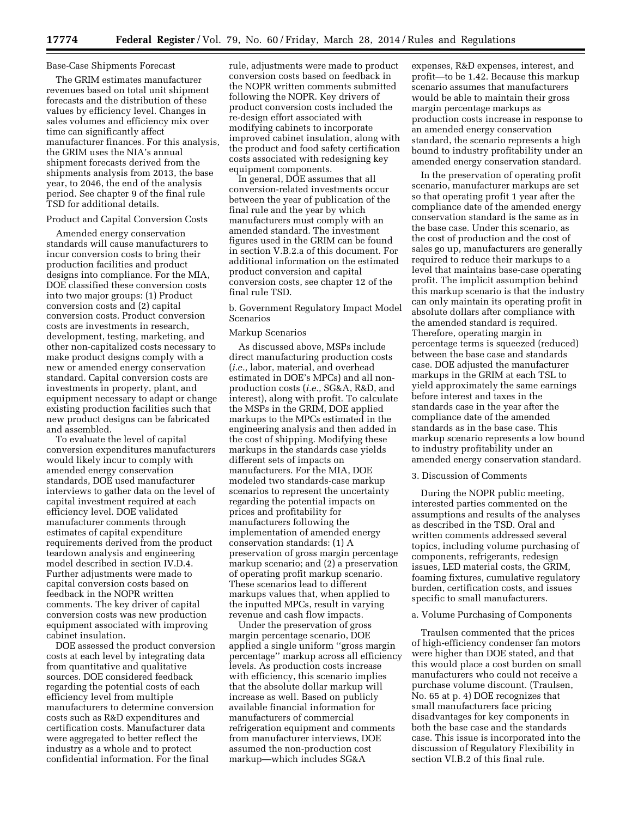#### Base-Case Shipments Forecast

The GRIM estimates manufacturer revenues based on total unit shipment forecasts and the distribution of these values by efficiency level. Changes in sales volumes and efficiency mix over time can significantly affect manufacturer finances. For this analysis, the GRIM uses the NIA's annual shipment forecasts derived from the shipments analysis from 2013, the base year, to 2046, the end of the analysis period. See chapter 9 of the final rule TSD for additional details.

### Product and Capital Conversion Costs

Amended energy conservation standards will cause manufacturers to incur conversion costs to bring their production facilities and product designs into compliance. For the MIA, DOE classified these conversion costs into two major groups: (1) Product conversion costs and (2) capital conversion costs. Product conversion costs are investments in research, development, testing, marketing, and other non-capitalized costs necessary to make product designs comply with a new or amended energy conservation standard. Capital conversion costs are investments in property, plant, and equipment necessary to adapt or change existing production facilities such that new product designs can be fabricated and assembled.

To evaluate the level of capital conversion expenditures manufacturers would likely incur to comply with amended energy conservation standards, DOE used manufacturer interviews to gather data on the level of capital investment required at each efficiency level. DOE validated manufacturer comments through estimates of capital expenditure requirements derived from the product teardown analysis and engineering model described in section IV.D.4. Further adjustments were made to capital conversion costs based on feedback in the NOPR written comments. The key driver of capital conversion costs was new production equipment associated with improving cabinet insulation.

DOE assessed the product conversion costs at each level by integrating data from quantitative and qualitative sources. DOE considered feedback regarding the potential costs of each efficiency level from multiple manufacturers to determine conversion costs such as R&D expenditures and certification costs. Manufacturer data were aggregated to better reflect the industry as a whole and to protect confidential information. For the final

rule, adjustments were made to product conversion costs based on feedback in the NOPR written comments submitted following the NOPR. Key drivers of product conversion costs included the re-design effort associated with modifying cabinets to incorporate improved cabinet insulation, along with the product and food safety certification costs associated with redesigning key equipment components.

In general, DOE assumes that all conversion-related investments occur between the year of publication of the final rule and the year by which manufacturers must comply with an amended standard. The investment figures used in the GRIM can be found in section V.B.2.a of this document. For additional information on the estimated product conversion and capital conversion costs, see chapter 12 of the final rule TSD.

b. Government Regulatory Impact Model Scenarios

## Markup Scenarios

As discussed above, MSPs include direct manufacturing production costs (*i.e.,* labor, material, and overhead estimated in DOE's MPCs) and all nonproduction costs (*i.e.,* SG&A, R&D, and interest), along with profit. To calculate the MSPs in the GRIM, DOE applied markups to the MPCs estimated in the engineering analysis and then added in the cost of shipping. Modifying these markups in the standards case yields different sets of impacts on manufacturers. For the MIA, DOE modeled two standards-case markup scenarios to represent the uncertainty regarding the potential impacts on prices and profitability for manufacturers following the implementation of amended energy conservation standards: (1) A preservation of gross margin percentage markup scenario; and (2) a preservation of operating profit markup scenario. These scenarios lead to different markups values that, when applied to the inputted MPCs, result in varying revenue and cash flow impacts.

Under the preservation of gross margin percentage scenario, DOE applied a single uniform ''gross margin percentage'' markup across all efficiency levels. As production costs increase with efficiency, this scenario implies that the absolute dollar markup will increase as well. Based on publicly available financial information for manufacturers of commercial refrigeration equipment and comments from manufacturer interviews, DOE assumed the non-production cost markup—which includes SG&A

expenses, R&D expenses, interest, and profit—to be 1.42. Because this markup scenario assumes that manufacturers would be able to maintain their gross margin percentage markups as production costs increase in response to an amended energy conservation standard, the scenario represents a high bound to industry profitability under an amended energy conservation standard.

In the preservation of operating profit scenario, manufacturer markups are set so that operating profit 1 year after the compliance date of the amended energy conservation standard is the same as in the base case. Under this scenario, as the cost of production and the cost of sales go up, manufacturers are generally required to reduce their markups to a level that maintains base-case operating profit. The implicit assumption behind this markup scenario is that the industry can only maintain its operating profit in absolute dollars after compliance with the amended standard is required. Therefore, operating margin in percentage terms is squeezed (reduced) between the base case and standards case. DOE adjusted the manufacturer markups in the GRIM at each TSL to yield approximately the same earnings before interest and taxes in the standards case in the year after the compliance date of the amended standards as in the base case. This markup scenario represents a low bound to industry profitability under an amended energy conservation standard.

#### 3. Discussion of Comments

During the NOPR public meeting, interested parties commented on the assumptions and results of the analyses as described in the TSD. Oral and written comments addressed several topics, including volume purchasing of components, refrigerants, redesign issues, LED material costs, the GRIM, foaming fixtures, cumulative regulatory burden, certification costs, and issues specific to small manufacturers.

#### a. Volume Purchasing of Components

Traulsen commented that the prices of high-efficiency condenser fan motors were higher than DOE stated, and that this would place a cost burden on small manufacturers who could not receive a purchase volume discount. (Traulsen, No. 65 at p. 4) DOE recognizes that small manufacturers face pricing disadvantages for key components in both the base case and the standards case. This issue is incorporated into the discussion of Regulatory Flexibility in section VI.B.2 of this final rule.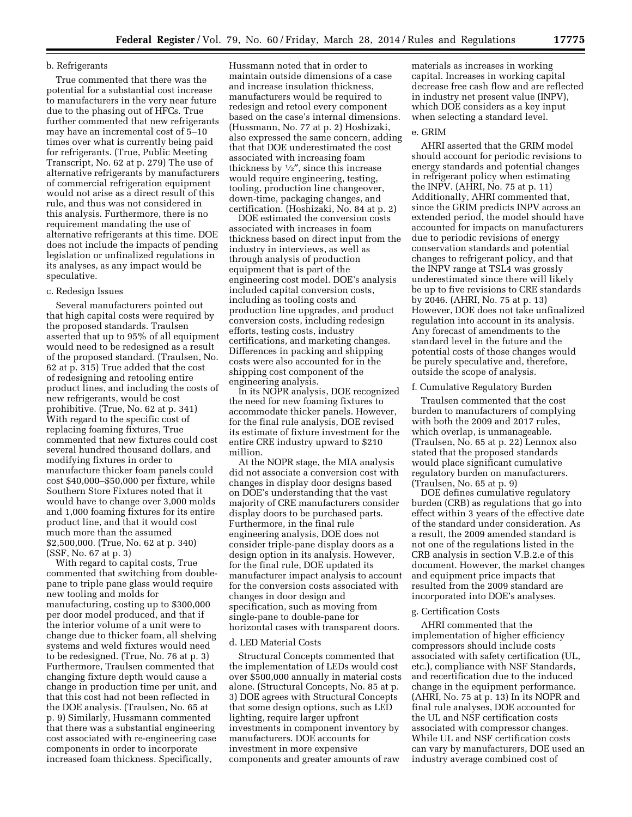#### b. Refrigerants

True commented that there was the potential for a substantial cost increase to manufacturers in the very near future due to the phasing out of HFCs. True further commented that new refrigerants may have an incremental cost of 5–10 times over what is currently being paid for refrigerants. (True, Public Meeting Transcript, No. 62 at p. 279) The use of alternative refrigerants by manufacturers of commercial refrigeration equipment would not arise as a direct result of this rule, and thus was not considered in this analysis. Furthermore, there is no requirement mandating the use of alternative refrigerants at this time. DOE does not include the impacts of pending legislation or unfinalized regulations in its analyses, as any impact would be speculative.

#### c. Redesign Issues

Several manufacturers pointed out that high capital costs were required by the proposed standards. Traulsen asserted that up to 95% of all equipment would need to be redesigned as a result of the proposed standard. (Traulsen, No. 62 at p. 315) True added that the cost of redesigning and retooling entire product lines, and including the costs of new refrigerants, would be cost prohibitive. (True, No. 62 at p. 341) With regard to the specific cost of replacing foaming fixtures, True commented that new fixtures could cost several hundred thousand dollars, and modifying fixtures in order to manufacture thicker foam panels could cost \$40,000–\$50,000 per fixture, while Southern Store Fixtures noted that it would have to change over 3,000 molds and 1,000 foaming fixtures for its entire product line, and that it would cost much more than the assumed \$2,500,000. (True, No. 62 at p. 340) (SSF, No. 67 at p. 3)

With regard to capital costs, True commented that switching from doublepane to triple pane glass would require new tooling and molds for manufacturing, costing up to \$300,000 per door model produced, and that if the interior volume of a unit were to change due to thicker foam, all shelving systems and weld fixtures would need to be redesigned. (True, No. 76 at p. 3) Furthermore, Traulsen commented that changing fixture depth would cause a change in production time per unit, and that this cost had not been reflected in the DOE analysis. (Traulsen, No. 65 at p. 9) Similarly, Hussmann commented that there was a substantial engineering cost associated with re-engineering case components in order to incorporate increased foam thickness. Specifically,

Hussmann noted that in order to maintain outside dimensions of a case and increase insulation thickness, manufacturers would be required to redesign and retool every component based on the case's internal dimensions. (Hussmann, No. 77 at p. 2) Hoshizaki, also expressed the same concern, adding that that DOE underestimated the cost associated with increasing foam thickness by  $\frac{1}{2}$ , since this increase would require engineering, testing, tooling, production line changeover, down-time, packaging changes, and certification. (Hoshizaki, No. 84 at p. 2)

DOE estimated the conversion costs associated with increases in foam thickness based on direct input from the industry in interviews, as well as through analysis of production equipment that is part of the engineering cost model. DOE's analysis included capital conversion costs, including as tooling costs and production line upgrades, and product conversion costs, including redesign efforts, testing costs, industry certifications, and marketing changes. Differences in packing and shipping costs were also accounted for in the shipping cost component of the engineering analysis.

In its NOPR analysis, DOE recognized the need for new foaming fixtures to accommodate thicker panels. However, for the final rule analysis, DOE revised its estimate of fixture investment for the entire CRE industry upward to \$210 million.

At the NOPR stage, the MIA analysis did not associate a conversion cost with changes in display door designs based on DOE's understanding that the vast majority of CRE manufacturers consider display doors to be purchased parts. Furthermore, in the final rule engineering analysis, DOE does not consider triple-pane display doors as a design option in its analysis. However, for the final rule, DOE updated its manufacturer impact analysis to account for the conversion costs associated with changes in door design and specification, such as moving from single-pane to double-pane for horizontal cases with transparent doors.

#### d. LED Material Costs

Structural Concepts commented that the implementation of LEDs would cost over \$500,000 annually in material costs alone. (Structural Concepts, No. 85 at p. 3) DOE agrees with Structural Concepts that some design options, such as LED lighting, require larger upfront investments in component inventory by manufacturers. DOE accounts for investment in more expensive components and greater amounts of raw

materials as increases in working capital. Increases in working capital decrease free cash flow and are reflected in industry net present value (INPV), which DOE considers as a key input when selecting a standard level.

#### e. GRIM

AHRI asserted that the GRIM model should account for periodic revisions to energy standards and potential changes in refrigerant policy when estimating the INPV. (AHRI, No. 75 at p. 11) Additionally, AHRI commented that, since the GRIM predicts INPV across an extended period, the model should have accounted for impacts on manufacturers due to periodic revisions of energy conservation standards and potential changes to refrigerant policy, and that the INPV range at TSL4 was grossly underestimated since there will likely be up to five revisions to CRE standards by 2046. (AHRI, No. 75 at p. 13) However, DOE does not take unfinalized regulation into account in its analysis. Any forecast of amendments to the standard level in the future and the potential costs of those changes would be purely speculative and, therefore, outside the scope of analysis.

#### f. Cumulative Regulatory Burden

Traulsen commented that the cost burden to manufacturers of complying with both the 2009 and 2017 rules, which overlap, is unmanageable. (Traulsen, No. 65 at p. 22) Lennox also stated that the proposed standards would place significant cumulative regulatory burden on manufacturers. (Traulsen, No. 65 at p. 9)

DOE defines cumulative regulatory burden (CRB) as regulations that go into effect within 3 years of the effective date of the standard under consideration. As a result, the 2009 amended standard is not one of the regulations listed in the CRB analysis in section V.B.2.e of this document. However, the market changes and equipment price impacts that resulted from the 2009 standard are incorporated into DOE's analyses.

#### g. Certification Costs

AHRI commented that the implementation of higher efficiency compressors should include costs associated with safety certification (UL, etc.), compliance with NSF Standards, and recertification due to the induced change in the equipment performance. (AHRI, No. 75 at p. 13) In its NOPR and final rule analyses, DOE accounted for the UL and NSF certification costs associated with compressor changes. While UL and NSF certification costs can vary by manufacturers, DOE used an industry average combined cost of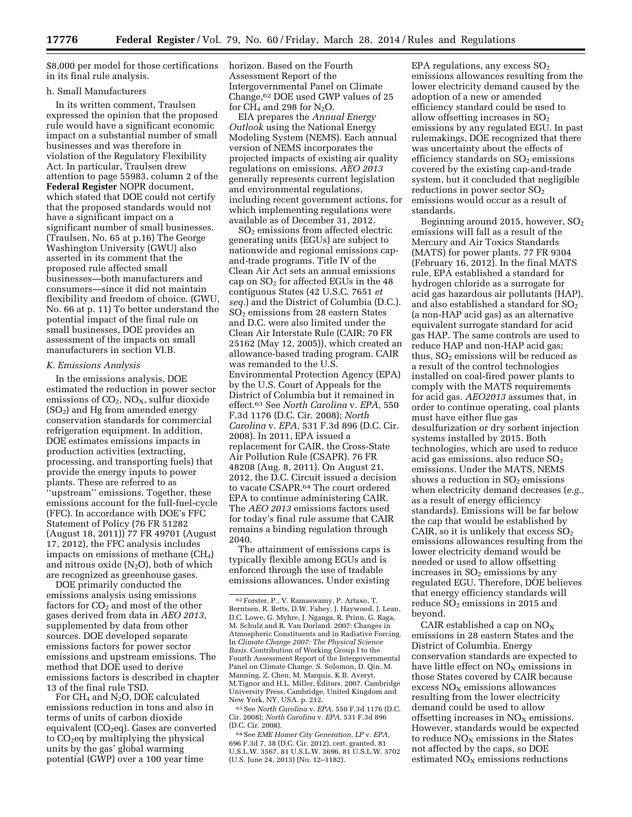\$8,000 per model for those certifications in its final rule analysis.

#### h. Small Manufacturers

In its written comment, Traulsen expressed the opinion that the proposed rule would have a significant economic impact on a substantial number of small businesses and was therefore in violation of the Regulatory Flexibility Act. In particular, Traulsen drew attention to page 55983, column 2 of the **Federal Register** NOPR document, which stated that DOE could not certify that the proposed standards would not have a significant impact on a significant number of small businesses. (Traulsen, No. 65 at p.16) The George Washington University (GWU) also asserted in its comment that the proposed rule affected small businesses—both manufacturers and consumers—since it did not maintain flexibility and freedom of choice. (GWU, No. 66 at p. 11) To better understand the potential impact of the final rule on small businesses, DOE provides an assessment of the impacts on small manufacturers in section VI.B.

#### *K. Emissions Analysis*

In the emissions analysis, DOE estimated the reduction in power sector emissions of  $CO<sub>2</sub>$ , NO<sub>X</sub>, sulfur dioxide  $(SO<sub>2</sub>)$  and Hg from amended energy conservation standards for commercial refrigeration equipment. In addition, DOE estimates emissions impacts in production activities (extracting, processing, and transporting fuels) that provide the energy inputs to power plants. These are referred to as ''upstream'' emissions. Together, these emissions account for the full-fuel-cycle (FFC). In accordance with DOE's FFC Statement of Policy (76 FR 51282 (August 18, 2011)) 77 FR 49701 (August 17, 2012), the FFC analysis includes impacts on emissions of methane (CH4) and nitrous oxide  $(N_2O)$ , both of which are recognized as greenhouse gases.

DOE primarily conducted the emissions analysis using emissions factors for  $CO<sub>2</sub>$  and most of the other gases derived from data in *AEO 2013,*  supplemented by data from other sources. DOE developed separate emissions factors for power sector emissions and upstream emissions. The method that DOE used to derive emissions factors is described in chapter 13 of the final rule TSD.

For CH4 and N2O, DOE calculated emissions reduction in tons and also in terms of units of carbon dioxide equivalent  $(CO<sub>2</sub>eq)$ . Gases are converted to  $CO<sub>2</sub>$ eq by multiplying the physical units by the gas' global warming potential (GWP) over a 100 year time

horizon. Based on the Fourth Assessment Report of the Intergovernmental Panel on Climate Change,62 DOE used GWP values of 25 for  $CH_4$  and 298 for  $N_2O$ .

EIA prepares the *Annual Energy Outlook* using the National Energy Modeling System (NEMS). Each annual version of NEMS incorporates the projected impacts of existing air quality regulations on emissions. *AEO 2013*  generally represents current legislation and environmental regulations, including recent government actions, for which implementing regulations were available as of December 31, 2012.

SO2 emissions from affected electric generating units (EGUs) are subject to nationwide and regional emissions capand-trade programs. Title IV of the Clean Air Act sets an annual emissions cap on  $SO<sub>2</sub>$  for affected EGUs in the 48 contiguous States (42 U.S.C. 7651 *et seq.*) and the District of Columbia (D.C.). SO2 emissions from 28 eastern States and D.C. were also limited under the Clean Air Interstate Rule (CAIR; 70 FR 25162 (May 12, 2005)), which created an allowance-based trading program. CAIR was remanded to the U.S. Environmental Protection Agency (EPA) by the U.S. Court of Appeals for the District of Columbia but it remained in effect.63 See *North Carolina* v. *EPA,* 550 F.3d 1176 (D.C. Cir. 2008); *North Carolina* v. *EPA,* 531 F.3d 896 (D.C. Cir. 2008). In 2011, EPA issued a replacement for CAIR, the Cross-State Air Pollution Rule (CSAPR). 76 FR 48208 (Aug. 8, 2011). On August 21, 2012, the D.C. Circuit issued a decision to vacate CSAPR.64 The court ordered EPA to continue administering CAIR. The *AEO 2013* emissions factors used for today's final rule assume that CAIR remains a binding regulation through 2040.

The attainment of emissions caps is typically flexible among EGUs and is enforced through the use of tradable emissions allowances. Under existing

63See *North Carolina* v. *EPA,* 550 F.3d 1176 (D.C. Cir. 2008); *North Carolina* v. *EPA,* 531 F.3d 896 (D.C. Cir. 2008).

64See *EME Homer City Generation, LP* v. *EPA,*  696 F.3d 7, 38 (D.C. Cir. 2012), cert. granted, 81 U.S.L.W. 3567, 81 U.S.L.W. 3696, 81 U.S.L.W. 3702 (U.S. June 24, 2013) (No. 12–1182).

EPA regulations, any excess  $SO<sub>2</sub>$ emissions allowances resulting from the lower electricity demand caused by the adoption of a new or amended efficiency standard could be used to allow offsetting increases in  $SO<sub>2</sub>$ emissions by any regulated EGU. In past rulemakings, DOE recognized that there was uncertainty about the effects of efficiency standards on SO<sub>2</sub> emissions covered by the existing cap-and-trade system, but it concluded that negligible reductions in power sector SO2 emissions would occur as a result of standards.

Beginning around 2015, however,  $SO<sub>2</sub>$ emissions will fall as a result of the Mercury and Air Toxics Standards (MATS) for power plants. 77 FR 9304 (February 16, 2012). In the final MATS rule, EPA established a standard for hydrogen chloride as a surrogate for acid gas hazardous air pollutants (HAP), and also established a standard for SO<sub>2</sub> (a non-HAP acid gas) as an alternative equivalent surrogate standard for acid gas HAP. The same controls are used to reduce HAP and non-HAP acid gas; thus,  $SO<sub>2</sub>$  emissions will be reduced as a result of the control technologies installed on coal-fired power plants to comply with the MATS requirements for acid gas. *AEO2013* assumes that, in order to continue operating, coal plants must have either flue gas desulfurization or dry sorbent injection systems installed by 2015. Both technologies, which are used to reduce acid gas emissions, also reduce SO2 emissions. Under the MATS, NEMS shows a reduction in  $SO<sub>2</sub>$  emissions when electricity demand decreases (*e.g.,*  as a result of energy efficiency standards). Emissions will be far below the cap that would be established by CAIR, so it is unlikely that excess  $SO<sub>2</sub>$ emissions allowances resulting from the lower electricity demand would be needed or used to allow offsetting increases in  $SO<sub>2</sub>$  emissions by any regulated EGU. Therefore, DOE believes that energy efficiency standards will reduce  $SO<sub>2</sub>$  emissions in 2015 and beyond.

CAIR established a cap on  $NO<sub>x</sub>$ emissions in 28 eastern States and the District of Columbia. Energy conservation standards are expected to have little effect on  $NO<sub>x</sub>$  emissions in those States covered by CAIR because excess  $NO<sub>x</sub>$  emissions allowances resulting from the lower electricity demand could be used to allow offsetting increases in  $NO<sub>x</sub>$  emissions. However, standards would be expected to reduce  $NO<sub>x</sub>$  emissions in the States not affected by the caps, so DOE estimated  $NO<sub>x</sub>$  emissions reductions

<sup>62</sup>Forster, P., V. Ramaswamy, P. Artaxo, T. Berntsen, R. Betts, D.W. Fahey, J. Haywood, J. Lean, D.C. Lowe, G. Myhre, J. Nganga, R. Prinn, G. Raga, M. Schulz and R. Van Dorland. 2007: Changes in Atmospheric Constituents and in Radiative Forcing. In *Climate Change 2007: The Physical Science Basis.* Contribution of Working Group I to the Fourth Assessment Report of the Intergovernmental Panel on Climate Change. S. Solomon, D. Qin, M. Manning, Z. Chen, M. Marquis, K.B. Averyt, M.Tignor and H.L. Miller, Editors. 2007. Cambridge University Press, Cambridge, United Kingdom and New York, NY, USA. p. 212.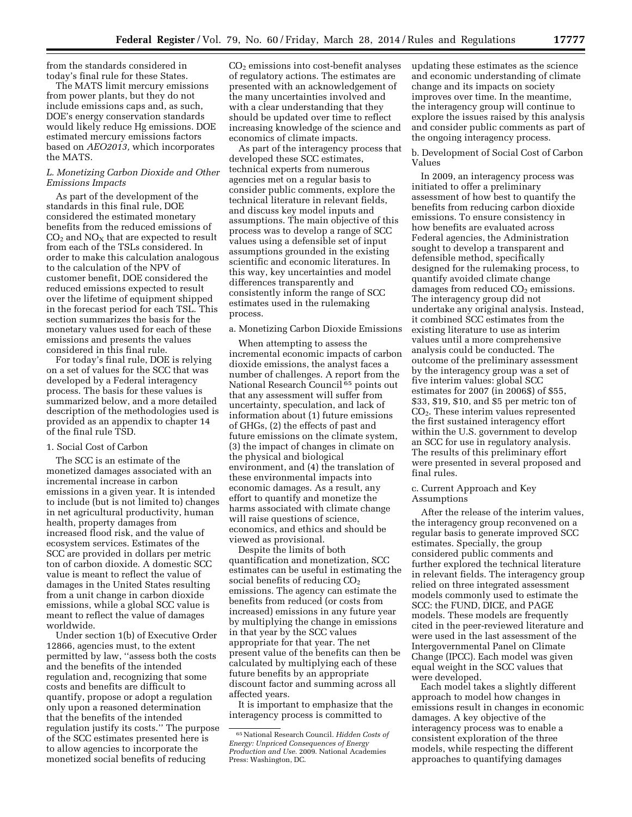from the standards considered in today's final rule for these States.

The MATS limit mercury emissions from power plants, but they do not include emissions caps and, as such, DOE's energy conservation standards would likely reduce Hg emissions. DOE estimated mercury emissions factors based on *AEO2013,* which incorporates the MATS.

#### *L. Monetizing Carbon Dioxide and Other Emissions Impacts*

As part of the development of the standards in this final rule, DOE considered the estimated monetary benefits from the reduced emissions of  $CO<sub>2</sub>$  and  $NO<sub>X</sub>$  that are expected to result from each of the TSLs considered. In order to make this calculation analogous to the calculation of the NPV of customer benefit, DOE considered the reduced emissions expected to result over the lifetime of equipment shipped in the forecast period for each TSL. This section summarizes the basis for the monetary values used for each of these emissions and presents the values considered in this final rule.

For today's final rule, DOE is relying on a set of values for the SCC that was developed by a Federal interagency process. The basis for these values is summarized below, and a more detailed description of the methodologies used is provided as an appendix to chapter 14 of the final rule TSD.

### 1. Social Cost of Carbon

The SCC is an estimate of the monetized damages associated with an incremental increase in carbon emissions in a given year. It is intended to include (but is not limited to) changes in net agricultural productivity, human health, property damages from increased flood risk, and the value of ecosystem services. Estimates of the SCC are provided in dollars per metric ton of carbon dioxide. A domestic SCC value is meant to reflect the value of damages in the United States resulting from a unit change in carbon dioxide emissions, while a global SCC value is meant to reflect the value of damages worldwide.

Under section 1(b) of Executive Order 12866, agencies must, to the extent permitted by law, ''assess both the costs and the benefits of the intended regulation and, recognizing that some costs and benefits are difficult to quantify, propose or adopt a regulation only upon a reasoned determination that the benefits of the intended regulation justify its costs.'' The purpose of the SCC estimates presented here is to allow agencies to incorporate the monetized social benefits of reducing

CO2 emissions into cost-benefit analyses of regulatory actions. The estimates are presented with an acknowledgement of the many uncertainties involved and with a clear understanding that they should be updated over time to reflect increasing knowledge of the science and economics of climate impacts.

As part of the interagency process that developed these SCC estimates, technical experts from numerous agencies met on a regular basis to consider public comments, explore the technical literature in relevant fields, and discuss key model inputs and assumptions. The main objective of this process was to develop a range of SCC values using a defensible set of input assumptions grounded in the existing scientific and economic literatures. In this way, key uncertainties and model differences transparently and consistently inform the range of SCC estimates used in the rulemaking process.

#### a. Monetizing Carbon Dioxide Emissions

When attempting to assess the incremental economic impacts of carbon dioxide emissions, the analyst faces a number of challenges. A report from the National Research Council<sup>65</sup> points out that any assessment will suffer from uncertainty, speculation, and lack of information about (1) future emissions of GHGs, (2) the effects of past and future emissions on the climate system, (3) the impact of changes in climate on the physical and biological environment, and (4) the translation of these environmental impacts into economic damages. As a result, any effort to quantify and monetize the harms associated with climate change will raise questions of science, economics, and ethics and should be viewed as provisional.

Despite the limits of both quantification and monetization, SCC estimates can be useful in estimating the social benefits of reducing  $CO<sub>2</sub>$ emissions. The agency can estimate the benefits from reduced (or costs from increased) emissions in any future year by multiplying the change in emissions in that year by the SCC values appropriate for that year. The net present value of the benefits can then be calculated by multiplying each of these future benefits by an appropriate discount factor and summing across all affected years.

It is important to emphasize that the interagency process is committed to

updating these estimates as the science and economic understanding of climate change and its impacts on society improves over time. In the meantime, the interagency group will continue to explore the issues raised by this analysis and consider public comments as part of the ongoing interagency process.

### b. Development of Social Cost of Carbon Values

In 2009, an interagency process was initiated to offer a preliminary assessment of how best to quantify the benefits from reducing carbon dioxide emissions. To ensure consistency in how benefits are evaluated across Federal agencies, the Administration sought to develop a transparent and defensible method, specifically designed for the rulemaking process, to quantify avoided climate change damages from reduced  $CO<sub>2</sub>$  emissions. The interagency group did not undertake any original analysis. Instead, it combined SCC estimates from the existing literature to use as interim values until a more comprehensive analysis could be conducted. The outcome of the preliminary assessment by the interagency group was a set of five interim values: global SCC estimates for 2007 (in 2006\$) of \$55, \$33, \$19, \$10, and \$5 per metric ton of CO2. These interim values represented the first sustained interagency effort within the U.S. government to develop an SCC for use in regulatory analysis. The results of this preliminary effort were presented in several proposed and final rules.

## c. Current Approach and Key Assumptions

After the release of the interim values, the interagency group reconvened on a regular basis to generate improved SCC estimates. Specially, the group considered public comments and further explored the technical literature in relevant fields. The interagency group relied on three integrated assessment models commonly used to estimate the SCC: the FUND, DICE, and PAGE models. These models are frequently cited in the peer-reviewed literature and were used in the last assessment of the Intergovernmental Panel on Climate Change (IPCC). Each model was given equal weight in the SCC values that were developed.

Each model takes a slightly different approach to model how changes in emissions result in changes in economic damages. A key objective of the interagency process was to enable a consistent exploration of the three models, while respecting the different approaches to quantifying damages

<sup>65</sup>National Research Council. *Hidden Costs of Energy: Unpriced Consequences of Energy Production and Use.* 2009. National Academies Press: Washington, DC.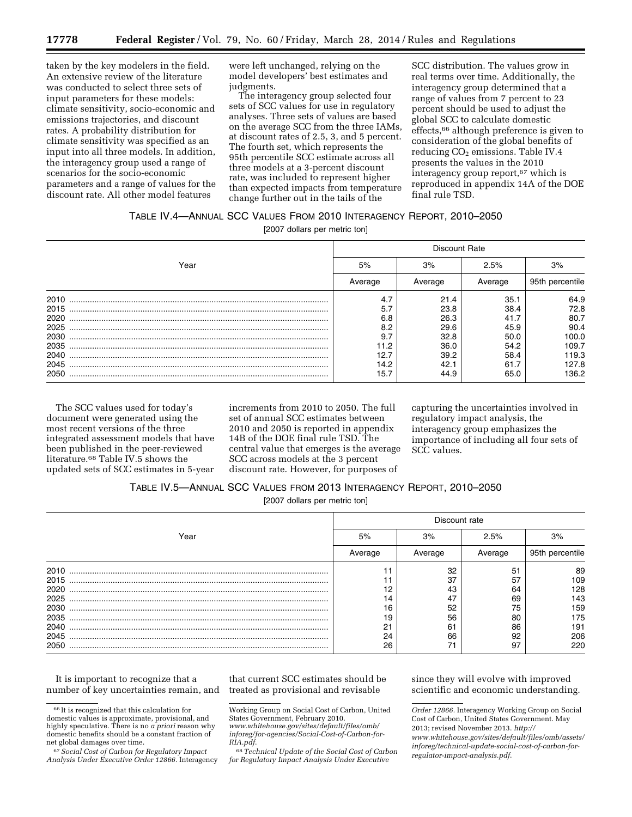taken by the key modelers in the field. An extensive review of the literature was conducted to select three sets of input parameters for these models: climate sensitivity, socio-economic and emissions trajectories, and discount rates. A probability distribution for climate sensitivity was specified as an input into all three models. In addition, the interagency group used a range of scenarios for the socio-economic parameters and a range of values for the discount rate. All other model features

were left unchanged, relying on the model developers' best estimates and judgments.

The interagency group selected four sets of SCC values for use in regulatory analyses. Three sets of values are based on the average SCC from the three IAMs, at discount rates of 2.5, 3, and 5 percent. The fourth set, which represents the 95th percentile SCC estimate across all three models at a 3-percent discount rate, was included to represent higher than expected impacts from temperature change further out in the tails of the

SCC distribution. The values grow in real terms over time. Additionally, the interagency group determined that a range of values from 7 percent to 23 percent should be used to adjust the global SCC to calculate domestic effects,66 although preference is given to consideration of the global benefits of reducing CO<sub>2</sub> emissions. Table IV.4 presents the values in the 2010 interagency group report,67 which is reproduced in appendix 14A of the DOE final rule TSD.

### TABLE IV.4—ANNUAL SCC VALUES FROM 2010 INTERAGENCY REPORT, 2010–2050

[2007 dollars per metric ton]

|      | <b>Discount Rate</b> |         |         |                 |  |  |
|------|----------------------|---------|---------|-----------------|--|--|
| Year | 5%                   | 3%      | 2.5%    | 3%              |  |  |
|      | Average              | Average | Average | 95th percentile |  |  |
| 2010 | 4.7                  | 21.4    | 35.1    | 64.9            |  |  |
| 2015 | 5.7                  | 23.8    | 38.4    | 72.8            |  |  |
| 2020 | 6.8                  | 26.3    | 41.7    | 80.7            |  |  |
| 2025 | 8.2                  | 29.6    | 45.9    | 90.4            |  |  |
| 2030 | 9.7                  | 32.8    | 50.0    | 100.0           |  |  |
| 2035 | 11.2                 | 36.0    | 54.2    | 109.7           |  |  |
| 2040 | 12.7                 | 39.2    | 58.4    | 119.3           |  |  |
| 2045 | 14.2                 | 42.1    | 61.7    | 127.8           |  |  |
| 2050 | 15.7                 | 44.9    | 65.0    | 136.2           |  |  |

The SCC values used for today's document were generated using the most recent versions of the three integrated assessment models that have been published in the peer-reviewed literature.68 Table IV.5 shows the updated sets of SCC estimates in 5-year

increments from 2010 to 2050. The full set of annual SCC estimates between 2010 and 2050 is reported in appendix 14B of the DOE final rule TSD. The central value that emerges is the average SCC across models at the 3 percent discount rate. However, for purposes of

capturing the uncertainties involved in regulatory impact analysis, the interagency group emphasizes the importance of including all four sets of SCC values.

## TABLE IV.5—ANNUAL SCC VALUES FROM 2013 INTERAGENCY REPORT, 2010–2050

[2007 dollars per metric ton]

|      | Discount rate |         |         |                 |  |  |
|------|---------------|---------|---------|-----------------|--|--|
| Year | 5%            | 3%      | 2.5%    | 3%              |  |  |
|      | Average       | Average | Average | 95th percentile |  |  |
| 2010 |               | 32      | 51      | 89              |  |  |
| 2015 |               | 37      | 57      | 109             |  |  |
| 2020 |               | 43      | 64      | 128             |  |  |
| 2025 | 14            | 47      | 69      | 143             |  |  |
| 2030 | 16            | 52      | 75      | 159             |  |  |
| 2035 | 19            | 56      | 80      | 175             |  |  |
| 2040 | ∩⊣            | 61      | 86      | 191             |  |  |
| 2045 | 24            | 66      | 92      | 206             |  |  |
| 2050 | 26            |         | 97      | 220             |  |  |

It is important to recognize that a number of key uncertainties remain, and

that current SCC estimates should be treated as provisional and revisable

68*Technical Update of the Social Cost of Carbon for Regulatory Impact Analysis Under Executive* 

since they will evolve with improved scientific and economic understanding.

<sup>66</sup> It is recognized that this calculation for domestic values is approximate, provisional, and highly speculative. There is no *a priori* reason why domestic benefits should be a constant fraction of net global damages over time.

<sup>67</sup>*Social Cost of Carbon for Regulatory Impact Analysis Under Executive Order 12866.* Interagency

Working Group on Social Cost of Carbon, United States Government, February 2010. *[www.whitehouse.gov/sites/default/files/omb/](http://www.whitehouse.gov/sites/default/files/omb/inforeg/for-agencies/Social-Cost-of-Carbon-for-RIA.pdf)*

*[inforeg/for-agencies/Social-Cost-of-Carbon-for-](http://www.whitehouse.gov/sites/default/files/omb/inforeg/for-agencies/Social-Cost-of-Carbon-for-RIA.pdf)[RIA.pdf](http://www.whitehouse.gov/sites/default/files/omb/inforeg/for-agencies/Social-Cost-of-Carbon-for-RIA.pdf)*.

*Order 12866.* Interagency Working Group on Social Cost of Carbon, United States Government. May 2013; revised November 2013. *[http://](http://www.whitehouse.gov/sites/default/files/omb/assets/inforeg/technical-update-social-cost-of-carbon-for-regulator-impact-analysis.pdf) [www.whitehouse.gov/sites/default/files/omb/assets/](http://www.whitehouse.gov/sites/default/files/omb/assets/inforeg/technical-update-social-cost-of-carbon-for-regulator-impact-analysis.pdf) [inforeg/technical-update-social-cost-of-carbon-for](http://www.whitehouse.gov/sites/default/files/omb/assets/inforeg/technical-update-social-cost-of-carbon-for-regulator-impact-analysis.pdf)[regulator-impact-analysis.pdf](http://www.whitehouse.gov/sites/default/files/omb/assets/inforeg/technical-update-social-cost-of-carbon-for-regulator-impact-analysis.pdf)*.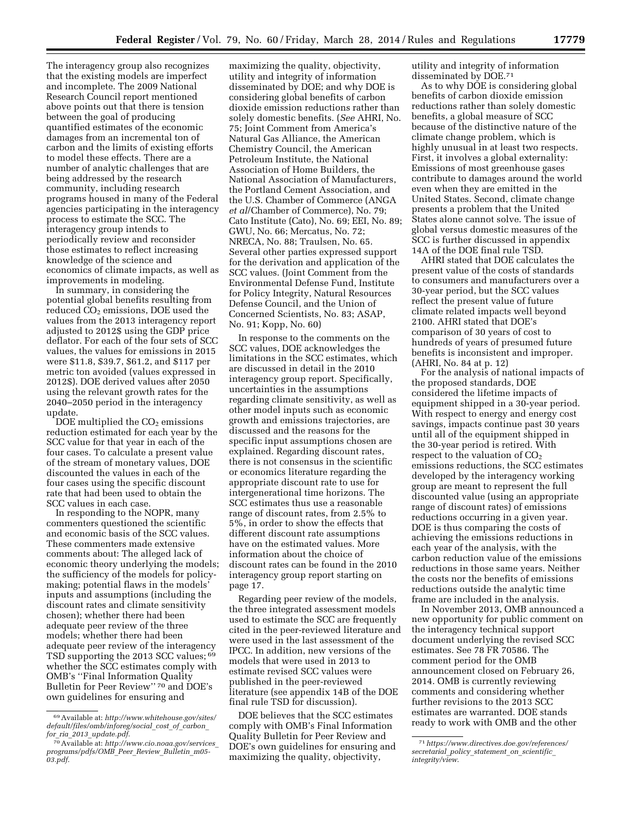utility and integrity of information disseminated by DOE.71

As to why DOE is considering global benefits of carbon dioxide emission reductions rather than solely domestic benefits, a global measure of SCC because of the distinctive nature of the climate change problem, which is highly unusual in at least two respects. First, it involves a global externality: Emissions of most greenhouse gases contribute to damages around the world even when they are emitted in the United States. Second, climate change presents a problem that the United States alone cannot solve. The issue of global versus domestic measures of the SCC is further discussed in appendix 14A of the DOE final rule TSD.

AHRI stated that DOE calculates the present value of the costs of standards to consumers and manufacturers over a 30-year period, but the SCC values reflect the present value of future climate related impacts well beyond 2100. AHRI stated that DOE's comparison of 30 years of cost to hundreds of years of presumed future benefits is inconsistent and improper. (AHRI, No. 84 at p. 12)

For the analysis of national impacts of the proposed standards, DOE considered the lifetime impacts of equipment shipped in a 30-year period. With respect to energy and energy cost savings, impacts continue past 30 years until all of the equipment shipped in the 30-year period is retired. With respect to the valuation of  $CO<sub>2</sub>$ emissions reductions, the SCC estimates developed by the interagency working group are meant to represent the full discounted value (using an appropriate range of discount rates) of emissions reductions occurring in a given year. DOE is thus comparing the costs of achieving the emissions reductions in each year of the analysis, with the carbon reduction value of the emissions reductions in those same years. Neither the costs nor the benefits of emissions reductions outside the analytic time frame are included in the analysis.

In November 2013, OMB announced a new opportunity for public comment on the interagency technical support document underlying the revised SCC estimates. See 78 FR 70586. The comment period for the OMB announcement closed on February 26, 2014. OMB is currently reviewing comments and considering whether further revisions to the 2013 SCC estimates are warranted. DOE stands ready to work with OMB and the other

The interagency group also recognizes that the existing models are imperfect and incomplete. The 2009 National Research Council report mentioned above points out that there is tension between the goal of producing quantified estimates of the economic damages from an incremental ton of carbon and the limits of existing efforts to model these effects. There are a number of analytic challenges that are being addressed by the research community, including research programs housed in many of the Federal agencies participating in the interagency process to estimate the SCC. The interagency group intends to periodically review and reconsider those estimates to reflect increasing knowledge of the science and economics of climate impacts, as well as improvements in modeling.

In summary, in considering the potential global benefits resulting from reduced  $CO<sub>2</sub>$  emissions, DOE used the values from the 2013 interagency report adjusted to 2012\$ using the GDP price deflator. For each of the four sets of SCC values, the values for emissions in 2015 were \$11.8, \$39.7, \$61.2, and \$117 per metric ton avoided (values expressed in 2012\$). DOE derived values after 2050 using the relevant growth rates for the 2040–2050 period in the interagency update.

DOE multiplied the  $CO<sub>2</sub>$  emissions reduction estimated for each year by the SCC value for that year in each of the four cases. To calculate a present value of the stream of monetary values, DOE discounted the values in each of the four cases using the specific discount rate that had been used to obtain the SCC values in each case.

In responding to the NOPR, many commenters questioned the scientific and economic basis of the SCC values. These commenters made extensive comments about: The alleged lack of economic theory underlying the models; the sufficiency of the models for policymaking; potential flaws in the models' inputs and assumptions (including the discount rates and climate sensitivity chosen); whether there had been adequate peer review of the three models; whether there had been adequate peer review of the interagency TSD supporting the 2013 SCC values; 69 whether the SCC estimates comply with OMB's ''Final Information Quality Bulletin for Peer Review'' 70 and DOE's own guidelines for ensuring and

maximizing the quality, objectivity, utility and integrity of information disseminated by DOE; and why DOE is considering global benefits of carbon dioxide emission reductions rather than solely domestic benefits. (*See* AHRI, No. 75; Joint Comment from America's Natural Gas Alliance, the American Chemistry Council, the American Petroleum Institute, the National Association of Home Builders, the National Association of Manufacturers, the Portland Cement Association, and the U.S. Chamber of Commerce (ANGA *et al*/Chamber of Commerce), No. 79; Cato Institute (Cato), No. 69; EEI, No. 89; GWU, No. 66; Mercatus, No. 72; NRECA, No. 88; Traulsen, No. 65. Several other parties expressed support for the derivation and application of the SCC values. (Joint Comment from the Environmental Defense Fund, Institute for Policy Integrity, Natural Resources Defense Council, and the Union of Concerned Scientists, No. 83; ASAP, No. 91; Kopp, No. 60)

In response to the comments on the SCC values, DOE acknowledges the limitations in the SCC estimates, which are discussed in detail in the 2010 interagency group report. Specifically, uncertainties in the assumptions regarding climate sensitivity, as well as other model inputs such as economic growth and emissions trajectories, are discussed and the reasons for the specific input assumptions chosen are explained. Regarding discount rates, there is not consensus in the scientific or economics literature regarding the appropriate discount rate to use for intergenerational time horizons. The SCC estimates thus use a reasonable range of discount rates, from 2.5% to 5%, in order to show the effects that different discount rate assumptions have on the estimated values. More information about the choice of discount rates can be found in the 2010 interagency group report starting on page 17.

Regarding peer review of the models, the three integrated assessment models used to estimate the SCC are frequently cited in the peer-reviewed literature and were used in the last assessment of the IPCC. In addition, new versions of the models that were used in 2013 to estimate revised SCC values were published in the peer-reviewed literature (see appendix 14B of the DOE final rule TSD for discussion).

DOE believes that the SCC estimates comply with OMB's Final Information Quality Bulletin for Peer Review and DOE's own guidelines for ensuring and maximizing the quality, objectivity,

<sup>71</sup>*[https://www.directives.doe.gov/references/](https://www.directives.doe.gov/references/secretarial_policy_statement_on_scientific_integrity/view) [secretarial](https://www.directives.doe.gov/references/secretarial_policy_statement_on_scientific_integrity/view)*\_*policy*\_*statement*\_*on*\_*scientific*\_ *[integrity/view](https://www.directives.doe.gov/references/secretarial_policy_statement_on_scientific_integrity/view)*.

<sup>69</sup>Available at: *[http://www.whitehouse.gov/sites/](http://www.whitehouse.gov/sites/default/files/omb/inforeg/social_cost_of_carbon_for_ria_2013_update.pdf) [default/files/omb/inforeg/social](http://www.whitehouse.gov/sites/default/files/omb/inforeg/social_cost_of_carbon_for_ria_2013_update.pdf)*\_*cost*\_*of*\_*carbon*\_ *for*\_*ria*\_*2013*\_*[update.pdf](http://www.whitehouse.gov/sites/default/files/omb/inforeg/social_cost_of_carbon_for_ria_2013_update.pdf)*.

<sup>70</sup>Available at: *[http://www.cio.noaa.gov/services](http://www.cio.noaa.gov/services_programs/pdfs/OMB_Peer_Review_Bulletin_m05-03.pdf)*\_ *[programs/pdfs/OMB](http://www.cio.noaa.gov/services_programs/pdfs/OMB_Peer_Review_Bulletin_m05-03.pdf)*\_*Peer*\_*Review*\_*Bulletin*\_*m05- [03.pdf](http://www.cio.noaa.gov/services_programs/pdfs/OMB_Peer_Review_Bulletin_m05-03.pdf)*.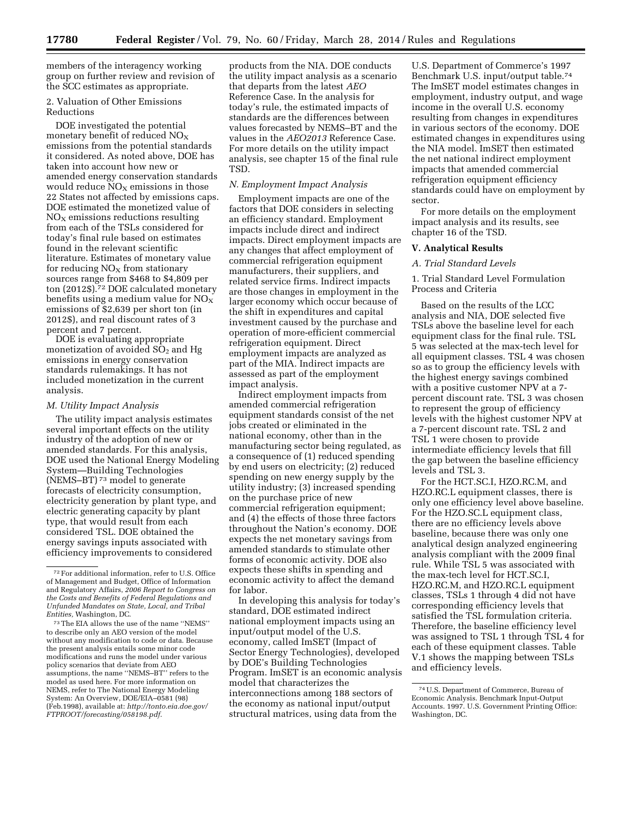members of the interagency working group on further review and revision of the SCC estimates as appropriate.

### 2. Valuation of Other Emissions Reductions

DOE investigated the potential monetary benefit of reduced  $NO<sub>X</sub>$ emissions from the potential standards it considered. As noted above, DOE has taken into account how new or amended energy conservation standards would reduce  $NO<sub>x</sub>$  emissions in those 22 States not affected by emissions caps. DOE estimated the monetized value of  $NO<sub>x</sub>$  emissions reductions resulting from each of the TSLs considered for today's final rule based on estimates found in the relevant scientific literature. Estimates of monetary value for reducing  $NO<sub>x</sub>$  from stationary sources range from \$468 to \$4,809 per ton (2012\$).72 DOE calculated monetary benefits using a medium value for  $NO_X$ emissions of \$2,639 per short ton (in 2012\$), and real discount rates of 3 percent and 7 percent.

DOE is evaluating appropriate monetization of avoided  $SO<sub>2</sub>$  and Hg emissions in energy conservation standards rulemakings. It has not included monetization in the current analysis.

## *M. Utility Impact Analysis*

The utility impact analysis estimates several important effects on the utility industry of the adoption of new or amended standards. For this analysis, DOE used the National Energy Modeling System—Building Technologies (NEMS–BT) 73 model to generate forecasts of electricity consumption, electricity generation by plant type, and electric generating capacity by plant type, that would result from each considered TSL. DOE obtained the energy savings inputs associated with efficiency improvements to considered

products from the NIA. DOE conducts the utility impact analysis as a scenario that departs from the latest *AEO*  Reference Case. In the analysis for today's rule, the estimated impacts of standards are the differences between values forecasted by NEMS–BT and the values in the *AEO2013* Reference Case. For more details on the utility impact analysis, see chapter 15 of the final rule TSD.

#### *N. Employment Impact Analysis*

Employment impacts are one of the factors that DOE considers in selecting an efficiency standard. Employment impacts include direct and indirect impacts. Direct employment impacts are any changes that affect employment of commercial refrigeration equipment manufacturers, their suppliers, and related service firms. Indirect impacts are those changes in employment in the larger economy which occur because of the shift in expenditures and capital investment caused by the purchase and operation of more-efficient commercial refrigeration equipment. Direct employment impacts are analyzed as part of the MIA. Indirect impacts are assessed as part of the employment impact analysis.

Indirect employment impacts from amended commercial refrigeration equipment standards consist of the net jobs created or eliminated in the national economy, other than in the manufacturing sector being regulated, as a consequence of (1) reduced spending by end users on electricity; (2) reduced spending on new energy supply by the utility industry; (3) increased spending on the purchase price of new commercial refrigeration equipment; and (4) the effects of those three factors throughout the Nation's economy. DOE expects the net monetary savings from amended standards to stimulate other forms of economic activity. DOE also expects these shifts in spending and economic activity to affect the demand for labor.

In developing this analysis for today's standard, DOE estimated indirect national employment impacts using an input/output model of the U.S. economy, called ImSET (Impact of Sector Energy Technologies), developed by DOE's Building Technologies Program. ImSET is an economic analysis model that characterizes the interconnections among 188 sectors of the economy as national input/output structural matrices, using data from the

U.S. Department of Commerce's 1997 Benchmark U.S. input/output table.74 The ImSET model estimates changes in employment, industry output, and wage income in the overall U.S. economy resulting from changes in expenditures in various sectors of the economy. DOE estimated changes in expenditures using the NIA model. ImSET then estimated the net national indirect employment impacts that amended commercial refrigeration equipment efficiency standards could have on employment by sector.

For more details on the employment impact analysis and its results, see chapter 16 of the TSD.

## **V. Analytical Results**

#### *A. Trial Standard Levels*

1. Trial Standard Level Formulation Process and Criteria

Based on the results of the LCC analysis and NIA, DOE selected five TSLs above the baseline level for each equipment class for the final rule. TSL 5 was selected at the max-tech level for all equipment classes. TSL 4 was chosen so as to group the efficiency levels with the highest energy savings combined with a positive customer NPV at a 7 percent discount rate. TSL 3 was chosen to represent the group of efficiency levels with the highest customer NPV at a 7-percent discount rate. TSL 2 and TSL 1 were chosen to provide intermediate efficiency levels that fill the gap between the baseline efficiency levels and TSL 3.

For the HCT.SC.I, HZO.RC.M, and HZO.RC.L equipment classes, there is only one efficiency level above baseline. For the HZO.SC.L equipment class, there are no efficiency levels above baseline, because there was only one analytical design analyzed engineering analysis compliant with the 2009 final rule. While TSL 5 was associated with the max-tech level for HCT.SC.I, HZO.RC.M, and HZO.RC.L equipment classes, TSLs 1 through 4 did not have corresponding efficiency levels that satisfied the TSL formulation criteria. Therefore, the baseline efficiency level was assigned to TSL 1 through TSL 4 for each of these equipment classes. Table V.1 shows the mapping between TSLs and efficiency levels.

<sup>72</sup>For additional information, refer to U.S. Office of Management and Budget, Office of Information and Regulatory Affairs, *2006 Report to Congress on the Costs and Benefits of Federal Regulations and Unfunded Mandates on State, Local, and Tribal Entities,* Washington, DC.

<sup>73</sup>The EIA allows the use of the name ''NEMS'' to describe only an AEO version of the model without any modification to code or data. Because the present analysis entails some minor code modifications and runs the model under various policy scenarios that deviate from AEO assumptions, the name ''NEMS–BT'' refers to the model as used here. For more information on NEMS, refer to The National Energy Modeling System: An Overview, DOE/EIA–0581 (98) (Feb.1998), available at: *[http://tonto.eia.doe.gov/](http://tonto.eia.doe.gov/FTPROOT/forecasting/058198.pdf) [FTPROOT/forecasting/058198.pdf](http://tonto.eia.doe.gov/FTPROOT/forecasting/058198.pdf)*.

<sup>74</sup>U.S. Department of Commerce, Bureau of Economic Analysis. Benchmark Input-Output Accounts. 1997. U.S. Government Printing Office: Washington, DC.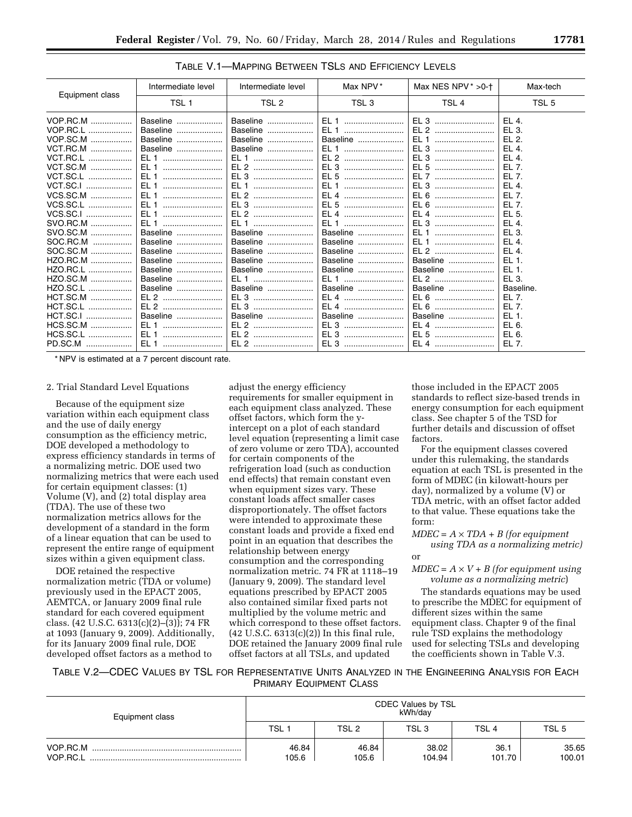|                 | Intermediate level | Intermediate level | Max NPV*         | Max NES NPV $* >0.1$ | Max-tech  |
|-----------------|--------------------|--------------------|------------------|----------------------|-----------|
| Equipment class | TSL <sub>1</sub>   | TSL 2              | TSL <sub>3</sub> | TSL <sub>4</sub>     | TSL 5     |
| VOP.RC.M        | Baseline           | Baseline           | EL 1             | EL <sub>3</sub>      | $FI$ 4.   |
| VOP.RC.L        | Baseline           | Baseline           | EL 1             | EL 2                 | EL 3.     |
| VOP.SC.M        | Baseline           | Baseline           | Baseline         | EL 1                 | F12       |
| <b>VCT.RC.M</b> | Baseline           | Baseline           | EL 1             | EL 3                 | EL 4.     |
| <b>VCT.RC.L</b> | EL 1               | EL 1               | EL 2             | EL 3                 | EL 4.     |
| VCT.SC.M        | EL 1               | EL 2               | EL 3             | EL 5                 | EL 7.     |
| VCT.SC.L        | EL <sub>1</sub>    | EL 3               | EL 5             | EL 7                 | EL 7.     |
| VCT.SC.I        |                    | EL 1               | EL 1             | EL 3                 | EL 4.     |
| VCS.SC.M        | EL <sub>1</sub>    | EL 2               |                  | EL 6                 | EL 7.     |
| VCS.SC.L        | EL <sub>1</sub>    | EL 3               | EL 5             |                      | EL 7.     |
| VCS.SC.I        | $FI$ 1             | EL 2               | EL 4             | EL 4                 | EL 5.     |
| SVO.RC.M        | EL 1               | $FI$ 1             | EL 1             | EL 3                 | EL 4.     |
| SVO.SC.M        | Baseline           | Baseline           | Baseline         | EL 1                 | EL 3.     |
| SOC.RC.M        | Baseline           | Baseline           | Baseline         | EL 1                 | EL 4.     |
| SOC.SC.M        | Baseline           | Baseline           | Baseline         | EL 2                 | EL 4.     |
| HZO.RC.M        | Baseline           | Baseline           | Baseline         | Baseline             | EL 1.     |
| HZO.RC.L        | Baseline           | Baseline           | Baseline         | Baseline             | EL 1.     |
| HZO.SC.M        | Baseline           | EL 1               | EL 1             | EL 2                 | EL 3.     |
| HZO.SC.L        | Baseline           | Baseline           | Baseline         | Baseline             | Baseline. |
| HCT.SC.M        | EL 2               | EL 3               | EL 4             | EL 6                 | EL 7.     |
| HCT.SC.L        | EL 2               | EL 3               | EL 4             | EL 6                 | FI 7.     |
| HCT.SC.I<br>.   | Baseline           | Baseline           | Baseline         | Baseline             | EL 1.     |
| HCS.SC.M        | EL 1               |                    |                  | EL 4                 | EL 6.     |
| HCS.SC.L        | EL 1               | EL 2               | EL 3             | EL 5                 | EL 6.     |
| PD.SC.M         |                    |                    |                  | EL 4                 | EL 7.     |

TABLE V.1—MAPPING BETWEEN TSLS AND EFFICIENCY LEVELS

\* NPV is estimated at a 7 percent discount rate.

#### 2. Trial Standard Level Equations

Because of the equipment size variation within each equipment class and the use of daily energy consumption as the efficiency metric, DOE developed a methodology to express efficiency standards in terms of a normalizing metric. DOE used two normalizing metrics that were each used for certain equipment classes: (1) Volume (V), and (2) total display area (TDA). The use of these two normalization metrics allows for the development of a standard in the form of a linear equation that can be used to represent the entire range of equipment sizes within a given equipment class.

DOE retained the respective normalization metric (TDA or volume) previously used in the EPACT 2005, AEMTCA, or January 2009 final rule standard for each covered equipment class. (42 U.S.C. 6313(c)(2)–(3)); 74 FR at 1093 (January 9, 2009). Additionally, for its January 2009 final rule, DOE developed offset factors as a method to

adjust the energy efficiency requirements for smaller equipment in each equipment class analyzed. These offset factors, which form the yintercept on a plot of each standard level equation (representing a limit case of zero volume or zero TDA), accounted for certain components of the refrigeration load (such as conduction end effects) that remain constant even when equipment sizes vary. These constant loads affect smaller cases disproportionately. The offset factors were intended to approximate these constant loads and provide a fixed end point in an equation that describes the relationship between energy consumption and the corresponding normalization metric. 74 FR at 1118–19 (January 9, 2009). The standard level equations prescribed by EPACT 2005 also contained similar fixed parts not multiplied by the volume metric and which correspond to these offset factors. (42 U.S.C. 6313(c)(2)) In this final rule, DOE retained the January 2009 final rule offset factors at all TSLs, and updated

those included in the EPACT 2005 standards to reflect size-based trends in energy consumption for each equipment class. See chapter 5 of the TSD for further details and discussion of offset factors.

For the equipment classes covered under this rulemaking, the standards equation at each TSL is presented in the form of MDEC (in kilowatt-hours per day), normalized by a volume (V) or TDA metric, with an offset factor added to that value. These equations take the form:

 $MDEC = A \times TDA + B$  (for equipment *using TDA as a normalizing metric)*  or

 $MDEC = A \times V + B$  (for equipment using *volume as a normalizing metric*)

The standards equations may be used to prescribe the MDEC for equipment of different sizes within the same equipment class. Chapter 9 of the final rule TSD explains the methodology used for selecting TSLs and developing the coefficients shown in Table V.3.

TABLE V.2—CDEC VALUES BY TSL FOR REPRESENTATIVE UNITS ANALYZED IN THE ENGINEERING ANALYSIS FOR EACH PRIMARY EQUIPMENT CLASS

| Equipment class | CDEC Values by TSL<br>kWh/dav |                |                  |                  |                  |  |  |
|-----------------|-------------------------------|----------------|------------------|------------------|------------------|--|--|
|                 | TSL 1                         | TSL 2          | TSL <sub>3</sub> | TSL <sub>4</sub> | TSL <sub>5</sub> |  |  |
| VOP.RC.M        | 46.84<br>105.6                | 46.84<br>105.6 | 38.02<br>104.94  | 36.1<br>101.70   | 35.65<br>100.01  |  |  |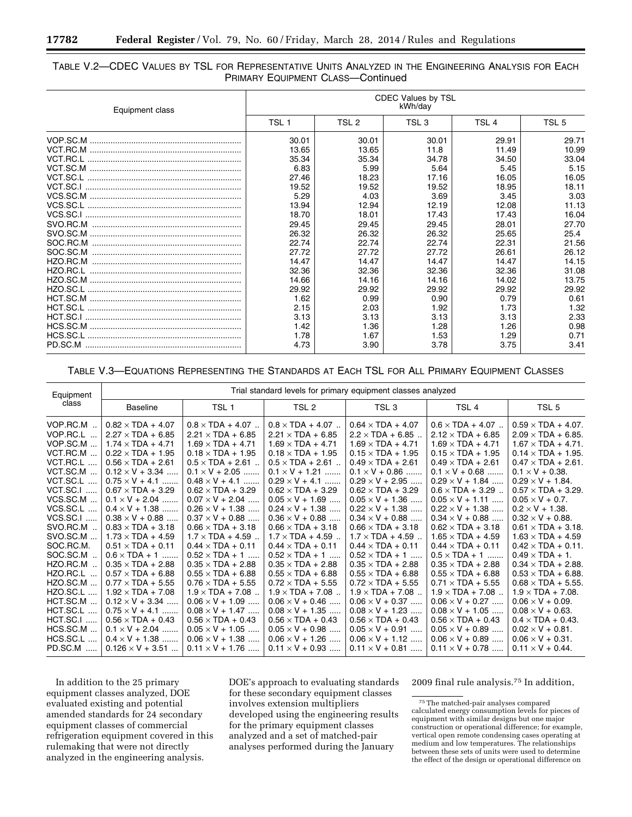## TABLE V.2—CDEC VALUES BY TSL FOR REPRESENTATIVE UNITS ANALYZED IN THE ENGINEERING ANALYSIS FOR EACH PRIMARY EQUIPMENT CLASS—Continued

| Equipment class | <b>CDEC Values by TSL</b><br>kWh/day |       |                  |                  |       |  |  |  |
|-----------------|--------------------------------------|-------|------------------|------------------|-------|--|--|--|
|                 | TSL <sub>1</sub>                     | TSL 2 | TSL <sub>3</sub> | TSL <sub>4</sub> | TSL 5 |  |  |  |
|                 | 30.01                                | 30.01 | 30.01            | 29.91            | 29.71 |  |  |  |
|                 | 13.65                                | 13.65 | 11.8             | 11.49            | 10.99 |  |  |  |
|                 | 35.34                                | 35.34 | 34.78            | 34.50            | 33.04 |  |  |  |
|                 | 6.83                                 | 5.99  | 5.64             | 5.45             | 5.15  |  |  |  |
|                 | 27.46                                | 18.23 | 17.16            | 16.05            | 16.05 |  |  |  |
|                 | 19.52                                | 19.52 | 19.52            | 18.95            | 18.11 |  |  |  |
|                 | 5.29                                 | 4.03  | 3.69             | 3.45             | 3.03  |  |  |  |
|                 | 13.94                                | 12.94 | 12.19            | 12.08            | 11.13 |  |  |  |
|                 | 18.70                                | 18.01 | 17.43            | 17.43            | 16.04 |  |  |  |
|                 | 29.45                                | 29.45 | 29.45            | 28.01            | 27.70 |  |  |  |
|                 | 26.32                                | 26.32 | 26.32            | 25.65            | 25.4  |  |  |  |
|                 | 22.74                                | 22.74 | 22.74            | 22.31            | 21.56 |  |  |  |
|                 | 27.72                                | 27.72 | 27.72            | 26.61            | 26.12 |  |  |  |
|                 | 14.47                                | 14.47 | 14.47            | 14.47            | 14.15 |  |  |  |
|                 | 32.36                                | 32.36 | 32.36            | 32.36            | 31.08 |  |  |  |
|                 | 14.66                                | 14.16 | 14.16            | 14.02            | 13.75 |  |  |  |
|                 | 29.92                                | 29.92 | 29.92            | 29.92            | 29.92 |  |  |  |
|                 | 1.62                                 | 0.99  | 0.90             | 0.79             | 0.61  |  |  |  |
|                 | 2.15                                 | 2.03  | 1.92             | 1.73             | 1.32  |  |  |  |
|                 | 3.13                                 | 3.13  | 3.13             | 3.13             | 2.33  |  |  |  |
|                 | 1.42                                 | 1.36  | 1.28             | 1.26             | 0.98  |  |  |  |
|                 | 1.78                                 | 1.67  | 1.53             | 1.29             | 0.71  |  |  |  |
|                 | 4.73                                 | 3.90  | 3.78             | 3.75             | 3.41  |  |  |  |

## TABLE V.3—EQUATIONS REPRESENTING THE STANDARDS AT EACH TSL FOR ALL PRIMARY EQUIPMENT CLASSES

| Equipment                                                                                                                                                                                                                                           |                                                                                                                                                                                                                                                                                                                                                                                                                                                                                                     |                                                                                                                                                                                                                                                                                                                                                                                                                                                                                                    | Trial standard levels for primary equipment classes analyzed                                                                                                                                                                                                                                                                                                                                                                                                                                       |                                                                                                                                                                                                                                                                                                                                                                                                                                                                                                      |                                                                                                                                                                                                                                                                                                                                                                                                                                                                                                     |                                                                                                                                                                                                                                                                                                                                                                                                                                                                                                                                        |
|-----------------------------------------------------------------------------------------------------------------------------------------------------------------------------------------------------------------------------------------------------|-----------------------------------------------------------------------------------------------------------------------------------------------------------------------------------------------------------------------------------------------------------------------------------------------------------------------------------------------------------------------------------------------------------------------------------------------------------------------------------------------------|----------------------------------------------------------------------------------------------------------------------------------------------------------------------------------------------------------------------------------------------------------------------------------------------------------------------------------------------------------------------------------------------------------------------------------------------------------------------------------------------------|----------------------------------------------------------------------------------------------------------------------------------------------------------------------------------------------------------------------------------------------------------------------------------------------------------------------------------------------------------------------------------------------------------------------------------------------------------------------------------------------------|------------------------------------------------------------------------------------------------------------------------------------------------------------------------------------------------------------------------------------------------------------------------------------------------------------------------------------------------------------------------------------------------------------------------------------------------------------------------------------------------------|-----------------------------------------------------------------------------------------------------------------------------------------------------------------------------------------------------------------------------------------------------------------------------------------------------------------------------------------------------------------------------------------------------------------------------------------------------------------------------------------------------|----------------------------------------------------------------------------------------------------------------------------------------------------------------------------------------------------------------------------------------------------------------------------------------------------------------------------------------------------------------------------------------------------------------------------------------------------------------------------------------------------------------------------------------|
| class                                                                                                                                                                                                                                               | <b>Baseline</b>                                                                                                                                                                                                                                                                                                                                                                                                                                                                                     | TSL <sub>1</sub>                                                                                                                                                                                                                                                                                                                                                                                                                                                                                   | TSL 2                                                                                                                                                                                                                                                                                                                                                                                                                                                                                              | TSL <sub>3</sub>                                                                                                                                                                                                                                                                                                                                                                                                                                                                                     | TSL <sub>4</sub>                                                                                                                                                                                                                                                                                                                                                                                                                                                                                    | TSL <sub>5</sub>                                                                                                                                                                                                                                                                                                                                                                                                                                                                                                                       |
| VOP.RC.M.<br>VOP.RC.L<br>VOP.SC.M<br>VCT.RC.M<br>VCT.RC.L<br>VCT.SC.M<br>VCT.SC.L<br>VCT.SC.I<br>VCS.SC.M<br>VCS.SC.L<br>$\cdots$<br><b>VCS.SC.I </b><br>SVO.RC.M.<br>SVO.SC.M<br>SOC.RC.M.<br>SOC.SC.M<br>HZO.RC.M<br>HZO.RC.L<br><b>HZO.SC.M </b> | $0.82 \times TDA + 4.07$<br>$2.27 \times TDA + 6.85$<br>$1.74 \times TDA + 4.71$<br>$0.22 \times TDA + 1.95$<br>$0.56 \times TDA + 2.61$<br>$0.12 \times V + 3.34$<br>$0.75 \times V + 4.1$<br>$0.67 \times TDA + 3.29$<br>$0.1 \times V + 2.04$<br>$0.4 \times V + 1.38$<br>$0.38 \times V + 0.88$<br>$0.83 \times TDA + 3.18$<br>$1.73 \times TDA + 4.59$<br>$0.51 \times TDA + 0.11$<br>$0.6 \times TDA + 1$<br>$0.35 \times TDA + 2.88$<br>$0.57 \times TDA + 6.88$<br>$0.77 \times TDA + 5.55$ | $0.8 \times TDA + 4.07$<br>$2.21 \times TDA + 6.85$<br>$1.69 \times TDA + 4.71$<br>$0.18 \times TDA + 1.95$<br>$0.5 \times TDA + 2.61$<br>$0.1 \times V + 2.05$<br>$0.48 \times V + 4.1$<br>$0.62 \times TDA + 3.29$<br>$0.07 \times V + 2.04$<br>$0.26 \times V + 1.38$<br>$0.37 \times V + 0.88$<br>$0.66 \times TDA + 3.18$<br>$1.7 \times$ TDA + 4.59<br>$0.44 \times TDA + 0.11$<br>$0.52 \times TDA + 1$<br>$0.35 \times TDA + 2.88$<br>$0.55 \times TDA + 6.88$<br>$0.76 \times TDA + 5.55$ | $0.8 \times TDA + 4.07$<br>$2.21 \times TDA + 6.85$<br>$1.69 \times TDA + 4.71$<br>$0.18 \times TDA + 1.95$<br>$0.5 \times TDA + 2.61$<br>$0.1 \times V + 1.21$<br>$0.29 \times V + 4.1$<br>$0.62 \times TDA + 3.29$<br>$0.05 \times V + 1.69$<br>$0.24 \times V + 1.38$<br>$0.36 \times V + 0.88$<br>$0.66 \times TDA + 3.18$<br>$1.7 \times$ TDA + 4.59<br>$0.44 \times TDA + 0.11$<br>$0.52 \times TDA + 1$<br>$0.35 \times TDA + 2.88$<br>$0.55 \times TDA + 6.88$<br>$0.72 \times TDA + 5.55$ | $0.64 \times TDA + 4.07$<br>$2.2 \times TDA + 6.85$<br>$1.69 \times TDA + 4.71$<br>$0.15 \times TDA + 1.95$<br>$0.49 \times TDA + 2.61$<br>$0.1 \times V + 0.86$<br>$0.29 \times V + 2.95$<br>$0.62 \times TDA + 3.29$<br>$0.05 \times V + 1.36$<br>$0.22 \times V + 1.38$<br>$0.34 \times V + 0.88$<br>$0.66 \times TDA + 3.18$<br>$1.7 \times$ TDA + 4.59<br>$0.44 \times TDA + 0.11$<br>$0.52 \times TDA + 1$<br>$0.35 \times TDA + 2.88$<br>$0.55 \times TDA + 6.88$<br>$0.72 \times TDA + 5.55$ | $0.6 \times TDA + 4.07$<br>$2.12 \times TDA + 6.85$<br>$1.69 \times TDA + 4.71$<br>$0.15 \times TDA + 1.95$<br>$0.49 \times TDA + 2.61$<br>$0.1 \times V + 0.68$<br>$0.29 \times V + 1.84$<br>$0.6 \times TDA + 3.29$<br>$0.05 \times V + 1.11$<br>$0.22 \times V + 1.38$<br>$0.34 \times V + 0.88$<br>$0.62 \times TDA + 3.18$<br>$1.65 \times TDA + 4.59$<br>$0.44 \times TDA + 0.11$<br>$0.5 \times TDA + 1$<br>$0.35 \times TDA + 2.88$<br>$0.55 \times TDA + 6.88$<br>$0.71 \times TDA + 5.55$ | $0.59 \times TDA + 4.07$ .<br>$2.09 \times TDA + 6.85$ .<br>$1.67 \times TDA + 4.71$ .<br>$0.14 \times TDA + 1.95$ .<br>$0.47 \times TDA + 2.61$ .<br>$0.1 \times V + 0.38$ .<br>$0.29 \times V + 1.84$ .<br>$0.57 \times TDA + 3.29$ .<br>$0.05 \times V + 0.7$ .<br>$0.2 \times V + 1.38$ .<br>$0.32 \times V + 0.88$ .<br>$0.61 \times TDA + 3.18$ .<br>$1.63 \times TDA + 4.59$<br>$0.42 \times TDA + 0.11$ .<br>$0.49 \times TDA + 1$ .<br>$0.34 \times TDA + 2.88$ .<br>$0.53 \times TDA + 6.88$ .<br>$0.68 \times TDA + 5.55$ . |
| HZO.SC.L<br>HCT.SC.M<br>HCT.SC.L<br><b>HCT.SC.I </b><br>HCS.SC.M<br>HCS.SC.L<br>PD.SC.M                                                                                                                                                             | $1.92 \times TDA + 7.08$<br>$0.12 \times V + 3.34$<br>$0.75 \times V + 4.1$<br>.<br>$0.56 \times TDA + 0.43$<br>$0.1 \times V + 2.04$<br>$0.4 \times V + 1.38$<br>$0.126 \times V + 3.51$                                                                                                                                                                                                                                                                                                           | $1.9 \times TDA + 7.08$<br>$0.06 \times V + 1.09$<br>$0.08 \times V + 1.47$<br>$0.56 \times TDA + 0.43$<br>$0.05 \times V + 1.05$<br>$0.06 \times V + 1.38$<br>$0.11 \times V + 1.76$                                                                                                                                                                                                                                                                                                              | $1.9 \times TDA + 7.08$<br>$0.06 \times V + 0.46$<br>$0.08 \times V + 1.35$<br>$0.56 \times TDA + 0.43$<br>$0.05 \times V + 0.98$<br>$0.06 \times V + 1.26$<br>$0.11 \times V + 0.93$                                                                                                                                                                                                                                                                                                              | $1.9 \times TDA + 7.08$<br>$0.06 \times V + 0.37$<br>$0.08 \times V + 1.23$<br>$0.56 \times TDA + 0.43$<br>$0.05 \times V + 0.91$<br>$0.06 \times V + 1.12$<br>$0.11 \times V + 0.81$                                                                                                                                                                                                                                                                                                                | $1.9 \times TDA + 7.08$<br>$0.06 \times V + 0.27$<br>$0.08 \times V + 1.05$<br>$0.56 \times TDA + 0.43$<br>$0.05 \times V + 0.89$<br>$0.06 \times V + 0.89$<br>$0.11 \times V + 0.78$                                                                                                                                                                                                                                                                                                               | $1.9 \times TDA + 7.08$ .<br>$0.06 \times V + 0.09$ .<br>$0.08 \times V + 0.63$ .<br>$0.4 \times TDA + 0.43$ .<br>$0.02 \times V + 0.81$ .<br>$0.06 \times V + 0.31$ .<br>$0.11 \times V + 0.44$ .                                                                                                                                                                                                                                                                                                                                     |

In addition to the 25 primary equipment classes analyzed, DOE evaluated existing and potential amended standards for 24 secondary equipment classes of commercial refrigeration equipment covered in this rulemaking that were not directly analyzed in the engineering analysis.

DOE's approach to evaluating standards for these secondary equipment classes involves extension multipliers developed using the engineering results for the primary equipment classes analyzed and a set of matched-pair analyses performed during the January

2009 final rule analysis.75 In addition,

<sup>75</sup>The matched-pair analyses compared calculated energy consumption levels for pieces of equipment with similar designs but one major construction or operational difference; for example, vertical open remote condensing cases operating at medium and low temperatures. The relationships between these sets of units were used to determine the effect of the design or operational difference on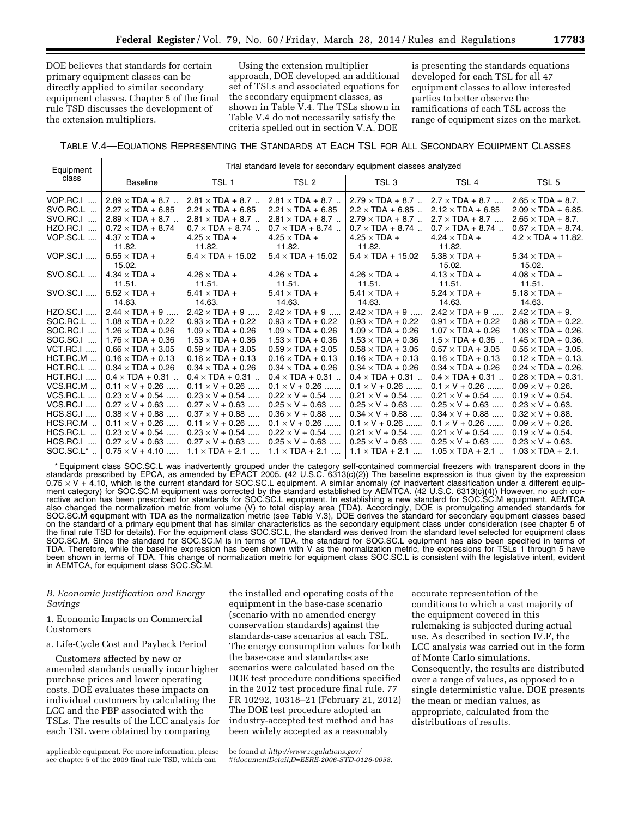DOE believes that standards for certain primary equipment classes can be directly applied to similar secondary equipment classes. Chapter 5 of the final rule TSD discusses the development of the extension multipliers.

Using the extension multiplier approach, DOE developed an additional set of TSLs and associated equations for the secondary equipment classes, as shown in Table V.4. The TSLs shown in Table V.4 do not necessarily satisfy the criteria spelled out in section V.A. DOE

is presenting the standards equations developed for each TSL for all 47 equipment classes to allow interested parties to better observe the ramifications of each TSL across the range of equipment sizes on the market.

TABLE V.4—EQUATIONS REPRESENTING THE STANDARDS AT EACH TSL FOR ALL SECONDARY EQUIPMENT CLASSES

| Equipment             |                          |                          | Trial standard levels for secondary equipment classes analyzed |                          |                          |                            |
|-----------------------|--------------------------|--------------------------|----------------------------------------------------------------|--------------------------|--------------------------|----------------------------|
| class                 | <b>Baseline</b>          | TSL <sub>1</sub>         | TSL <sub>2</sub>                                               | TSL <sub>3</sub>         | TSL <sub>4</sub>         | TSL <sub>5</sub>           |
| VOP.RC.I<br>$\cdots$  | $2.89 \times TDA + 8.7$  | $2.81 \times TDA + 8.7$  | $2.81 \times TDA + 8.7$                                        | $2.79 \times TDA + 8.7$  | $2.7 \times TDA + 8.7$   | $2.65 \times TDA + 8.7$ .  |
| SVO.RC.L              | $2.27 \times TDA + 6.85$ | $2.21 \times TDA + 6.85$ | $2.21 \times TDA + 6.85$                                       | $2.2 \times TDA + 6.85$  | $2.12 \times TDA + 6.85$ | $2.09 \times TDA + 6.85$ . |
| SVO.RC.I              | $2.89 \times TDA + 8.7$  | $2.81 \times TDA + 8.7$  | $2.81 \times TDA + 8.7$                                        | $2.79 \times TDA + 8.7$  | $2.7 \times TDA + 8.7$   | $2.65 \times TDA + 8.7$ .  |
| HZO.RC.I<br>$\ddotsc$ | $0.72 \times TDA + 8.74$ | $0.7 \times TDA + 8.74$  | $0.7 \times TDA + 8.74$                                        | $0.7 \times$ TDA + 8.74  | $0.7 \times TDA + 8.74$  | $0.67 \times TDA + 8.74$ . |
| VOP.SC.L              | $4.37 \times TDA +$      | $4.25 \times TDA +$      | $4.25 \times TDA +$                                            | $4.25 \times TDA +$      | $4.24 \times TDA +$      | $4.2 \times TDA + 11.82$ . |
|                       | 11.82.                   | 11.82.                   | 11.82.                                                         | 11.82.                   | 11.82.                   |                            |
| <b>VOP.SC.I </b>      | $5.55 \times TDA +$      | $5.4 \times TDA + 15.02$ | $5.4 \times TDA + 15.02$                                       | $5.4 \times TDA + 15.02$ | $5.38 \times TDA +$      | $5.34 \times TDA +$        |
|                       | 15.02.                   |                          |                                                                |                          | 15.02.                   | 15.02.                     |
| SVO.SC.L              | $4.34 \times TDA +$      | $4.26 \times TDA +$      | $4.26 \times TDA +$                                            | $4.26 \times TDA +$      | $4.13 \times TDA +$      | $4.08 \times TDA +$        |
|                       | 11.51.                   | 11.51.                   | 11.51.                                                         | 11.51.                   | 11.51.                   | 11.51.                     |
| SVO.SC.I              | $5.52 \times TDA +$      | $5.41 \times TDA +$      | $5.41 \times TDA +$                                            | $5.41 \times TDA +$      | $5.24 \times TDA +$      | $5.18 \times TDA +$        |
|                       | 14.63.                   | 14.63.                   | 14.63.                                                         | 14.63.                   | 14.63.                   | 14.63.                     |
| <b>HZO.SC.I </b>      | $2.44 \times TDA + 9$    | $2.42 \times TDA + 9$    | $2.42 \times TDA + 9$                                          | $2.42 \times TDA + 9$    | $2.42 \times TDA + 9$    | $2.42 \times TDA + 9$ .    |
| SOC.RC.L              | $1.08 \times TDA + 0.22$ | $0.93 \times TDA + 0.22$ | $0.93 \times TDA + 0.22$                                       | $0.93 \times TDA + 0.22$ | $0.91 \times TDA + 0.22$ | $0.88 \times TDA + 0.22$ . |
| SOC.RC.I              | $1.26 \times TDA + 0.26$ | $1.09 \times TDA + 0.26$ | $1.09 \times TDA + 0.26$                                       | $1.09 \times TDA + 0.26$ | $1.07 \times TDA + 0.26$ | $1.03 \times TDA + 0.26$ . |
| SOC.SC.I<br>$\ddotsc$ | $1.76 \times TDA + 0.36$ | $1.53 \times TDA + 0.36$ | $1.53 \times TDA + 0.36$                                       | $1.53 \times TDA + 0.36$ | $1.5 \times TDA + 0.36$  | $1.45 \times TDA + 0.36$ . |
| VCT.RC.I              | $0.66 \times TDA + 3.05$ | $0.59 \times TDA + 3.05$ | $0.59 \times TDA + 3.05$                                       | $0.58 \times TDA + 3.05$ | $0.57 \times TDA + 3.05$ | $0.55 \times TDA + 3.05$ . |
| HCT.RC.M              | $0.16 \times TDA + 0.13$ | $0.16 \times TDA + 0.13$ | $0.16 \times TDA + 0.13$                                       | $0.16 \times TDA + 0.13$ | $0.16 \times TDA + 0.13$ | $0.12 \times TDA + 0.13$ . |
| HCT.RC.L              | $0.34 \times TDA + 0.26$ | $0.34 \times TDA + 0.26$ | $0.34 \times TDA + 0.26$                                       | $0.34 \times TDA + 0.26$ | $0.34 \times TDA + 0.26$ | $0.24 \times TDA + 0.26$ . |
| <b>HCT.RC.I</b>       | $0.4 \times TDA + 0.31$  | $0.4 \times TDA + 0.31$  | $0.4 \times TDA + 0.31$                                        | $0.4 \times TDA + 0.31$  | $0.4 \times TDA + 0.31$  | $0.28 \times TDA + 0.31$ . |
| $VCS.RC.M$            | $0.11 \times V + 0.26$   | $0.11 \times V + 0.26$   | $0.1 \times V + 0.26$                                          | $0.1 \times V + 0.26$    | $0.1 \times V + 0.26$    | $0.09 \times V + 0.26$ .   |
| VCS.RC.L<br>$\cdots$  | $0.23 \times V + 0.54$   | $0.23 \times V + 0.54$   | $0.22 \times V + 0.54$                                         | $0.21 \times V + 0.54$   | $0.21 \times V + 0.54$   | $0.19 \times V + 0.54$ .   |
| $VCS.RC.I$            | $0.27 \times V + 0.63$   | $0.27 \times V + 0.63$   | $0.25 \times V + 0.63$                                         | $0.25 \times V + 0.63$   | $0.25 \times V + 0.63$   | $0.23 \times V + 0.63$ .   |
| <b>HCS.SC.I </b>      | $0.38 \times V + 0.88$   | $0.37 \times V + 0.88$   | $0.36 \times V + 0.88$                                         | $0.34 \times V + 0.88$   | $0.34 \times V + 0.88$   | $0.32 \times V + 0.88$ .   |
| HCS.RC.M.             | $0.11 \times V + 0.26$   | $0.11 \times V + 0.26$   | $0.1 \times V + 0.26$                                          | $0.1 \times V + 0.26$    | $0.1 \times V + 0.26$    | $0.09 \times V + 0.26$ .   |
| HCS.RC.L              | $0.23 \times V + 0.54$   | $0.23 \times V + 0.54$   | $0.22 \times V + 0.54$                                         | $0.21 \times V + 0.54$   | $0.21 \times V + 0.54$   | $0.19 \times V + 0.54$ .   |
| $HCS.RC.I$            | $0.27 \times V + 0.63$   | $0.27 \times V + 0.63$   | $0.25 \times V + 0.63$                                         | $0.25 \times V + 0.63$   | $0.25 \times V + 0.63$   | $0.23 \times V + 0.63$ .   |
| SOC.SC.L*             | $0.75 \times V + 4.10$   | $1.1 \times TDA + 2.1$   | $1.1 \times TDA + 2.1$                                         | $1.1 \times TDA + 2.1$   | $1.05 \times TDA + 2.1$  | $1.03 \times TDA + 2.1$ .  |

\* Equipment class SOC.SC.L was inadvertently grouped under the category self-contained commercial freezers with transparent doors in the standards prescribed by EPCA, as amended by EPACT 2005. (42 U.S.C. 6313(c)(2)) The baseline expression is thus given by the expression 0.75 × V + 4.10, which is the current standard for SOC.SC.L equipment. A similar anomaly (of inadvertent classification under a different equipment category) for SOC.SC.M equipment was corrected by the standard established by AEMTCA. (42 U.S.C. 6313(c)(4)) However, no such corrective action has been prescribed for standards for SOC.SC.L equipment. In establishing a new standard for SOC.SC.M equipment, AEMTCA also changed the normalization metric from volume (V) to total display area (TDA). Accordingly, DOE is promulgating amended standards for SOC.SC.M equipment with TDA as the normalization metric (see Table V.3), DOE derives the standard for secondary equipment classes based on the standard of a primary equipment that has similar characteristics as the secondary equipment class under consideration (see chapter 5 of the final rule TSD for details). For the equipment class SOC.SC.L, the standard was derived from the standard level selected for equipment class SOC.SC.M. Since the standard for SOC.SC.M is in terms of TDA, the standard for SOC.SC.L equipment has also been specified in terms of TDA. Therefore, while the baseline expression has been shown with V as the normalization metric, the expressions for TSLs 1 through 5 have been shown in terms of TDA. This change of normalization metric for equipment class SOC.SC.L is consistent with the legislative intent, evident in AEMTCA, for equipment class SOC.SC.M.

### *B. Economic Justification and Energy Savings*

1. Economic Impacts on Commercial Customers

## a. Life-Cycle Cost and Payback Period

Customers affected by new or amended standards usually incur higher purchase prices and lower operating costs. DOE evaluates these impacts on individual customers by calculating the LCC and the PBP associated with the TSLs. The results of the LCC analysis for each TSL were obtained by comparing

the installed and operating costs of the equipment in the base-case scenario (scenario with no amended energy conservation standards) against the standards-case scenarios at each TSL. The energy consumption values for both the base-case and standards-case scenarios were calculated based on the DOE test procedure conditions specified in the 2012 test procedure final rule. 77 FR 10292, 10318–21 (February 21, 2012) The DOE test procedure adopted an industry-accepted test method and has been widely accepted as a reasonably

accurate representation of the conditions to which a vast majority of the equipment covered in this rulemaking is subjected during actual use. As described in section IV.F, the LCC analysis was carried out in the form of Monte Carlo simulations. Consequently, the results are distributed over a range of values, as opposed to a single deterministic value. DOE presents the mean or median values, as appropriate, calculated from the distributions of results.

applicable equipment. For more information, please see chapter 5 of the 2009 final rule TSD, which can

be found at *[http://www.regulations.gov/](http://www.regulations.gov/#!documentDetail;D=EERE-2006-STD-0126-0058) [#!documentDetail;D=EERE-2006-STD-0126-0058](http://www.regulations.gov/#!documentDetail;D=EERE-2006-STD-0126-0058)*.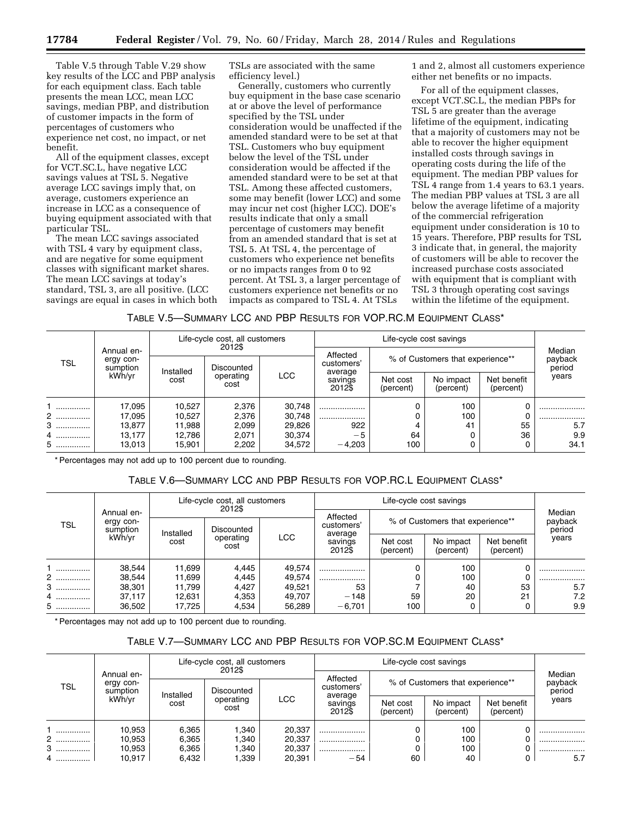Table V.5 through Table V.29 show key results of the LCC and PBP analysis for each equipment class. Each table presents the mean LCC, mean LCC savings, median PBP, and distribution of customer impacts in the form of percentages of customers who experience net cost, no impact, or net benefit.

All of the equipment classes, except for VCT.SC.L, have negative LCC savings values at TSL 5. Negative average LCC savings imply that, on average, customers experience an increase in LCC as a consequence of buying equipment associated with that particular TSL.

The mean LCC savings associated with TSL 4 vary by equipment class, and are negative for some equipment classes with significant market shares. The mean LCC savings at today's standard, TSL 3, are all positive. (LCC savings are equal in cases in which both TSLs are associated with the same efficiency level.)

Generally, customers who currently buy equipment in the base case scenario at or above the level of performance specified by the TSL under consideration would be unaffected if the amended standard were to be set at that TSL. Customers who buy equipment below the level of the TSL under consideration would be affected if the amended standard were to be set at that TSL. Among these affected customers, some may benefit (lower LCC) and some may incur net cost (higher LCC). DOE's results indicate that only a small percentage of customers may benefit from an amended standard that is set at TSL 5. At TSL 4, the percentage of customers who experience net benefits or no impacts ranges from 0 to 92 percent. At TSL 3, a larger percentage of customers experience net benefits or no impacts as compared to TSL 4. At TSLs

1 and 2, almost all customers experience either net benefits or no impacts.

For all of the equipment classes, except VCT.SC.L, the median PBPs for TSL 5 are greater than the average lifetime of the equipment, indicating that a majority of customers may not be able to recover the higher equipment installed costs through savings in operating costs during the life of the equipment. The median PBP values for TSL 4 range from 1.4 years to 63.1 years. The median PBP values at TSL 3 are all below the average lifetime of a majority of the commercial refrigeration equipment under consideration is 10 to 15 years. Therefore, PBP results for TSL 3 indicate that, in general, the majority of customers will be able to recover the increased purchase costs associated with equipment that is compliant with TSL 3 through operating cost savings within the lifetime of the equipment.

TABLE V.5—SUMMARY LCC AND PBP RESULTS FOR VOP.RC.M EQUIPMENT CLASS\*

|            |                                     |           | Life-cycle cost, all customers<br>2012\$ |                                   |                  |                                  | Life-cycle cost savings |                             |       |
|------------|-------------------------------------|-----------|------------------------------------------|-----------------------------------|------------------|----------------------------------|-------------------------|-----------------------------|-------|
| <b>TSL</b> | Annual en-<br>ergy con-<br>sumption | Installed | Discounted                               | Affected<br>customers'<br>average |                  | % of Customers that experience** |                         | Median<br>payback<br>period |       |
|            | kWh/yr                              | cost      | operating<br>cost                        | <b>LCC</b>                        | savings<br>20123 | Net cost<br>(percent)            | No impact<br>(percent)  | Net benefit<br>(percent)    | years |
|            | 17,095                              | 10,527    | 2,376                                    | 30,748                            |                  |                                  | 100                     | 0                           |       |
| 2          | 17,095                              | 10,527    | 2.376                                    | 30.748                            |                  |                                  | 100                     | 0                           |       |
| 3          | 13,877                              | 11,988    | 2.099                                    | 29,826                            | 922              |                                  | 41                      | 55                          | 5.7   |
| 4.         | 13.177                              | 12.786    | 2.071                                    | 30.374                            | $-5$             | 64                               |                         | 36                          | 9.9   |
| 5          | 13.013                              | 15,901    | 2.202                                    | 34,572                            | $-4,203$         | 100                              |                         |                             | 34.1  |

\* Percentages may not add up to 100 percent due to rounding.

## TABLE V.6—SUMMARY LCC AND PBP RESULTS FOR VOP.RC.L EQUIPMENT CLASS\*

|            |                                     |           | Life-cycle cost, all customers<br>2012\$ |                                                            |                              |                       | Life-cycle cost savings |                             |       |
|------------|-------------------------------------|-----------|------------------------------------------|------------------------------------------------------------|------------------------------|-----------------------|-------------------------|-----------------------------|-------|
| <b>TSL</b> | Annual en-<br>ergy con-<br>sumption | Installed | Discounted                               | Affected<br>% of Customers that experience**<br>customers' |                              |                       |                         | Median<br>payback<br>period |       |
|            | kWh/yr                              | cost      | operating<br>cost                        | <b>LCC</b>                                                 | average<br>savings<br>2012\$ | Net cost<br>(percent) | No impact<br>(percent)  | Net benefit<br>(percent)    | years |
|            | 38,544                              | 11,699    | 4,445                                    | 49,574                                                     |                              |                       | 100                     |                             |       |
| 2          | 38,544                              | 11,699    | 4.445                                    | 49,574                                                     |                              |                       | 100                     |                             |       |
| 3          | 38,301                              | 11,799    | 4,427                                    | 49,521                                                     | 53                           |                       | 40                      | 53                          | 5.7   |
| 4          | 37.117                              | 12.631    | 4.353                                    | 49.707                                                     | $-148$                       | 59                    | 20                      | 21                          | 7.2   |
| 5          | 36,502                              | 17.725    | 4,534                                    | 56,289                                                     | $-6,701$                     | 100                   |                         |                             | 9.9   |

\* Percentages may not add up to 100 percent due to rounding.

# TABLE V.7—SUMMARY LCC AND PBP RESULTS FOR VOP.SC.M EQUIPMENT CLASS\*

| <b>TSL</b> |                                               | Life-cycle cost, all customers<br>2012\$ |                   |            |                                   |                                  |                        |                          |                             |
|------------|-----------------------------------------------|------------------------------------------|-------------------|------------|-----------------------------------|----------------------------------|------------------------|--------------------------|-----------------------------|
|            | Annual en-<br>ergy con-<br>sumption<br>kWh/yr | Installed                                | Discounted        |            | Affected<br>customers'<br>average | % of Customers that experience** |                        |                          | Median<br>payback<br>period |
|            |                                               | cost                                     | operating<br>cost | <b>LCC</b> |                                   | Net cost<br>(percent)            | No impact<br>(percent) | Net benefit<br>(percent) | years                       |
|            | 10,953                                        | 6,365                                    | .340              | 20,337     |                                   |                                  | 100                    |                          |                             |
| 2          | 10.953                                        | 6,365                                    | .340              | 20,337     |                                   |                                  | 100                    |                          |                             |
| 3<br>.     | 10,953                                        | 6,365                                    | .340              | 20,337     |                                   |                                  | 100                    |                          |                             |
| 4          | 10.917                                        | 6.432                                    | .339              | 20.391     | $-54$                             | 60                               | 40                     |                          | 5.7                         |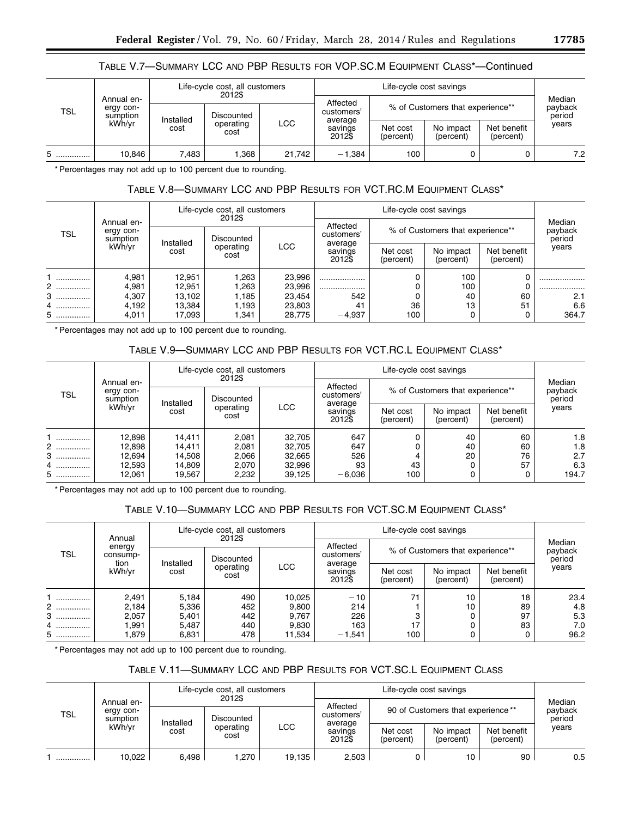# TABLE V.7—SUMMARY LCC AND PBP RESULTS FOR VOP.SC.M EQUIPMENT CLASS\*—Continued

| <b>TSL</b> |                                               | Life-cycle cost, all customers<br>2012\$ |                   |            |                              |                                  |                        |                          |                             |
|------------|-----------------------------------------------|------------------------------------------|-------------------|------------|------------------------------|----------------------------------|------------------------|--------------------------|-----------------------------|
|            | Annual en-<br>ergy con-<br>sumption<br>kWh/vr |                                          | Discounted        |            | Affected<br>customers'       | % of Customers that experience** |                        |                          | Median<br>payback<br>period |
|            |                                               | Installed<br>cost                        | operating<br>cost | <b>LCC</b> | average<br>savings<br>2012\$ | Net cost<br>(percent)            | No impact<br>(percent) | Net benefit<br>(percent) | years                       |
| .          | 10.846                                        | 7.483                                    | .368              | 21,742     | $-1.384$                     | 100                              |                        |                          | 7.2                         |

\* Percentages may not add up to 100 percent due to rounding.

# TABLE V.8—SUMMARY LCC AND PBP RESULTS FOR VCT.RC.M EQUIPMENT CLASS\*

| <b>TSL</b> |                                               | Life-cycle cost, all customers<br>2012\$ |              |                  |                              |                                  |                        |                          |                             |
|------------|-----------------------------------------------|------------------------------------------|--------------|------------------|------------------------------|----------------------------------|------------------------|--------------------------|-----------------------------|
|            | Annual en-<br>ergy con-<br>sumption<br>kWh/yr |                                          | Discounted   |                  | Affected<br>customers'       | % of Customers that experience** |                        |                          | Median<br>payback<br>period |
|            |                                               | Installed<br>operating<br>cost<br>cost   |              | <b>LCC</b>       | average<br>savings<br>2012\$ | Net cost<br>(percent)            | No impact<br>(percent) | Net benefit<br>(percent) | years                       |
| <br>2      | 4,981<br>4,981                                | 12.951<br>12.951                         | .263<br>.263 | 23,996<br>23,996 |                              |                                  | 100<br>100             |                          |                             |
| 3<br>.     | 4,307                                         | 13.102                                   | .185         | 23,454           | <br>542                      |                                  | 40                     | 60                       | <br>2.1                     |
| 4          | 4.192                                         | 13.384                                   | .193         | 23,803           | 41                           | 36                               | 13                     | 51                       | 6.6                         |
| 5          | 4,011                                         | 17.093                                   | .341         | 28.775           | $-4,937$                     | 100                              |                        |                          | 364.7                       |

\* Percentages may not add up to 100 percent due to rounding.

# TABLE V.9—SUMMARY LCC AND PBP RESULTS FOR VCT.RC.L EQUIPMENT CLASS\*

| <b>TSL</b> |                                               | Life-cycle cost, all customers<br>2012\$ |           |            |                              |                                  | Median<br>payback<br>period |                          |       |
|------------|-----------------------------------------------|------------------------------------------|-----------|------------|------------------------------|----------------------------------|-----------------------------|--------------------------|-------|
|            | Annual en-<br>ergy con-<br>sumption<br>kWh/vr | Installed                                |           | Discounted |                              | % of Customers that experience** |                             |                          |       |
|            |                                               | cost<br>cost                             | operating | <b>LCC</b> | average<br>savings<br>2012\$ | Net cost<br>(percent)            | No impact<br>(percent)      | Net benefit<br>(percent) | years |
|            | 12,898                                        | 14.411                                   | 2,081     | 32,705     | 647                          |                                  | 40                          | 60                       | 1.8   |
| 2          | 12,898                                        | 14.411                                   | 2.081     | 32,705     | 647                          |                                  | 40                          | 60                       | 1.8   |
| 3          | 12,694                                        | 14.508                                   | 2.066     | 32,665     | 526                          |                                  | 20                          | 76                       | 2.7   |
| 4          | 12,593                                        | 14.809                                   | 2.070     | 32,996     | 93                           | 43                               |                             | 57                       | 6.3   |
| 5          | 12,061                                        | 19.567                                   | 2.232     | 39,125     | $-6,036$                     | 100                              |                             |                          | 194.7 |

\* Percentages may not add up to 100 percent due to rounding.

# TABLE V.10—SUMMARY LCC AND PBP RESULTS FOR VCT.SC.M EQUIPMENT CLASS\*

| <b>TSL</b> |                                      | Life-cycle cost, all customers<br>2012\$<br>Annual |            |                              |                        |                                  |                          |       |                             |
|------------|--------------------------------------|----------------------------------------------------|------------|------------------------------|------------------------|----------------------------------|--------------------------|-------|-----------------------------|
|            | energy<br>consump-<br>tion<br>kWh/vr |                                                    | Discounted |                              | Affected<br>customers' | % of Customers that experience** |                          |       | Median<br>payback<br>period |
|            |                                      | Installed<br>operating<br>cost<br>cost             | <b>LCC</b> | average<br>savings<br>2012\$ | Net cost<br>(percent)  | No impact<br>(percent)           | Net benefit<br>(percent) | years |                             |
|            | 2,491                                | 5,184                                              | 490        | 10,025                       | $-10$                  | 71                               | 10                       | 18    | 23.4                        |
| 2          | 2.184                                | 5,336                                              | 452        | 9,800                        | 214                    |                                  | 10                       | 89    | 4.8                         |
| 3<br>.     | 2.057                                | 5.401                                              | 442        | 9.767                        | 226                    |                                  |                          | 97    | 5.3                         |
| 4          | .991                                 | 5.487                                              | 440        | 9,830                        | 163                    | 17                               |                          | 83    | 7.0                         |
| 5          | .879                                 | 6,831                                              | 478        | 11,534                       | $-1,541$               | 100                              |                          |       | 96.2                        |

\* Percentages may not add up to 100 percent due to rounding.

# TABLE V.11—SUMMARY LCC AND PBP RESULTS FOR VCT.SC.L EQUIPMENT CLASS

| <b>TSL</b> |                                                                                                       | Life-cycle cost, all customers<br>2012\$ |                              |                       |                        |                                   |                 |    |                             |
|------------|-------------------------------------------------------------------------------------------------------|------------------------------------------|------------------------------|-----------------------|------------------------|-----------------------------------|-----------------|----|-----------------------------|
|            | Annual en-<br>ergy con-<br>Discounted<br>sumption<br>Installed<br>kWh/vr<br>operating<br>cost<br>cost |                                          |                              |                       | Affected<br>customers' | 90 of Customers that experience** |                 |    | Median<br>payback<br>period |
|            |                                                                                                       | LCC                                      | average<br>savings<br>2012\$ | Net cost<br>(percent) | No impact<br>(percent) | Net benefit<br>(percent)          | years           |    |                             |
| .          | 10.022                                                                                                | 6.498                                    | l.270                        | 19.135                | 2.503                  |                                   | 10 <sup>1</sup> | 90 | 0.5                         |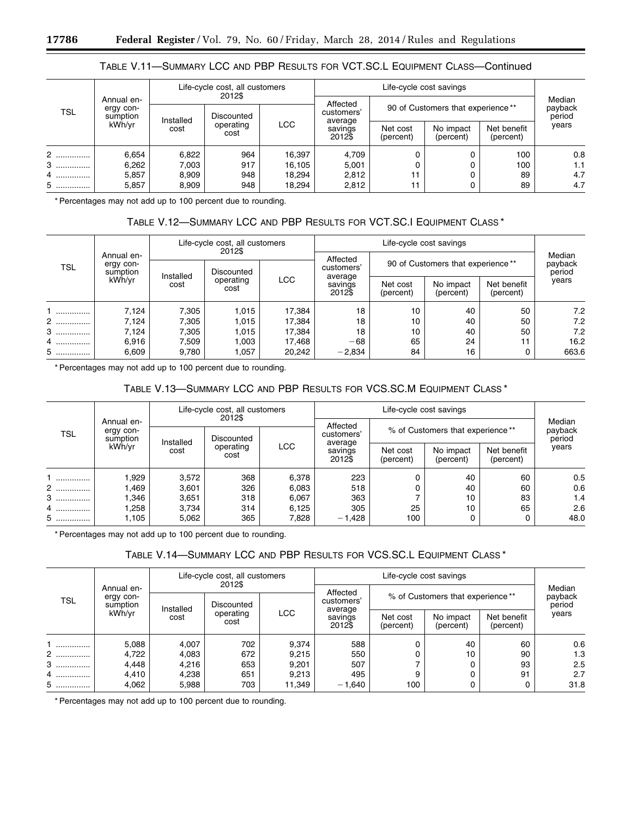## TABLE V.11—SUMMARY LCC AND PBP RESULTS FOR VCT.SC.L EQUIPMENT CLASS—Continued

| <b>TSL</b> |                                               | Life-cycle cost, all customers<br>2012\$ |            |                                 |                                   |                                   |                        |                          |                             |
|------------|-----------------------------------------------|------------------------------------------|------------|---------------------------------|-----------------------------------|-----------------------------------|------------------------|--------------------------|-----------------------------|
|            | Annual en-<br>ergy con-<br>sumption<br>kWh/yr |                                          | Discounted |                                 | Affected<br>customers'<br>average | 90 of Customers that experience** |                        |                          | Median<br>payback<br>period |
|            |                                               | Installed<br>cost                        |            | <b>LCC</b><br>operating<br>cost |                                   | Net cost<br>(percent)             | No impact<br>(percent) | Net benefit<br>(percent) | years                       |
| 2          | 6,654                                         | 6,822                                    | 964        | 16,397                          | 4,709                             |                                   |                        | 100                      | 0.8                         |
| 3<br>.     | 6,262                                         | 7,003                                    | 917        | 16,105                          | 5,001                             |                                   |                        | 100                      | 1.1                         |
| 4          | 5.857                                         | 8,909                                    | 948        | 18,294                          | 2,812                             |                                   |                        | 89                       | 4.7                         |
| 5          | 5,857                                         | 8,909                                    | 948        | 18,294                          | 2,812                             |                                   |                        | 89                       | 4.7                         |

\* Percentages may not add up to 100 percent due to rounding.

# TABLE V.12—SUMMARY LCC AND PBP RESULTS FOR VCT.SC.I EQUIPMENT CLASS \*

|            |                                               | Life-cycle cost, all customers<br>2012\$ |                   |            |                              |                                   |                             |                          |       |
|------------|-----------------------------------------------|------------------------------------------|-------------------|------------|------------------------------|-----------------------------------|-----------------------------|--------------------------|-------|
| <b>TSL</b> | Annual en-<br>ergy con-<br>sumption<br>kWh/yr |                                          | Discounted        |            | Affected<br>customers'       | 90 of Customers that experience** | Median<br>payback<br>period |                          |       |
|            |                                               | Installed<br>cost                        | operating<br>cost | <b>LCC</b> | average<br>savings<br>2012\$ | Net cost<br>(percent)             | No impact<br>(percent)      | Net benefit<br>(percent) | years |
|            | 7,124                                         | 7,305                                    | 1,015             | 17,384     | 18                           | 10                                | 40                          | 50                       | 7.2   |
| 2          | 7,124                                         | 7,305                                    | 1.015             | 17,384     | 18                           | 10                                | 40                          | 50                       | 7.2   |
| 3          | 7,124                                         | 7,305                                    | 1.015             | 17,384     | 18                           | 10                                | 40                          | 50                       | 7.2   |
| 4          | 6,916                                         | 7,509                                    | 003               | 17,468     | $-68$                        | 65                                | 24                          | 11                       | 16.2  |
| 5          | 6,609                                         | 9,780                                    | 1,057             | 20,242     | $-2,834$                     | 84                                | 16                          |                          | 663.6 |

\* Percentages may not add up to 100 percent due to rounding.

# TABLE V.13—SUMMARY LCC AND PBP RESULTS FOR VCS.SC.M EQUIPMENT CLASS \*

|            |                                               | Life-cycle cost, all customers<br>2012\$ |                   |            |          |                                  | Median<br>payback<br>period |                          |       |
|------------|-----------------------------------------------|------------------------------------------|-------------------|------------|----------|----------------------------------|-----------------------------|--------------------------|-------|
| <b>TSL</b> | Annual en-<br>ergy con-<br>sumption<br>kWh/vr | Installed                                |                   | Discounted |          | % of Customers that experience** |                             |                          |       |
|            |                                               | cost                                     | operating<br>cost | <b>LCC</b> |          | Net cost<br>(percent)            | No impact<br>(percent)      | Net benefit<br>(percent) | years |
|            | 1,929                                         | 3,572                                    | 368               | 6.378      | 223      |                                  | 40                          | 60                       | 0.5   |
| 2          | 1,469                                         | 3,601                                    | 326               | 6,083      | 518      |                                  | 40                          | 60                       | 0.6   |
| 3          | 346. ا                                        | 3,651                                    | 318               | 6,067      | 363      |                                  | 10                          | 83                       | 1.4   |
| 4          | 258. ا                                        | 3,734                                    | 314               | 6,125      | 305      | 25                               | 10                          | 65                       | 2.6   |
| 5          | 1,105                                         | 5,062                                    | 365               | 7,828      | $-1,428$ | 100                              |                             |                          | 48.0  |

\* Percentages may not add up to 100 percent due to rounding.

## TABLE V.14—SUMMARY LCC AND PBP RESULTS FOR VCS.SC.L EQUIPMENT CLASS \*

|            |                                     | Life-cycle cost, all customers<br>2012\$             |                              |                       |                        |                                  | Median<br>payback<br>period |    |      |
|------------|-------------------------------------|------------------------------------------------------|------------------------------|-----------------------|------------------------|----------------------------------|-----------------------------|----|------|
| <b>TSL</b> | Annual en-<br>ergy con-<br>sumption |                                                      | Discounted                   |                       | Affected<br>customers' | % of Customers that experience** |                             |    |      |
|            | kWh/yr                              | Installed<br><b>LCC</b><br>operating<br>cost<br>cost | average<br>savings<br>2012\$ | Net cost<br>(percent) | No impact<br>(percent) | Net benefit<br>(percent)         | years                       |    |      |
|            | 5,088                               | 4,007                                                | 702                          | 9,374                 | 588                    |                                  | 40                          | 60 | 0.6  |
| 2          | 4,722                               | 4,083                                                | 672                          | 9,215                 | 550                    |                                  | 10                          | 90 | 1.3  |
| $3$        | 4,448                               | 4,216                                                | 653                          | 9,201                 | 507                    |                                  |                             | 93 | 2.5  |
| 4          | 4,410                               | 4,238                                                | 651                          | 9,213                 | 495                    | 9                                |                             | 91 | 2.7  |
| 5          | 4,062                               | 5,988                                                | 703                          | 11,349                | $-1,640$               | 100                              |                             |    | 31.8 |

\* Percentages may not add up to 100 percent due to rounding.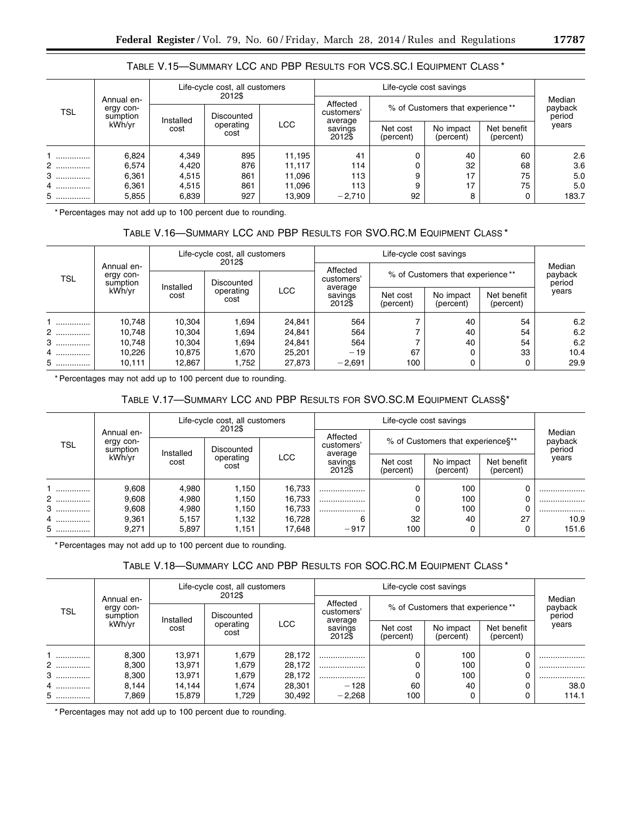| TABLE V.15—SUMMARY LCC AND PBP RESULTS FOR VCS.SC.I EQUIPMENT CLASS * |  |
|-----------------------------------------------------------------------|--|
|-----------------------------------------------------------------------|--|

|            |                                               | Life-cycle cost, all customers<br>2012\$             |            |                              |                        |                                  |                             |       |       |
|------------|-----------------------------------------------|------------------------------------------------------|------------|------------------------------|------------------------|----------------------------------|-----------------------------|-------|-------|
| <b>TSL</b> | Annual en-<br>ergy con-<br>sumption<br>kWh/vr |                                                      | Discounted |                              | Affected<br>customers' | % of Customers that experience** | Median<br>payback<br>period |       |       |
|            |                                               | Installed<br><b>LCC</b><br>operating<br>cost<br>cost |            | average<br>savings<br>2012\$ | Net cost<br>(percent)  | No impact<br>(percent)           | Net benefit<br>(percent)    | years |       |
|            | 6,824                                         | 4,349                                                | 895        | 11,195                       | 41                     |                                  | 40                          | 60    | 2.6   |
| 2          | 6,574                                         | 4,420                                                | 876        | 11,117                       | 114                    |                                  | 32                          | 68    | 3.6   |
| 3          | 6,361                                         | 4,515                                                | 861        | 11,096                       | 113                    |                                  | 17                          | 75    | 5.0   |
| 4          | 6.361                                         | 4,515                                                | 861        | 11,096                       | 113                    |                                  | 17                          | 75    | 5.0   |
| 5          | 5,855                                         | 6,839                                                | 927        | 13,909                       | $-2,710$               | 92                               | 8                           |       | 183.7 |

\* Percentages may not add up to 100 percent due to rounding.

# TABLE V.16—SUMMARY LCC AND PBP RESULTS FOR SVO.RC.M EQUIPMENT CLASS \*

| <b>TSL</b> |                                               | Life-cycle cost, all customers<br>2012\$ |            |                   |                                   |                                  |                             |       |      |
|------------|-----------------------------------------------|------------------------------------------|------------|-------------------|-----------------------------------|----------------------------------|-----------------------------|-------|------|
|            | Annual en-<br>ergy con-<br>sumption<br>kWh/yr | Installed                                | Discounted |                   | Affected<br>customers'<br>average | % of Customers that experience** | Median<br>payback<br>period |       |      |
|            |                                               | operating<br>cost<br>cost                | <b>LCC</b> | savings<br>2012\$ | Net cost<br>(percent)             | No impact<br>(percent)           | Net benefit<br>(percent)    | years |      |
|            | 10,748                                        | 10.304                                   | .694       | 24,841            | 564                               |                                  | 40                          | 54    | 6.2  |
| 2          | 10.748                                        | 10.304                                   | .694       | 24.841            | 564                               |                                  | 40                          | 54    | 6.2  |
| $3$        | 10.748                                        | 10.304                                   | .694       | 24.841            | 564                               |                                  | 40                          | 54    | 6.2  |
| 4          | 10,226                                        | 10.875                                   | 1.670      | 25.201            | $-19$                             | 67                               |                             | 33    | 10.4 |
| $5$        | 10.111                                        | 12,867                                   | 1.752      | 27,873            | $-2,691$                          | 100                              |                             |       | 29.9 |

\* Percentages may not add up to 100 percent due to rounding.

# TABLE V.17—SUMMARY LCC AND PBP RESULTS FOR SVO.SC.M EQUIPMENT CLASS§\*

| TSL |                                     | Life-cycle cost, all customers<br>2012\$ |                   |            |                              |                                     |                             |                          |       |
|-----|-------------------------------------|------------------------------------------|-------------------|------------|------------------------------|-------------------------------------|-----------------------------|--------------------------|-------|
|     | Annual en-<br>ergy con-<br>sumption |                                          | Discounted        |            | Affected<br>customers'       | % of Customers that experience \$** | Median<br>payback<br>period |                          |       |
|     | kWh/vr                              | Installed<br>cost                        | operating<br>cost | <b>LCC</b> | average<br>savings<br>2012\$ | Net cost<br>(percent)               | No impact<br>(percent)      | Net benefit<br>(percent) | years |
|     | 9,608                               | 4,980                                    | 1,150             | 16,733     |                              |                                     | 100                         |                          |       |
| 2   | 9,608                               | 4,980                                    | 1,150             | 16,733     |                              |                                     | 100                         |                          |       |
| 3   | 9,608                               | 4,980                                    | 1.150             | 16,733     |                              |                                     | 100                         |                          |       |
| 4   | 9,361                               | 5,157                                    | 1.132             | 16.728     | 6                            | 32                                  | 40                          | 27                       | 10.9  |
| 5   | 9,271                               | 5,897                                    | 1,151             | 17,648     | $-917$                       | 100                                 |                             |                          | 151.6 |

\* Percentages may not add up to 100 percent due to rounding.

# TABLE V.18—SUMMARY LCC AND PBP RESULTS FOR SOC.RC.M EQUIPMENT CLASS \*

| TSL |                                               | Life-cycle cost, all customers<br>2012\$ |            |                              |                       |                                  |                          |       |                             |
|-----|-----------------------------------------------|------------------------------------------|------------|------------------------------|-----------------------|----------------------------------|--------------------------|-------|-----------------------------|
|     | Annual en-<br>ergy con-<br>sumption<br>kWh/vr | Installed                                |            | Discounted                   |                       | % of Customers that experience** |                          |       | Median<br>payback<br>period |
|     |                                               | operating<br>cost<br>cost                | <b>LCC</b> | average<br>savings<br>2012\$ | Net cost<br>(percent) | No impact<br>(percent)           | Net benefit<br>(percent) | years |                             |
|     | 8,300                                         | 13,971                                   | 1,679      | 28,172                       |                       |                                  | 100                      |       |                             |
| 2   | 8,300                                         | 13,971                                   | 1.679      | 28,172                       |                       |                                  | 100                      |       |                             |
| $3$ | 8,300                                         | 13,971                                   | 1.679      | 28,172                       |                       |                                  | 100                      |       |                             |
| 4   | 8.144                                         | 14.144                                   | 1.674      | 28,301                       | $-128$                | 60                               | 40                       |       | 38.0                        |
| 5   | 7.869                                         | 15,879                                   | 729، ا     | 30,492                       | $-2,268$              | 100                              |                          |       | 114.1                       |

\* Percentages may not add up to 100 percent due to rounding.

e.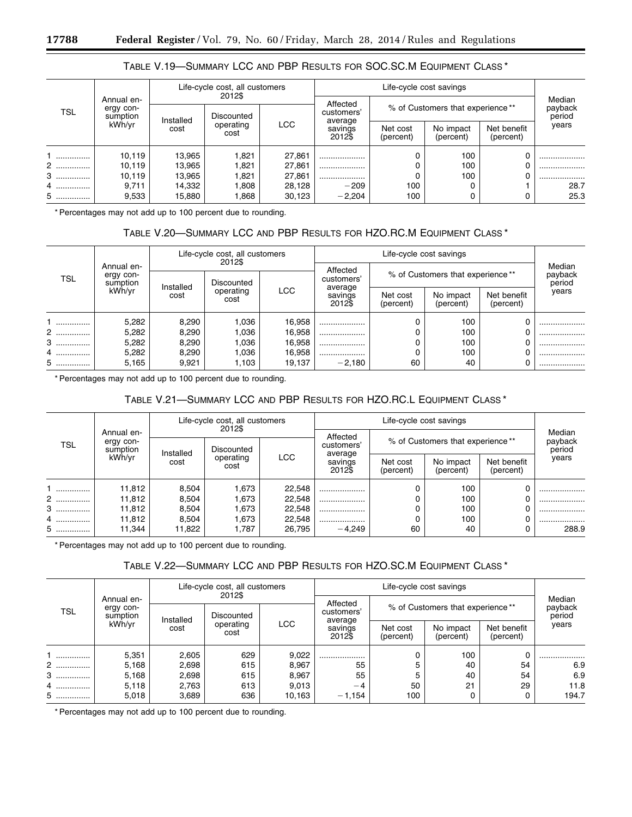|  | TABLE V.19—SUMMARY LCC AND PBP RESULTS FOR SOC.SC.M EQUIPMENT CLASS* |
|--|----------------------------------------------------------------------|
|--|----------------------------------------------------------------------|

|            |                                     |                                                      | Life-cycle cost, all customers<br>2012\$ |                       |                        |                                  |                             |  |      |
|------------|-------------------------------------|------------------------------------------------------|------------------------------------------|-----------------------|------------------------|----------------------------------|-----------------------------|--|------|
| <b>TSL</b> | Annual en-<br>ergy con-<br>sumption |                                                      | Discounted                               |                       | Affected<br>customers' | % of Customers that experience** | Median<br>payback<br>period |  |      |
|            | kWh/yr                              | Installed<br><b>LCC</b><br>operating<br>cost<br>cost | average<br>savings<br>2012\$             | Net cost<br>(percent) | No impact<br>(percent) | Net benefit<br>(percent)         | years                       |  |      |
| .          | 10,119                              | 13,965                                               | 1,821                                    | 27,861                |                        |                                  | 100                         |  |      |
| 2          | 10.119                              | 13,965                                               | .821                                     | 27,861                |                        |                                  | 100                         |  |      |
| $3$        | 10.119                              | 13,965                                               | 1,821                                    | 27,861                |                        |                                  | 100                         |  |      |
| 4          | 9.711                               | 14.332                                               | .808                                     | 28.128                | $-209$                 | 100                              |                             |  | 28.7 |
| 5          | 9,533                               | 15,880                                               | .868                                     | 30,123                | $-2,204$               | 100                              |                             |  | 25.3 |

\* Percentages may not add up to 100 percent due to rounding.

# TABLE V.20—SUMMARY LCC AND PBP RESULTS FOR HZO.RC.M EQUIPMENT CLASS \*

| <b>TSL</b> |                                     | Life-cycle cost, all customers<br>2012\$      |                              |                       |                        |                                  |       |                             |  |
|------------|-------------------------------------|-----------------------------------------------|------------------------------|-----------------------|------------------------|----------------------------------|-------|-----------------------------|--|
|            | Annual en-<br>ergy con-<br>sumption |                                               | Discounted                   |                       | Affected<br>customers' | % of Customers that experience** |       | Median<br>payback<br>period |  |
|            | kWh/yr                              | Installed<br>LCC<br>operating<br>cost<br>cost | average<br>savings<br>2012\$ | Net cost<br>(percent) | No impact<br>(percent) | Net benefit<br>(percent)         | years |                             |  |
|            | 5,282                               | 8,290                                         | .036                         | 16,958                | .                      |                                  | 100   |                             |  |
| 2          | 5,282                               | 8,290                                         | .036                         | 16,958                | .                      |                                  | 100   |                             |  |
| 3          | 5,282                               | 8,290                                         | .036                         | 16,958                | .                      |                                  | 100   |                             |  |
| 4          | 5,282                               | 8,290                                         | .036                         | 16,958                | .                      |                                  | 100   |                             |  |
| 5          | 5,165                               | 9.921                                         | 1.103                        | 19.137                | $-2.180$               | 60                               | 40    |                             |  |

\* Percentages may not add up to 100 percent due to rounding.

# TABLE V.21—SUMMARY LCC AND PBP RESULTS FOR HZO.RC.L EQUIPMENT CLASS \*

| <b>TSL</b> |                                     | Life-cycle cost, all customers<br>2012\$ |                   |            |                              |                                  |                             |                          |       |
|------------|-------------------------------------|------------------------------------------|-------------------|------------|------------------------------|----------------------------------|-----------------------------|--------------------------|-------|
|            | Annual en-<br>ergy con-<br>sumption |                                          | Discounted        |            | Affected<br>customers'       | % of Customers that experience** | Median<br>payback<br>period |                          |       |
|            | kWh/vr                              | Installed<br>cost                        | operating<br>cost | <b>LCC</b> | average<br>savings<br>2012\$ | Net cost<br>(percent)            | No impact<br>(percent)      | Net benefit<br>(percent) | years |
|            | 11,812                              | 8,504                                    | 1,673             | 22,548     |                              |                                  | 100                         |                          |       |
| 2          | 11,812                              | 8,504                                    | 1,673             | 22,548     |                              |                                  | 100                         |                          |       |
| 3          | 11,812                              | 8,504                                    | 1,673             | 22,548     |                              |                                  | 100                         |                          |       |
| 4.         | 11,812                              | 8,504                                    | .673              | 22,548     |                              |                                  | 100                         |                          |       |
| 5          | 11,344                              | 11.822                                   | 1.787             | 26.795     | $-4.249$                     | 60                               | 40                          |                          | 288.9 |

\* Percentages may not add up to 100 percent due to rounding.

## TABLE V.22—SUMMARY LCC AND PBP RESULTS FOR HZO.SC.M EQUIPMENT CLASS \*

| <b>TSL</b> |                                     | Life-cycle cost, all customers<br>2012\$ |            |            |                              |                                  | Median<br>payback<br>period |                          |       |
|------------|-------------------------------------|------------------------------------------|------------|------------|------------------------------|----------------------------------|-----------------------------|--------------------------|-------|
|            | Annual en-<br>ergy con-<br>sumption | Installed                                | Discounted |            | Affected<br>customers'       | % of Customers that experience** |                             |                          |       |
|            | kWh/vr                              | cost<br>cost                             | operating  | <b>LCC</b> | average<br>savings<br>2012\$ | Net cost<br>(percent)            | No impact<br>(percent)      | Net benefit<br>(percent) | years |
|            | 5,351                               | 2,605                                    | 629        | 9,022      |                              |                                  | 100                         | 0                        |       |
| 2          | 5,168                               | 2,698                                    | 615        | 8.967      | 55                           |                                  | 40                          | 54                       | 6.9   |
| $3$        | 5,168                               | 2,698                                    | 615        | 8.967      | 55                           |                                  | 40                          | 54                       | 6.9   |
| 4          | 5,118                               | 2,763                                    | 613        | 9,013      | $-4$                         | 50                               | 21                          | 29                       | 11.8  |
| 5          | 5,018                               | 3,689                                    | 636        | 10.163     | $-1.154$                     | 100                              |                             |                          | 194.7 |

\* Percentages may not add up to 100 percent due to rounding.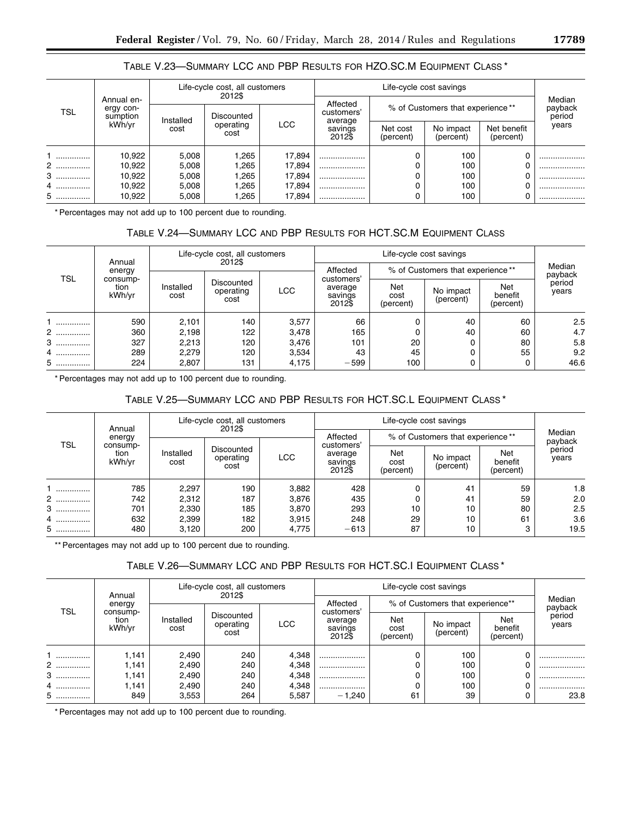# TABLE V.23—SUMMARY LCC AND PBP RESULTS FOR HZO.SC.M EQUIPMENT CLASS \*

|            |                                     |                                        | Life-cycle cost, all customers<br>2012\$ |                              |                        |                                  |                          |       |                             |
|------------|-------------------------------------|----------------------------------------|------------------------------------------|------------------------------|------------------------|----------------------------------|--------------------------|-------|-----------------------------|
| <b>TSL</b> | Annual en-<br>ergy con-<br>sumption |                                        | Discounted                               |                              | Affected<br>customers' | % of Customers that experience** |                          |       | Median<br>payback<br>period |
|            | kWh/vr                              | Installed<br>operating<br>cost<br>cost | LCC                                      | average<br>savings<br>2012\$ | Net cost<br>(percent)  | No impact<br>(percent)           | Net benefit<br>(percent) | years |                             |
|            | 10,922                              | 5,008                                  | .265                                     | 17,894                       |                        |                                  | 100                      |       |                             |
| 2          | 10,922                              | 5,008                                  | .265                                     | 17,894                       |                        |                                  | 100                      |       |                             |
| 3          | 10,922                              | 5,008                                  | .265                                     | 17,894                       |                        |                                  | 100                      |       |                             |
| 4          | 10,922                              | 5,008                                  | .265                                     | 17,894                       |                        |                                  | 100                      |       |                             |
| 5          | 10,922                              | 5,008                                  | .265                                     | 17,894                       |                        |                                  | 100                      |       |                             |

\* Percentages may not add up to 100 percent due to rounding.

# TABLE V.24—SUMMARY LCC AND PBP RESULTS FOR HCT.SC.M EQUIPMENT CLASS

|            | Annual                     |                   | Life-cycle cost, all customers<br>2012\$ |            |                                            |                                  |                        |                                    |                 |
|------------|----------------------------|-------------------|------------------------------------------|------------|--------------------------------------------|----------------------------------|------------------------|------------------------------------|-----------------|
|            | energy                     |                   |                                          |            | Affected                                   | % of Customers that experience** | Median<br>payback      |                                    |                 |
| <b>TSL</b> | consump-<br>tion<br>kWh/vr | Installed<br>cost | Discounted<br>operating<br>cost          | <b>LCC</b> | customers'<br>average<br>savings<br>2012\$ | Net<br>cost<br>(percent)         | No impact<br>(percent) | <b>Net</b><br>benefit<br>(percent) | period<br>years |
|            | 590                        | 2,101             | 140                                      | 3,577      | 66                                         |                                  | 40                     | 60                                 | 2.5             |
| 2          | 360                        | 2,198             | 122                                      | 3,478      | 165                                        |                                  | 40                     | 60                                 | 4.7             |
| 3          | 327                        | 2,213             | 120                                      | 3,476      | 101                                        | 20                               |                        | 80                                 | 5.8             |
| 4          | 289                        | 2,279             | 120                                      | 3,534      | 43                                         | 45                               |                        | 55                                 | 9.2             |
| 5          | 224                        | 2,807             | 131                                      | 4,175      | $-599$                                     | 100                              |                        |                                    | 46.6            |

\* Percentages may not add up to 100 percent due to rounding.

# TABLE V.25—SUMMARY LCC AND PBP RESULTS FOR HCT.SC.L EQUIPMENT CLASS \*

|       | Annual                     | Life-cycle cost, all customers<br>2012\$ |                                 |            |                                            |                                  |                        |                             |                 |
|-------|----------------------------|------------------------------------------|---------------------------------|------------|--------------------------------------------|----------------------------------|------------------------|-----------------------------|-----------------|
|       | energy                     |                                          |                                 |            | Affected                                   | % of Customers that experience** | Median<br>payback      |                             |                 |
| TSL   | consump-<br>tion<br>kWh/vr | Installed<br>cost                        | Discounted<br>operating<br>cost | <b>LCC</b> | customers'<br>average<br>savings<br>2012\$ | Net<br>cost<br>(percent)         | No impact<br>(percent) | Net<br>benefit<br>(percent) | period<br>years |
|       | 785                        | 2,297                                    | 190                             | 3,882      | 428                                        |                                  | 41                     | 59                          | 1.8             |
| 2     | 742                        | 2,312                                    | 187                             | 3,876      | 435                                        |                                  | 41                     | 59                          | 2.0             |
| 3<br> | 701                        | 2,330                                    | 185                             | 3,870      | 293                                        | 10                               | 10                     | 80                          | 2.5             |
| 4     | 632                        | 2,399                                    | 182                             | 3,915      | 248                                        | 29                               | 10                     | 61                          | 3.6             |
| 5     | 480                        | 3,120                                    | 200                             | 4,775      | $-613$                                     | 87                               | 10                     | 3                           | 19.5            |

\*\* Percentages may not add up to 100 percent due to rounding.

# TABLE V.26—SUMMARY LCC AND PBP RESULTS FOR HCT.SC.I EQUIPMENT CLASS \*

|            | Annual                     |                   | Life-cycle cost, all customers<br>2012\$ | Life-cycle cost savings |                                            |                                  |                        |                             |                 |
|------------|----------------------------|-------------------|------------------------------------------|-------------------------|--------------------------------------------|----------------------------------|------------------------|-----------------------------|-----------------|
|            | energy                     |                   |                                          |                         | Affected                                   | % of Customers that experience** | Median<br>payback      |                             |                 |
| <b>TSL</b> | consump-<br>tion<br>kWh/vr | Installed<br>cost | Discounted<br>operating<br>cost          | LCC                     | customers'<br>average<br>savings<br>2012\$ | Net<br>cost<br>(percent)         | No impact<br>(percent) | Net<br>benefit<br>(percent) | period<br>years |
|            | 1,141                      | 2,490             | 240                                      | 4.348                   |                                            |                                  | 100                    |                             |                 |
| 2          | 1.141                      | 2,490             | 240                                      | 4.348                   |                                            |                                  | 100                    |                             |                 |
| 3          | 1,141                      | 2,490             | 240                                      | 4,348                   |                                            |                                  | 100                    |                             |                 |
| 4          | 1,141                      | 2,490             | 240                                      | 4.348                   |                                            |                                  | 100                    | 0                           |                 |
| 5          | 849                        | 3,553             | 264                                      | 5,587                   | $-1.240$                                   | 61                               | 39                     |                             | 23.8            |

\* Percentages may not add up to 100 percent due to rounding.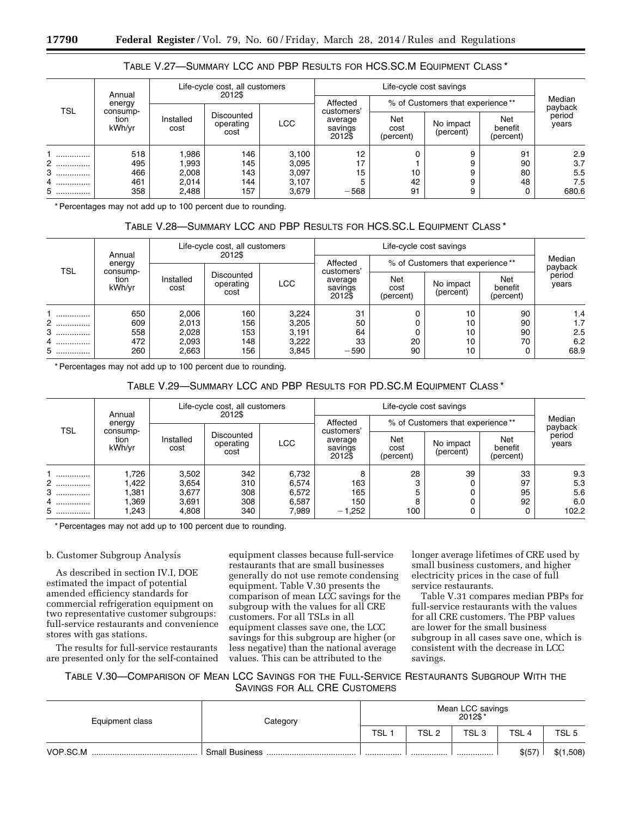|                 | Annual                     | Life-cycle cost, all customers<br>2012\$ |                                 |                                  |                                            |                                  | Median<br>payback      |                             |                          |
|-----------------|----------------------------|------------------------------------------|---------------------------------|----------------------------------|--------------------------------------------|----------------------------------|------------------------|-----------------------------|--------------------------|
|                 | energy                     |                                          |                                 |                                  | Affected                                   | % of Customers that experience** |                        |                             |                          |
| <b>TSL</b>      | consump-<br>tion<br>kWh/yr | Installed<br>cost                        | Discounted<br>operating<br>cost | <b>LCC</b>                       | customers'<br>average<br>savings<br>2012\$ | Net<br>cost<br>(percent)         | No impact<br>(percent) | Net<br>benefit<br>(percent) | period<br>years          |
| <br>2<br>3<br>4 | 518<br>495<br>466<br>461   | 986.I<br>l.993<br>2,008<br>2,014         | 146<br>145<br>143<br>144        | 3,100<br>3,095<br>3,097<br>3,107 | 12<br>17<br>15                             | 10<br>42                         |                        | 91<br>90<br>80<br>48        | 2.9<br>3.7<br>5.5<br>7.5 |
| 5               | 358                        | 2,488                                    | 157                             | 3,679                            | $-568$                                     | 91                               |                        | 0                           | 680.6                    |

## TABLE V.27—SUMMARY LCC AND PBP RESULTS FOR HCS.SC.M EQUIPMENT CLASS \*

\* Percentages may not add up to 100 percent due to rounding.

## TABLE V.28—SUMMARY LCC AND PBP RESULTS FOR HCS.SC.L EQUIPMENT CLASS \*

| TSL   | Life-cycle cost, all customers<br>2012\$<br>Annual |                   |                                 |                |                                            |                                  |                        |                             |                 |
|-------|----------------------------------------------------|-------------------|---------------------------------|----------------|--------------------------------------------|----------------------------------|------------------------|-----------------------------|-----------------|
|       | energy                                             |                   |                                 |                | Affected                                   | % of Customers that experience** | Median<br>payback      |                             |                 |
|       | consump-<br>tion<br>kWh/yr                         | Installed<br>cost | Discounted<br>operating<br>cost | <b>LCC</b>     | customers'<br>average<br>savings<br>2012\$ | Net<br>cost<br>(percent)         | No impact<br>(percent) | Net<br>benefit<br>(percent) | period<br>years |
| <br>2 | 650<br>609                                         | 2,006<br>2,013    | 160<br>156                      | 3,224<br>3,205 | 31<br>50                                   |                                  | 10<br>10               | 90<br>90                    | 1.4<br>1.7      |
| 3     | 558                                                | 2,028             | 153                             | 3,191          | 64                                         |                                  | 10                     | 90                          | 2.5             |
| 4     | 472                                                | 2,093             | 148                             | 3,222          | 33                                         | 20                               | 10                     | 70                          | 6.2             |
| 5     | 260                                                | 2,663             | 156                             | 3,845          | $-590$                                     | 90                               | 10                     |                             | 68.9            |

\* Percentages may not add up to 100 percent due to rounding.

## TABLE V.29—SUMMARY LCC AND PBP RESULTS FOR PD.SC.M EQUIPMENT CLASS \*

|        | Annual                               | Life-cycle cost, all customers<br>2012\$ |                                 |            |                                            |                                  |                        |                             |                 |
|--------|--------------------------------------|------------------------------------------|---------------------------------|------------|--------------------------------------------|----------------------------------|------------------------|-----------------------------|-----------------|
|        | energy<br>consump-<br>tion<br>kWh/yr |                                          |                                 |            | Affected                                   | % of Customers that experience** |                        | Median<br>payback           |                 |
| TSL    |                                      | Installed<br>cost                        | Discounted<br>operating<br>cost | <b>LCC</b> | customers'<br>average<br>savings<br>2012\$ | Net<br>cost<br>(percent)         | No impact<br>(percent) | Net<br>benefit<br>(percent) | period<br>years |
|        | 1,726                                | 3,502                                    | 342                             | 6,732      | 8                                          | 28                               | 39                     | 33                          | 9.3             |
| 2      | .422                                 | 3,654                                    | 310                             | 6,574      | 163                                        |                                  |                        | 97                          | 5.3             |
| 3      | .381                                 | 3,677                                    | 308                             | 6,572      | 165                                        |                                  |                        | 95                          | 5.6             |
| 4      | .369                                 | 3,691                                    | 308                             | 6,587      | 150                                        |                                  |                        | 92                          | 6.0             |
| 5<br>. | .243                                 | 4,808                                    | 340                             | 7,989      | $-1,252$                                   | 100                              |                        |                             | 102.2           |

\* Percentages may not add up to 100 percent due to rounding.

### b. Customer Subgroup Analysis

As described in section IV.I, DOE estimated the impact of potential amended efficiency standards for commercial refrigeration equipment on two representative customer subgroups: full-service restaurants and convenience stores with gas stations.

The results for full-service restaurants are presented only for the self-contained equipment classes because full-service restaurants that are small businesses generally do not use remote condensing equipment. Table V.30 presents the comparison of mean LCC savings for the subgroup with the values for all CRE customers. For all TSLs in all equipment classes save one, the LCC savings for this subgroup are higher (or less negative) than the national average values. This can be attributed to the

longer average lifetimes of CRE used by small business customers, and higher electricity prices in the case of full service restaurants.

Table V.31 compares median PBPs for full-service restaurants with the values for all CRE customers. The PBP values are lower for the small business subgroup in all cases save one, which is consistent with the decrease in LCC savings.

## TABLE V.30—COMPARISON OF MEAN LCC SAVINGS FOR THE FULL-SERVICE RESTAURANTS SUBGROUP WITH THE SAVINGS FOR ALL CRE CUSTOMERS

| Equipment class | Category              | Mean LCC savings<br>* 2012\$ |       |                  |        |                  |  |
|-----------------|-----------------------|------------------------------|-------|------------------|--------|------------------|--|
|                 |                       | <b>TSL</b>                   | TSL 2 | TSL <sub>3</sub> | TSL 4  | TSL <sub>5</sub> |  |
| VOP.SC.M        | <b>Small Business</b> |                              |       |                  | \$(57) | \$(1,508)        |  |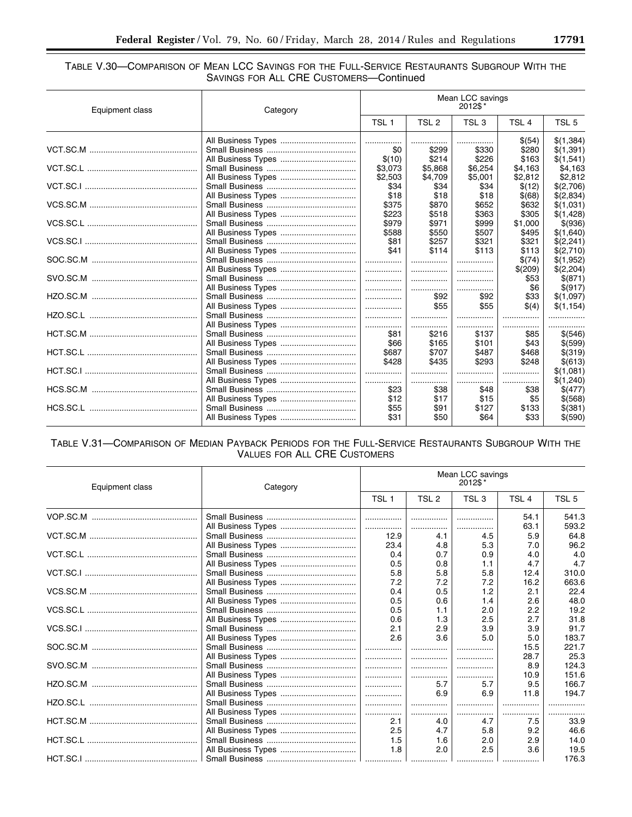۰

## TABLE V.30-COMPARISON OF MEAN LCC SAVINGS FOR THE FULL-SERVICE RESTAURANTS SUBGROUP WITH THE SAVINGS FOR ALL CRE CUSTOMERS-Continued

| Equipment class | Category           |                  |                  | Mean LCC savings<br>2012\$* |                  |                  |
|-----------------|--------------------|------------------|------------------|-----------------------------|------------------|------------------|
|                 |                    | TSL <sub>1</sub> | TSL <sub>2</sub> | TSL <sub>3</sub>            | TSL <sub>4</sub> | TSL <sub>5</sub> |
|                 |                    | .                |                  |                             | \$(54)           | \$(1,384)        |
|                 |                    | \$0              | \$299            | \$330                       | \$280            | \$(1,391)        |
|                 | All Business Types | \$(10)           | \$214            | \$226                       | \$163            | \$(1,541)        |
|                 |                    | \$3,073          | \$5,868          | \$6,254                     | \$4,163          | \$4,163          |
|                 | All Business Types | \$2,503          | \$4,709          | \$5,001                     | \$2,812          | \$2,812          |
|                 |                    | \$34             | \$34             | \$34                        | \$(12)           | \$(2,706)        |
|                 |                    | \$18             | \$18             | \$18                        | \$(68)           | \$(2,834)        |
|                 |                    | \$375            | \$870            | \$652                       | \$632            | \$(1,031)        |
|                 | All Business Types | \$223            | \$518            | \$363                       | \$305            | \$(1,428)        |
|                 |                    | \$979            | \$971            | \$999                       | \$1,000          | \$(936)          |
|                 |                    | \$588            | \$550            | \$507                       | \$495            | \$(1,640)        |
|                 |                    | \$81             | \$257            | \$321                       | \$321            | \$(2,241)        |
|                 |                    | \$41             | \$114            | \$113                       | \$113            | \$(2,710)        |
|                 |                    | .                | .                |                             | \$(74)           | \$(1,952)        |
|                 |                    |                  | .                |                             | \$(209)          | \$(2,204)        |
|                 |                    |                  |                  |                             | \$53             | \$ (871)         |
|                 |                    | .                |                  |                             | \$6              | \$(917)          |
|                 |                    |                  | \$92             | \$92                        | \$33             | \$(1,097)        |
|                 |                    | .                | \$55             | \$55                        | \$(4)            | \$(1,154)        |
|                 |                    | .                |                  |                             |                  |                  |
|                 |                    |                  | .                |                             |                  |                  |
|                 |                    | \$81             | \$216            | \$137                       | \$85             | \$(546)          |
|                 |                    | \$66             | \$165            | \$101                       | \$43             | \$ (599)         |
|                 |                    | \$687            | \$707            | \$487                       | \$468            | $$$ (319)        |
|                 | All Business Types | \$428            | \$435            | \$293                       | \$248            | \$(613)          |
|                 |                    |                  |                  |                             |                  | \$(1,081)        |
|                 |                    | .                |                  |                             |                  | \$(1,240)        |
|                 |                    | \$23             | \$38             | \$48                        | \$38             | \$(477)          |
|                 |                    | \$12             | \$17             | \$15                        | \$5              | \$ (568)         |
|                 |                    | \$55             | \$91             | \$127                       | \$133            | \$(381)          |
|                 | All Business Types | \$31             | \$50             | \$64                        | \$33             | \$(590)          |
|                 |                    |                  |                  |                             |                  |                  |

# TABLE V.31-COMPARISON OF MEDIAN PAYBACK PERIODS FOR THE FULL-SERVICE RESTAURANTS SUBGROUP WITH THE VALUES FOR ALL CRE CUSTOMERS

| Equipment class | Category           |                  |                  | Mean LCC savings<br>2012\$* |                  |                  |
|-----------------|--------------------|------------------|------------------|-----------------------------|------------------|------------------|
|                 |                    | TSL <sub>1</sub> | TSL <sub>2</sub> | TSL <sub>3</sub>            | TSL <sub>4</sub> | TSL <sub>5</sub> |
|                 |                    | .                |                  |                             | 54.1             | 541.3            |
|                 |                    |                  |                  |                             | 63.1             | 593.2            |
|                 |                    | 12.9             | 4.1              | 4.5                         | 5.9              | 64.8             |
|                 |                    | 23.4             | 4.8              | 5.3                         | 7.0              | 96.2             |
|                 |                    | 0.4              | 0.7              | 0.9                         | 4.0              | 4.0              |
|                 |                    | 0.5              | 0.8              | 1.1                         | 4.7              | 4.7              |
|                 |                    | 5.8              | 5.8              | 5.8                         | 12.4             | 310.0            |
|                 | All Business Types | 7.2              | 7.2              | 7.2                         | 16.2             | 663.6            |
|                 |                    | 0.4              | 0.5              | 1.2                         | 2.1              | 22.4             |
|                 |                    | 0.5              | 0.6              | 1.4                         | 2.6              | 48.0             |
|                 |                    | 0.5              | 1.1              | 2.0                         | 2.2              | 19.2             |
|                 |                    | 0.6              | 1.3              | 2.5                         | 2.7              | 31.8             |
|                 |                    | 2.1              | 2.9              | 3.9                         | 3.9              | 91.7             |
|                 |                    | 2.6              | 3.6              | 5.0                         | 5.0              | 183.7            |
|                 |                    | .                |                  |                             | 15.5             | 221.7            |
|                 |                    | l                |                  |                             | 28.7             | 25.3             |
|                 |                    | .                | .                | .                           | 8.9              | 124.3            |
|                 |                    | .                |                  |                             | 10.9             | 151.6            |
|                 |                    | <u>  </u>        | 5.7              | 5.7                         | 9.5              | 166.7            |
|                 |                    |                  | 6.9              | 6.9                         | 11.8             | 194.7            |
|                 |                    | l  l             | .                |                             |                  |                  |
|                 |                    |                  |                  |                             |                  |                  |
|                 |                    | 2.1              | 4.0              | 4.7                         | 7.5              | 33.9             |
|                 |                    | 2.5              | 4.7              | 5.8                         | 9.2              | 46.6             |
|                 |                    | 1.5              | 1.6              | 2.0                         | 2.9              | 14.0             |
|                 |                    | 1.8              | 2.0              | 2.5                         | 3.6              | 19.5             |
|                 |                    |                  | .                |                             |                  | 176.3            |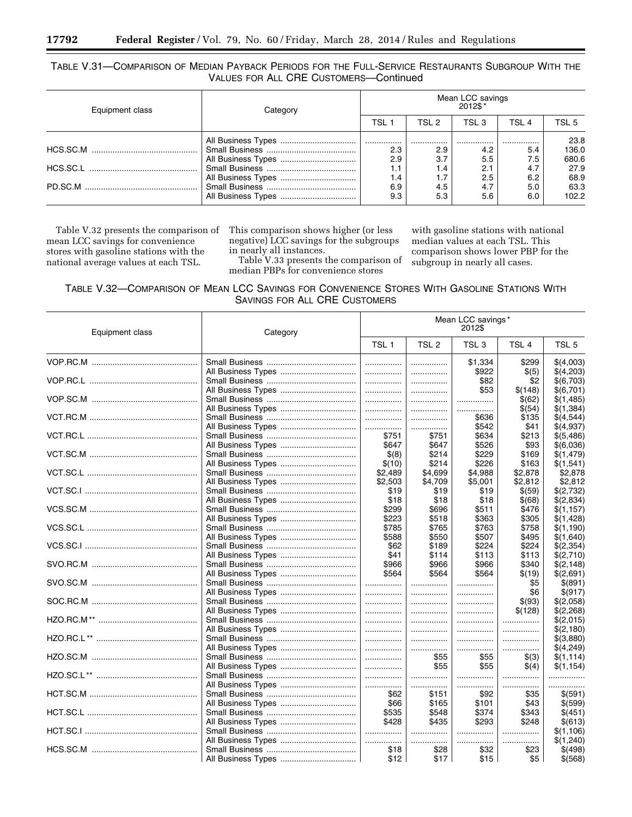## TABLE V.31—COMPARISON OF MEDIAN PAYBACK PERIODS FOR THE FULL-SERVICE RESTAURANTS SUBGROUP WITH THE VALUES FOR ALL CRE CUSTOMERS—Continued

| Equipment class | Category           | Mean LCC savings<br>* 2012\$ |                |                |                |                        |  |
|-----------------|--------------------|------------------------------|----------------|----------------|----------------|------------------------|--|
|                 |                    | TSL 1                        | TSL 2          | TSL 3          | TSL 4          | TSL 5                  |  |
|                 | All Business Types | 2.3<br>2.9                   | <br>2.9<br>3.7 | <br>4.2<br>5.5 | <br>5.4<br>7.5 | 23.8<br>136.0<br>680.6 |  |
|                 |                    | 1.1<br>1.4                   | 1.4            | 2.1<br>2.5     | 4.7<br>6.2     | 27.9<br>68.9           |  |
|                 |                    | 6.9<br>9.3                   | 4.5<br>5.3     | 4.7<br>5.6     | 5.0<br>6.0     | 63.3<br>102.2          |  |

Table V.32 presents the comparison of mean LCC savings for convenience stores with gasoline stations with the national average values at each TSL.

This comparison shows higher (or less negative) LCC savings for the subgroups in nearly all instances.

Table V.33 presents the comparison of median PBPs for convenience stores

with gasoline stations with national median values at each TSL. This comparison shows lower PBP for the subgroup in nearly all cases.

| TABLE V.32—COMPARISON OF MEAN LCC SAVINGS FOR CONVENIENCE STORES WITH GASOLINE STATIONS WITH |  |  |  |
|----------------------------------------------------------------------------------------------|--|--|--|
| SAVINGS FOR ALL CRE CUSTOMERS                                                                |  |  |  |

| Equipment class | Category           |                  |                  | Mean LCC savings*<br>2012\$ |                  |                  |
|-----------------|--------------------|------------------|------------------|-----------------------------|------------------|------------------|
|                 |                    | TSL <sub>1</sub> | TSL <sub>2</sub> | TSL <sub>3</sub>            | TSL <sub>4</sub> | TSL <sub>5</sub> |
|                 |                    | .                | .                | \$1,334                     | \$299            | \$(4,003)        |
|                 | All Business Types |                  |                  | \$922                       | \$(5)            | \$(4,203)        |
|                 |                    | .                |                  | \$82                        | \$2              | \$(6,703)        |
|                 | All Business Types | .                |                  | \$53                        | \$(148)          | \$(6,701)        |
|                 |                    | .                |                  |                             | \$(62)           | \$(1,485)        |
|                 |                    |                  |                  |                             | \$(54)           | \$(1,384)        |
|                 |                    |                  |                  | \$636                       | \$135            | \$(4,544)        |
|                 |                    |                  |                  | \$542                       | \$41             | \$(4,937)        |
|                 |                    | \$751            | \$751            | \$634                       | \$213            | \$(5,486)        |
|                 |                    | \$647            | \$647            | \$526                       | \$93             | \$(6,036)        |
|                 |                    | \$(8)            | \$214            | \$229                       | \$169            | \$(1, 479)       |
|                 |                    | \$(10)           | \$214            | \$226                       | \$163            | \$(1,541)        |
|                 |                    | \$2,489          | \$4,699          | \$4,988                     | \$2,878          | \$2,878          |
|                 |                    | \$2,503          | \$4,709          | \$5,001                     | \$2,812          | \$2,812          |
|                 |                    | \$19             | \$19             | \$19                        | \$(59)           | \$(2,732)        |
|                 | All Business Types | \$18             | \$18             | \$18                        | \$(68)           | \$(2,834)        |
|                 |                    | \$299            | \$696            | \$511                       | \$476            | \$(1,157)        |
|                 |                    | \$223            | \$518            | \$363                       | \$305            | \$(1,428)        |
|                 |                    | \$785            | \$765            | \$763                       | \$758            | \$(1,190)        |
|                 |                    | \$588            | \$550            | \$507                       | \$495            | \$(1,640)        |
|                 |                    | \$62             | \$189            | \$224                       | \$224            | \$(2,354)        |
|                 |                    | \$41             | \$114            | \$113                       | \$113            | \$(2,710)        |
|                 |                    | \$966            | \$966            | \$966                       | \$340            | \$(2,148)        |
|                 | All Business Types | \$564            | \$564            | \$564                       | \$(19)           | \$(2,691)        |
|                 |                    |                  |                  |                             | \$5              | \$ (891)         |
|                 |                    | .                |                  |                             | \$6              | \$(917)          |
|                 |                    | .                |                  |                             | \$(93)           | \$(2,058)        |
|                 |                    |                  | .                |                             | \$(128)          | \$(2,268)        |
|                 |                    |                  |                  | .                           | .                | \$(2,015)        |
|                 |                    |                  |                  |                             |                  | \$(2,180)        |
|                 |                    |                  | .                | .                           | .                | \$(3,880)        |
|                 |                    | .                |                  |                             |                  | \$(4,249)        |
|                 |                    | .                | \$55             | \$55                        | \$(3)            | \$(1, 114)       |
|                 |                    | .                | \$55             | \$55                        | $\$(4)$          | \$(1,154)        |
|                 |                    | .                | .                |                             | .                | .                |
|                 |                    |                  | .                |                             | .                | .                |
|                 |                    | \$62             | \$151            | \$92                        | \$35             | \$(591)          |
|                 |                    | \$66             | \$165            | \$101                       | \$43             | \$(599)          |
|                 |                    | \$535            | \$548            | \$374                       | \$343            | \$(451)          |
|                 |                    | \$428            | \$435            | \$293                       | \$248            | \$(613)          |
|                 |                    | .                | .                | .                           | .                | \$(1, 106)       |
|                 | All Business Types | .                |                  | .                           | .                | \$(1,240)        |
|                 |                    | \$18             | \$28             | \$32                        | \$23             | \$(498)          |
|                 |                    | \$12             | \$17             | \$15                        | \$5              | \$(568)          |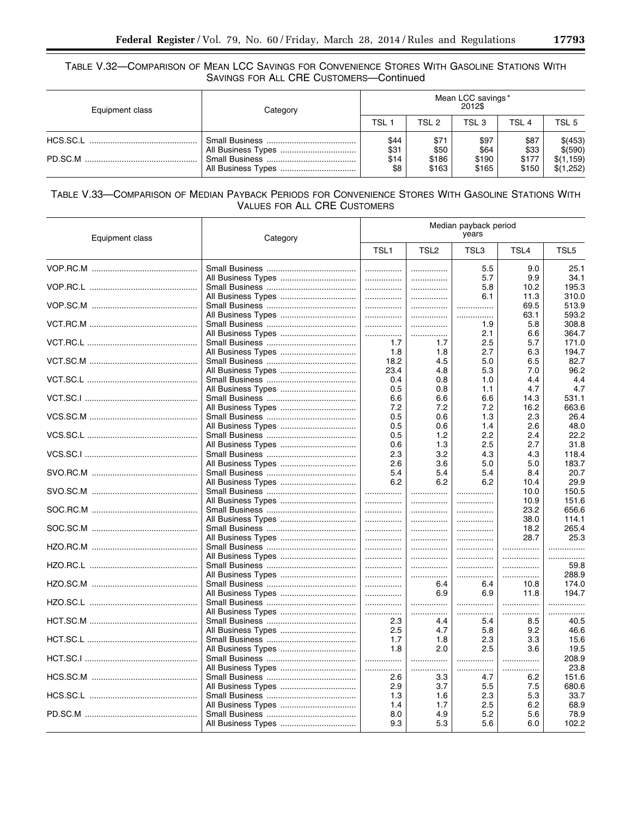## TABLE V.32-COMPARISON OF MEAN LCC SAVINGS FOR CONVENIENCE STORES WITH GASOLINE STATIONS WITH SAVINGS FOR ALL CRE CUSTOMERS-Continued

| Equipment class | Category | Mean LCC savings*<br>2012\$ |                       |                       |                       |                                  |  |
|-----------------|----------|-----------------------------|-----------------------|-----------------------|-----------------------|----------------------------------|--|
|                 |          | TSL 1                       | TSL 2                 | TSL 3                 | TSL 4                 | TSL 5                            |  |
|                 |          | \$44<br>\$31<br>\$14        | \$71<br>\$50<br>\$186 | \$97<br>\$64<br>\$190 | \$87<br>\$33<br>\$177 | \$(453)<br>\$(590)<br>\$(1, 159) |  |
|                 |          | \$8                         | \$163                 | \$165                 | \$150                 | \$(1,252)                        |  |

# TABLE V.33-COMPARISON OF MEDIAN PAYBACK PERIODS FOR CONVENIENCE STORES WITH GASOLINE STATIONS WITH **VALUES FOR ALL CRE CUSTOMERS**

| Equipment class | Category           |                  |                  | Median payback period<br>years |      |       |
|-----------------|--------------------|------------------|------------------|--------------------------------|------|-------|
|                 |                    | TSL <sub>1</sub> | TSL <sub>2</sub> | TSL3                           | TSL4 | TSL5  |
|                 |                    |                  |                  | 5.5                            | 9.0  | 25.1  |
|                 |                    |                  | .                | 5.7                            | 9.9  | 34.1  |
|                 |                    |                  |                  | 5.8                            | 10.2 | 195.3 |
|                 |                    |                  | .                | 6.1                            | 11.3 | 310.0 |
|                 |                    | .                | .                |                                | 69.5 | 513.9 |
|                 |                    | .                | .                | .                              | 63.1 | 593.2 |
|                 |                    |                  | .                | 1.9                            | 5.8  | 308.8 |
|                 |                    | .                | .                | 2.1                            | 6.6  | 364.7 |
|                 |                    | 1.7              | 1.7              | 2.5                            | 5.7  | 171.0 |
|                 | All Business Types | 1.8              | 1.8              | 2.7                            | 6.3  | 194.7 |
|                 |                    | 18.2             | 4.5              | 5.0                            | 6.5  | 82.7  |
|                 |                    | 23.4             | 4.8              | 5.3                            | 7.0  | 96.2  |
|                 |                    | 0.4              | 0.8              | 1.0                            | 4.4  | 4.4   |
|                 |                    | 0.5              | 0.8              | 1.1                            | 4.7  | 4.7   |
|                 |                    | 6.6              | 6.6              | 6.6                            | 14.3 | 531.1 |
|                 |                    | 7.2              | 7.2              | 7.2                            | 16.2 | 663.6 |
|                 |                    | 0.5              | 0.6              | 1.3                            | 2.3  | 26.4  |
|                 |                    | 0.5              | 0.6              | 1.4                            | 2.6  | 48.0  |
|                 |                    | 0.5              | 1.2              | 2.2                            | 2.4  | 22.2  |
|                 |                    | 0.6              | 1.3              | 2.5                            | 2.7  | 31.8  |
|                 |                    | 2.3              | 3.2              | 4.3                            | 4.3  | 118.4 |
|                 |                    | 2.6              | 3.6              | 5.0                            | 5.0  | 183.7 |
|                 |                    | 5.4              | 5.4              | 5.4                            | 8.4  | 20.7  |
|                 |                    | 6.2              | 6.2              | 6.2                            | 10.4 | 29.9  |
|                 |                    | .                |                  |                                | 10.0 | 150.5 |
|                 |                    |                  |                  |                                | 10.9 | 151.6 |
|                 |                    |                  | .                |                                | 23.2 | 656.6 |
|                 |                    | .                |                  |                                | 38.0 | 114.1 |
|                 |                    |                  | .                |                                | 18.2 | 265.4 |
|                 |                    |                  | .                |                                | 28.7 | 25.3  |
|                 |                    | .                |                  |                                | .    |       |
|                 |                    |                  | .                | .                              |      | .     |
|                 |                    | .                | .                | .                              | .    | 59.8  |
|                 |                    |                  |                  |                                |      | 288.9 |
|                 |                    |                  | 6.4              | 6.4                            | 10.8 | 174.0 |
|                 | All Business Types |                  | 6.9              | 6.9                            | 11.8 | 194.7 |
|                 |                    | .                |                  | .                              | .    | .     |
|                 | All Business Types | .                | .                |                                | .    | .     |
|                 |                    | 2.3              | 4.4              | 5.4                            | 8.5  | 40.5  |
|                 |                    | 2.5              | 4.7              | 5.8                            | 9.2  | 46.6  |
|                 |                    | 1.7              | 1.8              | 2.3                            | 3.3  | 15.6  |
|                 |                    | 1.8              | 2.0              | 2.5                            | 3.6  | 19.5  |
|                 |                    |                  | .                | .                              | .    | 208.9 |
|                 | All Business Types | .                | .                |                                | .    | 23.8  |
|                 |                    | 2.6              | 3.3              | 4.7                            | 6.2  | 151.6 |
|                 |                    | 2.9              | 3.7              | 5.5                            | 7.5  | 680.6 |
|                 |                    | 1.3              | 1.6              | 2.3                            | 5.3  | 33.7  |
|                 |                    | 1.4              | 1.7              | 2.5                            | 6.2  | 68.9  |
|                 |                    | 8.0              | 4.9              | 5.2                            | 5.6  | 78.9  |
|                 |                    | 9.3              | 5.3              | 5.6                            | 6.0  | 102.2 |

۰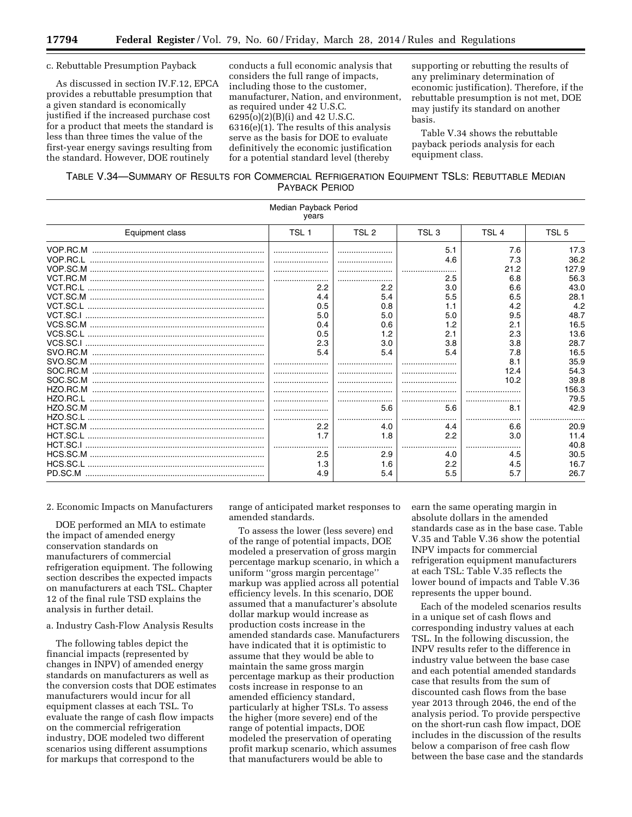#### c. Rebuttable Presumption Payback

As discussed in section IV.F.12, EPCA provides a rebuttable presumption that a given standard is economically justified if the increased purchase cost for a product that meets the standard is less than three times the value of the first-year energy savings resulting from the standard. However, DOE routinely

conducts a full economic analysis that considers the full range of impacts, including those to the customer, manufacturer, Nation, and environment, as required under 42 U.S.C. 6295(o)(2)(B)(i) and 42 U.S.C. 6316(e)(1). The results of this analysis serve as the basis for DOE to evaluate definitively the economic justification for a potential standard level (thereby

supporting or rebutting the results of any preliminary determination of economic justification). Therefore, if the rebuttable presumption is not met, DOE may justify its standard on another basis.

Table V.34 shows the rebuttable payback periods analysis for each equipment class.

## TABLE V.34—SUMMARY OF RESULTS FOR COMMERCIAL REFRIGERATION EQUIPMENT TSLS: REBUTTABLE MEDIAN PAYBACK PERIOD

| Median Payback Period<br>vears |                  |                  |                  |                  |                  |  |  |  |
|--------------------------------|------------------|------------------|------------------|------------------|------------------|--|--|--|
| Equipment class                | TSL <sub>1</sub> | TSL <sub>2</sub> | TSL <sub>3</sub> | TSL <sub>4</sub> | TSL <sub>5</sub> |  |  |  |
|                                |                  |                  | 5.1              | 7.6              | 17.3             |  |  |  |
|                                |                  |                  | 4.6              | 7.3              | 36.2             |  |  |  |
|                                |                  |                  |                  | 21.2             | 127.9            |  |  |  |
|                                |                  |                  | 2.5              | 6.8              | 56.3             |  |  |  |
|                                | 2.2              | 2.2              | 3.0              | 6.6              | 43.0             |  |  |  |
|                                | 4.4              | 5.4              | 5.5              | 6.5              | 28.1             |  |  |  |
|                                | 0.5              | 0.8              | 1.1              | 4.2              | 4.2              |  |  |  |
|                                | 5.0              | 5.0              | 5.0              | 9.5              | 48.7             |  |  |  |
|                                | 0.4              | 0.6              | 1.2              | 2.1              | 16.5             |  |  |  |
|                                | 0.5              | 1.2              | 2.1              | 2.3              | 13.6             |  |  |  |
|                                | 2.3              | 3.0              | 3.8              | 3.8              | 28.7             |  |  |  |
|                                | 5.4              | 5.4              | 5.4              | 7.8              | 16.5             |  |  |  |
|                                |                  |                  |                  | 8.1              | 35.9             |  |  |  |
|                                |                  |                  |                  | 12.4             | 54.3             |  |  |  |
| SOC.SC.M                       |                  |                  |                  | 10.2             | 39.8             |  |  |  |
|                                |                  |                  |                  |                  | 156.3            |  |  |  |
|                                |                  |                  |                  |                  | 79.5             |  |  |  |
|                                |                  | 5.6              | 5.6              | 8.1              | 42.9             |  |  |  |
|                                |                  |                  |                  |                  |                  |  |  |  |
|                                | 2.2              | 4.0              | 4.4              | 6.6              | 20.9             |  |  |  |
|                                | 1.7              | 1.8              | 2.2              | 3.0              | 11.4             |  |  |  |
|                                |                  |                  |                  |                  | 40.8             |  |  |  |
|                                | 2.5              | 2.9              | 4.0              | 4.5              | 30.5             |  |  |  |
|                                | 1.3              | 1.6              | 2.2              | 4.5              | 16.7             |  |  |  |
|                                | 4.9              | 5.4              | 5.5              | 5.7              | 26.7             |  |  |  |

2. Economic Impacts on Manufacturers

DOE performed an MIA to estimate the impact of amended energy conservation standards on manufacturers of commercial refrigeration equipment. The following section describes the expected impacts on manufacturers at each TSL. Chapter 12 of the final rule TSD explains the analysis in further detail.

a. Industry Cash-Flow Analysis Results

The following tables depict the financial impacts (represented by changes in INPV) of amended energy standards on manufacturers as well as the conversion costs that DOE estimates manufacturers would incur for all equipment classes at each TSL. To evaluate the range of cash flow impacts on the commercial refrigeration industry, DOE modeled two different scenarios using different assumptions for markups that correspond to the

range of anticipated market responses to amended standards.

To assess the lower (less severe) end of the range of potential impacts, DOE modeled a preservation of gross margin percentage markup scenario, in which a uniform ''gross margin percentage'' markup was applied across all potential efficiency levels. In this scenario, DOE assumed that a manufacturer's absolute dollar markup would increase as production costs increase in the amended standards case. Manufacturers have indicated that it is optimistic to assume that they would be able to maintain the same gross margin percentage markup as their production costs increase in response to an amended efficiency standard, particularly at higher TSLs. To assess the higher (more severe) end of the range of potential impacts, DOE modeled the preservation of operating profit markup scenario, which assumes that manufacturers would be able to

earn the same operating margin in absolute dollars in the amended standards case as in the base case. Table V.35 and Table V.36 show the potential INPV impacts for commercial refrigeration equipment manufacturers at each TSL: Table V.35 reflects the lower bound of impacts and Table V.36 represents the upper bound.

Each of the modeled scenarios results in a unique set of cash flows and corresponding industry values at each TSL. In the following discussion, the INPV results refer to the difference in industry value between the base case and each potential amended standards case that results from the sum of discounted cash flows from the base year 2013 through 2046, the end of the analysis period. To provide perspective on the short-run cash flow impact, DOE includes in the discussion of the results below a comparison of free cash flow between the base case and the standards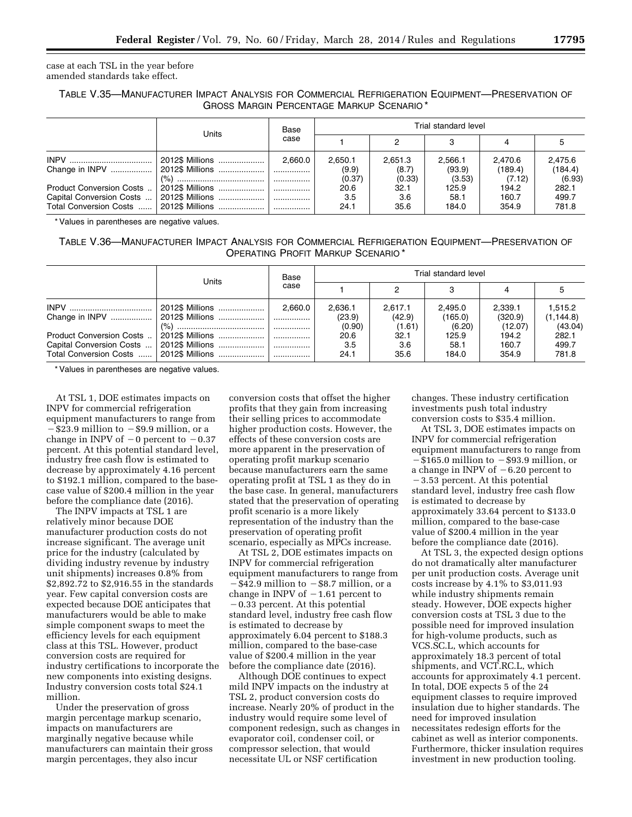case at each TSL in the year before amended standards take effect.

## TABLE V.35—MANUFACTURER IMPACT ANALYSIS FOR COMMERCIAL REFRIGERATION EQUIPMENT—PRESERVATION OF GROSS MARGIN PERCENTAGE MARKUP SCENARIO \*

|                          | Units           | Base<br>case | Trial standard level |                  |                   |                    |                    |  |
|--------------------------|-----------------|--------------|----------------------|------------------|-------------------|--------------------|--------------------|--|
|                          |                 |              |                      |                  |                   |                    |                    |  |
| Change in INPV           | 2012\$ Millions | 2.660.0      | 2,650.1<br>(9.9)     | 2.651.3<br>(8.7) | 2.566.1<br>(93.9) | 2.470.6<br>(189.4) | 2,475.6<br>(184.4) |  |
|                          |                 | .            | (0.37)               | (0.33)           | (3.53)            | (7.12)             | (6.93)             |  |
| Product Conversion Costs |                 | .            | 20.6                 | 32.1             | 125.9             | 194.2              | 282.1              |  |
| Capital Conversion Costs |                 |              | 3.5                  | 3.6              | 58.1              | 160.7              | 499.7              |  |
| Total Conversion Costs   |                 |              | 24.1                 | 35.6             | 184.0             | 354.9              | 781.8              |  |

\* Values in parentheses are negative values.

## TABLE V.36—MANUFACTURER IMPACT ANALYSIS FOR COMMERCIAL REFRIGERATION EQUIPMENT—PRESERVATION OF OPERATING PROFIT MARKUP SCENARIO \*

|                                                                                | Units           | Base<br>case | Trial standard level        |                             |                              |                               |                                  |  |
|--------------------------------------------------------------------------------|-----------------|--------------|-----------------------------|-----------------------------|------------------------------|-------------------------------|----------------------------------|--|
|                                                                                |                 |              |                             |                             |                              |                               |                                  |  |
|                                                                                | 2012\$ Millions | 2.660.0      | 2,636.1<br>(23.9)<br>(0.90) | 2.617.1<br>(42.9)<br>(1.61) | 2.495.0<br>(165.0)<br>(6.20) | 2.339.1<br>(320.9)<br>(12.07) | 1,515.2<br>(1, 144.8)<br>(43.04) |  |
| Product Conversion Costs<br>Capital Conversion Costs<br>Total Conversion Costs |                 |              | 20.6<br>3.5<br>24.1         | 32.1<br>3.6<br>35.6         | 125.9<br>58.1<br>184.0       | 194.2<br>160.7<br>354.9       | 282.1<br>499.7<br>781.8          |  |

\* Values in parentheses are negative values.

At TSL 1, DOE estimates impacts on INPV for commercial refrigeration equipment manufacturers to range from  $-$ \$23.9 million to  $-$ \$9.9 million, or a change in INPV of  $-0$  percent to  $-0.37$ percent. At this potential standard level, industry free cash flow is estimated to decrease by approximately 4.16 percent to \$192.1 million, compared to the basecase value of \$200.4 million in the year before the compliance date (2016).

The INPV impacts at TSL 1 are relatively minor because DOE manufacturer production costs do not increase significant. The average unit price for the industry (calculated by dividing industry revenue by industry unit shipments) increases 0.8% from \$2,892.72 to \$2,916.55 in the standards year. Few capital conversion costs are expected because DOE anticipates that manufacturers would be able to make simple component swaps to meet the efficiency levels for each equipment class at this TSL. However, product conversion costs are required for industry certifications to incorporate the new components into existing designs. Industry conversion costs total \$24.1 million.

Under the preservation of gross margin percentage markup scenario, impacts on manufacturers are marginally negative because while manufacturers can maintain their gross margin percentages, they also incur

conversion costs that offset the higher profits that they gain from increasing their selling prices to accommodate higher production costs. However, the effects of these conversion costs are more apparent in the preservation of operating profit markup scenario because manufacturers earn the same operating profit at TSL 1 as they do in the base case. In general, manufacturers stated that the preservation of operating profit scenario is a more likely representation of the industry than the preservation of operating profit scenario, especially as MPCs increase.

At TSL 2, DOE estimates impacts on INPV for commercial refrigeration equipment manufacturers to range from  $-$ \$42.9 million to  $-$ \$8.7 million, or a change in INPV of  $-1.61$  percent to  $-0.33$  percent. At this potential standard level, industry free cash flow is estimated to decrease by approximately 6.04 percent to \$188.3 million, compared to the base-case value of \$200.4 million in the year before the compliance date (2016).

Although DOE continues to expect mild INPV impacts on the industry at TSL 2, product conversion costs do increase. Nearly 20% of product in the industry would require some level of component redesign, such as changes in evaporator coil, condenser coil, or compressor selection, that would necessitate UL or NSF certification

changes. These industry certification investments push total industry conversion costs to \$35.4 million.

At TSL 3, DOE estimates impacts on INPV for commercial refrigeration equipment manufacturers to range from  $-\$165.0$  million to  $-\$93.9$  million, or a change in INPV of  $-6.20$  percent to  $-3.53$  percent. At this potential standard level, industry free cash flow is estimated to decrease by approximately 33.64 percent to \$133.0 million, compared to the base-case value of \$200.4 million in the year before the compliance date (2016).

At TSL 3, the expected design options do not dramatically alter manufacturer per unit production costs. Average unit costs increase by 4.1% to \$3,011.93 while industry shipments remain steady. However, DOE expects higher conversion costs at TSL 3 due to the possible need for improved insulation for high-volume products, such as VCS.SC.L, which accounts for approximately 18.3 percent of total shipments, and VCT.RC.L, which accounts for approximately 4.1 percent. In total, DOE expects 5 of the 24 equipment classes to require improved insulation due to higher standards. The need for improved insulation necessitates redesign efforts for the cabinet as well as interior components. Furthermore, thicker insulation requires investment in new production tooling.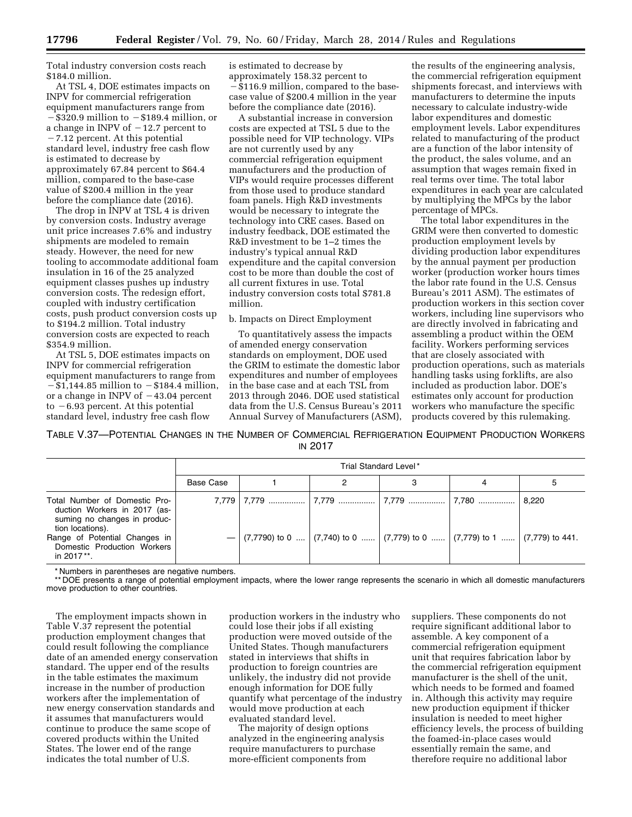Total industry conversion costs reach \$184.0 million.

At TSL 4, DOE estimates impacts on INPV for commercial refrigeration equipment manufacturers range from  $-\$320.9$  million to  $-\$189.4$  million, or a change in INPV of  $-12.7$  percent to  $-7.12$  percent. At this potential standard level, industry free cash flow is estimated to decrease by approximately 67.84 percent to \$64.4 million, compared to the base-case value of \$200.4 million in the year before the compliance date (2016).

The drop in INPV at TSL 4 is driven by conversion costs. Industry average unit price increases 7.6% and industry shipments are modeled to remain steady. However, the need for new tooling to accommodate additional foam insulation in 16 of the 25 analyzed equipment classes pushes up industry conversion costs. The redesign effort, coupled with industry certification costs, push product conversion costs up to \$194.2 million. Total industry conversion costs are expected to reach \$354.9 million.

At TSL 5, DOE estimates impacts on INPV for commercial refrigeration equipment manufacturers to range from  $-\frac{1}{31}$ ,144.85 million to  $-\frac{1}{31}$  million, or a change in INPV of  $-43.04$  percent to  $-6.93$  percent. At this potential standard level, industry free cash flow

is estimated to decrease by approximately 158.32 percent to  $-$ \$116.9 million, compared to the basecase value of \$200.4 million in the year before the compliance date (2016).

A substantial increase in conversion costs are expected at TSL 5 due to the possible need for VIP technology. VIPs are not currently used by any commercial refrigeration equipment manufacturers and the production of VIPs would require processes different from those used to produce standard foam panels. High R&D investments would be necessary to integrate the technology into CRE cases. Based on industry feedback, DOE estimated the R&D investment to be 1–2 times the industry's typical annual R&D expenditure and the capital conversion cost to be more than double the cost of all current fixtures in use. Total industry conversion costs total \$781.8 million.

#### b. Impacts on Direct Employment

To quantitatively assess the impacts of amended energy conservation standards on employment, DOE used the GRIM to estimate the domestic labor expenditures and number of employees in the base case and at each TSL from 2013 through 2046. DOE used statistical data from the U.S. Census Bureau's 2011 Annual Survey of Manufacturers (ASM),

the results of the engineering analysis, the commercial refrigeration equipment shipments forecast, and interviews with manufacturers to determine the inputs necessary to calculate industry-wide labor expenditures and domestic employment levels. Labor expenditures related to manufacturing of the product are a function of the labor intensity of the product, the sales volume, and an assumption that wages remain fixed in real terms over time. The total labor expenditures in each year are calculated by multiplying the MPCs by the labor percentage of MPCs.

The total labor expenditures in the GRIM were then converted to domestic production employment levels by dividing production labor expenditures by the annual payment per production worker (production worker hours times the labor rate found in the U.S. Census Bureau's 2011 ASM). The estimates of production workers in this section cover workers, including line supervisors who are directly involved in fabricating and assembling a product within the OEM facility. Workers performing services that are closely associated with production operations, such as materials handling tasks using forklifts, are also included as production labor. DOE's estimates only account for production workers who manufacture the specific products covered by this rulemaking.

TABLE V.37—POTENTIAL CHANGES IN THE NUMBER OF COMMERCIAL REFRIGERATION EQUIPMENT PRODUCTION WORKERS IN 2017

|                                                                                                                                                                                                 | Trial Standard Level* |                                                                                                                             |  |  |  |       |  |  |
|-------------------------------------------------------------------------------------------------------------------------------------------------------------------------------------------------|-----------------------|-----------------------------------------------------------------------------------------------------------------------------|--|--|--|-------|--|--|
|                                                                                                                                                                                                 | Base Case             |                                                                                                                             |  |  |  | ა     |  |  |
| Total Number of Domestic Pro-<br>duction Workers in 2017 (as-<br>suming no changes in produc-<br>tion locations).<br>Range of Potential Changes in<br>Domestic Production Workers<br>in 2017**. |                       | 7,779   7,779    7,779    7,779    7,780   <br>$-$ (7,7790) to 0  (7,740) to 0  (7,779) to 0  (7,779) to 1  (7,779) to 441. |  |  |  | 8.220 |  |  |

\* Numbers in parentheses are negative numbers.

\*\* DOE presents a range of potential employment impacts, where the lower range represents the scenario in which all domestic manufacturers move production to other countries.

The employment impacts shown in Table V.37 represent the potential production employment changes that could result following the compliance date of an amended energy conservation standard. The upper end of the results in the table estimates the maximum increase in the number of production workers after the implementation of new energy conservation standards and it assumes that manufacturers would continue to produce the same scope of covered products within the United States. The lower end of the range indicates the total number of U.S.

production workers in the industry who could lose their jobs if all existing production were moved outside of the United States. Though manufacturers stated in interviews that shifts in production to foreign countries are unlikely, the industry did not provide enough information for DOE fully quantify what percentage of the industry would move production at each evaluated standard level.

The majority of design options analyzed in the engineering analysis require manufacturers to purchase more-efficient components from

suppliers. These components do not require significant additional labor to assemble. A key component of a commercial refrigeration equipment unit that requires fabrication labor by the commercial refrigeration equipment manufacturer is the shell of the unit, which needs to be formed and foamed in. Although this activity may require new production equipment if thicker insulation is needed to meet higher efficiency levels, the process of building the foamed-in-place cases would essentially remain the same, and therefore require no additional labor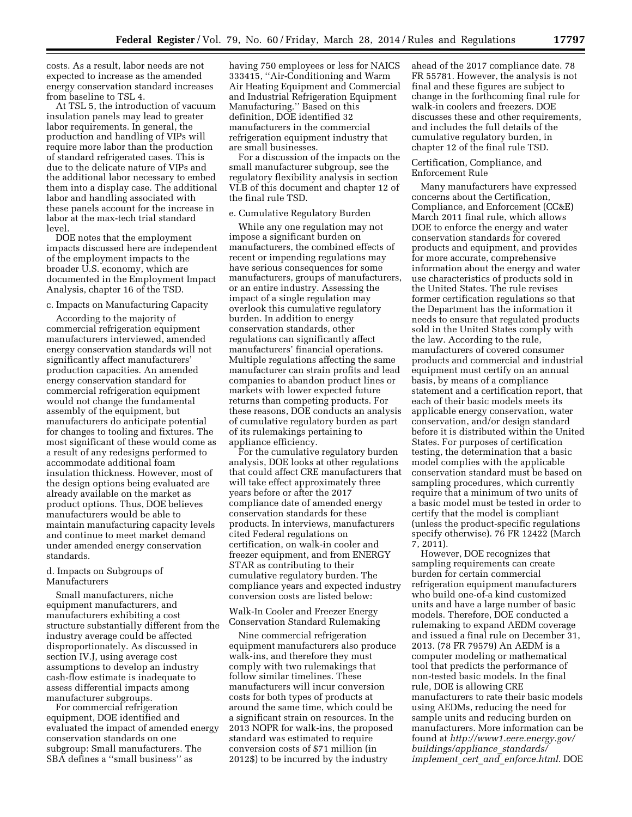costs. As a result, labor needs are not expected to increase as the amended energy conservation standard increases from baseline to TSL 4.

At TSL 5, the introduction of vacuum insulation panels may lead to greater labor requirements. In general, the production and handling of VIPs will require more labor than the production of standard refrigerated cases. This is due to the delicate nature of VIPs and the additional labor necessary to embed them into a display case. The additional labor and handling associated with these panels account for the increase in labor at the max-tech trial standard level.

DOE notes that the employment impacts discussed here are independent of the employment impacts to the broader U.S. economy, which are documented in the Employment Impact Analysis, chapter 16 of the TSD.

### c. Impacts on Manufacturing Capacity

According to the majority of commercial refrigeration equipment manufacturers interviewed, amended energy conservation standards will not significantly affect manufacturers' production capacities. An amended energy conservation standard for commercial refrigeration equipment would not change the fundamental assembly of the equipment, but manufacturers do anticipate potential for changes to tooling and fixtures. The most significant of these would come as a result of any redesigns performed to accommodate additional foam insulation thickness. However, most of the design options being evaluated are already available on the market as product options. Thus, DOE believes manufacturers would be able to maintain manufacturing capacity levels and continue to meet market demand under amended energy conservation standards.

#### d. Impacts on Subgroups of Manufacturers

Small manufacturers, niche equipment manufacturers, and manufacturers exhibiting a cost structure substantially different from the industry average could be affected disproportionately. As discussed in section IV.J, using average cost assumptions to develop an industry cash-flow estimate is inadequate to assess differential impacts among manufacturer subgroups.

For commercial refrigeration equipment, DOE identified and evaluated the impact of amended energy conservation standards on one subgroup: Small manufacturers. The SBA defines a ''small business'' as

having 750 employees or less for NAICS 333415, ''Air-Conditioning and Warm Air Heating Equipment and Commercial and Industrial Refrigeration Equipment Manufacturing.'' Based on this definition, DOE identified 32 manufacturers in the commercial refrigeration equipment industry that are small businesses.

For a discussion of the impacts on the small manufacturer subgroup, see the regulatory flexibility analysis in section VI.B of this document and chapter 12 of the final rule TSD.

#### e. Cumulative Regulatory Burden

While any one regulation may not impose a significant burden on manufacturers, the combined effects of recent or impending regulations may have serious consequences for some manufacturers, groups of manufacturers, or an entire industry. Assessing the impact of a single regulation may overlook this cumulative regulatory burden. In addition to energy conservation standards, other regulations can significantly affect manufacturers' financial operations. Multiple regulations affecting the same manufacturer can strain profits and lead companies to abandon product lines or markets with lower expected future returns than competing products. For these reasons, DOE conducts an analysis of cumulative regulatory burden as part of its rulemakings pertaining to appliance efficiency.

For the cumulative regulatory burden analysis, DOE looks at other regulations that could affect CRE manufacturers that will take effect approximately three years before or after the 2017 compliance date of amended energy conservation standards for these products. In interviews, manufacturers cited Federal regulations on certification, on walk-in cooler and freezer equipment, and from ENERGY STAR as contributing to their cumulative regulatory burden. The compliance years and expected industry conversion costs are listed below:

Walk-In Cooler and Freezer Energy Conservation Standard Rulemaking

Nine commercial refrigeration equipment manufacturers also produce walk-ins, and therefore they must comply with two rulemakings that follow similar timelines. These manufacturers will incur conversion costs for both types of products at around the same time, which could be a significant strain on resources. In the 2013 NOPR for walk-ins, the proposed standard was estimated to require conversion costs of \$71 million (in 2012\$) to be incurred by the industry

ahead of the 2017 compliance date. 78 FR 55781. However, the analysis is not final and these figures are subject to change in the forthcoming final rule for walk-in coolers and freezers. DOE discusses these and other requirements, and includes the full details of the cumulative regulatory burden, in chapter 12 of the final rule TSD.

### Certification, Compliance, and Enforcement Rule

Many manufacturers have expressed concerns about the Certification, Compliance, and Enforcement (CC&E) March 2011 final rule, which allows DOE to enforce the energy and water conservation standards for covered products and equipment, and provides for more accurate, comprehensive information about the energy and water use characteristics of products sold in the United States. The rule revises former certification regulations so that the Department has the information it needs to ensure that regulated products sold in the United States comply with the law. According to the rule, manufacturers of covered consumer products and commercial and industrial equipment must certify on an annual basis, by means of a compliance statement and a certification report, that each of their basic models meets its applicable energy conservation, water conservation, and/or design standard before it is distributed within the United States. For purposes of certification testing, the determination that a basic model complies with the applicable conservation standard must be based on sampling procedures, which currently require that a minimum of two units of a basic model must be tested in order to certify that the model is compliant (unless the product-specific regulations specify otherwise). 76 FR 12422 (March 7, 2011).

However, DOE recognizes that sampling requirements can create burden for certain commercial refrigeration equipment manufacturers who build one-of-a kind customized units and have a large number of basic models. Therefore, DOE conducted a rulemaking to expand AEDM coverage and issued a final rule on December 31, 2013. (78 FR 79579) An AEDM is a computer modeling or mathematical tool that predicts the performance of non-tested basic models. In the final rule, DOE is allowing CRE manufacturers to rate their basic models using AEDMs, reducing the need for sample units and reducing burden on manufacturers. More information can be found at *[http://www1.eere.energy.gov/](http://www1.eere.energy.gov/buildings/appliance_standards/implement_cert_and_enforce.html) [buildings/appliance](http://www1.eere.energy.gov/buildings/appliance_standards/implement_cert_and_enforce.html)*\_*standards/ implement*\_*cert*\_*and*\_*[enforce.html](http://www1.eere.energy.gov/buildings/appliance_standards/implement_cert_and_enforce.html)*. DOE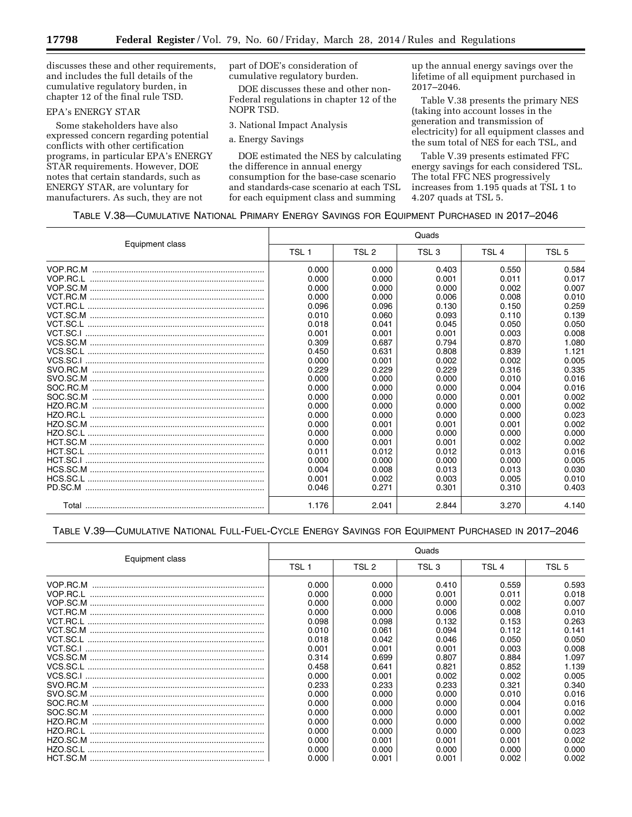discusses these and other requirements, and includes the full details of the cumulative regulatory burden, in chapter 12 of the final rule TSD.

### EPA's ENERGY STAR

Some stakeholders have also expressed concern regarding potential conflicts with other certification programs, in particular EPA's ENERGY STAR requirements. However, DOE notes that certain standards, such as ENERGY STAR, are voluntary for manufacturers. As such, they are not

part of DOE's consideration of cumulative regulatory burden.

DOE discusses these and other non-Federal regulations in chapter 12 of the NOPR TSD.

3. National Impact Analysis

a. Energy Savings

DOE estimated the NES by calculating the difference in annual energy consumption for the base-case scenario and standards-case scenario at each TSL for each equipment class and summing

up the annual energy savings over the lifetime of all equipment purchased in 2017–2046.

Table V.38 presents the primary NES (taking into account losses in the generation and transmission of electricity) for all equipment classes and the sum total of NES for each TSL, and

Table V.39 presents estimated FFC energy savings for each considered TSL. The total FFC NES progressively increases from 1.195 quads at TSL 1 to 4.207 quads at TSL 5.

### TABLE V.38—CUMULATIVE NATIONAL PRIMARY ENERGY SAVINGS FOR EQUIPMENT PURCHASED IN 2017–2046

|                 | Quads            |       |                  |                  |                  |
|-----------------|------------------|-------|------------------|------------------|------------------|
| Equipment class | TSL <sub>1</sub> | TSL 2 | TSL <sub>3</sub> | TSL <sub>4</sub> | TSL <sub>5</sub> |
|                 | 0.000            | 0.000 | 0.403            | 0.550            | 0.584            |
|                 | 0.000            | 0.000 | 0.001            | 0.011            | 0.017            |
|                 | 0.000            | 0.000 | 0.000            | 0.002            | 0.007            |
|                 | 0.000            | 0.000 | 0.006            | 0.008            | 0.010            |
|                 | 0.096            | 0.096 | 0.130            | 0.150            | 0.259            |
|                 | 0.010            | 0.060 | 0.093            | 0.110            | 0.139            |
|                 | 0.018            | 0.041 | 0.045            | 0.050            | 0.050            |
|                 | 0.001            | 0.001 | 0.001            | 0.003            | 0.008            |
|                 | 0.309            | 0.687 | 0.794            | 0.870            | 1.080            |
|                 | 0.450            | 0.631 | 0.808            | 0.839            | 1.121            |
|                 | 0.000            | 0.001 | 0.002            | 0.002            | 0.005            |
|                 | 0.229            | 0.229 | 0.229            | 0.316            | 0.335            |
|                 | 0.000            | 0.000 | 0.000            | 0.010            | 0.016            |
|                 | 0.000            | 0.000 | 0.000            | 0.004            | 0.016            |
|                 | 0.000            | 0.000 | 0.000            | 0.001            | 0.002            |
|                 | 0.000            | 0.000 | 0.000            | 0.000            | 0.002            |
|                 | 0.000            | 0.000 | 0.000            | 0.000            | 0.023            |
|                 | 0.000            | 0.001 | 0.001            | 0.001            | 0.002            |
|                 | 0.000            | 0.000 | 0.000            | 0.000            | 0.000            |
|                 | 0.000            | 0.001 | 0.001            | 0.002            | 0.002            |
|                 | 0.011            | 0.012 | 0.012            | 0.013            | 0.016            |
|                 | 0.000            | 0.000 | 0.000            | 0.000            | 0.005            |
|                 | 0.004            | 0.008 | 0.013            | 0.013            | 0.030            |
|                 | 0.001            | 0.002 | 0.003            | 0.005            | 0.010            |
|                 | 0.046            | 0.271 | 0.301            | 0.310            | 0.403            |
|                 | 1.176            | 2.041 | 2.844            | 3.270            | 4.140            |

### TABLE V.39—CUMULATIVE NATIONAL FULL-FUEL-CYCLE ENERGY SAVINGS FOR EQUIPMENT PURCHASED IN 2017–2046

|                 | Quads |       |       |       |                  |  |
|-----------------|-------|-------|-------|-------|------------------|--|
| Equipment class | TSL 1 | TSL 2 | TSL 3 | TSL 4 | TSL <sub>5</sub> |  |
|                 | 0.000 | 0.000 | 0.410 | 0.559 | 0.593            |  |
|                 | 0.000 | 0.000 | 0.001 | 0.011 | 0.018            |  |
|                 | 0.000 | 0.000 | 0.000 | 0.002 | 0.007            |  |
|                 | 0.000 | 0.000 | 0.006 | 0.008 | 0.010            |  |
|                 | 0.098 | 0.098 | 0.132 | 0.153 | 0.263            |  |
|                 | 0.010 | 0.061 | 0.094 | 0.112 | 0.141            |  |
|                 | 0.018 | 0.042 | 0.046 | 0.050 | 0.050            |  |
|                 | 0.001 | 0.001 | 0.001 | 0.003 | 0.008            |  |
|                 | 0.314 | 0.699 | 0.807 | 0.884 | 1.097            |  |
|                 | 0.458 | 0.641 | 0.821 | 0.852 | 1.139            |  |
|                 | 0.000 | 0.001 | 0.002 | 0.002 | 0.005            |  |
| SVO.RC.M        | 0.233 | 0.233 | 0.233 | 0.321 | 0.340            |  |
|                 | 0.000 | 0.000 | 0.000 | 0.010 | 0.016            |  |
| SOC.RC.M        | 0.000 | 0.000 | 0.000 | 0.004 | 0.016            |  |
| SOC.SC.M        | 0.000 | 0.000 | 0.000 | 0.001 | 0.002            |  |
|                 | 0.000 | 0.000 | 0.000 | 0.000 | 0.002            |  |
|                 | 0.000 | 0.000 | 0.000 | 0.000 | 0.023            |  |
|                 | 0.000 | 0.001 | 0.001 | 0.001 | 0.002            |  |
| HZO SC.I        | 0.000 | 0.000 | 0.000 | 0.000 | 0.000            |  |
|                 | 0.000 | 0.001 | 0.001 | 0.002 | 0.002            |  |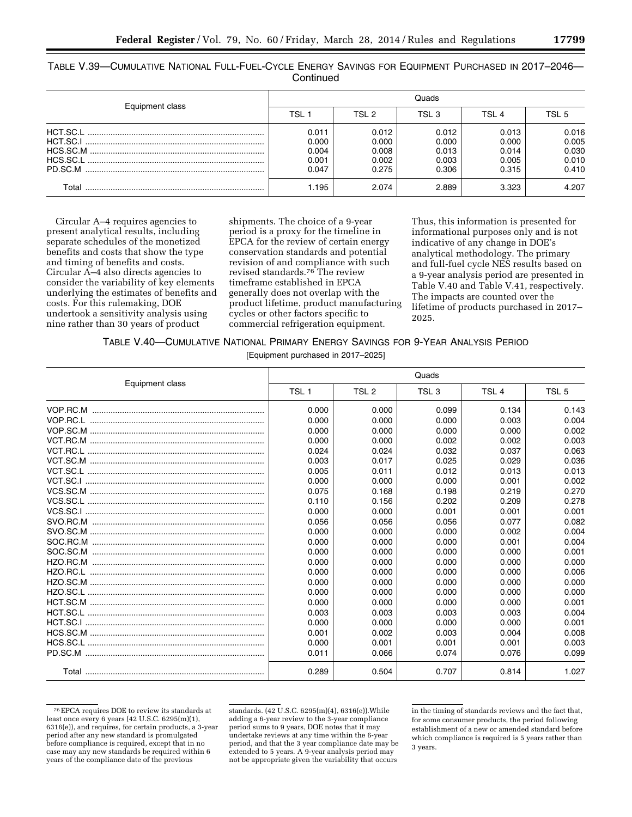TABLE V.39—CUMULATIVE NATIONAL FULL-FUEL-CYCLE ENERGY SAVINGS FOR EQUIPMENT PURCHASED IN 2017–2046— **Continued** 

| Equipment class | Quads |       |       |       |       |
|-----------------|-------|-------|-------|-------|-------|
|                 | TSL 1 | TSL 2 | TSL 3 | TSI 4 | TSL 5 |
|                 | 0.011 | 0.012 | 0.012 | 0.013 | 0.016 |
|                 | 0.000 | 0.000 | 0.000 | 0.000 | 0.005 |
|                 | 0.004 | 0.008 | 0.013 | 0.014 | 0.030 |
|                 | 0.001 | 0.002 | 0.003 | 0.005 | 0.010 |
| PD.SC.M         | 0.047 | 0.275 | 0.306 | 0.315 | 0.410 |
| Г∩tal           | .195  | 2.074 | 2.889 | 3.323 | 4.207 |

Circular A–4 requires agencies to present analytical results, including separate schedules of the monetized benefits and costs that show the type and timing of benefits and costs. Circular A–4 also directs agencies to consider the variability of key elements underlying the estimates of benefits and costs. For this rulemaking, DOE undertook a sensitivity analysis using nine rather than 30 years of product

shipments. The choice of a 9-year period is a proxy for the timeline in EPCA for the review of certain energy conservation standards and potential revision of and compliance with such revised standards.76 The review timeframe established in EPCA generally does not overlap with the product lifetime, product manufacturing cycles or other factors specific to commercial refrigeration equipment.

Thus, this information is presented for informational purposes only and is not indicative of any change in DOE's analytical methodology. The primary and full-fuel cycle NES results based on a 9-year analysis period are presented in Table V.40 and Table V.41, respectively. The impacts are counted over the lifetime of products purchased in 2017– 2025.

### TABLE V.40—CUMULATIVE NATIONAL PRIMARY ENERGY SAVINGS FOR 9-YEAR ANALYSIS PERIOD

[Equipment purchased in 2017–2025]

|                 | Quads            |                  |                  |                  |                  |
|-----------------|------------------|------------------|------------------|------------------|------------------|
| Equipment class | TSL <sub>1</sub> | TSL <sub>2</sub> | TSL <sub>3</sub> | TSL <sub>4</sub> | TSL <sub>5</sub> |
|                 | 0.000            | 0.000            | 0.099            | 0.134            | 0.143            |
|                 | 0.000            | 0.000            | 0.000            | 0.003            | 0.004            |
|                 | 0.000            | 0.000            | 0.000            | 0.000            | 0.002            |
|                 | 0.000            | 0.000            | 0.002            | 0.002            | 0.003            |
|                 | 0.024            | 0.024            | 0.032            | 0.037            | 0.063            |
|                 | 0.003            | 0.017            | 0.025            | 0.029            | 0.036            |
|                 | 0.005            | 0.011            | 0.012            | 0.013            | 0.013            |
|                 | 0.000            | 0.000            | 0.000            | 0.001            | 0.002            |
|                 | 0.075            | 0.168            | 0.198            | 0.219            | 0.270            |
|                 | 0.110            | 0.156            | 0.202            | 0.209            | 0.278            |
|                 | 0.000            | 0.000            | 0.001            | 0.001            | 0.001            |
|                 | 0.056            | 0.056            | 0.056            | 0.077            | 0.082            |
|                 | 0.000            | 0.000            | 0.000            | 0.002            | 0.004            |
|                 | 0.000            | 0.000            | 0.000            | 0.001            | 0.004            |
|                 | 0.000            | 0.000            | 0.000            | 0.000            | 0.001            |
|                 | 0.000            | 0.000            | 0.000            | 0.000            | 0.000            |
|                 | 0.000            | 0.000            | 0.000            | 0.000            | 0.006            |
|                 | 0.000            | 0.000            | 0.000            | 0.000            | 0.000            |
|                 | 0.000            | 0.000            | 0.000            | 0.000            | 0.000            |
|                 | 0.000            | 0.000            | 0.000            | 0.000            | 0.001            |
|                 | 0.003            | 0.003            | 0.003            | 0.003            | 0.004            |
|                 | 0.000            | 0.000            | 0.000            | 0.000            | 0.001            |
|                 | 0.001            | 0.002            | 0.003            | 0.004            | 0.008            |
|                 | 0.000            | 0.001            | 0.001            | 0.001            | 0.003            |
|                 | 0.011            | 0.066            | 0.074            | 0.076            | 0.099            |
|                 | 0.289            | 0.504            | 0.707            | 0.814            | 1.027            |

<sup>76</sup>EPCA requires DOE to review its standards at least once every 6 years (42 U.S.C. 6295(m)(1), 6316(e)), and requires, for certain products, a 3-year period after any new standard is promulgated before compliance is required, except that in no case may any new standards be required within 6 years of the compliance date of the previous

standards. (42 U.S.C. 6295(m)(4), 6316(e)).While adding a 6-year review to the 3-year compliance period sums to 9 years, DOE notes that it may undertake reviews at any time within the 6-year period, and that the 3 year compliance date may be extended to 5 years. A 9-year analysis period may not be appropriate given the variability that occurs

in the timing of standards reviews and the fact that, for some consumer products, the period following establishment of a new or amended standard before which compliance is required is 5 years rather than 3 years.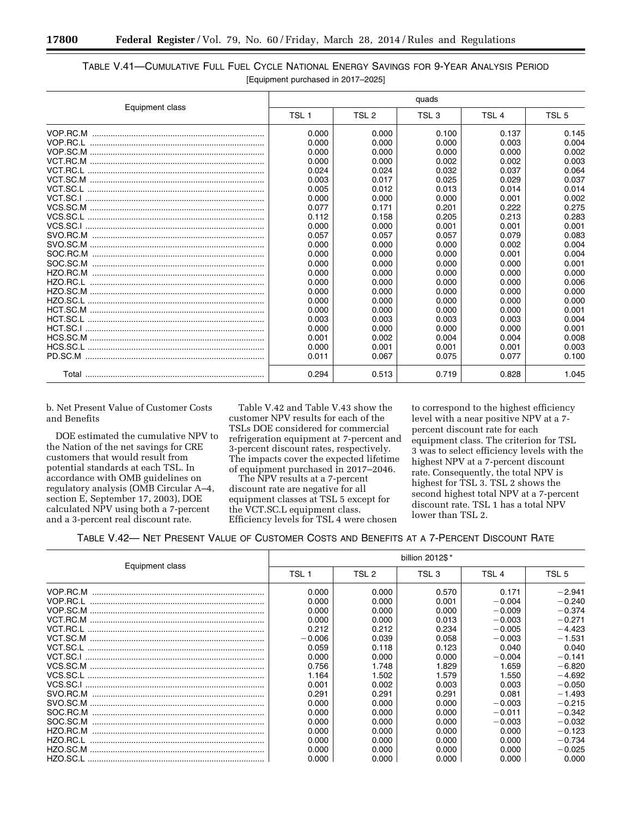|                 | quads            |       |                  |       |                  |
|-----------------|------------------|-------|------------------|-------|------------------|
| Equipment class | TSL <sub>1</sub> | TSL 2 | TSL <sub>3</sub> | TSL 4 | TSL <sub>5</sub> |
| VOP.RC.M        | 0.000            | 0.000 | 0.100            | 0.137 | 0.145            |
|                 | 0.000            | 0.000 | 0.000            | 0.003 | 0.004            |
|                 | 0.000            | 0.000 | 0.000            | 0.000 | 0.002            |
|                 | 0.000            | 0.000 | 0.002            | 0.002 | 0.003            |
|                 | 0.024            | 0.024 | 0.032            | 0.037 | 0.064            |
|                 | 0.003            | 0.017 | 0.025            | 0.029 | 0.037            |
|                 | 0.005            | 0.012 | 0.013            | 0.014 | 0.014            |
|                 | 0.000            | 0.000 | 0.000            | 0.001 | 0.002            |
|                 | 0.077            | 0.171 | 0.201            | 0.222 | 0.275            |
|                 | 0.112            | 0.158 | 0.205            | 0.213 | 0.283            |
|                 | 0.000            | 0.000 | 0.001            | 0.001 | 0.001            |
|                 | 0.057            | 0.057 | 0.057            | 0.079 | 0.083            |
|                 | 0.000            | 0.000 | 0.000            | 0.002 | 0.004            |
|                 | 0.000            | 0.000 | 0.000            | 0.001 | 0.004            |
|                 | 0.000            | 0.000 | 0.000            | 0.000 | 0.001            |
|                 | 0.000            | 0.000 | 0.000            | 0.000 | 0.000            |
|                 | 0.000            | 0.000 | 0.000            | 0.000 | 0.006            |
|                 | 0.000            | 0.000 | 0.000            | 0.000 | 0.000            |
|                 | 0.000            | 0.000 | 0.000            | 0.000 | 0.000            |
|                 | 0.000            | 0.000 | 0.000            | 0.000 | 0.001            |
|                 | 0.003            | 0.003 | 0.003            | 0.003 | 0.004            |
|                 | 0.000            | 0.000 | 0.000            | 0.000 | 0.001            |
|                 | 0.001            | 0.002 | 0.004            | 0.004 | 0.008            |
|                 | 0.000            | 0.001 | 0.001            | 0.001 | 0.003            |
|                 | 0.011            | 0.067 | 0.075            | 0.077 | 0.100            |
|                 | 0.294            | 0.513 | 0.719            | 0.828 | 1.045            |

## TABLE V.41—CUMULATIVE FULL FUEL CYCLE NATIONAL ENERGY SAVINGS FOR 9-YEAR ANALYSIS PERIOD [Equipment purchased in 2017–2025]

b. Net Present Value of Customer Costs and Benefits

DOE estimated the cumulative NPV to the Nation of the net savings for CRE customers that would result from potential standards at each TSL. In accordance with OMB guidelines on regulatory analysis (OMB Circular A–4, section E, September 17, 2003), DOE calculated NPV using both a 7-percent and a 3-percent real discount rate.

Table V.42 and Table V.43 show the customer NPV results for each of the TSLs DOE considered for commercial refrigeration equipment at 7-percent and 3-percent discount rates, respectively. The impacts cover the expected lifetime of equipment purchased in 2017–2046.

The NPV results at a 7-percent discount rate are negative for all equipment classes at TSL 5 except for the VCT.SC.L equipment class. Efficiency levels for TSL 4 were chosen

to correspond to the highest efficiency level with a near positive NPV at a 7 percent discount rate for each equipment class. The criterion for TSL 3 was to select efficiency levels with the highest NPV at a 7-percent discount rate. Consequently, the total NPV is highest for TSL 3. TSL 2 shows the second highest total NPV at a 7-percent discount rate. TSL 1 has a total NPV lower than TSL 2.

|                 | billion 2012\$* |       |                  |          |          |  |
|-----------------|-----------------|-------|------------------|----------|----------|--|
| Equipment class | TSL 1           | TSL 2 | TSL <sub>3</sub> | TSL 4    | TSL 5    |  |
| VOP.RC.M        | 0.000           | 0.000 | 0.570            | 0.171    | $-2.941$ |  |
|                 | 0.000           | 0.000 | 0.001            | $-0.004$ | $-0.240$ |  |
|                 | 0.000           | 0.000 | 0.000            | $-0.009$ | $-0.374$ |  |
|                 | 0.000           | 0.000 | 0.013            | $-0.003$ | $-0.271$ |  |
|                 | 0.212           | 0.212 | 0.234            | $-0.005$ | $-4.423$ |  |
|                 | $-0.006$        | 0.039 | 0.058            | $-0.003$ | $-1.531$ |  |
|                 | 0.059           | 0.118 | 0.123            | 0.040    | 0.040    |  |
|                 | 0.000           | 0.000 | 0.000            | $-0.004$ | $-0.141$ |  |
|                 | 0.756           | 1.748 | 1.829            | 1.659    | $-6.820$ |  |
|                 | 1.164           | 1.502 | 1.579            | 1.550    | $-4.692$ |  |
|                 | 0.001           | 0.002 | 0.003            | 0.003    | $-0.050$ |  |
|                 | 0.291           | 0.291 | 0.291            | 0.081    | $-1.493$ |  |
|                 | 0.000           | 0.000 | 0.000            | $-0.003$ | $-0.215$ |  |
| SOC.RC.M        | 0.000           | 0.000 | 0.000            | $-0.011$ | $-0.342$ |  |
| SOC.SC.M        | 0.000           | 0.000 | 0.000            | $-0.003$ | $-0.032$ |  |
| HZO.RC.M        | 0.000           | 0.000 | 0.000            | 0.000    | $-0.123$ |  |
|                 | 0.000           | 0.000 | 0.000            | 0.000    | $-0.734$ |  |
|                 | 0.000           | 0.000 | 0.000            | 0.000    | $-0.025$ |  |
|                 | 0.000           | 0.000 | 0.000            | 0.000    | 0.000    |  |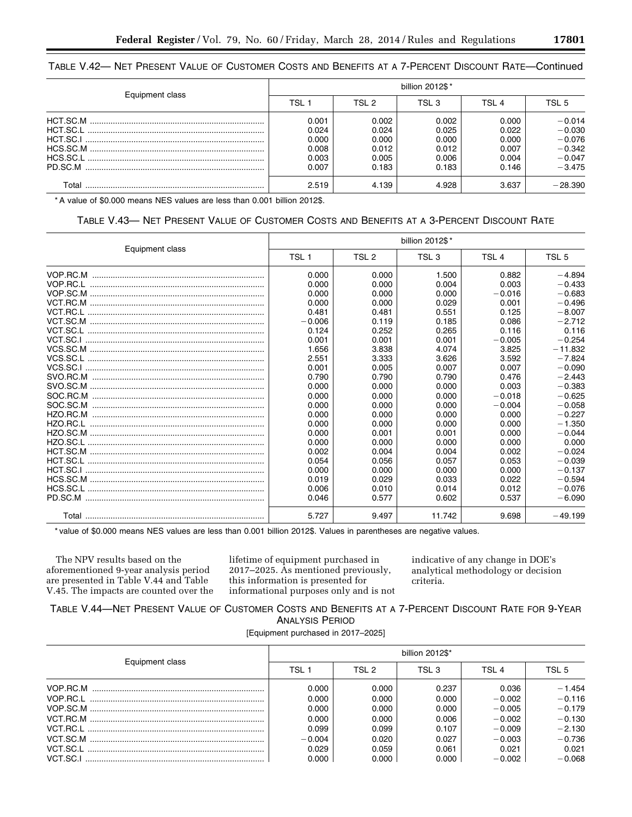## TABLE V.42— NET PRESENT VALUE OF CUSTOMER COSTS AND BENEFITS AT A 7-PERCENT DISCOUNT RATE—Continued

| Equipment class | billion 2012\$* |       |       |       |           |
|-----------------|-----------------|-------|-------|-------|-----------|
|                 | TSL :           | TSL 2 | TSL 3 | TSI 4 | TSL 5     |
|                 | 0.001           | 0.002 | 0.002 | 0.000 | $-0.014$  |
|                 | 0.024           | 0.024 | 0.025 | 0.022 | $-0.030$  |
|                 | 0.000           | 0.000 | 0.000 | 0.000 | $-0.076$  |
|                 | 0.008           | 0.012 | 0.012 | 0.007 | $-0.342$  |
|                 | 0.003           | 0.005 | 0.006 | 0.004 | $-0.047$  |
|                 | 0.007           | 0.183 | 0.183 | 0.146 | $-3.475$  |
| Total           | 2.519           | 4.139 | 4.928 | 3.637 | $-28.390$ |

\* A value of \$0.000 means NES values are less than 0.001 billion 2012\$.

## TABLE V.43— NET PRESENT VALUE OF CUSTOMER COSTS AND BENEFITS AT A 3-PERCENT DISCOUNT RATE

|                                                                                                                                                                                                                                                                                                                                               | billion 2012\$*  |                  |                  |                  |                  |
|-----------------------------------------------------------------------------------------------------------------------------------------------------------------------------------------------------------------------------------------------------------------------------------------------------------------------------------------------|------------------|------------------|------------------|------------------|------------------|
| Equipment class                                                                                                                                                                                                                                                                                                                               | TSL <sub>1</sub> | TSL <sub>2</sub> | TSL <sub>3</sub> | TSL <sub>4</sub> | TSL <sub>5</sub> |
|                                                                                                                                                                                                                                                                                                                                               | 0.000            | 0.000            | 1.500            | 0.882            | $-4.894$         |
|                                                                                                                                                                                                                                                                                                                                               | 0.000            | 0.000            | 0.004            | 0.003            | $-0.433$         |
| $\verb"VOP.SC.M"  \verb""  \verb""  \verb""  \verb""  \verb""  \verb""  \verb""  \verb""  \verb""  \verb""  \verb""  \verb""  \verb""  \verb""  \verb""  \verb""  \verb""  \verb""  \verb""  \verb""  \verb""  \verb""  \verb""  \verb""  \verb""  \verb""  \verb""  \verb""  \verb""  \verb""  \verb""  \verb""  \verb""  \verb""  \verb"" $ | 0.000            | 0.000            | 0.000            | $-0.016$         | $-0.683$         |
|                                                                                                                                                                                                                                                                                                                                               | 0.000            | 0.000            | 0.029            | 0.001            | $-0.496$         |
|                                                                                                                                                                                                                                                                                                                                               | 0.481            | 0.481            | 0.551            | 0.125            | $-8.007$         |
|                                                                                                                                                                                                                                                                                                                                               | $-0.006$         | 0.119            | 0.185            | 0.086            | $-2.712$         |
|                                                                                                                                                                                                                                                                                                                                               | 0.124            | 0.252            | 0.265            | 0.116            | 0.116            |
|                                                                                                                                                                                                                                                                                                                                               | 0.001            | 0.001            | 0.001            | $-0.005$         | $-0.254$         |
|                                                                                                                                                                                                                                                                                                                                               | 1.656            | 3.838            | 4.074            | 3.825            | $-11.832$        |
|                                                                                                                                                                                                                                                                                                                                               | 2.551            | 3.333            | 3.626            | 3.592            | $-7.824$         |
|                                                                                                                                                                                                                                                                                                                                               | 0.001            | 0.005            | 0.007            | 0.007            | $-0.090$         |
|                                                                                                                                                                                                                                                                                                                                               | 0.790            | 0.790            | 0.790            | 0.476            | $-2.443$         |
|                                                                                                                                                                                                                                                                                                                                               | 0.000            | 0.000            | 0.000            | 0.003            | $-0.383$         |
|                                                                                                                                                                                                                                                                                                                                               | 0.000            | 0.000            | 0.000            | $-0.018$         | $-0.625$         |
|                                                                                                                                                                                                                                                                                                                                               | 0.000            | 0.000            | 0.000            | $-0.004$         | $-0.058$         |
|                                                                                                                                                                                                                                                                                                                                               | 0.000            | 0.000            | 0.000            | 0.000            | $-0.227$         |
|                                                                                                                                                                                                                                                                                                                                               | 0.000            | 0.000            | 0.000            | 0.000            | $-1.350$         |
|                                                                                                                                                                                                                                                                                                                                               | 0.000            | 0.001            | 0.001            | 0.000            | $-0.044$         |
|                                                                                                                                                                                                                                                                                                                                               | 0.000            | 0.000            | 0.000            | 0.000            | 0.000            |
|                                                                                                                                                                                                                                                                                                                                               | 0.002            | 0.004            | 0.004            | 0.002            | $-0.024$         |
|                                                                                                                                                                                                                                                                                                                                               | 0.054            | 0.056            | 0.057            | 0.053            | $-0.039$         |
|                                                                                                                                                                                                                                                                                                                                               | 0.000            | 0.000            | 0.000            | 0.000            | $-0.137$         |
|                                                                                                                                                                                                                                                                                                                                               | 0.019            | 0.029            | 0.033            | 0.022            | $-0.594$         |
|                                                                                                                                                                                                                                                                                                                                               | 0.006            | 0.010            | 0.014            | 0.012            | $-0.076$         |
|                                                                                                                                                                                                                                                                                                                                               | 0.046            | 0.577            | 0.602            | 0.537            | $-6.090$         |
|                                                                                                                                                                                                                                                                                                                                               | 5.727            | 9.497            | 11.742           | 9.698            | $-49.199$        |

\* value of \$0.000 means NES values are less than 0.001 billion 2012\$. Values in parentheses are negative values.

The NPV results based on the aforementioned 9-year analysis period are presented in Table V.44 and Table V.45. The impacts are counted over the lifetime of equipment purchased in 2017–2025. As mentioned previously, this information is presented for informational purposes only and is not indicative of any change in DOE's analytical methodology or decision criteria.

### TABLE V.44—NET PRESENT VALUE OF CUSTOMER COSTS AND BENEFITS AT A 7-PERCENT DISCOUNT RATE FOR 9-YEAR ANALYSIS PERIOD

[Equipment purchased in 2017–2025]

| Equipment class | billion 2012\$* |       |       |          |          |
|-----------------|-----------------|-------|-------|----------|----------|
|                 | TSI 1           | TSI 2 | TSI 3 | TSI 4    | TSI 5    |
|                 | 0.000           | 0.000 | 0.237 | 0.036    | $-1.454$ |
|                 | 0.000           | 0.000 | 0.000 | $-0.002$ | $-0.116$ |
|                 | 0.000           | 0.000 | 0.000 | $-0.005$ | $-0.179$ |
|                 | 0.000           | 0.000 | 0.006 | $-0.002$ | $-0.130$ |
|                 | 0.099           | 0.099 | 0.107 | $-0.009$ | $-2.130$ |
|                 | $-0.004$        | 0.020 | 0.027 | $-0.003$ | $-0.736$ |
|                 | 0.029           | 0.059 | 0.061 | 0.021    | 0.021    |
|                 | 0.000           | 0.000 | 0.000 | $-0.002$ | $-0.068$ |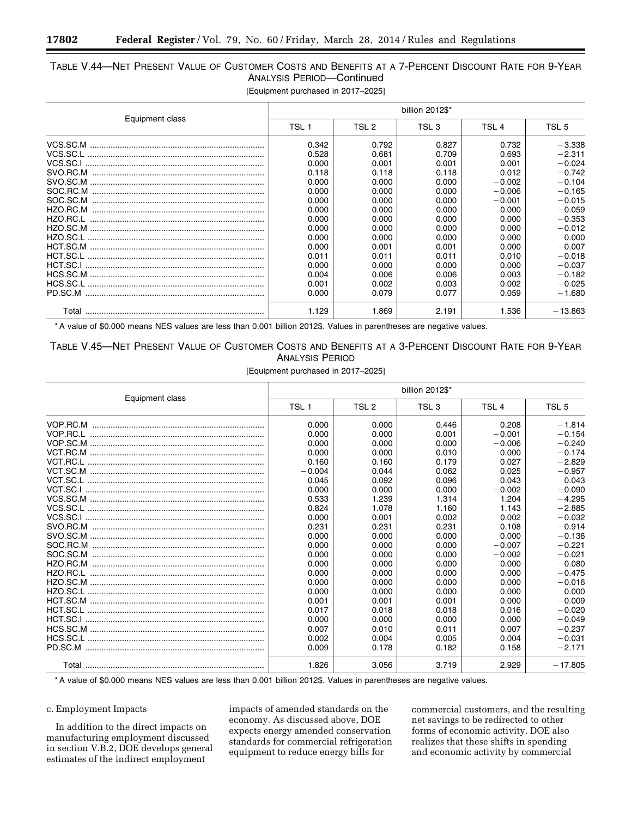# TABLE V.44—NET PRESENT VALUE OF CUSTOMER COSTS AND BENEFITS AT A 7-PERCENT DISCOUNT RATE FOR 9-YEAR ANALYSIS PERIOD—Continued

[Equipment purchased in 2017–2025]

|                 | billion 2012\$*                                                                                                   |                                                                                                                   |                                                                                                                   |                                                                                                                            |                                                                                                                                                       |
|-----------------|-------------------------------------------------------------------------------------------------------------------|-------------------------------------------------------------------------------------------------------------------|-------------------------------------------------------------------------------------------------------------------|----------------------------------------------------------------------------------------------------------------------------|-------------------------------------------------------------------------------------------------------------------------------------------------------|
| Equipment class | TSL <sub>1</sub>                                                                                                  | TSL 2                                                                                                             | TSL <sub>3</sub>                                                                                                  | TSL <sub>4</sub>                                                                                                           | TSL <sub>5</sub>                                                                                                                                      |
| SOC.SC.M        | 0.342<br>0.528<br>0.000<br>0.118<br>0.000<br>0.000<br>0.000<br>0.000<br>0.000<br>0.000<br>0.000<br>0.000<br>0.011 | 0.792<br>0.681<br>0.001<br>0.118<br>0.000<br>0.000<br>0.000<br>0.000<br>0.000<br>0.000<br>0.000<br>0.001<br>0.011 | 0.827<br>0.709<br>0.001<br>0.118<br>0.000<br>0.000<br>0.000<br>0.000<br>0.000<br>0.000<br>0.000<br>0.001<br>0.011 | 0.732<br>0.693<br>0.001<br>0.012<br>$-0.002$<br>$-0.006$<br>$-0.001$<br>0.000<br>0.000<br>0.000<br>0.000<br>0.000<br>0.010 | $-3.338$<br>$-2.311$<br>$-0.024$<br>$-0.742$<br>$-0.104$<br>$-0.165$<br>$-0.015$<br>$-0.059$<br>$-0.353$<br>$-0.012$<br>0.000<br>$-0.007$<br>$-0.018$ |
| PD.SC.M         | 0.000<br>0.004<br>0.001<br>0.000                                                                                  | 0.000<br>0.006<br>0.002<br>0.079                                                                                  | 0.000<br>0.006<br>0.003<br>0.077                                                                                  | 0.000<br>0.003<br>0.002<br>0.059                                                                                           | $-0.037$<br>$-0.182$<br>$-0.025$<br>$-1.680$                                                                                                          |
|                 | 1.129                                                                                                             | 1.869                                                                                                             | 2.191                                                                                                             | 1.536                                                                                                                      | $-13.863$                                                                                                                                             |

\* A value of \$0.000 means NES values are less than 0.001 billion 2012\$. Values in parentheses are negative values.

## TABLE V.45—NET PRESENT VALUE OF CUSTOMER COSTS AND BENEFITS AT A 3-PERCENT DISCOUNT RATE FOR 9-YEAR ANALYSIS PERIOD

[Equipment purchased in 2017–2025]

|                 | billion 2012\$*  |                  |                  |                  |                  |
|-----------------|------------------|------------------|------------------|------------------|------------------|
| Equipment class | TSL <sub>1</sub> | TSL <sub>2</sub> | TSL <sub>3</sub> | TSL <sub>4</sub> | TSL <sub>5</sub> |
|                 | 0.000            | 0.000            | 0.446            | 0.208            | $-1.814$         |
|                 | 0.000            | 0.000            | 0.001            | $-0.001$         | $-0.154$         |
|                 | 0.000            | 0.000            | 0.000            | $-0.006$         | $-0.240$         |
|                 | 0.000            | 0.000            | 0.010            | 0.000            | $-0.174$         |
|                 | 0.160            | 0.160            | 0.179            | 0.027            | $-2.829$         |
|                 | $-0.004$         | 0.044            | 0.062            | 0.025            | $-0.957$         |
|                 | 0.045            | 0.092            | 0.096            | 0.043            | 0.043            |
|                 | 0.000            | 0.000            | 0.000            | $-0.002$         | $-0.090$         |
|                 | 0.533            | 1.239            | 1.314            | 1.204            | $-4.295$         |
|                 | 0.824            | 1.078            | 1.160            | 1.143            | $-2.885$         |
|                 | 0.000            | 0.001            | 0.002            | 0.002            | $-0.032$         |
|                 | 0.231            | 0.231            | 0.231            | 0.108            | $-0.914$         |
|                 | 0.000            | 0.000            | 0.000            | 0.000            | $-0.136$         |
|                 | 0.000            | 0.000            | 0.000            | $-0.007$         | $-0.221$         |
|                 | 0.000            | 0.000            | 0.000            | $-0.002$         | $-0.021$         |
|                 | 0.000            | 0.000            | 0.000            | 0.000            | $-0.080$         |
|                 | 0.000            | 0.000            | 0.000            | 0.000            | $-0.475$         |
|                 | 0.000            | 0.000            | 0.000            | 0.000            | $-0.016$         |
|                 | 0.000            | 0.000            | 0.000            | 0.000            | 0.000            |
|                 | 0.001            | 0.001            | 0.001            | 0.000            | $-0.009$         |
|                 | 0.017            | 0.018            | 0.018            | 0.016            | $-0.020$         |
|                 | 0.000            | 0.000            | 0.000            | 0.000            | $-0.049$         |
|                 | 0.007            | 0.010            | 0.011            | 0.007            | $-0.237$         |
|                 | 0.002            | 0.004            | 0.005            | 0.004            | $-0.031$         |
|                 | 0.009            | 0.178            | 0.182            | 0.158            | $-2.171$         |
|                 | 1.826            | 3.056            | 3.719            | 2.929            | $-17.805$        |

\* A value of \$0.000 means NES values are less than 0.001 billion 2012\$. Values in parentheses are negative values.

### c. Employment Impacts

In addition to the direct impacts on manufacturing employment discussed in section V.B.2, DOE develops general estimates of the indirect employment

impacts of amended standards on the economy. As discussed above, DOE expects energy amended conservation standards for commercial refrigeration equipment to reduce energy bills for

commercial customers, and the resulting net savings to be redirected to other forms of economic activity. DOE also realizes that these shifts in spending and economic activity by commercial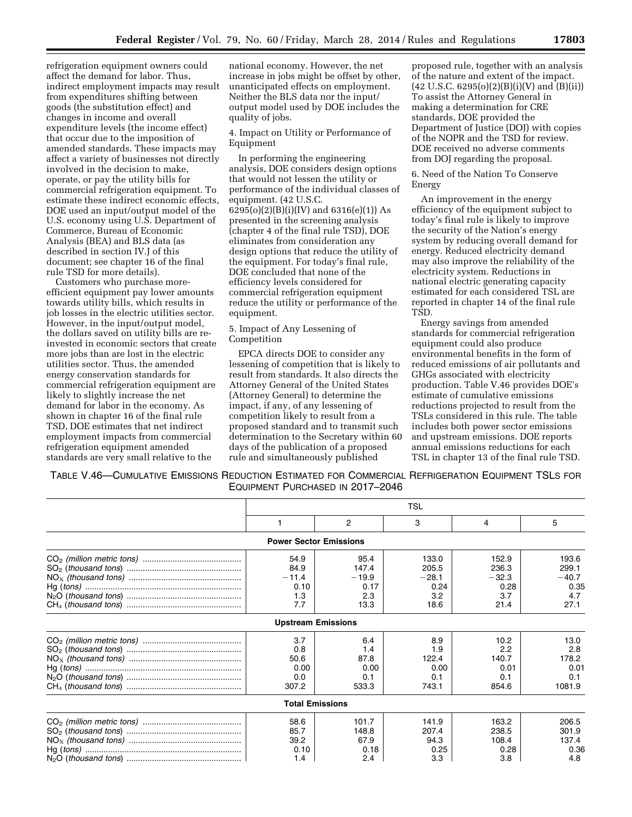refrigeration equipment owners could affect the demand for labor. Thus, indirect employment impacts may result from expenditures shifting between goods (the substitution effect) and changes in income and overall expenditure levels (the income effect) that occur due to the imposition of amended standards. These impacts may affect a variety of businesses not directly involved in the decision to make, operate, or pay the utility bills for commercial refrigeration equipment. To estimate these indirect economic effects, DOE used an input/output model of the U.S. economy using U.S. Department of Commerce, Bureau of Economic Analysis (BEA) and BLS data (as described in section IV.J of this document; see chapter 16 of the final rule TSD for more details).

Customers who purchase moreefficient equipment pay lower amounts towards utility bills, which results in job losses in the electric utilities sector. However, in the input/output model, the dollars saved on utility bills are reinvested in economic sectors that create more jobs than are lost in the electric utilities sector. Thus, the amended energy conservation standards for commercial refrigeration equipment are likely to slightly increase the net demand for labor in the economy. As shown in chapter 16 of the final rule TSD, DOE estimates that net indirect employment impacts from commercial refrigeration equipment amended standards are very small relative to the

national economy. However, the net increase in jobs might be offset by other, unanticipated effects on employment. Neither the BLS data nor the input/ output model used by DOE includes the quality of jobs.

4. Impact on Utility or Performance of Equipment

In performing the engineering analysis, DOE considers design options that would not lessen the utility or performance of the individual classes of equipment. (42 U.S.C. 6295(o)(2)(B)(i)(IV) and 6316(e)(1)) As presented in the screening analysis (chapter 4 of the final rule TSD), DOE eliminates from consideration any design options that reduce the utility of the equipment. For today's final rule, DOE concluded that none of the efficiency levels considered for commercial refrigeration equipment reduce the utility or performance of the equipment.

#### 5. Impact of Any Lessening of Competition

EPCA directs DOE to consider any lessening of competition that is likely to result from standards. It also directs the Attorney General of the United States (Attorney General) to determine the impact, if any, of any lessening of competition likely to result from a proposed standard and to transmit such determination to the Secretary within 60 days of the publication of a proposed rule and simultaneously published

proposed rule, together with an analysis of the nature and extent of the impact.  $(42 \text{ U.S.C. } 6295(0)(2)(B)(i)(V)$  and  $(B)(ii))$ To assist the Attorney General in making a determination for CRE standards, DOE provided the Department of Justice (DOJ) with copies of the NOPR and the TSD for review. DOE received no adverse comments from DOJ regarding the proposal.

6. Need of the Nation To Conserve Energy

An improvement in the energy efficiency of the equipment subject to today's final rule is likely to improve the security of the Nation's energy system by reducing overall demand for energy. Reduced electricity demand may also improve the reliability of the electricity system. Reductions in national electric generating capacity estimated for each considered TSL are reported in chapter 14 of the final rule TSD.

Energy savings from amended standards for commercial refrigeration equipment could also produce environmental benefits in the form of reduced emissions of air pollutants and GHGs associated with electricity production. Table V.46 provides DOE's estimate of cumulative emissions reductions projected to result from the TSLs considered in this rule. The table includes both power sector emissions and upstream emissions. DOE reports annual emissions reductions for each TSL in chapter 13 of the final rule TSD.

TABLE V.46—CUMULATIVE EMISSIONS REDUCTION ESTIMATED FOR COMMERCIAL REFRIGERATION EQUIPMENT TSLS FOR EQUIPMENT PURCHASED IN 2017–2046

| <b>TSL</b>                    |         |         |         |         |
|-------------------------------|---------|---------|---------|---------|
|                               | 2       | 3       | 4       | 5       |
| <b>Power Sector Emissions</b> |         |         |         |         |
| 54.9                          | 95.4    | 133.0   | 152.9   | 193.6   |
| 84.9                          | 147.4   | 205.5   | 236.3   | 299.1   |
| $-11.4$                       | $-19.9$ | $-28.1$ | $-32.3$ | $-40.7$ |
| 0.10                          | 0.17    | 0.24    | 0.28    | 0.35    |
| 1.3                           | 2.3     | 3.2     | 3.7     | 4.7     |
| 7.7                           | 13.3    | 18.6    | 21.4    | 27.1    |
| <b>Upstream Emissions</b>     |         |         |         |         |
| 3.7                           | 6.4     | 8.9     | 10.2    | 13.0    |
| 0.8                           | 1.4     | 1.9     | 2.2     | 2.8     |
| 50.6                          | 87.8    | 122.4   | 140.7   | 178.2   |
| 0.00                          | 0.00    | 0.00    | 0.01    | 0.01    |
| 0.0                           | 0.1     | 0.1     | 0.1     | 0.1     |
| 307.2                         | 533.3   | 743.1   | 854.6   | 1081.9  |
| <b>Total Emissions</b>        |         |         |         |         |
| 58.6                          | 101.7   | 141.9   | 163.2   | 206.5   |
| 85.7                          | 148.8   | 207.4   | 238.5   | 301.9   |
| 39.2                          | 67.9    | 94.3    | 108.4   | 137.4   |
| 0.10                          | 0.18    | 0.25    | 0.28    | 0.36    |
| 1.4                           | 2.4     | 3.3     | 3.8     | 4.8     |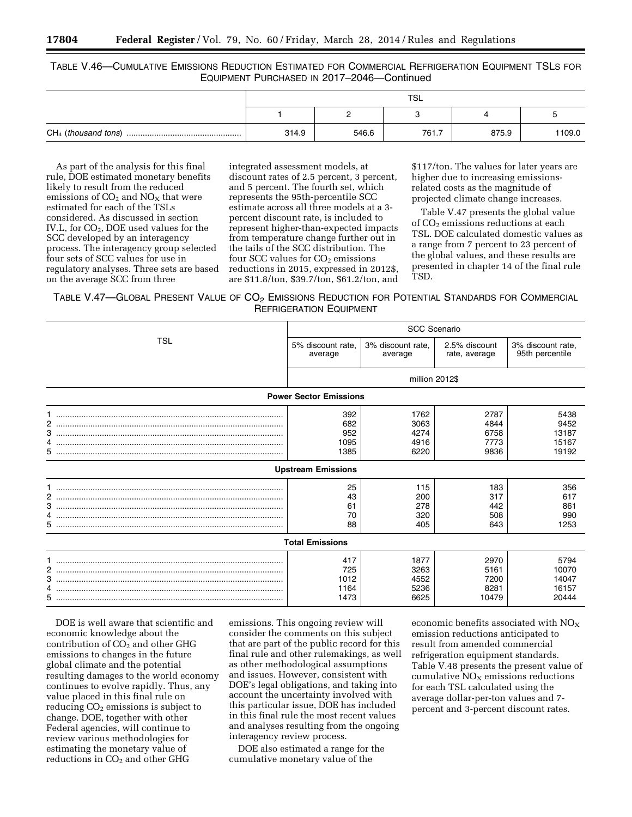### TABLE V.46—CUMULATIVE EMISSIONS REDUCTION ESTIMATED FOR COMMERCIAL REFRIGERATION EQUIPMENT TSLS FOR EQUIPMENT PURCHASED IN 2017–2046—Continued

| <b>TSL</b> |       |       |       |        |
|------------|-------|-------|-------|--------|
|            | -     |       |       |        |
| 314.9      | 546.6 | 761.7 | 875.9 | 1109.0 |

As part of the analysis for this final rule, DOE estimated monetary benefits likely to result from the reduced emissions of  $CO<sub>2</sub>$  and  $NO<sub>X</sub>$  that were estimated for each of the TSLs considered. As discussed in section IV.L, for CO<sub>2</sub>, DOE used values for the SCC developed by an interagency process. The interagency group selected four sets of SCC values for use in regulatory analyses. Three sets are based on the average SCC from three

integrated assessment models, at discount rates of 2.5 percent, 3 percent, and 5 percent. The fourth set, which represents the 95th-percentile SCC estimate across all three models at a 3 percent discount rate, is included to represent higher-than-expected impacts from temperature change further out in the tails of the SCC distribution. The four SCC values for  $CO<sub>2</sub>$  emissions reductions in 2015, expressed in 2012\$, are \$11.8/ton, \$39.7/ton, \$61.2/ton, and \$117/ton. The values for later years are higher due to increasing emissionsrelated costs as the magnitude of projected climate change increases.

Table V.47 presents the global value of CO<sub>2</sub> emissions reductions at each TSL. DOE calculated domestic values as a range from 7 percent to 23 percent of the global values, and these results are presented in chapter 14 of the final rule TSD.

## TABLE V.47—GLOBAL PRESENT VALUE OF CO2 EMISSIONS REDUCTION FOR POTENTIAL STANDARDS FOR COMMERCIAL REFRIGERATION EQUIPMENT

|                               | <b>SCC Scenario</b>                                                                          |                                                                         |                                                                         |                                                                             |  |  |  |
|-------------------------------|----------------------------------------------------------------------------------------------|-------------------------------------------------------------------------|-------------------------------------------------------------------------|-----------------------------------------------------------------------------|--|--|--|
| <b>TSL</b>                    | 5% discount rate.<br>average                                                                 | 3% discount rate.<br>average                                            | 2.5% discount<br>rate, average                                          | 3% discount rate,<br>95th percentile                                        |  |  |  |
|                               |                                                                                              | million 2012\$                                                          |                                                                         |                                                                             |  |  |  |
| <b>Power Sector Emissions</b> |                                                                                              |                                                                         |                                                                         |                                                                             |  |  |  |
| 2<br>4<br>5.<br>2<br>3<br>4   | 392<br>682<br>952<br>1095<br>1385<br><b>Upstream Emissions</b><br>25<br>43<br>61<br>70<br>88 | 1762<br>3063<br>4274<br>4916<br>6220<br>115<br>200<br>278<br>320<br>405 | 2787<br>4844<br>6758<br>7773<br>9836<br>183<br>317<br>442<br>508<br>643 | 5438<br>9452<br>13187<br>15167<br>19192<br>356<br>617<br>861<br>990<br>1253 |  |  |  |
| <b>Total Emissions</b>        |                                                                                              |                                                                         |                                                                         |                                                                             |  |  |  |
| 2<br>3<br>4<br>5.             | 417<br>725<br>1012<br>1164<br>1473                                                           | 1877<br>3263<br>4552<br>5236<br>6625                                    | 2970<br>5161<br>7200<br>8281<br>10479                                   | 5794<br>10070<br>14047<br>16157<br>20444                                    |  |  |  |

DOE is well aware that scientific and economic knowledge about the contribution of  $CO<sub>2</sub>$  and other GHG emissions to changes in the future global climate and the potential resulting damages to the world economy continues to evolve rapidly. Thus, any value placed in this final rule on reducing  $CO<sub>2</sub>$  emissions is subject to change. DOE, together with other Federal agencies, will continue to review various methodologies for estimating the monetary value of reductions in CO<sub>2</sub> and other GHG

emissions. This ongoing review will consider the comments on this subject that are part of the public record for this final rule and other rulemakings, as well as other methodological assumptions and issues. However, consistent with DOE's legal obligations, and taking into account the uncertainty involved with this particular issue, DOE has included in this final rule the most recent values and analyses resulting from the ongoing interagency review process.

DOE also estimated a range for the cumulative monetary value of the

economic benefits associated with  $NO<sub>x</sub>$ emission reductions anticipated to result from amended commercial refrigeration equipment standards. Table V.48 presents the present value of cumulative  $NO<sub>x</sub>$  emissions reductions for each TSL calculated using the average dollar-per-ton values and 7 percent and 3-percent discount rates.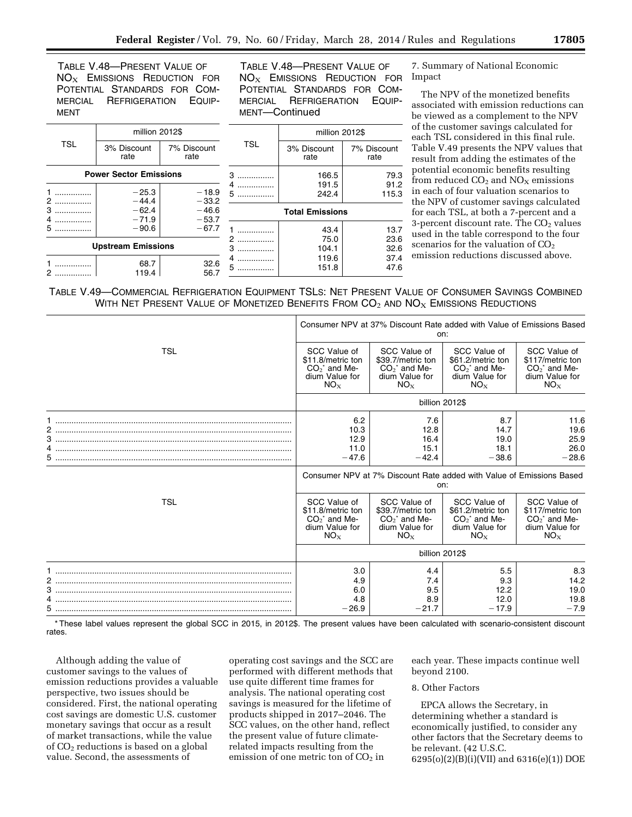TABLE V.48—PRESENT VALUE OF  $NO<sub>X</sub>$  EMISSIONS REDUCTION FOR POTENTIAL STANDARDS FOR COM-MERCIAL REFRIGERATION EQUIP-MENT

TABLE V.48—PRESENT VALUE OF NO<sub>X</sub> EMISSIONS REDUCTION FOR POTENTIAL STANDARDS FOR COM-MERCIAL REFRIGERATION EQUIP-MENT—Continued

|                           | million 2012\$                |                     |               | million 2012\$         |                     |  |
|---------------------------|-------------------------------|---------------------|---------------|------------------------|---------------------|--|
| <b>TSL</b>                | 3% Discount<br>rate           | 7% Discount<br>rate | <b>TSL</b>    | 3% Discount<br>rate    | 7% Discount<br>rate |  |
|                           | <b>Power Sector Emissions</b> |                     | $3$           | 166.5                  | 79.3                |  |
|                           | $-25.3$                       | $-18.9$             | .<br>$5$      | 191.5<br>242.4         | 91.2<br>115.3       |  |
| $\sim$ 200<br>3           | $-44.4$<br>$-62.4$            | $-33.2$<br>$-46.6$  |               | <b>Total Emissions</b> |                     |  |
| .<br>5.<br>.              | $-71.9$<br>$-90.6$            | $-53.7$<br>$-67.7$  |               | 43.4                   | 13.7                |  |
| <b>Upstream Emissions</b> |                               | $\mathcal{P}$<br>3  | 75.0<br>104.1 | 23.6<br>32.6           |                     |  |
|                           | 68.7<br>119.4                 | 32.6<br>56.7        | 5             | 119.6<br>151.8         | 37.4<br>47.6        |  |

7. Summary of National Economic Impact

The NPV of the monetized benefits associated with emission reductions can be viewed as a complement to the NPV of the customer savings calculated for each TSL considered in this final rule. Table V.49 presents the NPV values that result from adding the estimates of the potential economic benefits resulting from reduced  $CO<sub>2</sub>$  and  $NO<sub>X</sub>$  emissions in each of four valuation scenarios to the NPV of customer savings calculated for each TSL, at both a 7-percent and a 3-percent discount rate. The  $CO<sub>2</sub>$  values used in the table correspond to the four scenarios for the valuation of CO<sub>2</sub> emission reductions discussed above.

TABLE V.49—COMMERCIAL REFRIGERATION EQUIPMENT TSLS: NET PRESENT VALUE OF CONSUMER SAVINGS COMBINED WITH NET PRESENT VALUE OF MONETIZED BENEFITS FROM  $CO<sub>2</sub>$  and  $NO<sub>X</sub>$  Emissions Reductions

|            | Consumer NPV at 37% Discount Rate added with Value of Emissions Based<br>on:            |                                                                                  |                                                                                         |                                                                                        |  |
|------------|-----------------------------------------------------------------------------------------|----------------------------------------------------------------------------------|-----------------------------------------------------------------------------------------|----------------------------------------------------------------------------------------|--|
| <b>TSL</b> | SCC Value of<br>\$11.8/metric ton<br>$CO2$ and Me-<br>dium Value for<br>$NO_{X}$        | SCC Value of<br>\$39.7/metric ton<br>$CO2$ and Me-<br>dium Value for<br>$NO_{X}$ | SCC Value of<br>\$61.2/metric ton<br>$CO2$ and Me-<br>dium Value for<br>$NO_{X}$        | SCC Value of<br>\$117/metric ton<br>$CO2$ and Me-<br>dium Value for<br>NO <sub>x</sub> |  |
|            |                                                                                         | billion 2012\$                                                                   |                                                                                         |                                                                                        |  |
|            | 6.2<br>10.3<br>12.9<br>11.0<br>$-47.6$                                                  | 7.6<br>12.8<br>16.4<br>15.1<br>$-42.4$                                           | 8.7<br>14.7<br>19.0<br>18.1<br>$-38.6$                                                  | 11.6<br>19.6<br>25.9<br>26.0<br>$-28.6$                                                |  |
|            | Consumer NPV at 7% Discount Rate added with Value of Emissions Based<br>on:             |                                                                                  |                                                                                         |                                                                                        |  |
| TSL        | SCC Value of<br>\$11.8/metric ton<br>$CO2$ and Me-<br>dium Value for<br>NO <sub>x</sub> | SCC Value of<br>\$39.7/metric ton<br>$CO2$ and Me-<br>dium Value for<br>$NO_{X}$ | SCC Value of<br>\$61.2/metric ton<br>$CO2$ and Me-<br>dium Value for<br>NO <sub>x</sub> | SCC Value of<br>\$117/metric ton<br>$CO2$ and Me-<br>dium Value for<br>NO <sub>x</sub> |  |
|            |                                                                                         | billion 2012\$                                                                   |                                                                                         |                                                                                        |  |
| 2          | 3.0<br>4.9<br>6.0<br>4.8                                                                | 4.4<br>7.4<br>9.5<br>8.9                                                         | 5.5<br>9.3<br>12.2<br>12.0                                                              | 8.3<br>14.2<br>19.0<br>19.8                                                            |  |
|            | $-26.9$                                                                                 | $-21.7$                                                                          | $-17.9$                                                                                 | $-7.9$                                                                                 |  |

\* These label values represent the global SCC in 2015, in 2012\$. The present values have been calculated with scenario-consistent discount rates.

Although adding the value of customer savings to the values of emission reductions provides a valuable perspective, two issues should be considered. First, the national operating cost savings are domestic U.S. customer monetary savings that occur as a result of market transactions, while the value of  $CO<sub>2</sub>$  reductions is based on a global value. Second, the assessments of

operating cost savings and the SCC are performed with different methods that use quite different time frames for analysis. The national operating cost savings is measured for the lifetime of products shipped in 2017–2046. The SCC values, on the other hand, reflect the present value of future climaterelated impacts resulting from the emission of one metric ton of  $CO<sub>2</sub>$  in

each year. These impacts continue well beyond 2100.

#### 8. Other Factors

EPCA allows the Secretary, in determining whether a standard is economically justified, to consider any other factors that the Secretary deems to be relevant. (42 U.S.C. 6295(o)(2)(B)(i)(VII) and 6316(e)(1)) DOE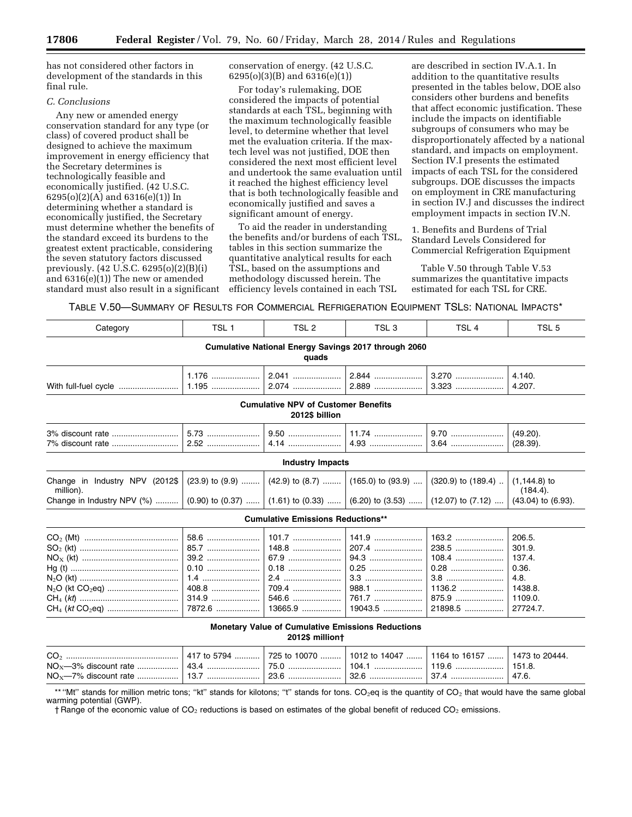has not considered other factors in development of the standards in this final rule.

#### *C. Conclusions*

Any new or amended energy conservation standard for any type (or class) of covered product shall be designed to achieve the maximum improvement in energy efficiency that the Secretary determines is technologically feasible and economically justified. (42 U.S.C. 6295(o)(2)(A) and 6316(e)(1)) In determining whether a standard is economically justified, the Secretary must determine whether the benefits of the standard exceed its burdens to the greatest extent practicable, considering the seven statutory factors discussed previously. (42 U.S.C. 6295(o)(2)(B)(i) and 6316(e)(1)) The new or amended standard must also result in a significant

N2O (kt CO2eq) ............................... 408.8 ..................... 709.4 ..................... 988.1 ..................... 1136.2 ................... 1438.8.

CH4 (*kt* CO2eq) ............................... 7872.6 ................... 13665.9 ................. 19043.5 ................. 21898.5 ................. 27724.7.

conservation of energy. (42 U.S.C. 6295(o)(3)(B) and 6316(e)(1))

For today's rulemaking, DOE considered the impacts of potential standards at each TSL, beginning with the maximum technologically feasible level, to determine whether that level met the evaluation criteria. If the maxtech level was not justified, DOE then considered the next most efficient level and undertook the same evaluation until it reached the highest efficiency level that is both technologically feasible and economically justified and saves a significant amount of energy.

To aid the reader in understanding the benefits and/or burdens of each TSL, tables in this section summarize the quantitative analytical results for each TSL, based on the assumptions and methodology discussed herein. The efficiency levels contained in each TSL

are described in section IV.A.1. In addition to the quantitative results presented in the tables below, DOE also considers other burdens and benefits that affect economic justification. These include the impacts on identifiable subgroups of consumers who may be disproportionately affected by a national standard, and impacts on employment. Section IV.I presents the estimated impacts of each TSL for the considered subgroups. DOE discusses the impacts on employment in CRE manufacturing in section IV.J and discusses the indirect employment impacts in section IV.N.

1. Benefits and Burdens of Trial Standard Levels Considered for Commercial Refrigeration Equipment

Table V.50 through Table V.53 summarizes the quantitative impacts estimated for each TSL for CRE.

TABLE V.50—SUMMARY OF RESULTS FOR COMMERCIAL REFRIGERATION EQUIPMENT TSLS: NATIONAL IMPACTS\*

| Category                                                                                                                                | TSL <sub>1</sub>     | TSL <sub>2</sub>        | TSL <sub>3</sub>                 | TSL <sub>4</sub>                | TSL <sub>5</sub>                    |  |  |  |
|-----------------------------------------------------------------------------------------------------------------------------------------|----------------------|-------------------------|----------------------------------|---------------------------------|-------------------------------------|--|--|--|
| <b>Cumulative National Energy Savings 2017 through 2060</b><br>quads                                                                    |                      |                         |                                  |                                 |                                     |  |  |  |
|                                                                                                                                         | $1.176$              |                         |                                  | 3.270<br>$3.323$                | 4.140.<br>4.207.                    |  |  |  |
| <b>Cumulative NPV of Customer Benefits</b><br>2012\$ billion                                                                            |                      |                         |                                  |                                 |                                     |  |  |  |
|                                                                                                                                         |                      |                         |                                  |                                 | $(49.20)$ .<br>(28.39).             |  |  |  |
|                                                                                                                                         |                      | <b>Industry Impacts</b> |                                  |                                 |                                     |  |  |  |
| Change in Industry NPV (2012\$   (23.9) to (9.9)  (42.9) to (8.7)  (165.0) to (93.9)    (320.9) to (189.4)    (1,144.8) to<br>million). |                      |                         |                                  |                                 | (184.4).                            |  |  |  |
| Change in Industry NPV (%)  (0.90) to (0.37)  (1.61) to (0.33)  (6.20) to (3.53)  (12.07) to (7.12)  (43.04) to (6.93).                 |                      |                         |                                  |                                 |                                     |  |  |  |
| <b>Cumulative Emissions Reductions**</b>                                                                                                |                      |                         |                                  |                                 |                                     |  |  |  |
|                                                                                                                                         | 58.6<br>85.7<br>0.10 | 101.7<br>148.8<br>67.9  | $141.9$<br>207.4<br>94.3<br>0.25 | 163.2<br>238.5<br>108.4<br>0.28 | 206.5.<br>301.9.<br>137.4.<br>0.36. |  |  |  |
| N <sub>2</sub> O (kt CO <sub>2</sub> eq) …………………………   408.8 …………………   709.4 …………………   988.1 …………………   1136.2 …………………   1438.8.          |                      |                         | 3.3                              | 3.8                             | 4.8.                                |  |  |  |

**Monetary Value of Cumulative Emissions Reductions** 

**2012\$ million†** 

CH4 (*kt*) ........................................... 314.9 ..................... 546.6 ..................... 761.7 ..................... 875.9 ..................... 1109.0.

\*\* "Mt" stands for million metric tons; "kt" stands for kilotons; "t" stands for tons. CO<sub>2</sub>eq is the quantity of CO<sub>2</sub> that would have the same global warming potential (GWP).

 $\dagger$  Range of the economic value of CO<sub>2</sub> reductions is based on estimates of the global benefit of reduced CO<sub>2</sub> emissions.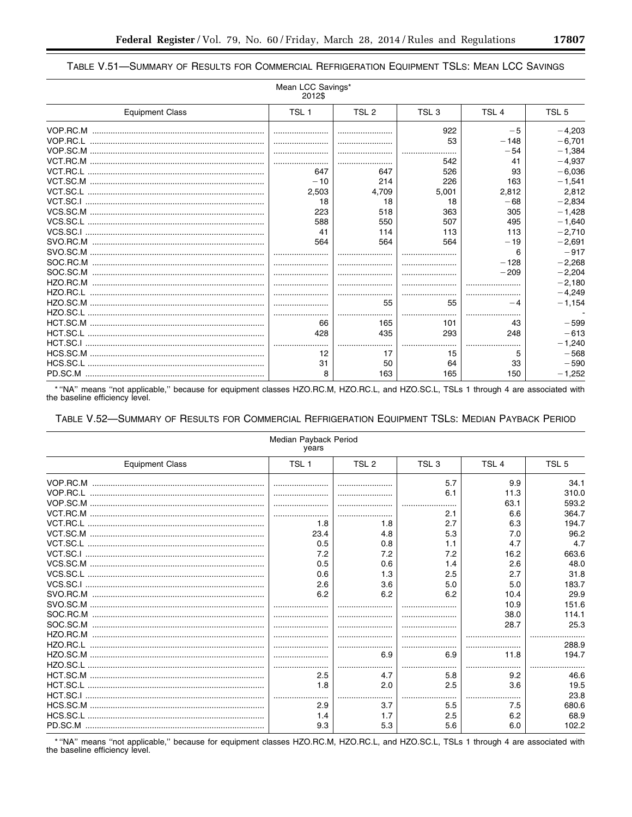| - | × | ٠ |
|---|---|---|
|   |   |   |

## TABLE V.51-SUMMARY OF RESULTS FOR COMMERCIAL REFRIGERATION EQUIPMENT TSLS: MEAN LCC SAVINGS

| Mean LCC Savings*<br>2012\$ |                  |                  |                  |                  |                  |  |
|-----------------------------|------------------|------------------|------------------|------------------|------------------|--|
| <b>Equipment Class</b>      | TSL <sub>1</sub> | TSL <sub>2</sub> | TSL <sub>3</sub> | TSL <sub>4</sub> | TSL <sub>5</sub> |  |
|                             |                  |                  | 922              | $-5$             | $-4,203$         |  |
|                             |                  |                  | 53               | $-148$           | $-6.701$         |  |
|                             |                  |                  |                  | $-54$            | $-1.384$         |  |
|                             |                  |                  | 542              | 41               | $-4.937$         |  |
|                             | 647              | 647              | 526              | 93               | $-6.036$         |  |
|                             | $-10$            | 214              | 226              | 163              | $-1,541$         |  |
|                             | 2,503            | 4.709            | 5,001            | 2.812            | 2,812            |  |
|                             | 18               | 18               | 18               | $-68$            | $-2.834$         |  |
|                             | 223              | 518              | 363              | 305              | $-1,428$         |  |
|                             | 588              | 550              | 507              | 495              | $-1.640$         |  |
|                             | 41               | 114              | 113              | 113              | $-2,710$         |  |
|                             | 564              | 564              | 564              | $-19$            | $-2.691$         |  |
|                             |                  |                  |                  | 6                | $-917$           |  |
|                             |                  |                  |                  | $-128$           | $-2.268$         |  |
|                             |                  |                  |                  | $-209$           | $-2.204$         |  |
|                             |                  |                  |                  |                  | $-2.180$         |  |
|                             |                  |                  |                  |                  | $-4.249$         |  |
|                             |                  | 55               | 55               | -4               | $-1,154$         |  |
|                             |                  |                  |                  |                  |                  |  |
|                             | 66               | 165              | 101              | 43               | $-599$           |  |
|                             | 428              | 435              | 293              | 248              | $-613$           |  |
|                             |                  |                  |                  |                  | $-1.240$         |  |
|                             | 12               | 17               | 15               | 5                | $-568$           |  |
|                             | 31               | 50               | 64               | 33               | $-590$           |  |
|                             | 8                | 163              | 165              | 150              | $-1.252$         |  |

\* "NA" means "not applicable," because for equipment classes HZO.RC.M, HZO.RC.L, and HZO.SC.L, TSLs 1 through 4 are associated with the baseline efficiency level.

### TABLE V.52-SUMMARY OF RESULTS FOR COMMERCIAL REFRIGERATION EQUIPMENT TSLS: MEDIAN PAYBACK PERIOD

| Median Payback Period<br>years |                  |                  |                  |                  |                  |  |
|--------------------------------|------------------|------------------|------------------|------------------|------------------|--|
| <b>Equipment Class</b>         | TSL <sub>1</sub> | TSL <sub>2</sub> | TSL <sub>3</sub> | TSL <sub>4</sub> | TSL <sub>5</sub> |  |
|                                |                  |                  | 5.7              | 9.9              | 34.1             |  |
|                                |                  |                  | 6.1              | 11.3             | 310.0            |  |
|                                |                  |                  |                  | 63.1             | 593.2            |  |
|                                |                  |                  | 2.1              | 6.6              | 364.7            |  |
|                                | 1.8              | 1.8              | 2.7              | 6.3              | 194.7            |  |
|                                | 23.4             | 4.8              | 5.3              | 7.0              | 96.2             |  |
|                                | 0.5              | 0.8              | 1.1              | 4.7              | 4.7              |  |
|                                | 7.2              | 7.2              | 7.2              | 16.2             | 663.6            |  |
|                                | 0.5              | 0.6              | 1.4              | 2.6              | 48.0             |  |
|                                | 0.6              | 1.3              | 2.5              | 2.7              | 31.8             |  |
|                                | 2.6              | 3.6              | 5.0              | 5.0              | 183.7            |  |
|                                | 6.2              | 6.2              | 6.2              | 10.4             | 29.9             |  |
|                                |                  |                  |                  | 10.9             | 151.6            |  |
|                                |                  |                  |                  | 38.0             | 114.1            |  |
|                                |                  |                  |                  | 28.7             | 25.3             |  |
|                                |                  |                  |                  |                  |                  |  |
|                                |                  |                  |                  |                  | 288.9            |  |
|                                |                  | 6.9              | 6.9              | 11.8             | 194.7            |  |
|                                |                  |                  |                  |                  |                  |  |
|                                | 2.5              | 4.7              | 5.8              | 9.2              | 46.6             |  |
|                                | 1.8              | 2.0              | 2.5              | 3.6              | 19.5             |  |
|                                |                  |                  |                  |                  | 23.8             |  |
|                                | 2.9              | 3.7              | 5.5              | 7.5              | 680.6            |  |
|                                | 1.4              | 1.7              | 2.5              | 6.2              | 68.9             |  |
|                                | 9.3              | 5.3              | 5.6              | 6.0              | 102.2            |  |

\* "NA" means "not applicable," because for equipment classes HZO.RC.M, HZO.RC.L, and HZO.SC.L, TSLs 1 through 4 are associated with the baseline efficiency level.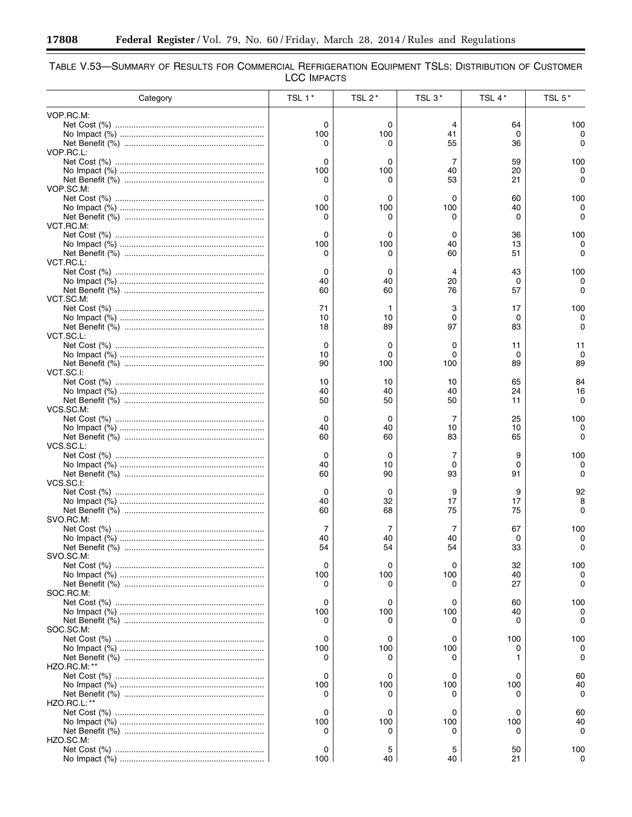<u> - 2000 - 2000 - 2000 - 2000 - 2000 - 2000 - 2000 - 2000 - 2000 - 2000 - 2000 - 2000 - 2000 - 2000 - 2000 - 20</u><br>2000 - 2000 - 2000 - 2000 - 2000 - 2000 - 2000 - 2000 - 2000 - 2000 - 2000 - 2000 - 2000 - 2000 - 2000 - 2000

| TABLE V.53-SUMMARY OF RESULTS FOR COMMERCIAL REFRIGERATION EQUIPMENT TSLS: DISTRIBUTION OF CUSTOMER |                    |  |
|-----------------------------------------------------------------------------------------------------|--------------------|--|
|                                                                                                     | <b>LCC IMPACTS</b> |  |

| Category            | TSL 1*   | TSL 2*   | TSL 3*   | TSL 4*   | TSL 5*         |
|---------------------|----------|----------|----------|----------|----------------|
| VOP.RC.M:           |          |          |          |          |                |
|                     | 0        | 0        | 4        | 64       | 100            |
|                     | 100      | 100      | 41       | 0        |                |
| VOP.RC.L:           | 0        |          | 55       | 36       |                |
|                     | 0        | 0        | 7        | 59       | 100            |
|                     | 100      | 100      | 40       | 20       |                |
|                     | 0        | 0        | 53       | 21       | 0              |
| VOP.SC.M:           |          |          |          |          |                |
|                     | 0        | 0        | 0        | 60       | 100            |
|                     | 100<br>0 | 100<br>0 | 100<br>0 | 40<br>0  | 0              |
| VCT.RC.M:           |          |          |          |          |                |
|                     | 0        | 0        | 0        | 36       | 100            |
|                     | 100      | 100      | 40       | 13       |                |
|                     | 0        | 0        | 60       | 51       | 0              |
| VCT.RC.L:           |          |          |          |          |                |
|                     | 0        | 0        | 4        | 43       | 100            |
|                     | 40<br>60 | 40<br>60 | 20<br>76 | 0<br>57  | 0<br>O         |
| VCT.SC.M:           |          |          |          |          |                |
|                     | 71       | 1        | З        | 17       | 100            |
|                     | 10       | 10       | 0        | 0        | 0              |
|                     | 18       | 89       | 97       | 83       | O              |
| VCT.SC.L:           |          |          |          |          |                |
|                     | 0        | 0        | 0        | 11       | 11             |
|                     | 10<br>90 | 0<br>100 | 0<br>100 | 0<br>89  | $\Omega$<br>89 |
| VCT.SC.I:           |          |          |          |          |                |
|                     | 10       | 10       | 10       | 65       | 84             |
|                     | 40       | 40       | 40       | 24       | 16             |
|                     | 50       | 50       | 50       | 11       | 0              |
| VCS.SC.M:           |          |          |          |          |                |
|                     |          | 0        | 7        | 25       | 100            |
|                     | 40<br>60 | 40<br>60 | 10<br>83 | 10<br>65 | 0<br>0         |
| VCS.SC.L:           |          |          |          |          |                |
|                     | 0        | 0        | 7        | 9        | 100            |
|                     | 40       | 10       | 0        | 0        | 0              |
|                     | 60       | 90       | 93       | 91       |                |
| VCS.SC.I:           |          |          |          |          |                |
|                     | 0        | 0        | 9        | 9        | 92<br>8        |
|                     | 40<br>60 | 32<br>68 | 17<br>75 | 17<br>75 | 0              |
| SVO.RC.M:           |          |          |          |          |                |
|                     | 7        | 7        | 7        | 67       | 100            |
|                     | 40       | 40       | 40       | 0        | 0              |
|                     | 54       | 54       | 54       | 33       | 0              |
| SVO.SC.M:           |          |          |          |          |                |
|                     | 0<br>100 | 0<br>100 | 0<br>100 | 32<br>40 | 100<br>0       |
|                     | 0        | 0        | 0        | 27       | n              |
| SOC.RC.M:           |          |          |          |          |                |
|                     | 0        | 0        | 0        | 60       | 100            |
|                     | 100      | 100      | 100      | 40       | 0              |
|                     | 0        | $^{(1)}$ | 0        | 0        |                |
| SOC.SC.M:           |          |          |          |          |                |
|                     | 0<br>100 | 0<br>100 | 0<br>100 | 100<br>0 | 100            |
|                     | 0        | 0        | $\Omega$ | 1.       |                |
| <b>HZO.RC.M: **</b> |          |          |          |          |                |
|                     | 0        | 0        | 0        | 0        | 60             |
|                     | 100      | 100      | 100      | 100      | 40             |
|                     | 0        |          |          | 0        | O              |
| <b>HZO.RC.L: **</b> |          |          |          |          |                |
|                     | 0        | 0        | 0        | 0        | 60             |
|                     | 100<br>0 | 100<br>0 | 100      | 100<br>0 | 40<br>O        |
| HZO.SC.M:           |          |          |          |          |                |
|                     | 0        | 5        | 5        | 50       | 100            |
|                     | 100      | 40       | 40       | 21       | 0              |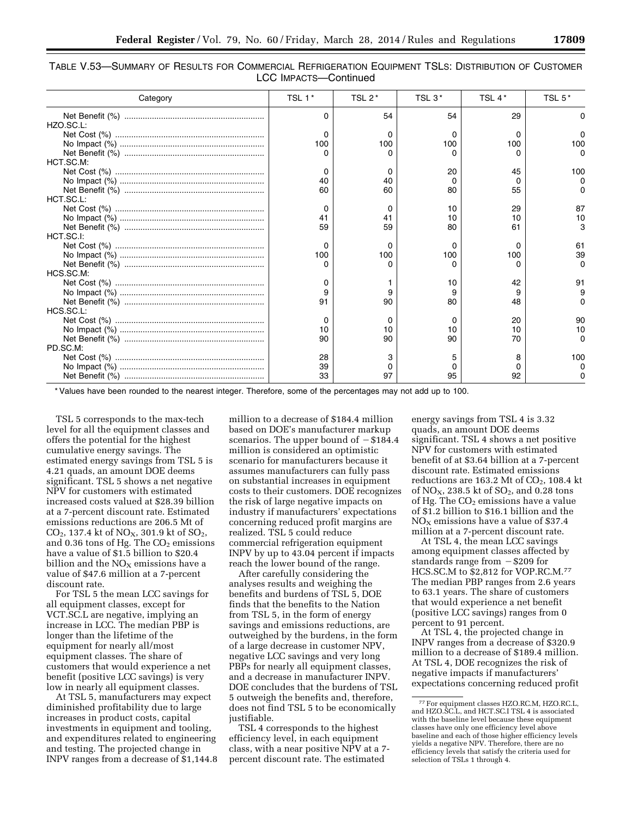| Table V.53—Summary of Results for Commercial Refrigeration Equipment TSLs: Distribution of Customer |                       |  |
|-----------------------------------------------------------------------------------------------------|-----------------------|--|
|                                                                                                     | LCC IMPACTS-Continued |  |

| Category                                                                                                                             | TSL 1*   | TSL 2* | TSL $3*$ | TSL 4*       | TSL 5* |
|--------------------------------------------------------------------------------------------------------------------------------------|----------|--------|----------|--------------|--------|
|                                                                                                                                      | ŋ        | 54     | 54       | 29           |        |
| HZO.SC.L:                                                                                                                            |          |        |          |              |        |
|                                                                                                                                      | $\Omega$ |        | 0        | $\Omega$     |        |
|                                                                                                                                      | 100      | 100    | 100      | 100          | 100    |
|                                                                                                                                      |          |        |          |              |        |
| HCT.SC.M:                                                                                                                            |          |        |          |              |        |
|                                                                                                                                      | ∩        |        | 20       | 45           | 100    |
| $\label{eq:nonlinear} \begin{minipage}{0.9\linewidth} No Impack ($\%$) \hspace*{20pt} {}{}{}{}{}{}{}{}{}{}{}{}{}{}{} \end{minipage}$ | 40       | 40     |          |              |        |
|                                                                                                                                      | 60       | 60     | 80       | 55           |        |
| HCT.SC.L:                                                                                                                            |          |        |          |              |        |
|                                                                                                                                      | $\Omega$ |        | 10       | 29           | 87     |
|                                                                                                                                      | 41       | 41     | 10       | 10           | 10     |
|                                                                                                                                      | 59       | 59     | 80       | 61           | З      |
| HCT.SC.I:                                                                                                                            |          |        |          |              |        |
|                                                                                                                                      | ∩        |        | 0        | <sup>0</sup> | 61     |
|                                                                                                                                      | 100      | 100    | 100      | 100          | 39     |
|                                                                                                                                      |          |        |          |              |        |
| HCS.SC.M:                                                                                                                            |          |        |          |              |        |
|                                                                                                                                      | O        |        | 10       | 42           | 91     |
|                                                                                                                                      |          |        |          |              | 9      |
|                                                                                                                                      | 91       | 90     | 80       | 48           |        |
| HCS.SC.L:                                                                                                                            |          |        |          |              |        |
|                                                                                                                                      | $\Omega$ |        | 0        | 20           | 90     |
|                                                                                                                                      | 10       | 10     | 10       | 10           | 10     |
|                                                                                                                                      | 90       | 90     | 90       | 70           | 0      |
| PD.SC.M:                                                                                                                             |          |        |          |              |        |
|                                                                                                                                      | 28       |        | 5        | 8            | 100    |
|                                                                                                                                      | 39       |        |          | $\Omega$     |        |
|                                                                                                                                      | 33       | 97     | 95       | 92           |        |

\* Values have been rounded to the nearest integer. Therefore, some of the percentages may not add up to 100.

TSL 5 corresponds to the max-tech level for all the equipment classes and offers the potential for the highest cumulative energy savings. The estimated energy savings from TSL 5 is 4.21 quads, an amount DOE deems significant. TSL 5 shows a net negative NPV for customers with estimated increased costs valued at \$28.39 billion at a 7-percent discount rate. Estimated emissions reductions are 206.5 Mt of  $CO_2$ , 137.4 kt of  $NO_X$ , 301.9 kt of  $SO_2$ , and  $0.36$  tons of Hg. The  $CO<sub>2</sub>$  emissions have a value of \$1.5 billion to \$20.4 billion and the  $\rm NO_{\rm X}$  emissions have a value of \$47.6 million at a 7-percent discount rate.

For TSL 5 the mean LCC savings for all equipment classes, except for VCT.SC.L are negative, implying an increase in LCC. The median PBP is longer than the lifetime of the equipment for nearly all/most equipment classes. The share of customers that would experience a net benefit (positive LCC savings) is very low in nearly all equipment classes.

At TSL 5, manufacturers may expect diminished profitability due to large increases in product costs, capital investments in equipment and tooling, and expenditures related to engineering and testing. The projected change in INPV ranges from a decrease of \$1,144.8 million to a decrease of \$184.4 million based on DOE's manufacturer markup scenarios. The upper bound of  $-$  \$184.4 million is considered an optimistic scenario for manufacturers because it assumes manufacturers can fully pass on substantial increases in equipment costs to their customers. DOE recognizes the risk of large negative impacts on industry if manufacturers' expectations concerning reduced profit margins are realized. TSL 5 could reduce commercial refrigeration equipment INPV by up to 43.04 percent if impacts reach the lower bound of the range.

After carefully considering the analyses results and weighing the benefits and burdens of TSL 5, DOE finds that the benefits to the Nation from TSL 5, in the form of energy savings and emissions reductions, are outweighed by the burdens, in the form of a large decrease in customer NPV, negative LCC savings and very long PBPs for nearly all equipment classes, and a decrease in manufacturer INPV. DOE concludes that the burdens of TSL 5 outweigh the benefits and, therefore, does not find TSL 5 to be economically justifiable.

TSL 4 corresponds to the highest efficiency level, in each equipment class, with a near positive NPV at a 7 percent discount rate. The estimated

energy savings from TSL 4 is 3.32 quads, an amount DOE deems significant. TSL 4 shows a net positive NPV for customers with estimated benefit of at \$3.64 billion at a 7-percent discount rate. Estimated emissions reductions are  $163.2$  Mt of  $CO<sub>2</sub>$ ,  $108.4$  kt of  $NO<sub>X</sub>$ , 238.5 kt of  $SO<sub>2</sub>$ , and 0.28 tons of Hg. The  $CO<sub>2</sub>$  emissions have a value of \$1.2 billion to \$16.1 billion and the  $NO<sub>x</sub>$  emissions have a value of \$37.4 million at a 7-percent discount rate.

At TSL 4, the mean LCC savings among equipment classes affected by standards range from  $-$  \$209 for HCS.SC.M to \$2,812 for VOP.RC.M.77 The median PBP ranges from 2.6 years to 63.1 years. The share of customers that would experience a net benefit (positive LCC savings) ranges from 0 percent to 91 percent.

At TSL 4, the projected change in INPV ranges from a decrease of \$320.9 million to a decrease of \$189.4 million. At TSL 4, DOE recognizes the risk of negative impacts if manufacturers' expectations concerning reduced profit

<sup>77</sup>For equipment classes HZO.RC.M, HZO.RC.L, and HZO.SC.L, and HCT.SC.I TSL 4 is associated with the baseline level because these equipment classes have only one efficiency level above baseline and each of those higher efficiency levels yields a negative NPV. Therefore, there are no efficiency levels that satisfy the criteria used for selection of TSLs 1 through 4.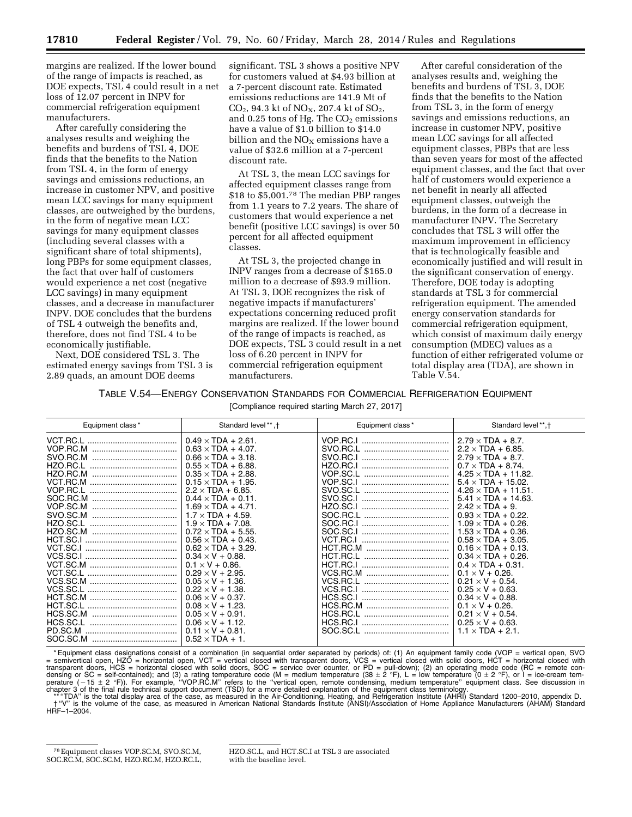margins are realized. If the lower bound of the range of impacts is reached, as DOE expects, TSL 4 could result in a net loss of 12.07 percent in INPV for commercial refrigeration equipment manufacturers.

After carefully considering the analyses results and weighing the benefits and burdens of TSL 4, DOE finds that the benefits to the Nation from TSL 4, in the form of energy savings and emissions reductions, an increase in customer NPV, and positive mean LCC savings for many equipment classes, are outweighed by the burdens, in the form of negative mean LCC savings for many equipment classes (including several classes with a significant share of total shipments), long PBPs for some equipment classes, the fact that over half of customers would experience a net cost (negative LCC savings) in many equipment classes, and a decrease in manufacturer INPV. DOE concludes that the burdens of TSL 4 outweigh the benefits and, therefore, does not find TSL 4 to be economically justifiable.

Next, DOE considered TSL 3. The estimated energy savings from TSL 3 is 2.89 quads, an amount DOE deems

significant. TSL 3 shows a positive NPV for customers valued at \$4.93 billion at a 7-percent discount rate. Estimated emissions reductions are 141.9 Mt of  $CO<sub>2</sub>$ , 94.3 kt of NO<sub>X</sub>, 207.4 kt of SO<sub>2</sub>, and  $0.25$  tons of Hg. The  $CO<sub>2</sub>$  emissions have a value of \$1.0 billion to \$14.0 billion and the  $NO<sub>X</sub>$  emissions have a value of \$32.6 million at a 7-percent discount rate.

At TSL 3, the mean LCC savings for affected equipment classes range from \$18 to \$5,001.78 The median PBP ranges from 1.1 years to 7.2 years. The share of customers that would experience a net benefit (positive LCC savings) is over 50 percent for all affected equipment classes.

At TSL 3, the projected change in INPV ranges from a decrease of \$165.0 million to a decrease of \$93.9 million. At TSL 3, DOE recognizes the risk of negative impacts if manufacturers' expectations concerning reduced profit margins are realized. If the lower bound of the range of impacts is reached, as DOE expects, TSL 3 could result in a net loss of 6.20 percent in INPV for commercial refrigeration equipment manufacturers.

After careful consideration of the analyses results and, weighing the benefits and burdens of TSL 3, DOE finds that the benefits to the Nation from TSL 3, in the form of energy savings and emissions reductions, an increase in customer NPV, positive mean LCC savings for all affected equipment classes, PBPs that are less than seven years for most of the affected equipment classes, and the fact that over half of customers would experience a net benefit in nearly all affected equipment classes, outweigh the burdens, in the form of a decrease in manufacturer INPV. The Secretary concludes that TSL 3 will offer the maximum improvement in efficiency that is technologically feasible and economically justified and will result in the significant conservation of energy. Therefore, DOE today is adopting standards at TSL 3 for commercial refrigeration equipment. The amended energy conservation standards for commercial refrigeration equipment, which consist of maximum daily energy consumption (MDEC) values as a function of either refrigerated volume or total display area (TDA), are shown in Table V.54.

## TABLE V.54—ENERGY CONSERVATION STANDARDS FOR COMMERCIAL REFRIGERATION EQUIPMENT

[Compliance required starting March 27, 2017]

| Equipment class*                                                                                                                                                                                     | Standard level **, +                                                                                                                                                                                                                                                                                                                                                                                                                                                                                                                                                                                                     | Equipment class *                                                                                                                                                                                                                                | Standard level**, t                                                                                                                                                                                                                                                                                                                                                                                                                                                                                                                                                                                                              |
|------------------------------------------------------------------------------------------------------------------------------------------------------------------------------------------------------|--------------------------------------------------------------------------------------------------------------------------------------------------------------------------------------------------------------------------------------------------------------------------------------------------------------------------------------------------------------------------------------------------------------------------------------------------------------------------------------------------------------------------------------------------------------------------------------------------------------------------|--------------------------------------------------------------------------------------------------------------------------------------------------------------------------------------------------------------------------------------------------|----------------------------------------------------------------------------------------------------------------------------------------------------------------------------------------------------------------------------------------------------------------------------------------------------------------------------------------------------------------------------------------------------------------------------------------------------------------------------------------------------------------------------------------------------------------------------------------------------------------------------------|
| VCT.RC.L<br>VOP.RC.M<br>SVO.RC.M<br><br>HZO.RC.L<br>HZO.RC.M<br>VCT.RC.M<br>VOP.RC.L<br>VOP.SC.M<br>SVO.SC.M<br>HZO.SC.L<br>HZO.SC.M<br><br>HCT.SC.I<br>VCT.SC.I<br>VCS.SC.I<br>VCT.SC.L<br>VCS.SC.L | $0.49 \times TDA + 2.61$ .<br>$0.63 \times TDA + 4.07$ .<br>$0.66 \times TDA + 3.18$<br>$0.55 \times TDA + 6.88$ .<br>$0.35 \times TDA + 2.88$<br>$0.15 \times TDA + 1.95$ .<br>$2.2 \times$ TDA + 6.85.<br>$0.44 \times TDA + 0.11$ .<br>$1.69 \times TDA + 4.71$ .<br>$1.7 \times$ TDA + 4.59.<br>$1.9 \times TDA + 7.08$ .<br>$0.72 \times TDA + 5.55$ .<br>$0.56 \times TDA + 0.43$ .<br>$0.62 \times TDA + 3.29$ .<br>$0.34 \times V + 0.88$ .<br>$0.1 \times V + 0.86$ .<br>$0.29 \times V + 2.95$<br>$0.05 \times V + 1.36$ .<br>$0.22 \times V + 1.38$ .<br>$0.06 \times V + 0.37$ .<br>$0.08 \times V + 1.23$ . | VOP.RC.I<br>SVO.RC.L<br>SVO.RC.I<br><br>HZO.RC.I<br>VOP.SC.L<br>VOP.SC.I<br>SVO.SC.L<br>SVO.SC.I<br>HZO.SC.I<br><br>SOC.RC.L<br><br>SOC.SC.I<br>VCT.RC.I<br>HCT.RC.M<br>HCT.RC.L<br>HCT.RC.I<br>VCS.RC.M<br><br>VCS.RC.L<br>VCS.RC.I<br>HCS.SC.I | $2.79 \times TDA + 8.7$ .<br>$2.2 \times$ TDA + 6.85.<br>$2.79 \times TDA + 8.7$ .<br>$0.7 \times TDA + 8.74$ .<br>$4.25 \times TDA + 11.82$ .<br>$5.4 \times TDA + 15.02$ .<br>$4.26 \times TDA + 11.51$ .<br>$5.41 \times TDA + 14.63$ .<br>$2.42 \times TDA + 9$ .<br>$0.93 \times TDA + 0.22$ .<br>$1.09 \times TDA + 0.26$ .<br>$1.53 \times TDA + 0.36$ .<br>$0.58 \times TDA + 3.05$ .<br>$0.16 \times TDA + 0.13$ .<br>$0.34 \times TDA + 0.26$ .<br>$0.4 \times TDA + 0.31$ .<br>$0.1 \times V + 0.26$ .<br>$0.21 \times V + 0.54$ .<br>$0.25 \times V + 0.63$ .<br>$0.34 \times V + 0.88$ .<br>$0.1 \times V + 0.26$ . |
| HCS.SC.M<br>HCS.SC.L<br><br>PD.SC.M                                                                                                                                                                  | $0.05 \times V + 0.91$ .<br>$0.06 \times V + 1.12$ .<br>$0.11 \times V + 0.81$ .<br>$0.52 \times TDA + 1$ .                                                                                                                                                                                                                                                                                                                                                                                                                                                                                                              | HCS.RC.L<br><br>HCS.RC.I<br>                                                                                                                                                                                                                     | $0.21 \times V + 0.54$ .<br>$0.25 \times V + 0.63$ .<br>$1.1 \times TDA + 2.1$ .                                                                                                                                                                                                                                                                                                                                                                                                                                                                                                                                                 |

\*Equipment class designations consist of a combination (in sequential order separated by periods) of: (1) An equipment family code (VOP = vertical open, SVO = semivertical open, HZO = horizontal open, VCT = vertical close

chapter 3 of the final rule technical support document (TSD) for a more detailed explanation of the equipment class terminology.<br>\*\* "TDA" is the total display area of the case, as measured in the Air-Conditioning, Heating, HRF–1–2004.

<sup>78</sup>Equipment classes VOP.SC.M, SVO.SC.M, SOC.RC.M, SOC.SC.M, HZO.RC.M, HZO.RC.L,

HZO.SC.L, and HCT.SC.I at TSL 3 are associated with the baseline level.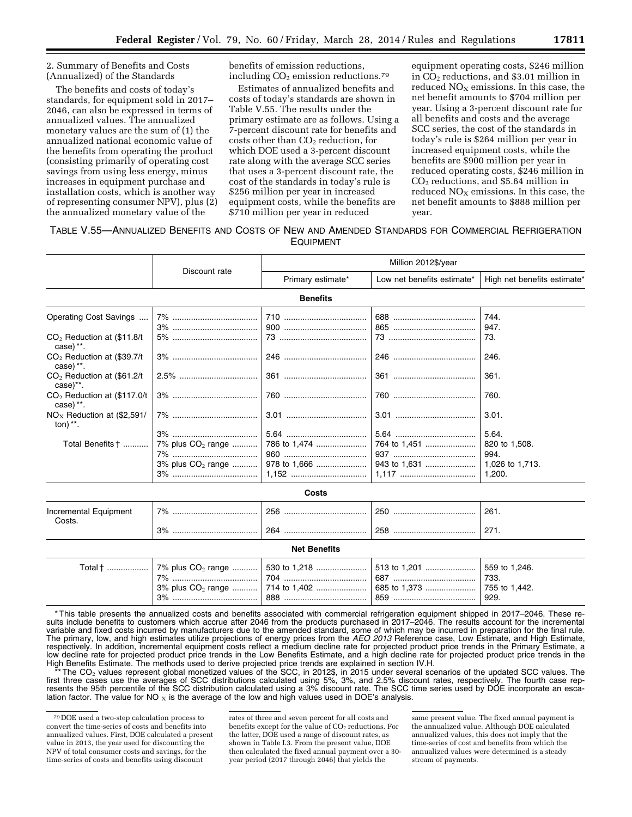2. Summary of Benefits and Costs (Annualized) of the Standards

The benefits and costs of today's standards, for equipment sold in 2017– 2046, can also be expressed in terms of annualized values. The annualized monetary values are the sum of (1) the annualized national economic value of the benefits from operating the product (consisting primarily of operating cost savings from using less energy, minus increases in equipment purchase and installation costs, which is another way of representing consumer NPV), plus (2) the annualized monetary value of the

benefits of emission reductions, including  $CO<sub>2</sub>$  emission reductions.<sup>79</sup>

Estimates of annualized benefits and costs of today's standards are shown in Table V.55. The results under the primary estimate are as follows. Using a 7-percent discount rate for benefits and costs other than  $CO<sub>2</sub>$  reduction, for which DOE used a 3-percent discount rate along with the average SCC series that uses a 3-percent discount rate, the cost of the standards in today's rule is \$256 million per year in increased equipment costs, while the benefits are \$710 million per year in reduced

equipment operating costs, \$246 million in  $CO<sub>2</sub>$  reductions, and \$3.01 million in reduced  $NO<sub>X</sub>$  emissions. In this case, the net benefit amounts to \$704 million per year. Using a 3-percent discount rate for all benefits and costs and the average SCC series, the cost of the standards in today's rule is \$264 million per year in increased equipment costs, while the benefits are \$900 million per year in reduced operating costs, \$246 million in CO2 reductions, and \$5.64 million in reduced  $NO<sub>x</sub>$  emissions. In this case, the net benefit amounts to \$888 million per year.

### TABLE V.55—ANNUALIZED BENEFITS AND COSTS OF NEW AND AMENDED STANDARDS FOR COMMERCIAL REFRIGERATION EQUIPMENT

|                                                        |                               |                   | Million 2012\$/year        |                             |  |  |
|--------------------------------------------------------|-------------------------------|-------------------|----------------------------|-----------------------------|--|--|
|                                                        | Discount rate                 | Primary estimate* | Low net benefits estimate* | High net benefits estimate* |  |  |
|                                                        |                               | <b>Benefits</b>   |                            |                             |  |  |
| Operating Cost Savings                                 |                               |                   |                            | 744.                        |  |  |
|                                                        |                               |                   |                            | 947.                        |  |  |
| $CO2$ Reduction at (\$11.8/t)<br>case) $**$ .          |                               |                   |                            | 73.                         |  |  |
| CO <sub>2</sub> Reduction at (\$39.7/t)<br>$case)$ **. |                               |                   |                            | 246.                        |  |  |
| $CO2$ Reduction at (\$61.2/t)<br>$case$ , $*$ .        |                               |                   |                            | 361.                        |  |  |
| $CO2$ Reduction at (\$117.0/t)<br>$case)$ **.          |                               |                   |                            | 760.                        |  |  |
| $NOx$ Reduction at (\$2,591/<br>ton) $**$ .            |                               |                   |                            | 3.01.                       |  |  |
|                                                        |                               |                   |                            | 5.64.                       |  |  |
| Total Benefits †                                       | 7% plus CO <sub>2</sub> range |                   | 764 to 1,451               | 820 to 1,508.               |  |  |
|                                                        |                               |                   |                            | 994.                        |  |  |
|                                                        | 3% plus $CO_2$ range          |                   | 943 to 1,631               | 1,026 to 1,713.             |  |  |
|                                                        |                               |                   |                            | 1,200.                      |  |  |
|                                                        |                               | Costs             |                            |                             |  |  |

| Incremental Equipment<br>Costs. | 70/<br>7٥<br> | 256     | 250<br> | 261.     |
|---------------------------------|---------------|---------|---------|----------|
|                                 | 3%<br>        | 264<br> | 258<br> | <u>.</u> |

| <b>Net Benefits</b> |          |     |             |                                                          |  |  |
|---------------------|----------|-----|-------------|----------------------------------------------------------|--|--|
| Total †             | 7%<br>3% | 888 | 687.<br>859 | $\vert$ 559 to 1,246.<br>733.<br>  755 to 1.442.<br>929. |  |  |

\* This table presents the annualized costs and benefits associated with commercial refrigeration equipment shipped in 2017–2046. These results include benefits to customers which accrue after 2046 from the products purchased in 2017–2046. The results account for the incremental variable and fixed costs incurred by manufacturers due to the amended standard, some of which may be incurred in preparation for the final rule. The primary, low, and high estimates utilize projections of energy prices from the *AEO 2013* Reference case, Low Estimate, and High Estimate, respectively. In addition, incremental equipment costs reflect a medium decline rate for projected product price trends in the Primary Estimate, a low decline rate for projected product price trends in the Low Benefits Estimate, and a high decline rate for projected product price trends in the High Benefits Estimate. The methods used to derive projected price trends are explained in section IV.H.

\*\* The CO<sub>2</sub> values represent global monetized values of the SCC, in 2012\$, in 2015 under several scenarios of the updated SCC values. The fourth case rep-<br>first three cases use the averages of SCC distributions calculate resents the 95th percentile of the SCC distribution calculated using a 3% discount rate. The SCC time series used by DOE incorporate an escalation factor. The value for NO  $_X$  is the average of the low and high values used in DOE's analysis.

rates of three and seven percent for all costs and benefits except for the value of CO<sub>2</sub> reductions. For the latter, DOE used a range of discount rates, as shown in Table I.3. From the present value, DOE then calculated the fixed annual payment over a 30 year period (2017 through 2046) that yields the

same present value. The fixed annual payment is the annualized value. Although DOE calculated annualized values, this does not imply that the time-series of cost and benefits from which the annualized values were determined is a steady stream of payments.

<sup>79</sup> DOE used a two-step calculation process to convert the time-series of costs and benefits into annualized values. First, DOE calculated a present value in 2013, the year used for discounting the NPV of total consumer costs and savings, for the time-series of costs and benefits using discount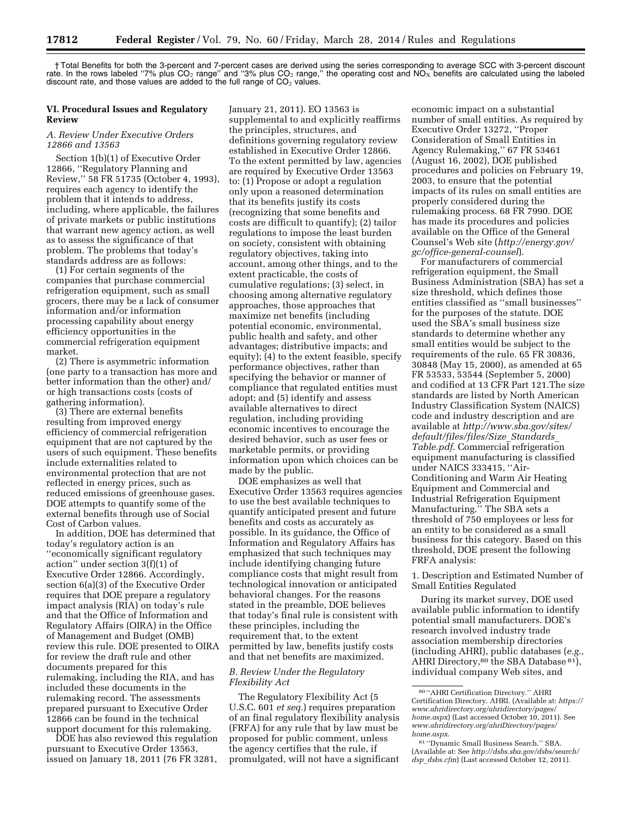† Total Benefits for both the 3-percent and 7-percent cases are derived using the series corresponding to average SCC with 3-percent discount rate. In the rows labeled "7% plus CO<sub>2</sub> range" and "3% plus CO<sub>2</sub> range," the operating cost and NO<sub>x</sub> benefits are calculated using the labeled discount rate, and those values are added to the full range of  $CO<sub>2</sub>$  values.

### **VI. Procedural Issues and Regulatory Review**

### *A. Review Under Executive Orders 12866 and 13563*

Section 1(b)(1) of Executive Order 12866, ''Regulatory Planning and Review,'' 58 FR 51735 (October 4, 1993), requires each agency to identify the problem that it intends to address, including, where applicable, the failures of private markets or public institutions that warrant new agency action, as well as to assess the significance of that problem. The problems that today's standards address are as follows:

(1) For certain segments of the companies that purchase commercial refrigeration equipment, such as small grocers, there may be a lack of consumer information and/or information processing capability about energy efficiency opportunities in the commercial refrigeration equipment market.

(2) There is asymmetric information (one party to a transaction has more and better information than the other) and/ or high transactions costs (costs of gathering information).

(3) There are external benefits resulting from improved energy efficiency of commercial refrigeration equipment that are not captured by the users of such equipment. These benefits include externalities related to environmental protection that are not reflected in energy prices, such as reduced emissions of greenhouse gases. DOE attempts to quantify some of the external benefits through use of Social Cost of Carbon values.

In addition, DOE has determined that today's regulatory action is an ''economically significant regulatory action'' under section 3(f)(1) of Executive Order 12866. Accordingly, section 6(a)(3) of the Executive Order requires that DOE prepare a regulatory impact analysis (RIA) on today's rule and that the Office of Information and Regulatory Affairs (OIRA) in the Office of Management and Budget (OMB) review this rule. DOE presented to OIRA for review the draft rule and other documents prepared for this rulemaking, including the RIA, and has included these documents in the rulemaking record. The assessments prepared pursuant to Executive Order 12866 can be found in the technical support document for this rulemaking.

DOE has also reviewed this regulation pursuant to Executive Order 13563, issued on January 18, 2011 (76 FR 3281,

January 21, 2011). EO 13563 is supplemental to and explicitly reaffirms the principles, structures, and definitions governing regulatory review established in Executive Order 12866. To the extent permitted by law, agencies are required by Executive Order 13563 to: (1) Propose or adopt a regulation only upon a reasoned determination that its benefits justify its costs (recognizing that some benefits and costs are difficult to quantify); (2) tailor regulations to impose the least burden on society, consistent with obtaining regulatory objectives, taking into account, among other things, and to the extent practicable, the costs of cumulative regulations; (3) select, in choosing among alternative regulatory approaches, those approaches that maximize net benefits (including potential economic, environmental, public health and safety, and other advantages; distributive impacts; and equity); (4) to the extent feasible, specify performance objectives, rather than specifying the behavior or manner of compliance that regulated entities must adopt; and (5) identify and assess available alternatives to direct regulation, including providing economic incentives to encourage the desired behavior, such as user fees or marketable permits, or providing information upon which choices can be made by the public.

DOE emphasizes as well that Executive Order 13563 requires agencies to use the best available techniques to quantify anticipated present and future benefits and costs as accurately as possible. In its guidance, the Office of Information and Regulatory Affairs has emphasized that such techniques may include identifying changing future compliance costs that might result from technological innovation or anticipated behavioral changes. For the reasons stated in the preamble, DOE believes that today's final rule is consistent with these principles, including the requirement that, to the extent permitted by law, benefits justify costs and that net benefits are maximized.

### *B. Review Under the Regulatory Flexibility Act*

The Regulatory Flexibility Act (5 U.S.C. 601 *et seq.*) requires preparation of an final regulatory flexibility analysis (FRFA) for any rule that by law must be proposed for public comment, unless the agency certifies that the rule, if promulgated, will not have a significant

economic impact on a substantial number of small entities. As required by Executive Order 13272, ''Proper Consideration of Small Entities in Agency Rulemaking,'' 67 FR 53461 (August 16, 2002), DOE published procedures and policies on February 19, 2003, to ensure that the potential impacts of its rules on small entities are properly considered during the rulemaking process. 68 FR 7990. DOE has made its procedures and policies available on the Office of the General Counsel's Web site (*[http://energy.gov/](http://energy.gov/gc/office-general-counsel) [gc/office-general-counsel](http://energy.gov/gc/office-general-counsel)*).

For manufacturers of commercial refrigeration equipment, the Small Business Administration (SBA) has set a size threshold, which defines those entities classified as ''small businesses'' for the purposes of the statute. DOE used the SBA's small business size standards to determine whether any small entities would be subject to the requirements of the rule. 65 FR 30836, 30848 (May 15, 2000), as amended at 65 FR 53533, 53544 (September 5, 2000) and codified at 13 CFR Part 121.The size standards are listed by North American Industry Classification System (NAICS) code and industry description and are available at *[http://www.sba.gov/sites/](http://www.sba.gov/sites/default/files/files/Size_Standards_Table.pdf) [default/files/files/Size](http://www.sba.gov/sites/default/files/files/Size_Standards_Table.pdf)*\_*Standards*\_ *[Table.pdf](http://www.sba.gov/sites/default/files/files/Size_Standards_Table.pdf)*. Commercial refrigeration equipment manufacturing is classified under NAICS 333415, ''Air-Conditioning and Warm Air Heating Equipment and Commercial and Industrial Refrigeration Equipment Manufacturing.'' The SBA sets a threshold of 750 employees or less for an entity to be considered as a small business for this category. Based on this threshold, DOE present the following FRFA analysis:

1. Description and Estimated Number of Small Entities Regulated

During its market survey, DOE used available public information to identify potential small manufacturers. DOE's research involved industry trade association membership directories (including AHRI), public databases (*e.g.,*  AHRI Directory,<sup>80</sup> the SBA Database <sup>81</sup>), individual company Web sites, and

<sup>80</sup> ''AHRI Certification Directory.'' AHRI Certification Directory. AHRI. (Available at: *[https://](https://www.ahridirectory.org/ahridirectory/pages/home.aspx)  [www.ahridirectory.org/ahridirectory/pages/](https://www.ahridirectory.org/ahridirectory/pages/home.aspx) [home.aspx](https://www.ahridirectory.org/ahridirectory/pages/home.aspx)*) (Last accessed October 10, 2011). See *[www.ahridirectory.org/ahriDirectory/pages/](http://www.ahridirectory.org/ahriDirectory/pages/home.aspx) [home.aspx](http://www.ahridirectory.org/ahriDirectory/pages/home.aspx)*.

<sup>81</sup> ''Dynamic Small Business Search.'' SBA. (Available at: See *[http://dsbs.sba.gov/dsbs/search/](http://dsbs.sba.gov/dsbs/search/dsp_dsbs.cfm) dsp*\_*[dsbs.cfm](http://dsbs.sba.gov/dsbs/search/dsp_dsbs.cfm)*) (Last accessed October 12, 2011).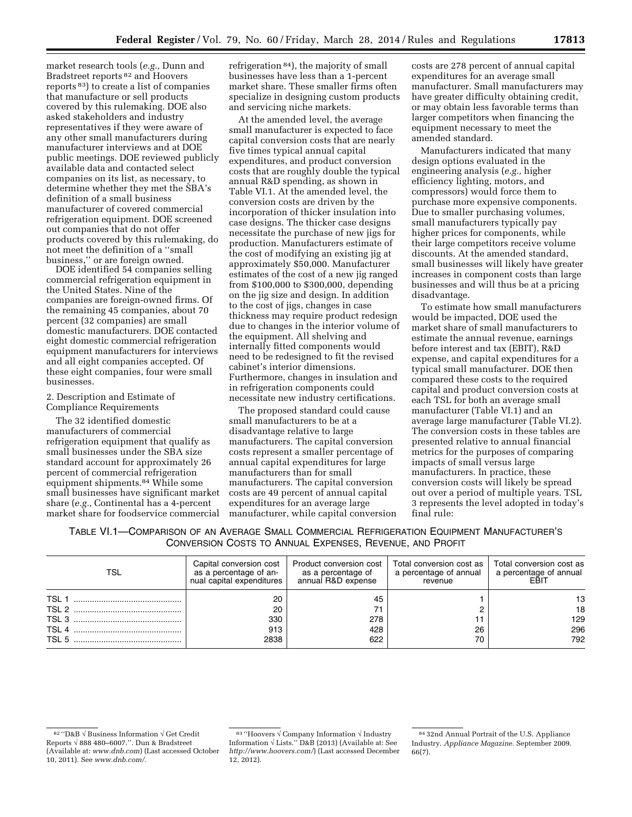market research tools (*e.g.,* Dunn and Bradstreet reports 82 and Hoovers reports 83) to create a list of companies that manufacture or sell products covered by this rulemaking. DOE also asked stakeholders and industry representatives if they were aware of any other small manufacturers during manufacturer interviews and at DOE public meetings. DOE reviewed publicly available data and contacted select companies on its list, as necessary, to determine whether they met the SBA's definition of a small business manufacturer of covered commercial refrigeration equipment. DOE screened out companies that do not offer products covered by this rulemaking, do not meet the definition of a ''small business,'' or are foreign owned.

DOE identified 54 companies selling commercial refrigeration equipment in the United States. Nine of the companies are foreign-owned firms. Of the remaining 45 companies, about 70 percent (32 companies) are small domestic manufacturers. DOE contacted eight domestic commercial refrigeration equipment manufacturers for interviews and all eight companies accepted. Of these eight companies, four were small businesses.

### 2. Description and Estimate of Compliance Requirements

The 32 identified domestic manufacturers of commercial refrigeration equipment that qualify as small businesses under the SBA size standard account for approximately 26 percent of commercial refrigeration equipment shipments.84 While some small businesses have significant market share (*e.g.,* Continental has a 4-percent market share for foodservice commercial

refrigeration 84), the majority of small businesses have less than a 1-percent market share. These smaller firms often specialize in designing custom products and servicing niche markets.

At the amended level, the average small manufacturer is expected to face capital conversion costs that are nearly five times typical annual capital expenditures, and product conversion costs that are roughly double the typical annual R&D spending, as shown in Table VI.1. At the amended level, the conversion costs are driven by the incorporation of thicker insulation into case designs. The thicker case designs necessitate the purchase of new jigs for production. Manufacturers estimate of the cost of modifying an existing jig at approximately \$50,000. Manufacturer estimates of the cost of a new jig ranged from \$100,000 to \$300,000, depending on the jig size and design. In addition to the cost of jigs, changes in case thickness may require product redesign due to changes in the interior volume of the equipment. All shelving and internally fitted components would need to be redesigned to fit the revised cabinet's interior dimensions. Furthermore, changes in insulation and in refrigeration components could necessitate new industry certifications.

The proposed standard could cause small manufacturers to be at a disadvantage relative to large manufacturers. The capital conversion costs represent a smaller percentage of annual capital expenditures for large manufacturers than for small manufacturers. The capital conversion costs are 49 percent of annual capital expenditures for an average large manufacturer, while capital conversion

costs are 278 percent of annual capital expenditures for an average small manufacturer. Small manufacturers may have greater difficulty obtaining credit, or may obtain less favorable terms than larger competitors when financing the equipment necessary to meet the amended standard.

Manufacturers indicated that many design options evaluated in the engineering analysis (*e.g.,* higher efficiency lighting, motors, and compressors) would force them to purchase more expensive components. Due to smaller purchasing volumes, small manufacturers typically pay higher prices for components, while their large competitors receive volume discounts. At the amended standard, small businesses will likely have greater increases in component costs than large businesses and will thus be at a pricing disadvantage.

To estimate how small manufacturers would be impacted, DOE used the market share of small manufacturers to estimate the annual revenue, earnings before interest and tax (EBIT), R&D expense, and capital expenditures for a typical small manufacturer. DOE then compared these costs to the required capital and product conversion costs at each TSL for both an average small manufacturer (Table VI.1) and an average large manufacturer (Table VI.2). The conversion costs in these tables are presented relative to annual financial metrics for the purposes of comparing impacts of small versus large manufacturers. In practice, these conversion costs will likely be spread out over a period of multiple years. TSL 3 represents the level adopted in today's final rule:

| TABLE VI.1-COMPARISON OF AN AVERAGE SMALL COMMERCIAL REFRIGERATION EQUIPMENT MANUFACTURER'S |                                                          |  |  |  |
|---------------------------------------------------------------------------------------------|----------------------------------------------------------|--|--|--|
|                                                                                             | CONVERSION COSTS TO ANNUAL EXPENSES. REVENUE, AND PROFIT |  |  |  |

| <b>TSL</b>       | Capital conversion cost<br>as a percentage of an-<br>nual capital expenditures | Product conversion cost<br>as a percentage of<br>annual R&D expense | Total conversion cost as I<br>a percentage of annual  <br>revenue | Total conversion cost as<br>a percentage of annual<br>FŘIT |
|------------------|--------------------------------------------------------------------------------|---------------------------------------------------------------------|-------------------------------------------------------------------|------------------------------------------------------------|
| TSL <sub>1</sub> | 20<br>20                                                                       | 45                                                                  |                                                                   | 13.<br>18                                                  |
|                  | 330                                                                            | 278                                                                 |                                                                   | 129                                                        |
|                  | 913                                                                            | 428                                                                 | 26                                                                | 296                                                        |
| TSL 5            | 2838                                                                           | 622                                                                 | 70                                                                | 792                                                        |

<sup>82</sup> ''D&B √ Business Information √ Get Credit Reports √ 888 480–6007.''. Dun & Bradstreet (Available at: *[www.dnb.com](http://www.dnb.com)*) (Last accessed October 10, 2011). See *[www.dnb.com/.](http://www.dnb.com/)* 

 $^{83\text{ }\small{\textrm{''}}\textrm{Hoovers} \lor$  Company Information  $\textcolor{red}{\lor}$  Industry Information  $\sqrt{$  Lists." D&B (2013) (Available at: See *<http://www.hoovers.com/>*) (Last accessed December 12, 2012).

<sup>84</sup> 32nd Annual Portrait of the U.S. Appliance Industry. *Appliance Magazine.* September 2009. 66(7).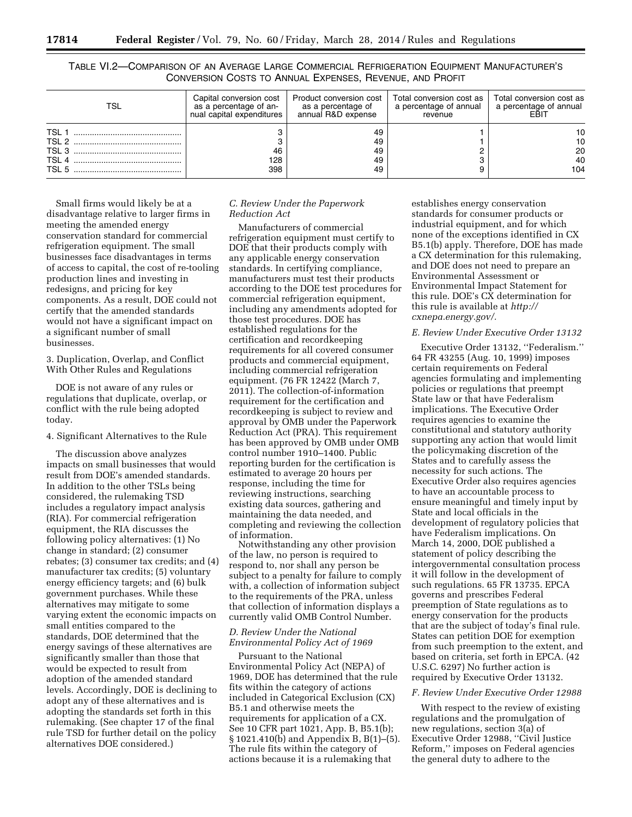TABLE VI.2—COMPARISON OF AN AVERAGE LARGE COMMERCIAL REFRIGERATION EQUIPMENT MANUFACTURER'S CONVERSION COSTS TO ANNUAL EXPENSES, REVENUE, AND PROFIT

| TSL                                                                  | Capital conversion cost<br>as a percentage of an-<br>nual capital expenditures | Product conversion cost  <br>as a percentage of<br>annual R&D expense | Total conversion cost as   Total conversion cost as<br>a percentage of annual<br>revenue | a percentage of annual      |
|----------------------------------------------------------------------|--------------------------------------------------------------------------------|-----------------------------------------------------------------------|------------------------------------------------------------------------------------------|-----------------------------|
| <b>TSL</b><br>TSL <sub>2</sub><br>TSL <sub>3</sub><br>TSL 4<br>TSL 5 | 46<br>128<br>398                                                               | 49<br>49<br>49<br>49<br>49                                            | o                                                                                        | 10<br>10<br>20<br>40<br>104 |

Small firms would likely be at a disadvantage relative to larger firms in meeting the amended energy conservation standard for commercial refrigeration equipment. The small businesses face disadvantages in terms of access to capital, the cost of re-tooling production lines and investing in redesigns, and pricing for key components. As a result, DOE could not certify that the amended standards would not have a significant impact on a significant number of small businesses.

3. Duplication, Overlap, and Conflict With Other Rules and Regulations

DOE is not aware of any rules or regulations that duplicate, overlap, or conflict with the rule being adopted today.

4. Significant Alternatives to the Rule

The discussion above analyzes impacts on small businesses that would result from DOE's amended standards. In addition to the other TSLs being considered, the rulemaking TSD includes a regulatory impact analysis (RIA). For commercial refrigeration equipment, the RIA discusses the following policy alternatives: (1) No change in standard; (2) consumer rebates; (3) consumer tax credits; and (4) manufacturer tax credits; (5) voluntary energy efficiency targets; and (6) bulk government purchases. While these alternatives may mitigate to some varying extent the economic impacts on small entities compared to the standards, DOE determined that the energy savings of these alternatives are significantly smaller than those that would be expected to result from adoption of the amended standard levels. Accordingly, DOE is declining to adopt any of these alternatives and is adopting the standards set forth in this rulemaking. (See chapter 17 of the final rule TSD for further detail on the policy alternatives DOE considered.)

### *C. Review Under the Paperwork Reduction Act*

Manufacturers of commercial refrigeration equipment must certify to DOE that their products comply with any applicable energy conservation standards. In certifying compliance, manufacturers must test their products according to the DOE test procedures for commercial refrigeration equipment, including any amendments adopted for those test procedures. DOE has established regulations for the certification and recordkeeping requirements for all covered consumer products and commercial equipment, including commercial refrigeration equipment. (76 FR 12422 (March 7, 2011). The collection-of-information requirement for the certification and recordkeeping is subject to review and approval by OMB under the Paperwork Reduction Act (PRA). This requirement has been approved by OMB under OMB control number 1910–1400. Public reporting burden for the certification is estimated to average 20 hours per response, including the time for reviewing instructions, searching existing data sources, gathering and maintaining the data needed, and completing and reviewing the collection of information.

Notwithstanding any other provision of the law, no person is required to respond to, nor shall any person be subject to a penalty for failure to comply with, a collection of information subject to the requirements of the PRA, unless that collection of information displays a currently valid OMB Control Number.

### *D. Review Under the National Environmental Policy Act of 1969*

Pursuant to the National Environmental Policy Act (NEPA) of 1969, DOE has determined that the rule fits within the category of actions included in Categorical Exclusion (CX) B5.1 and otherwise meets the requirements for application of a CX. See 10 CFR part 1021, App. B, B5.1(b); § 1021.410(b) and Appendix B, B(1)–(5). The rule fits within the category of actions because it is a rulemaking that

establishes energy conservation standards for consumer products or industrial equipment, and for which none of the exceptions identified in CX B5.1(b) apply. Therefore, DOE has made a CX determination for this rulemaking, and DOE does not need to prepare an Environmental Assessment or Environmental Impact Statement for this rule. DOE's CX determination for this rule is available at *[http://](http://cxnepa.energy.gov/) [cxnepa.energy.gov/.](http://cxnepa.energy.gov/)* 

#### *E. Review Under Executive Order 13132*

Executive Order 13132, ''Federalism.'' 64 FR 43255 (Aug. 10, 1999) imposes certain requirements on Federal agencies formulating and implementing policies or regulations that preempt State law or that have Federalism implications. The Executive Order requires agencies to examine the constitutional and statutory authority supporting any action that would limit the policymaking discretion of the States and to carefully assess the necessity for such actions. The Executive Order also requires agencies to have an accountable process to ensure meaningful and timely input by State and local officials in the development of regulatory policies that have Federalism implications. On March 14, 2000, DOE published a statement of policy describing the intergovernmental consultation process it will follow in the development of such regulations. 65 FR 13735. EPCA governs and prescribes Federal preemption of State regulations as to energy conservation for the products that are the subject of today's final rule. States can petition DOE for exemption from such preemption to the extent, and based on criteria, set forth in EPCA. (42 U.S.C. 6297) No further action is required by Executive Order 13132.

#### *F. Review Under Executive Order 12988*

With respect to the review of existing regulations and the promulgation of new regulations, section 3(a) of Executive Order 12988, ''Civil Justice Reform,'' imposes on Federal agencies the general duty to adhere to the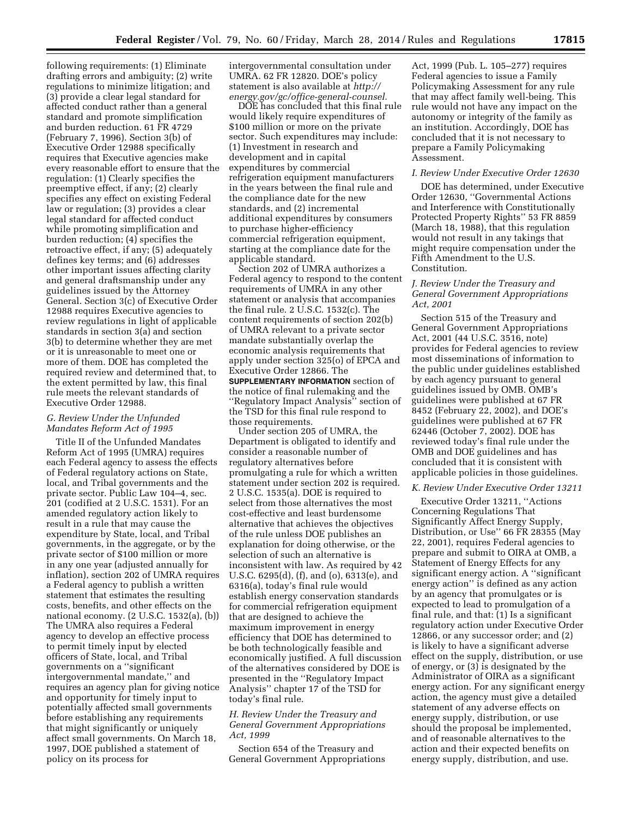following requirements: (1) Eliminate drafting errors and ambiguity; (2) write regulations to minimize litigation; and (3) provide a clear legal standard for affected conduct rather than a general standard and promote simplification and burden reduction. 61 FR 4729 (February 7, 1996). Section 3(b) of Executive Order 12988 specifically requires that Executive agencies make every reasonable effort to ensure that the regulation: (1) Clearly specifies the preemptive effect, if any; (2) clearly specifies any effect on existing Federal law or regulation; (3) provides a clear legal standard for affected conduct while promoting simplification and burden reduction; (4) specifies the retroactive effect, if any; (5) adequately defines key terms; and (6) addresses other important issues affecting clarity and general draftsmanship under any guidelines issued by the Attorney General. Section 3(c) of Executive Order 12988 requires Executive agencies to review regulations in light of applicable standards in section 3(a) and section 3(b) to determine whether they are met or it is unreasonable to meet one or more of them. DOE has completed the required review and determined that, to the extent permitted by law, this final rule meets the relevant standards of Executive Order 12988.

### *G. Review Under the Unfunded Mandates Reform Act of 1995*

Title II of the Unfunded Mandates Reform Act of 1995 (UMRA) requires each Federal agency to assess the effects of Federal regulatory actions on State, local, and Tribal governments and the private sector. Public Law 104–4, sec. 201 (codified at 2 U.S.C. 1531). For an amended regulatory action likely to result in a rule that may cause the expenditure by State, local, and Tribal governments, in the aggregate, or by the private sector of \$100 million or more in any one year (adjusted annually for inflation), section 202 of UMRA requires a Federal agency to publish a written statement that estimates the resulting costs, benefits, and other effects on the national economy. (2 U.S.C. 1532(a), (b)) The UMRA also requires a Federal agency to develop an effective process to permit timely input by elected officers of State, local, and Tribal governments on a ''significant intergovernmental mandate,'' and requires an agency plan for giving notice and opportunity for timely input to potentially affected small governments before establishing any requirements that might significantly or uniquely affect small governments. On March 18, 1997, DOE published a statement of policy on its process for

intergovernmental consultation under UMRA. 62 FR 12820. DOE's policy statement is also available at *[http://](http://energy.gov/gc/office-general-counsel) [energy.gov/gc/office-general-counsel.](http://energy.gov/gc/office-general-counsel)* 

DOE has concluded that this final rule would likely require expenditures of \$100 million or more on the private sector. Such expenditures may include: (1) Investment in research and development and in capital expenditures by commercial refrigeration equipment manufacturers in the years between the final rule and the compliance date for the new standards, and (2) incremental additional expenditures by consumers to purchase higher-efficiency commercial refrigeration equipment, starting at the compliance date for the applicable standard.

Section 202 of UMRA authorizes a Federal agency to respond to the content requirements of UMRA in any other statement or analysis that accompanies the final rule. 2 U.S.C. 1532(c). The content requirements of section 202(b) of UMRA relevant to a private sector mandate substantially overlap the economic analysis requirements that apply under section 325(o) of EPCA and Executive Order 12866. The **SUPPLEMENTARY INFORMATION** section of the notice of final rulemaking and the ''Regulatory Impact Analysis'' section of the TSD for this final rule respond to those requirements.

Under section 205 of UMRA, the Department is obligated to identify and consider a reasonable number of regulatory alternatives before promulgating a rule for which a written statement under section 202 is required. 2 U.S.C. 1535(a). DOE is required to select from those alternatives the most cost-effective and least burdensome alternative that achieves the objectives of the rule unless DOE publishes an explanation for doing otherwise, or the selection of such an alternative is inconsistent with law. As required by 42 U.S.C. 6295(d), (f), and (o), 6313(e), and 6316(a), today's final rule would establish energy conservation standards for commercial refrigeration equipment that are designed to achieve the maximum improvement in energy efficiency that DOE has determined to be both technologically feasible and economically justified. A full discussion of the alternatives considered by DOE is presented in the ''Regulatory Impact Analysis'' chapter 17 of the TSD for today's final rule.

#### *H. Review Under the Treasury and General Government Appropriations Act, 1999*

Section 654 of the Treasury and General Government Appropriations

Act, 1999 (Pub. L. 105–277) requires Federal agencies to issue a Family Policymaking Assessment for any rule that may affect family well-being. This rule would not have any impact on the autonomy or integrity of the family as an institution. Accordingly, DOE has concluded that it is not necessary to prepare a Family Policymaking Assessment.

#### *I. Review Under Executive Order 12630*

DOE has determined, under Executive Order 12630, ''Governmental Actions and Interference with Constitutionally Protected Property Rights'' 53 FR 8859 (March 18, 1988), that this regulation would not result in any takings that might require compensation under the Fifth Amendment to the U.S. Constitution.

#### *J. Review Under the Treasury and General Government Appropriations Act, 2001*

Section 515 of the Treasury and General Government Appropriations Act, 2001 (44 U.S.C. 3516, note) provides for Federal agencies to review most disseminations of information to the public under guidelines established by each agency pursuant to general guidelines issued by OMB. OMB's guidelines were published at 67 FR 8452 (February 22, 2002), and DOE's guidelines were published at 67 FR 62446 (October 7, 2002). DOE has reviewed today's final rule under the OMB and DOE guidelines and has concluded that it is consistent with applicable policies in those guidelines.

#### *K. Review Under Executive Order 13211*

Executive Order 13211, ''Actions Concerning Regulations That Significantly Affect Energy Supply, Distribution, or Use'' 66 FR 28355 (May 22, 2001), requires Federal agencies to prepare and submit to OIRA at OMB, a Statement of Energy Effects for any significant energy action. A ''significant energy action'' is defined as any action by an agency that promulgates or is expected to lead to promulgation of a final rule, and that: (1) Is a significant regulatory action under Executive Order 12866, or any successor order; and (2) is likely to have a significant adverse effect on the supply, distribution, or use of energy, or (3) is designated by the Administrator of OIRA as a significant energy action. For any significant energy action, the agency must give a detailed statement of any adverse effects on energy supply, distribution, or use should the proposal be implemented, and of reasonable alternatives to the action and their expected benefits on energy supply, distribution, and use.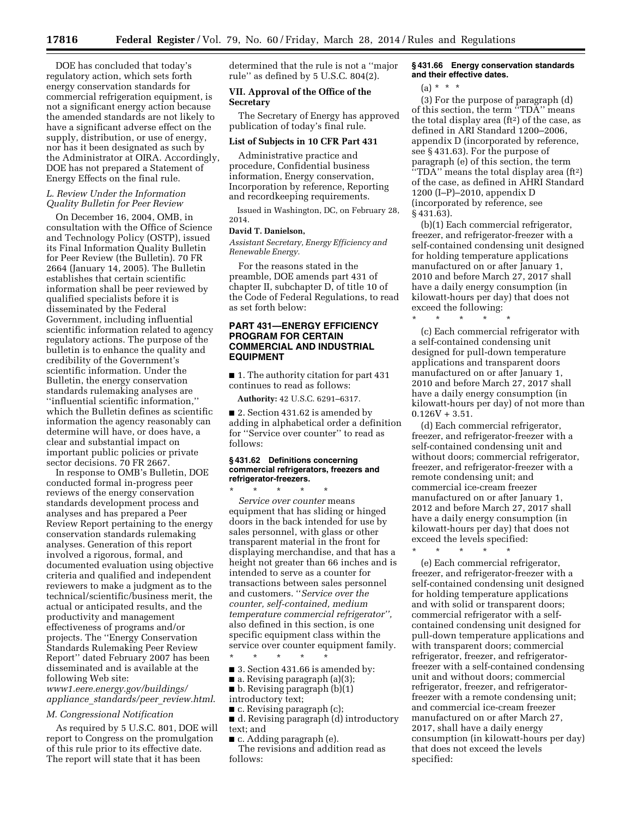DOE has concluded that today's regulatory action, which sets forth energy conservation standards for commercial refrigeration equipment, is not a significant energy action because the amended standards are not likely to have a significant adverse effect on the supply, distribution, or use of energy, nor has it been designated as such by the Administrator at OIRA. Accordingly, DOE has not prepared a Statement of Energy Effects on the final rule.

#### *L. Review Under the Information Quality Bulletin for Peer Review*

On December 16, 2004, OMB, in consultation with the Office of Science and Technology Policy (OSTP), issued its Final Information Quality Bulletin for Peer Review (the Bulletin). 70 FR 2664 (January 14, 2005). The Bulletin establishes that certain scientific information shall be peer reviewed by qualified specialists before it is disseminated by the Federal Government, including influential scientific information related to agency regulatory actions. The purpose of the bulletin is to enhance the quality and credibility of the Government's scientific information. Under the Bulletin, the energy conservation standards rulemaking analyses are ''influential scientific information,'' which the Bulletin defines as scientific information the agency reasonably can determine will have, or does have, a clear and substantial impact on important public policies or private sector decisions. 70 FR 2667.

In response to OMB's Bulletin, DOE conducted formal in-progress peer reviews of the energy conservation standards development process and analyses and has prepared a Peer Review Report pertaining to the energy conservation standards rulemaking analyses. Generation of this report involved a rigorous, formal, and documented evaluation using objective criteria and qualified and independent reviewers to make a judgment as to the technical/scientific/business merit, the actual or anticipated results, and the productivity and management effectiveness of programs and/or projects. The ''Energy Conservation Standards Rulemaking Peer Review Report'' dated February 2007 has been disseminated and is available at the following Web site: *[www1.eere.energy.gov/buildings/](http://www1.eere.energy.gov/buildings/appliance_standards/peer_review.html) appliance*\_*[standards/peer](http://www1.eere.energy.gov/buildings/appliance_standards/peer_review.html)*\_*review.html*.

#### *M. Congressional Notification*

As required by 5 U.S.C. 801, DOE will report to Congress on the promulgation of this rule prior to its effective date. The report will state that it has been

determined that the rule is not a ''major rule'' as defined by 5 U.S.C. 804(2).

### **VII. Approval of the Office of the Secretary**

The Secretary of Energy has approved publication of today's final rule.

#### **List of Subjects in 10 CFR Part 431**

Administrative practice and procedure, Confidential business information, Energy conservation, Incorporation by reference, Reporting and recordkeeping requirements.

Issued in Washington, DC, on February 28, 2014.

### **David T. Danielson,**

*Assistant Secretary, Energy Efficiency and Renewable Energy.* 

For the reasons stated in the preamble, DOE amends part 431 of chapter II, subchapter D, of title 10 of the Code of Federal Regulations, to read as set forth below:

### **PART 431—ENERGY EFFICIENCY PROGRAM FOR CERTAIN COMMERCIAL AND INDUSTRIAL EQUIPMENT**

■ 1. The authority citation for part 431 continues to read as follows:

**Authority:** 42 U.S.C. 6291–6317.

■ 2. Section 431.62 is amended by adding in alphabetical order a definition for ''Service over counter'' to read as follows:

#### **§ 431.62 Definitions concerning commercial refrigerators, freezers and refrigerator-freezers.**

\* \* \* \* \* *Service over counter* means equipment that has sliding or hinged doors in the back intended for use by sales personnel, with glass or other transparent material in the front for displaying merchandise, and that has a height not greater than 66 inches and is intended to serve as a counter for transactions between sales personnel and customers. ''*Service over the counter, self-contained, medium temperature commercial refrigerator'',*  also defined in this section, is one specific equipment class within the service over counter equipment family.

- 3. Section 431.66 is amended by:
- $\blacksquare$  a. Revising paragraph (a)(3);
- b. Revising paragraph (b)(1)
- introductory text;
- c. Revising paragraph (c);

\* \* \* \* \*

- d. Revising paragraph (d) introductory text; and
- c. Adding paragraph (e).

The revisions and addition read as follows:

#### **§ 431.66 Energy conservation standards and their effective dates.**

 $(a) * * * *$ 

(3) For the purpose of paragraph (d) of this section, the term ''TDA'' means the total display area  $(ft<sup>2</sup>)$  of the case, as defined in ARI Standard 1200–2006, appendix D (incorporated by reference, see § 431.63). For the purpose of paragraph (e) of this section, the term ''TDA'' means the total display area (ft2) of the case, as defined in AHRI Standard 1200 (I–P)–2010, appendix D (incorporated by reference, see § 431.63).

(b)(1) Each commercial refrigerator, freezer, and refrigerator-freezer with a self-contained condensing unit designed for holding temperature applications manufactured on or after January 1, 2010 and before March 27, 2017 shall have a daily energy consumption (in kilowatt-hours per day) that does not exceed the following:

\* \* \* \* \*

(c) Each commercial refrigerator with a self-contained condensing unit designed for pull-down temperature applications and transparent doors manufactured on or after January 1, 2010 and before March 27, 2017 shall have a daily energy consumption (in kilowatt-hours per day) of not more than  $0.126V + 3.51.$ 

(d) Each commercial refrigerator, freezer, and refrigerator-freezer with a self-contained condensing unit and without doors; commercial refrigerator, freezer, and refrigerator-freezer with a remote condensing unit; and commercial ice-cream freezer manufactured on or after January 1, 2012 and before March 27, 2017 shall have a daily energy consumption (in kilowatt-hours per day) that does not exceed the levels specified:

\* \* \* \* \*

(e) Each commercial refrigerator, freezer, and refrigerator-freezer with a self-contained condensing unit designed for holding temperature applications and with solid or transparent doors; commercial refrigerator with a selfcontained condensing unit designed for pull-down temperature applications and with transparent doors; commercial refrigerator, freezer, and refrigeratorfreezer with a self-contained condensing unit and without doors; commercial refrigerator, freezer, and refrigeratorfreezer with a remote condensing unit; and commercial ice-cream freezer manufactured on or after March 27, 2017, shall have a daily energy consumption (in kilowatt-hours per day) that does not exceed the levels specified: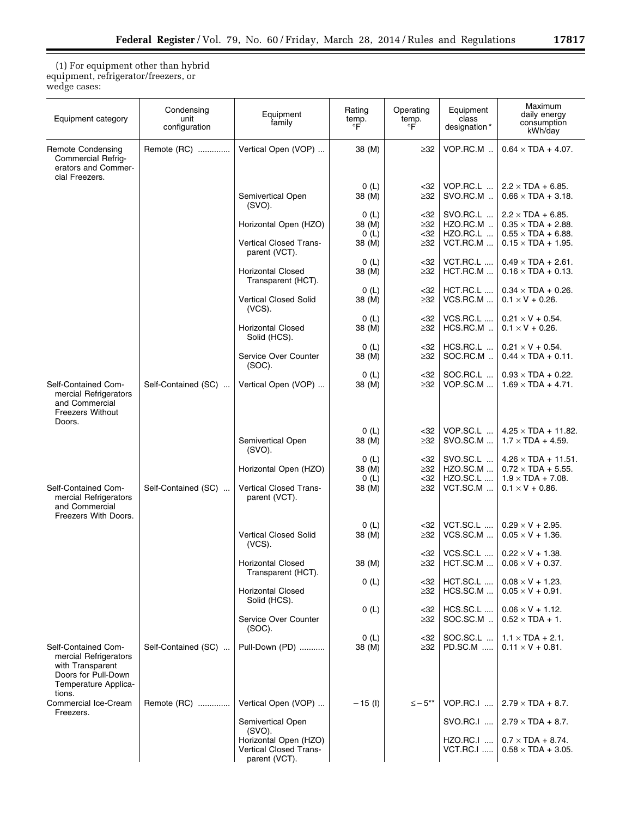(1) For equipment other than hybrid equipment, refrigerator/freezers, or wedge cases:

| Equipment category                                                                                                        | Condensing<br>unit<br>configuration | Equipment<br>family                                                            | Rating<br>$\overset{\mathsf{temp.}}{\mathsf{F}}$ | Operating<br>temp.<br>°F | Equipment<br>class<br>designation*       | Maximum<br>daily energy<br>consumption<br>kWh/day                                      |
|---------------------------------------------------------------------------------------------------------------------------|-------------------------------------|--------------------------------------------------------------------------------|--------------------------------------------------|--------------------------|------------------------------------------|----------------------------------------------------------------------------------------|
| Remote Condensing<br>Commercial Refrig-<br>erators and Commer-<br>cial Freezers.                                          | Remote (RC)                         | Vertical Open (VOP)                                                            | 38 (M)                                           | $\geq$ 32                | VOP.RC.M                                 | $0.64 \times TDA + 4.07$ .                                                             |
|                                                                                                                           |                                     | Semivertical Open<br>(SVO).                                                    | 0(L)<br>38 (M)                                   | <32<br>≥32               | VOP.RC.L<br>SVO.RC.M                     | $2.2 \times TDA + 6.85$ .<br>$0.66 \times TDA + 3.18$ .                                |
|                                                                                                                           |                                     | Horizontal Open (HZO)                                                          | 0(L)<br>38 (M)<br>0(L)                           | <32<br>≥32<br><32        | SVO.RC.L<br>HZO.RC.M<br>HZO.RC.L         | $2.2 \times TDA + 6.85$ .<br>$0.35 \times TDA + 2.88$ .<br>$0.55 \times TDA + 6.88$ .  |
|                                                                                                                           |                                     | Vertical Closed Trans-<br>parent (VCT).                                        | 38 (M)<br>0(L)                                   | ≥32<br><32               | VCT.RC.M<br>VCT.RC.L                     | $0.15 \times TDA + 1.95$ .<br>$0.49 \times TDA + 2.61$ .                               |
|                                                                                                                           |                                     | <b>Horizontal Closed</b><br>Transparent (HCT).                                 | 38 (M)<br>0(L)                                   | ≥32<br><32               | HCT.RC.M<br>HCT.RC.L                     | $0.16 \times TDA + 0.13$ .<br>$0.34 \times TDA + 0.26$ .                               |
|                                                                                                                           |                                     | <b>Vertical Closed Solid</b><br>$(VCS)$ .                                      | 38 (M)<br>0(L)                                   | ≥32<br><32               | VCS.RC.M<br>VCS.RC.L                     | $0.1 \times V + 0.26$ .<br>$0.21 \times V + 0.54$ .                                    |
|                                                                                                                           |                                     | <b>Horizontal Closed</b><br>Solid (HCS).                                       | 38 (M)<br>0(L)                                   | ≥32<br><32               | HCS.RC.M<br>HCS.RC.L                     | $0.1 \times V + 0.26$ .<br>$0.21 \times V + 0.54$ .                                    |
|                                                                                                                           |                                     | Service Over Counter<br>$(SOC)$ .                                              | 38 (M)<br>0(L)                                   | ≥32<br><32               | SOC.RC.M<br>SOC.RC.L                     | $0.44 \times TDA + 0.11$ .<br>$0.93 \times TDA + 0.22$ .                               |
| Self-Contained Com-<br>mercial Refrigerators<br>and Commercial<br><b>Freezers Without</b><br>Doors.                       | Self-Contained (SC)                 | Vertical Open (VOP)                                                            | 38 (M)                                           | ≥32                      | VOP.SC.M                                 | $1.69 \times TDA + 4.71$ .                                                             |
|                                                                                                                           |                                     | Semivertical Open<br>(SVO).                                                    | 0(L)<br>38 (M)                                   | <32<br>≥32               | VOP.SC.L<br>SVO.SC.M                     | $4.25 \times TDA + 11.82$ .<br>$1.7 \times TDA + 4.59$ .                               |
|                                                                                                                           |                                     | Horizontal Open (HZO)                                                          | 0(L)<br>38 (M)<br>0(L)                           | <32<br>≥32<br><32        | SVO.SC.L<br>HZO.SC.M<br><b>HZO.SC.L </b> | $4.26 \times TDA + 11.51$ .<br>$0.72 \times TDA + 5.55$ .<br>$1.9 \times TDA + 7.08$ . |
| Self-Contained Com-<br>mercial Refrigerators<br>and Commercial<br>Freezers With Doors.                                    | Self-Contained (SC)                 | Vertical Closed Trans-<br>parent (VCT).                                        | 38 (M)                                           | ≥32                      | VCT.SC.M                                 | $0.1 \times V + 0.86$ .                                                                |
|                                                                                                                           |                                     | <b>Vertical Closed Solid</b><br>$(VCS)$ .                                      | 0(L)<br>38 (M)                                   | <32<br>≥32               | VCT.SC.L<br>VCS.SC.M                     | $0.29 \times V + 2.95$ .<br>$0.05 \times V + 1.36$ .                                   |
|                                                                                                                           |                                     | Horizontal Closed<br>Transparent (HCT).                                        | 38 (M)                                           | <32<br>$\geq$ 32         | VCS.SC.L<br>HCT.SC.M                     | $0.22 \times V + 1.38$ .<br>$0.06 \times V + 0.37$ .                                   |
|                                                                                                                           |                                     | <b>Horizontal Closed</b><br>Solid (HCS).                                       | 0(L)                                             | <32<br>≥32               | HCT.SC.L<br>HCS.SC.M                     | $0.08 \times V + 1.23$ .<br>$0.05 \times V + 0.91$ .                                   |
|                                                                                                                           |                                     | Service Over Counter<br>$(SOC)$ .                                              | 0(L)                                             | <32<br>≥32               | HCS.SC.L<br>SOC.SC.M                     | $0.06 \times V + 1.12$ .<br>$0.52 \times TDA + 1$ .                                    |
| Self-Contained Com-<br>mercial Refrigerators<br>with Transparent<br>Doors for Pull-Down<br>Temperature Applica-<br>tions. | Self-Contained (SC)                 | Pull-Down (PD)                                                                 | 0(L)<br>38 (M)                                   | <32<br>≥32               | SOC.SC.L<br><b>PD.SC.M </b>              | $1.1 \times TDA + 2.1$ .<br>$0.11 \times V + 0.81$ .                                   |
| Commercial Ice-Cream<br>Freezers.                                                                                         | Remote (RC)                         | Vertical Open (VOP)                                                            | $-15$ (l)                                        | $\leq -5**$              | $VOP.RC.I$                               | $2.79 \times TDA + 8.7$ .                                                              |
|                                                                                                                           |                                     | Semivertical Open<br>(SVO).<br>Horizontal Open (HZO)<br>Vertical Closed Trans- |                                                  |                          | SVO.RC.I<br>HZO.RC.I<br><b>VCT.RC.I </b> | $2.79 \times TDA + 8.7$ .<br>$0.7 \times TDA + 8.74$ .<br>$0.58 \times TDA + 3.05$ .   |
|                                                                                                                           |                                     | parent (VCT).                                                                  |                                                  |                          |                                          |                                                                                        |